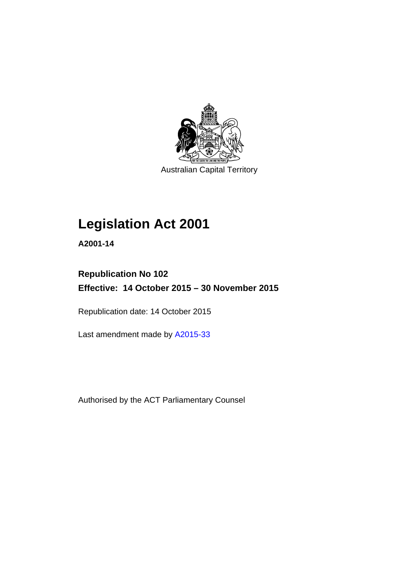

Australian Capital Territory

# **Legislation Act 2001**

**A2001-14** 

## **Republication No 102 Effective: 14 October 2015 – 30 November 2015**

Republication date: 14 October 2015

Last amendment made by [A2015-33](http://www.legislation.act.gov.au/a/2015-33)

Authorised by the ACT Parliamentary Counsel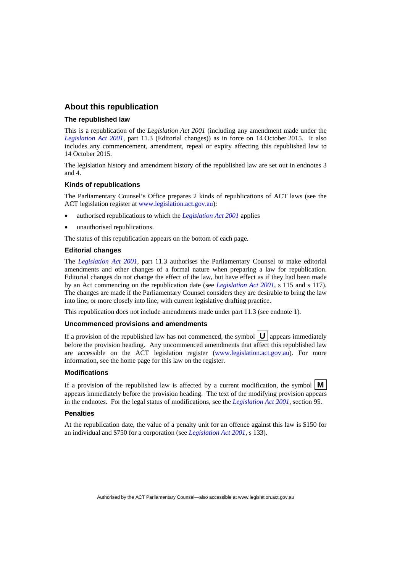## **About this republication**

#### **The republished law**

This is a republication of the *Legislation Act 2001* (including any amendment made under the *[Legislation Act 2001](http://www.legislation.act.gov.au/a/2001-14)*, part 11.3 (Editorial changes)) as in force on 14 October 2015*.* It also includes any commencement, amendment, repeal or expiry affecting this republished law to 14 October 2015.

The legislation history and amendment history of the republished law are set out in endnotes 3 and 4.

#### **Kinds of republications**

The Parliamentary Counsel's Office prepares 2 kinds of republications of ACT laws (see the ACT legislation register at [www.legislation.act.gov.au](http://www.legislation.act.gov.au/)):

- authorised republications to which the *[Legislation Act 2001](http://www.legislation.act.gov.au/a/2001-14)* applies
- unauthorised republications.

The status of this republication appears on the bottom of each page.

#### **Editorial changes**

The *[Legislation Act 2001](http://www.legislation.act.gov.au/a/2001-14)*, part 11.3 authorises the Parliamentary Counsel to make editorial amendments and other changes of a formal nature when preparing a law for republication. Editorial changes do not change the effect of the law, but have effect as if they had been made by an Act commencing on the republication date (see *[Legislation Act 2001](http://www.legislation.act.gov.au/a/2001-14)*, s 115 and s 117). The changes are made if the Parliamentary Counsel considers they are desirable to bring the law into line, or more closely into line, with current legislative drafting practice.

This republication does not include amendments made under part 11.3 (see endnote 1).

#### **Uncommenced provisions and amendments**

If a provision of the republished law has not commenced, the symbol  $\mathbf{U}$  appears immediately before the provision heading. Any uncommenced amendments that affect this republished law are accessible on the ACT legislation register [\(www.legislation.act.gov.au](http://www.legislation.act.gov.au/)). For more information, see the home page for this law on the register.

#### **Modifications**

If a provision of the republished law is affected by a current modification, the symbol  $\mathbf{M}$ appears immediately before the provision heading. The text of the modifying provision appears in the endnotes. For the legal status of modifications, see the *[Legislation Act 2001](http://www.legislation.act.gov.au/a/2001-14)*, section 95.

#### **Penalties**

At the republication date, the value of a penalty unit for an offence against this law is \$150 for an individual and \$750 for a corporation (see *[Legislation Act 2001](http://www.legislation.act.gov.au/a/2001-14)*, s 133).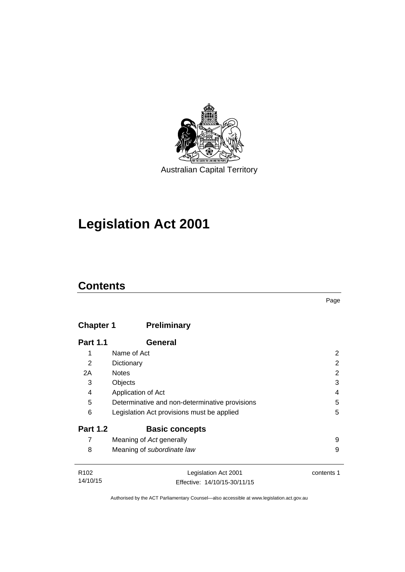

# **Legislation Act 2001**

## **Contents**

## **Chapter 1 [Preliminary](#page-17-0)**

| <b>Part 1.1</b>  | General                                        |            |
|------------------|------------------------------------------------|------------|
| 1                | Name of Act                                    | 2          |
| 2                | Dictionary                                     | 2          |
| 2A               | <b>Notes</b>                                   | 2          |
| 3                | Objects                                        | 3          |
| 4                | Application of Act                             | 4          |
| 5                | Determinative and non-determinative provisions | 5          |
| 6                | Legislation Act provisions must be applied     | 5          |
| <b>Part 1.2</b>  | <b>Basic concepts</b>                          |            |
| 7                | Meaning of Act generally                       | 9          |
| 8                | Meaning of subordinate law                     | 9          |
| D <sub>102</sub> | Logiclation Act 2001                           | contante 1 |

| R <sub>102</sub> | Legislation Act 2001         | contents 1 |
|------------------|------------------------------|------------|
| 14/10/15         | Effective: 14/10/15-30/11/15 |            |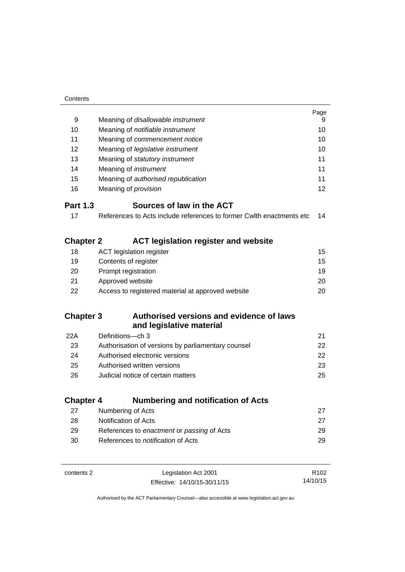| Contents         |                                                                      |                  |
|------------------|----------------------------------------------------------------------|------------------|
|                  |                                                                      | Page             |
| 9                | Meaning of disallowable instrument                                   |                  |
| 10               | Meaning of notifiable instrument                                     |                  |
| 11               | Meaning of commencement notice                                       |                  |
| 12               | Meaning of legislative instrument                                    |                  |
| 13               | Meaning of statutory instrument                                      | 11               |
| 14               | Meaning of <i>instrument</i>                                         | 11               |
| 15               | Meaning of authorised republication                                  | 11               |
| 16               | Meaning of <i>provision</i>                                          | 12               |
| <b>Part 1.3</b>  | Sources of law in the ACT                                            |                  |
| 17               | References to Acts include references to former Cwith enactments etc | 14               |
|                  |                                                                      |                  |
| <b>Chapter 2</b> | <b>ACT legislation register and website</b>                          |                  |
| 18               | <b>ACT legislation register</b>                                      | 15               |
| 19               | Contents of register                                                 | 15               |
| 20               | Prompt registration                                                  |                  |
| 21               | Approved website                                                     | 20               |
| 22               | Access to registered material at approved website                    | 20               |
|                  |                                                                      |                  |
| <b>Chapter 3</b> | Authorised versions and evidence of laws                             |                  |
|                  | and legislative material                                             |                  |
| 22A              | Definitions-ch 3                                                     | 21               |
| 23               | Authorisation of versions by parliamentary counsel                   | 22               |
| 24               | Authorised electronic versions                                       | 22               |
| 25               | Authorised written versions                                          | 23               |
| 26               | Judicial notice of certain matters                                   | 25               |
|                  |                                                                      |                  |
| <b>Chapter 4</b> | <b>Numbering and notification of Acts</b>                            |                  |
| 27               | Numbering of Acts                                                    | 27               |
| 28               | Notification of Acts                                                 | 27               |
| 29               | References to enactment or passing of Acts                           | 29               |
| 30               | References to notification of Acts                                   | 29               |
|                  |                                                                      |                  |
| contents 2       | Legislation Act 2001                                                 | R <sub>102</sub> |
|                  | Effective: 14/10/15-30/11/15                                         | 14/10/15         |

Effective: 14/10/15-30/11/15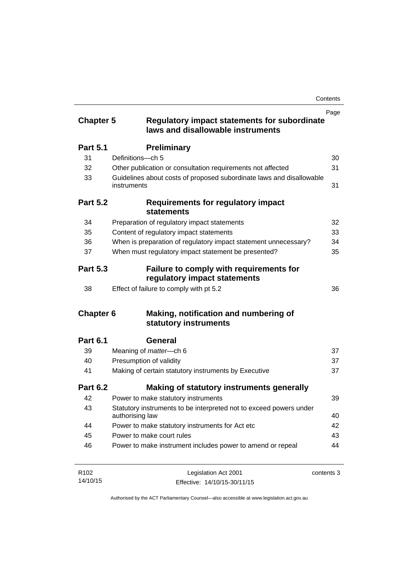| <b>Chapter 5</b> | <b>Regulatory impact statements for subordinate</b><br>laws and disallowable instruments | Page       |
|------------------|------------------------------------------------------------------------------------------|------------|
| <b>Part 5.1</b>  | <b>Preliminary</b>                                                                       |            |
| 31               | Definitions-ch 5                                                                         | 30         |
| 32               | Other publication or consultation requirements not affected                              | 31         |
| 33               | Guidelines about costs of proposed subordinate laws and disallowable<br>instruments      | 31         |
| <b>Part 5.2</b>  | <b>Requirements for regulatory impact</b><br><b>statements</b>                           |            |
| 34               | Preparation of regulatory impact statements                                              | 32         |
| 35               | Content of regulatory impact statements                                                  | 33         |
| 36               | When is preparation of regulatory impact statement unnecessary?                          | 34         |
| 37               | When must regulatory impact statement be presented?                                      | 35         |
| <b>Part 5.3</b>  | <b>Failure to comply with requirements for</b><br>regulatory impact statements           |            |
| 38               | Effect of failure to comply with pt 5.2                                                  | 36         |
| <b>Chapter 6</b> | Making, notification and numbering of<br>statutory instruments                           |            |
| <b>Part 6.1</b>  | General                                                                                  |            |
| 39               | Meaning of <i>matter</i> -ch 6                                                           | 37         |
| 40               | Presumption of validity                                                                  | 37         |
| 41               | Making of certain statutory instruments by Executive                                     | 37         |
| <b>Part 6.2</b>  | <b>Making of statutory instruments generally</b>                                         |            |
| 42               | Power to make statutory instruments                                                      | 39         |
| 43               | Statutory instruments to be interpreted not to exceed powers under<br>authorising law    | 40         |
| 44               | Power to make statutory instruments for Act etc                                          | 42         |
| 45               | Power to make court rules                                                                | 43         |
| 46               | Power to make instrument includes power to amend or repeal                               | 44         |
| R <sub>102</sub> | Legislation Act 2001                                                                     | contents 3 |

R102 14/10/15 Legislation Act 2001 Effective: 14/10/15-30/11/15 contents 3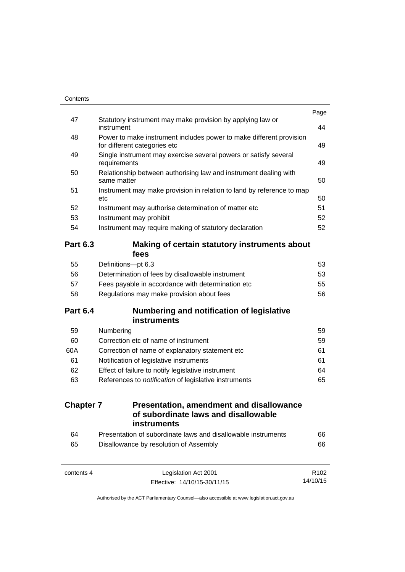| 64<br>65         | Presentation of subordinate laws and disallowable instruments<br>Disallowance by resolution of Assembly | 66<br>66 |
|------------------|---------------------------------------------------------------------------------------------------------|----------|
| <b>Chapter 7</b> | <b>Presentation, amendment and disallowance</b><br>of subordinate laws and disallowable<br>instruments  |          |
|                  |                                                                                                         |          |
| 63               | References to notification of legislative instruments                                                   | 65       |
| 62               | Effect of failure to notify legislative instrument                                                      | 64       |
| 61               | Notification of legislative instruments                                                                 | 61       |
| 60A              | Correction of name of explanatory statement etc                                                         | 61       |
| 60               | Correction etc of name of instrument                                                                    | 59       |
| 59               | Numbering                                                                                               | 59       |
| <b>Part 6.4</b>  | Numbering and notification of legislative<br><b>instruments</b>                                         |          |
| 58               | Regulations may make provision about fees                                                               | 56       |
| 57               | Fees payable in accordance with determination etc                                                       | 55       |
| 56               | Determination of fees by disallowable instrument                                                        | 53       |
| 55               | Definitions-pt 6.3                                                                                      | 53       |
| <b>Part 6.3</b>  | Making of certain statutory instruments about<br>fees                                                   |          |
| 54               | Instrument may require making of statutory declaration                                                  | 52       |
| 53               | Instrument may prohibit                                                                                 | 52       |
| 52               | Instrument may authorise determination of matter etc                                                    | 51       |
| 51               | Instrument may make provision in relation to land by reference to map<br>etc                            | 50       |
| 50               | Relationship between authorising law and instrument dealing with<br>same matter                         | 50       |
| 49               | Single instrument may exercise several powers or satisfy several<br>requirements                        | 49       |
| 48               | Power to make instrument includes power to make different provision<br>for different categories etc     | 49       |
| 47               | Statutory instrument may make provision by applying law or<br>instrument                                | 44       |
|                  |                                                                                                         |          |

14/10/15

Effective: 14/10/15-30/11/15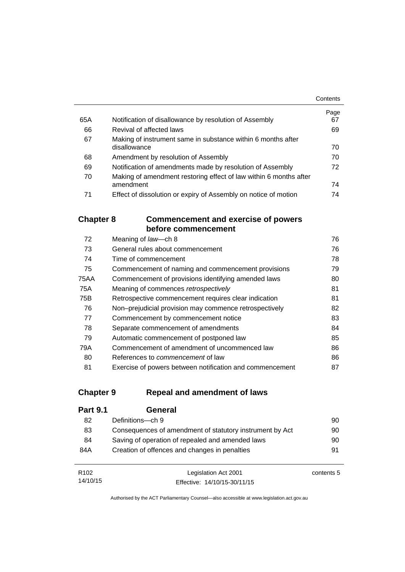|     |                                                                   | Contents |
|-----|-------------------------------------------------------------------|----------|
|     |                                                                   | Page     |
| 65A | Notification of disallowance by resolution of Assembly            | 67       |
| 66  | Revival of affected laws                                          | 69       |
| 67  | Making of instrument same in substance within 6 months after      |          |
|     | disallowance                                                      | 70       |
| 68  | Amendment by resolution of Assembly                               | 70       |
| 69  | Notification of amendments made by resolution of Assembly         | 72       |
| 70  | Making of amendment restoring effect of law within 6 months after |          |
|     | amendment                                                         | 74       |
| 71  | Effect of dissolution or expiry of Assembly on notice of motion   | 74       |

## **Chapter 8 [Commencement and exercise of powers](#page-91-0)  [before commencement](#page-91-0)**

| 72   | Meaning of law-ch 8                                      | 76 |
|------|----------------------------------------------------------|----|
| 73   | General rules about commencement                         | 76 |
| 74   | Time of commencement                                     | 78 |
| 75   | Commencement of naming and commencement provisions       | 79 |
| 75AA | Commencement of provisions identifying amended laws      | 80 |
| 75A  | Meaning of commences retrospectively                     | 81 |
| 75B  | Retrospective commencement requires clear indication     | 81 |
| 76   | Non-prejudicial provision may commence retrospectively   | 82 |
| 77   | Commencement by commencement notice                      | 83 |
| 78   | Separate commencement of amendments                      | 84 |
| 79   | Automatic commencement of postponed law                  | 85 |
| 79A  | Commencement of amendment of uncommenced law             | 86 |
| 80   | References to <i>commencement</i> of law                 | 86 |
| 81   | Exercise of powers between notification and commencement | 87 |

## **Chapter 9 [Repeal and amendment of laws](#page-105-0)**

| <b>Part 9.1</b> | General                                                  |    |
|-----------------|----------------------------------------------------------|----|
| 82              | Definitions-ch 9                                         | 90 |
| 83              | Consequences of amendment of statutory instrument by Act | 90 |
| 84              | Saving of operation of repealed and amended laws         | 90 |
| 84A             | Creation of offences and changes in penalties            | 91 |
|                 |                                                          |    |

| R <sub>102</sub> | Legislation Act 2001         | contents 5 |
|------------------|------------------------------|------------|
| 14/10/15         | Effective: 14/10/15-30/11/15 |            |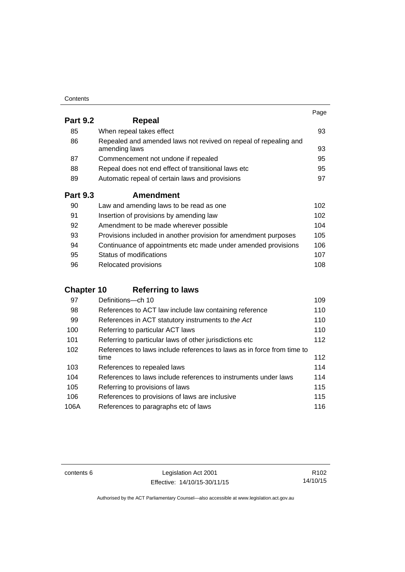| Contents |
|----------|
|----------|

|                 |                                                                                   | Page |
|-----------------|-----------------------------------------------------------------------------------|------|
| <b>Part 9.2</b> | Repeal                                                                            |      |
| 85              | When repeal takes effect                                                          | 93   |
| 86              | Repealed and amended laws not revived on repeal of repealing and<br>amending laws | 93   |
| 87              | Commencement not undone if repealed                                               | 95   |
| 88              | Repeal does not end effect of transitional laws etc                               | 95   |
| 89              | Automatic repeal of certain laws and provisions                                   | 97   |
| <b>Part 9.3</b> | <b>Amendment</b>                                                                  |      |
| 90              | Law and amending laws to be read as one                                           | 102  |
| 91              | Insertion of provisions by amending law                                           | 102  |
| 92              | Amendment to be made wherever possible                                            | 104  |
| 93              | Provisions included in another provision for amendment purposes                   | 105  |
| 94              | Continuance of appointments etc made under amended provisions                     | 106  |
| 95              | Status of modifications                                                           | 107  |

| 96 | <b>Relocated provisions</b> | 108 |
|----|-----------------------------|-----|
|    |                             |     |

## **Chapter 10 [Referring to laws](#page-124-0)**

| 97   | Definitions-ch 10                                                      | 109 |
|------|------------------------------------------------------------------------|-----|
| 98   | References to ACT law include law containing reference                 | 110 |
| 99   | References in ACT statutory instruments to the Act                     | 110 |
| 100  | Referring to particular ACT laws                                       | 110 |
| 101  | Referring to particular laws of other jurisdictions etc                | 112 |
| 102  | References to laws include references to laws as in force from time to |     |
|      | time                                                                   | 112 |
| 103  | References to repealed laws                                            | 114 |
| 104  | References to laws include references to instruments under laws        | 114 |
| 105  | Referring to provisions of laws                                        | 115 |
| 106  | References to provisions of laws are inclusive                         | 115 |
| 106A | References to paragraphs etc of laws                                   | 116 |

contents 6 Legislation Act 2001 Effective: 14/10/15-30/11/15

R102 14/10/15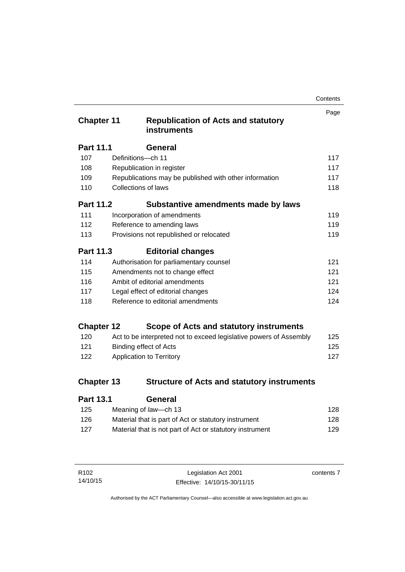| Contents |
|----------|
|----------|

| <b>Chapter 11</b> |                            | <b>Republication of Acts and statutory</b><br>instruments          | Page |
|-------------------|----------------------------|--------------------------------------------------------------------|------|
| Part 11.1         |                            | General                                                            |      |
| 107               | Definitions-ch 11          |                                                                    | 117  |
| 108               |                            | Republication in register                                          | 117  |
| 109               |                            | Republications may be published with other information             | 117  |
| 110               | <b>Collections of laws</b> |                                                                    | 118  |
| <b>Part 11.2</b>  |                            | Substantive amendments made by laws                                |      |
| 111               |                            | Incorporation of amendments                                        | 119  |
| 112               |                            | Reference to amending laws                                         | 119  |
| 113               |                            | Provisions not republished or relocated                            | 119  |
| Part 11.3         |                            | <b>Editorial changes</b>                                           |      |
| 114               |                            | Authorisation for parliamentary counsel                            | 121  |
| 115               |                            | Amendments not to change effect                                    | 121  |
| 116               |                            | Ambit of editorial amendments                                      | 121  |
| 117               |                            | Legal effect of editorial changes                                  | 124  |
| 118               |                            | Reference to editorial amendments                                  | 124  |
| <b>Chapter 12</b> |                            | Scope of Acts and statutory instruments                            |      |
| 120               |                            | Act to be interpreted not to exceed legislative powers of Assembly | 125  |
| 121               |                            | <b>Binding effect of Acts</b>                                      | 125  |
| 122               |                            | Application to Territory                                           | 127  |
| <b>Chapter 13</b> |                            | <b>Structure of Acts and statutory instruments</b>                 |      |
| <b>Part 13.1</b>  |                            | General                                                            |      |

| . u.v. . | ovnoru                                                   |     |
|----------|----------------------------------------------------------|-----|
| 125      | Meaning of law—ch 13                                     | 128 |
| 126      | Material that is part of Act or statutory instrument     | 128 |
| 127      | Material that is not part of Act or statutory instrument | 129 |
|          |                                                          |     |

| R <sub>102</sub> | Legislation Act 2001         | contents 7 |
|------------------|------------------------------|------------|
| 14/10/15         | Effective: 14/10/15-30/11/15 |            |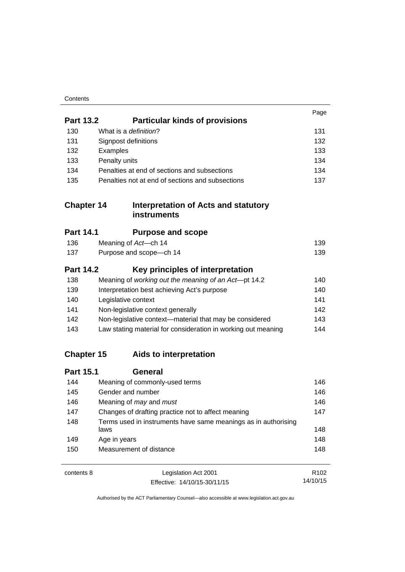| Contents |
|----------|
|----------|

|                   |                                                                        | Page             |
|-------------------|------------------------------------------------------------------------|------------------|
| <b>Part 13.2</b>  | <b>Particular kinds of provisions</b>                                  |                  |
| 130               | What is a definition?                                                  | 131              |
| 131               | Signpost definitions                                                   | 132              |
| 132               | Examples                                                               | 133              |
| 133               | Penalty units                                                          | 134              |
| 134               | Penalties at end of sections and subsections                           | 134              |
| 135               | Penalties not at end of sections and subsections                       | 137              |
| <b>Chapter 14</b> | <b>Interpretation of Acts and statutory</b><br><b>instruments</b>      |                  |
| <b>Part 14.1</b>  | <b>Purpose and scope</b>                                               |                  |
| 136               | Meaning of Act-ch 14                                                   | 139              |
| 137               | Purpose and scope-ch 14                                                | 139              |
| <b>Part 14.2</b>  | Key principles of interpretation                                       |                  |
| 138               | Meaning of working out the meaning of an Act-pt 14.2                   | 140              |
| 139               | Interpretation best achieving Act's purpose                            | 140              |
| 140               | Legislative context                                                    | 141              |
| 141               | Non-legislative context generally                                      | 142              |
| 142               | Non-legislative context-material that may be considered                | 143              |
| 143               | Law stating material for consideration in working out meaning          | 144              |
| <b>Chapter 15</b> | Aids to interpretation                                                 |                  |
| <b>Part 15.1</b>  | <b>General</b>                                                         |                  |
| 144               | Meaning of commonly-used terms                                         | 146              |
| 145               | Gender and number                                                      | 146              |
| 146               | Meaning of may and must                                                | 146              |
| 147               | Changes of drafting practice not to affect meaning                     | 147              |
| 148               | Terms used in instruments have same meanings as in authorising<br>laws | 148              |
| 149               | Age in years                                                           | 148              |
| 150               | Measurement of distance                                                | 148              |
| contents 8        | Legislation Act 2001                                                   | R <sub>102</sub> |

14/10/15

Effective: 14/10/15-30/11/15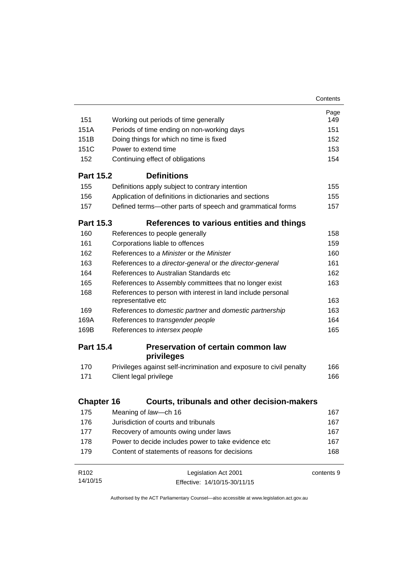|                   |                                                                                   | Contents   |
|-------------------|-----------------------------------------------------------------------------------|------------|
|                   |                                                                                   | Page       |
| 151               | Working out periods of time generally                                             | 149        |
| 151A              | Periods of time ending on non-working days                                        | 151        |
| 151 <sub>B</sub>  | Doing things for which no time is fixed                                           | 152        |
| 151C              | Power to extend time                                                              | 153        |
| 152               | Continuing effect of obligations                                                  | 154        |
| <b>Part 15.2</b>  | <b>Definitions</b>                                                                |            |
| 155               | Definitions apply subject to contrary intention                                   | 155        |
| 156               | Application of definitions in dictionaries and sections                           | 155        |
| 157               | Defined terms—other parts of speech and grammatical forms                         | 157        |
| <b>Part 15.3</b>  | References to various entities and things                                         |            |
| 160               | References to people generally                                                    | 158        |
| 161               | Corporations liable to offences                                                   | 159        |
| 162               | References to a Minister or the Minister                                          | 160        |
| 163               | References to a director-general or the director-general                          | 161        |
| 164               | References to Australian Standards etc                                            | 162        |
| 165               | References to Assembly committees that no longer exist                            | 163        |
| 168               | References to person with interest in land include personal<br>representative etc | 163        |
| 169               | References to domestic partner and domestic partnership                           | 163        |
| 169A              | References to transgender people                                                  | 164        |
| 169B              | References to intersex people                                                     | 165        |
| <b>Part 15.4</b>  | <b>Preservation of certain common law</b>                                         |            |
|                   | privileges                                                                        |            |
| 170               | Privileges against self-incrimination and exposure to civil penalty               | 166        |
| 171               | Client legal privilege                                                            | 166        |
| <b>Chapter 16</b> | <b>Courts, tribunals and other decision-makers</b>                                |            |
| 175               | Meaning of law-ch 16                                                              | 167        |
| 176               | Jurisdiction of courts and tribunals                                              | 167        |
| 177               | Recovery of amounts owing under laws                                              | 167        |
| 178               | Power to decide includes power to take evidence etc                               | 167        |
| 179               | Content of statements of reasons for decisions                                    | 168        |
| R <sub>102</sub>  | Legislation Act 2001                                                              | contents 9 |
| 14/10/15          | Effective: 14/10/15-30/11/15                                                      |            |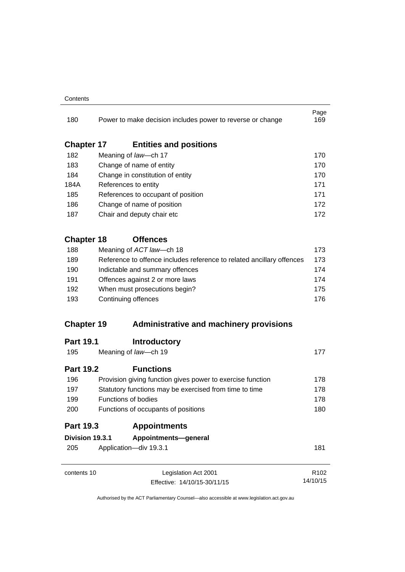#### **Contents**

| 180               |                                                                  | Power to make decision includes power to reverse or change            | Page<br>169      |  |
|-------------------|------------------------------------------------------------------|-----------------------------------------------------------------------|------------------|--|
| <b>Chapter 17</b> |                                                                  | <b>Entities and positions</b>                                         |                  |  |
| 182               |                                                                  | Meaning of law-ch 17                                                  | 170              |  |
| 183               |                                                                  | Change of name of entity                                              | 170              |  |
| 184               |                                                                  | Change in constitution of entity<br>References to entity              |                  |  |
| 184A              |                                                                  |                                                                       |                  |  |
| 185               |                                                                  | References to occupant of position                                    | 171              |  |
| 186               |                                                                  | Change of name of position                                            | 172              |  |
| 187               |                                                                  | Chair and deputy chair etc                                            | 172              |  |
| <b>Chapter 18</b> |                                                                  | <b>Offences</b>                                                       |                  |  |
| 188               |                                                                  | Meaning of ACT law-ch 18                                              | 173              |  |
| 189               |                                                                  | Reference to offence includes reference to related ancillary offences | 173              |  |
| 190               |                                                                  | Indictable and summary offences                                       | 174              |  |
| 191<br>192        | Offences against 2 or more laws<br>When must prosecutions begin? | 174                                                                   |                  |  |
|                   |                                                                  | 175                                                                   |                  |  |
| 193               |                                                                  | Continuing offences                                                   | 176              |  |
| <b>Chapter 19</b> |                                                                  | <b>Administrative and machinery provisions</b>                        |                  |  |
| <b>Part 19.1</b>  |                                                                  | <b>Introductory</b>                                                   |                  |  |
| 195               |                                                                  | Meaning of law-ch 19                                                  | 177              |  |
| <b>Part 19.2</b>  |                                                                  | <b>Functions</b>                                                      |                  |  |
| 196               |                                                                  | Provision giving function gives power to exercise function            | 178              |  |
| 197               | Statutory functions may be exercised from time to time           | 178                                                                   |                  |  |
| 199               |                                                                  | <b>Functions of bodies</b>                                            | 178              |  |
| 200               |                                                                  | Functions of occupants of positions                                   | 180              |  |
| <b>Part 19.3</b>  |                                                                  | <b>Appointments</b>                                                   |                  |  |
| Division 19.3.1   |                                                                  | Appointments-general                                                  |                  |  |
| 205               |                                                                  | Application-div 19.3.1                                                | 181              |  |
| contents 10       |                                                                  | Legislation Act 2001                                                  | R <sub>102</sub> |  |
|                   |                                                                  | Effective: 14/10/15-30/11/15                                          | 14/10/15         |  |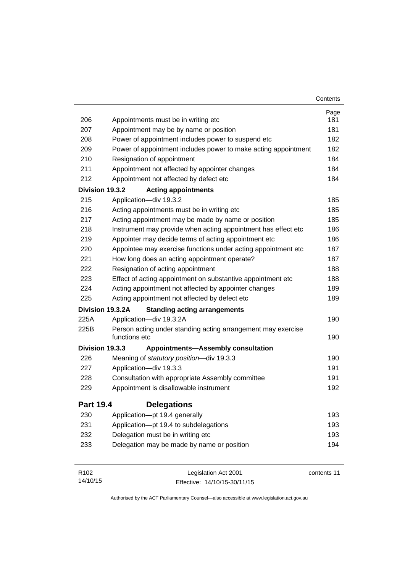| 206<br>207       | Appointments must be in writing etc<br>Appointment may be by name or position | Page<br>181 |
|------------------|-------------------------------------------------------------------------------|-------------|
|                  |                                                                               |             |
|                  |                                                                               |             |
|                  |                                                                               | 181         |
| 208              | Power of appointment includes power to suspend etc                            | 182         |
| 209              | Power of appointment includes power to make acting appointment                | 182         |
| 210              | Resignation of appointment                                                    | 184         |
| 211              | Appointment not affected by appointer changes                                 | 184         |
| 212              | Appointment not affected by defect etc                                        | 184         |
| Division 19.3.2  | <b>Acting appointments</b>                                                    |             |
| 215              | Application-div 19.3.2                                                        | 185         |
| 216              | Acting appointments must be in writing etc                                    | 185         |
| 217              | Acting appointment may be made by name or position                            | 185         |
| 218              | Instrument may provide when acting appointment has effect etc                 | 186         |
| 219              | Appointer may decide terms of acting appointment etc                          | 186         |
| 220              | Appointee may exercise functions under acting appointment etc                 | 187         |
| 221              | How long does an acting appointment operate?                                  | 187         |
| 222              | Resignation of acting appointment                                             | 188         |
| 223              | Effect of acting appointment on substantive appointment etc                   | 188         |
| 224              | Acting appointment not affected by appointer changes                          | 189         |
| 225              | Acting appointment not affected by defect etc                                 | 189         |
|                  | Division 19.3.2A<br><b>Standing acting arrangements</b>                       |             |
| 225A             | Application-div 19.3.2A                                                       | 190         |
| 225B             | Person acting under standing acting arrangement may exercise<br>functions etc | 190         |
| Division 19.3.3  | <b>Appointments-Assembly consultation</b>                                     |             |
| 226              | Meaning of statutory position-div 19.3.3                                      | 190         |
| 227              | Application-div 19.3.3                                                        | 191         |
| 228              | Consultation with appropriate Assembly committee                              | 191         |
| 229              | Appointment is disallowable instrument                                        | 192         |
| <b>Part 19.4</b> | <b>Delegations</b>                                                            |             |
| 230              | Application-pt 19.4 generally                                                 | 193         |
| 231              | Application-pt 19.4 to subdelegations                                         | 193         |
| 232              | Delegation must be in writing etc                                             | 193         |
| 233              | Delegation may be made by name or position                                    | 194         |
| R102             | Legislation Act 2001                                                          | contents 11 |

Effective: 14/10/15-30/11/15

14/10/15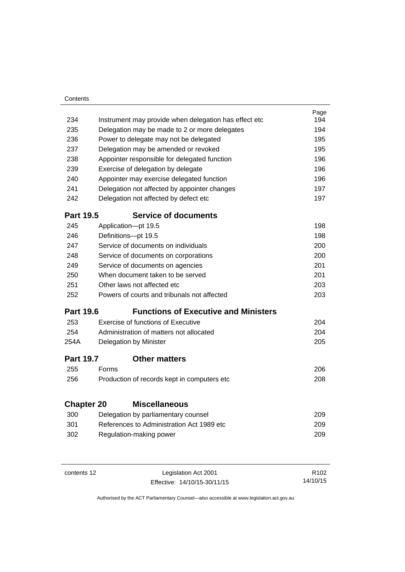| Contents          |                                           |                                                       |      |
|-------------------|-------------------------------------------|-------------------------------------------------------|------|
|                   |                                           |                                                       | Page |
| 234               |                                           | Instrument may provide when delegation has effect etc | 194  |
| 235               |                                           | Delegation may be made to 2 or more delegates         | 194  |
| 236               |                                           | Power to delegate may not be delegated                | 195  |
| 237               |                                           | Delegation may be amended or revoked                  | 195  |
| 238               |                                           | Appointer responsible for delegated function          | 196  |
| 239               |                                           | Exercise of delegation by delegate                    | 196  |
| 240               | Appointer may exercise delegated function |                                                       | 196  |
| 241               |                                           | Delegation not affected by appointer changes          | 197  |
| 242               | Delegation not affected by defect etc     | 197                                                   |      |
| <b>Part 19.5</b>  |                                           | <b>Service of documents</b>                           |      |
| 245               |                                           | Application-pt 19.5                                   | 198  |
| 246               |                                           | Definitions-pt 19.5                                   | 198  |
| 247               |                                           | Service of documents on individuals                   | 200  |
| 248               |                                           | Service of documents on corporations                  | 200  |
| 249               |                                           | Service of documents on agencies                      | 201  |
| 250               |                                           | When document taken to be served                      | 201  |
| 251               |                                           | Other laws not affected etc                           | 203  |
| 252               |                                           | Powers of courts and tribunals not affected           | 203  |
| <b>Part 19.6</b>  |                                           | <b>Functions of Executive and Ministers</b>           |      |
| 253               |                                           | Exercise of functions of Executive                    | 204  |
| 254               |                                           | Administration of matters not allocated               | 204  |
| 254A              |                                           | Delegation by Minister                                | 205  |
| <b>Part 19.7</b>  |                                           | <b>Other matters</b>                                  |      |
| 255               | Forms                                     |                                                       | 206  |
| 256               |                                           | Production of records kept in computers etc           | 208  |
|                   |                                           |                                                       |      |
| <b>Chapter 20</b> |                                           | <b>Miscellaneous</b>                                  | 209  |
| 300               |                                           | Delegation by parliamentary counsel                   |      |
| 301               |                                           | References to Administration Act 1989 etc             | 209  |
| 302               |                                           | Regulation-making power                               | 209  |
|                   |                                           |                                                       |      |
|                   |                                           |                                                       |      |

J.

| contents 12 | Legislation Act 2001         | R <sub>102</sub> |
|-------------|------------------------------|------------------|
|             | Effective: 14/10/15-30/11/15 | 14/10/15         |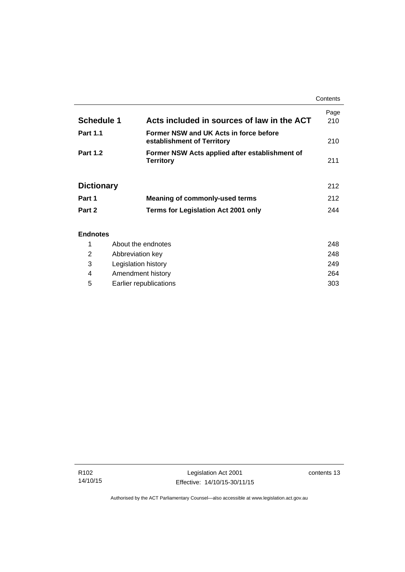|                   |                                                                      | Contents    |
|-------------------|----------------------------------------------------------------------|-------------|
| <b>Schedule 1</b> | Acts included in sources of law in the ACT                           | Page<br>210 |
| <b>Part 1.1</b>   | Former NSW and UK Acts in force before<br>establishment of Territory | 210         |
| <b>Part 1.2</b>   | Former NSW Acts applied after establishment of<br><b>Territory</b>   | 211         |
| <b>Dictionary</b> |                                                                      | 212         |
| Part 1            | <b>Meaning of commonly-used terms</b>                                | 212         |
| Part 2            | <b>Terms for Legislation Act 2001 only</b>                           | 244         |
| <b>Endnotes</b>   |                                                                      |             |

## 1 [About the endnotes 248](#page-263-1) 2 [Abbreviation key 248](#page-263-2) 3 [Legislation history 249](#page-264-0) 4 [Amendment history 264](#page-279-0) 5 [Earlier republications 303](#page-318-0)

j.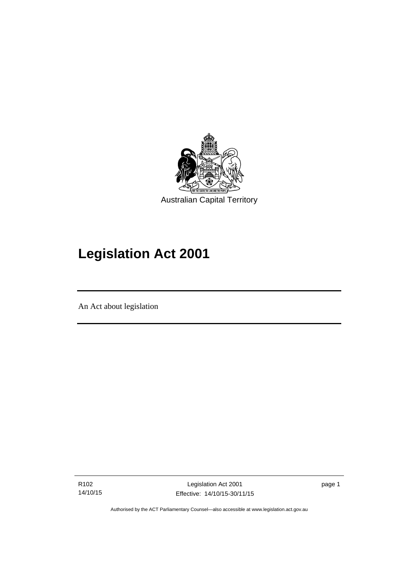

# **Legislation Act 2001**

An Act about legislation

l

R102 14/10/15 page 1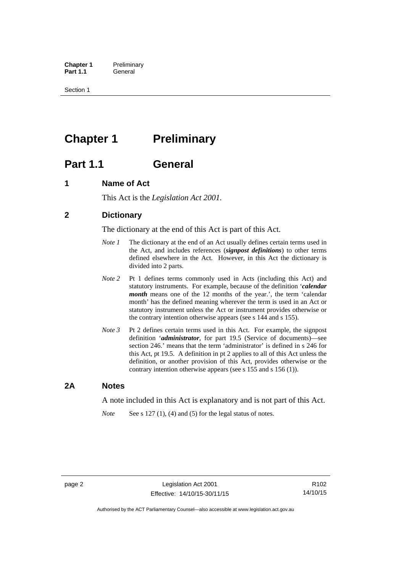**Chapter 1** Preliminary<br>**Part 1.1** General General

Section 1

## <span id="page-17-0"></span>**Chapter 1** Preliminary

## <span id="page-17-1"></span>**Part 1.1 General**

## <span id="page-17-2"></span>**1 Name of Act**

This Act is the *Legislation Act 2001.* 

## <span id="page-17-3"></span>**2 Dictionary**

The dictionary at the end of this Act is part of this Act.

- *Note 1* The dictionary at the end of an Act usually defines certain terms used in the Act, and includes references (*signpost definitions*) to other terms defined elsewhere in the Act. However, in this Act the dictionary is divided into 2 parts.
- *Note 2* Pt 1 defines terms commonly used in Acts (including this Act) and statutory instruments. For example, because of the definition '*calendar month* means one of the 12 months of the year.', the term 'calendar month' has the defined meaning wherever the term is used in an Act or statutory instrument unless the Act or instrument provides otherwise or the contrary intention otherwise appears (see s 144 and s 155).
- *Note 3* Pt 2 defines certain terms used in this Act. For example, the signpost definition '*administrator*, for part 19.5 (Service of documents)—see section 246.' means that the term 'administrator' is defined in s 246 for this Act, pt 19.5. A definition in pt 2 applies to all of this Act unless the definition, or another provision of this Act, provides otherwise or the contrary intention otherwise appears (see s 155 and s 156 (1)).

## <span id="page-17-4"></span>**2A Notes**

A note included in this Act is explanatory and is not part of this Act.

*Note* See s 127 (1), (4) and (5) for the legal status of notes.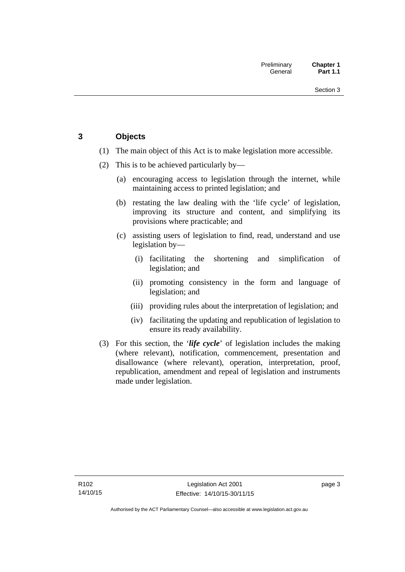## <span id="page-18-0"></span>**3 Objects**

- (1) The main object of this Act is to make legislation more accessible.
- (2) This is to be achieved particularly by—
	- (a) encouraging access to legislation through the internet, while maintaining access to printed legislation; and
	- (b) restating the law dealing with the 'life cycle' of legislation, improving its structure and content, and simplifying its provisions where practicable; and
	- (c) assisting users of legislation to find, read, understand and use legislation by—
		- (i) facilitating the shortening and simplification of legislation; and
		- (ii) promoting consistency in the form and language of legislation; and
		- (iii) providing rules about the interpretation of legislation; and
		- (iv) facilitating the updating and republication of legislation to ensure its ready availability.
- (3) For this section, the '*life cycle*' of legislation includes the making (where relevant), notification, commencement, presentation and disallowance (where relevant), operation, interpretation, proof, republication, amendment and repeal of legislation and instruments made under legislation.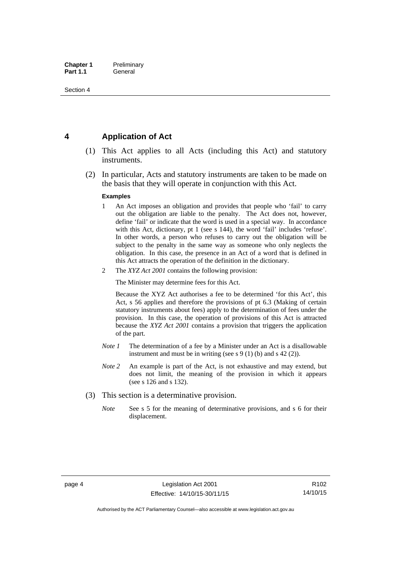## <span id="page-19-0"></span>**4 Application of Act**

- (1) This Act applies to all Acts (including this Act) and statutory instruments.
- (2) In particular, Acts and statutory instruments are taken to be made on the basis that they will operate in conjunction with this Act.

#### **Examples**

- 1 An Act imposes an obligation and provides that people who 'fail' to carry out the obligation are liable to the penalty. The Act does not, however, define 'fail' or indicate that the word is used in a special way. In accordance with this Act, dictionary, pt 1 (see s 144), the word 'fail' includes 'refuse'. In other words, a person who refuses to carry out the obligation will be subject to the penalty in the same way as someone who only neglects the obligation. In this case, the presence in an Act of a word that is defined in this Act attracts the operation of the definition in the dictionary.
- 2 The *XYZ Act 2001* contains the following provision:

The Minister may determine fees for this Act.

Because the XYZ Act authorises a fee to be determined 'for this Act', this Act, s 56 applies and therefore the provisions of pt 6.3 (Making of certain statutory instruments about fees) apply to the determination of fees under the provision. In this case, the operation of provisions of this Act is attracted because the *XYZ Act 2001* contains a provision that triggers the application of the part.

- *Note 1* The determination of a fee by a Minister under an Act is a disallowable instrument and must be in writing (see s 9 (1) (b) and s 42 (2)).
- *Note 2* An example is part of the Act, is not exhaustive and may extend, but does not limit, the meaning of the provision in which it appears (see s 126 and s 132).
- (3) This section is a determinative provision.
	- *Note* See s 5 for the meaning of determinative provisions, and s 6 for their displacement.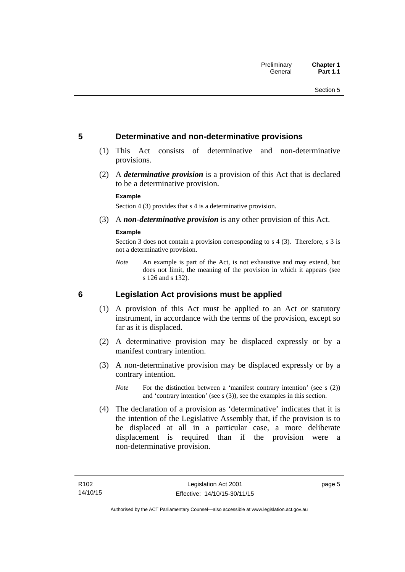## <span id="page-20-0"></span>**5 Determinative and non-determinative provisions**

- (1) This Act consists of determinative and non-determinative provisions.
- (2) A *determinative provision* is a provision of this Act that is declared to be a determinative provision.

#### **Example**

Section 4 (3) provides that s 4 is a determinative provision.

(3) A *non-determinative provision* is any other provision of this Act.

#### **Example**

Section 3 does not contain a provision corresponding to s 4 (3). Therefore, s 3 is not a determinative provision.

*Note* An example is part of the Act, is not exhaustive and may extend, but does not limit, the meaning of the provision in which it appears (see s 126 and s 132).

## <span id="page-20-1"></span>**6 Legislation Act provisions must be applied**

- (1) A provision of this Act must be applied to an Act or statutory instrument, in accordance with the terms of the provision, except so far as it is displaced.
- (2) A determinative provision may be displaced expressly or by a manifest contrary intention.
- (3) A non-determinative provision may be displaced expressly or by a contrary intention.
	- *Note* For the distinction between a 'manifest contrary intention' (see s (2)) and 'contrary intention' (see s (3)), see the examples in this section.
- (4) The declaration of a provision as 'determinative' indicates that it is the intention of the Legislative Assembly that, if the provision is to be displaced at all in a particular case, a more deliberate displacement is required than if the provision were a non-determinative provision.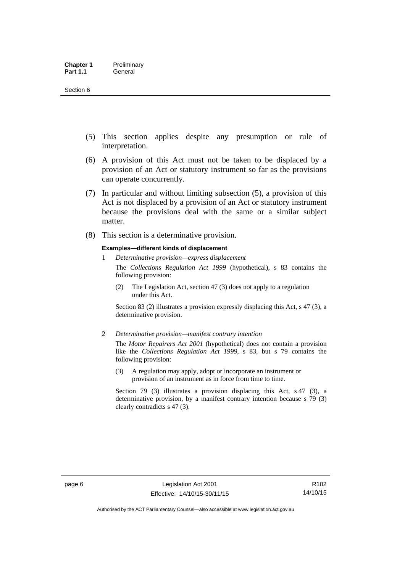- (5) This section applies despite any presumption or rule of interpretation.
- (6) A provision of this Act must not be taken to be displaced by a provision of an Act or statutory instrument so far as the provisions can operate concurrently.
- (7) In particular and without limiting subsection (5), a provision of this Act is not displaced by a provision of an Act or statutory instrument because the provisions deal with the same or a similar subject matter.
- (8) This section is a determinative provision.

#### **Examples—different kinds of displacement**

1 *Determinative provision—express displacement*

The *Collections Regulation Act 1999* (hypothetical), s 83 contains the following provision:

(2) The Legislation Act, section 47 (3) does not apply to a regulation under this Act.

Section 83 (2) illustrates a provision expressly displacing this Act, s 47 (3), a determinative provision.

2 *Determinative provision—manifest contrary intention*

The *Motor Repairers Act 2001* (hypothetical) does not contain a provision like the *Collections Regulation Act 1999*, s 83, but s 79 contains the following provision:

(3) A regulation may apply, adopt or incorporate an instrument or provision of an instrument as in force from time to time.

Section 79 (3) illustrates a provision displacing this Act, s 47 (3), a determinative provision, by a manifest contrary intention because s 79 (3) clearly contradicts s 47 (3).

R102 14/10/15

Authorised by the ACT Parliamentary Counsel—also accessible at www.legislation.act.gov.au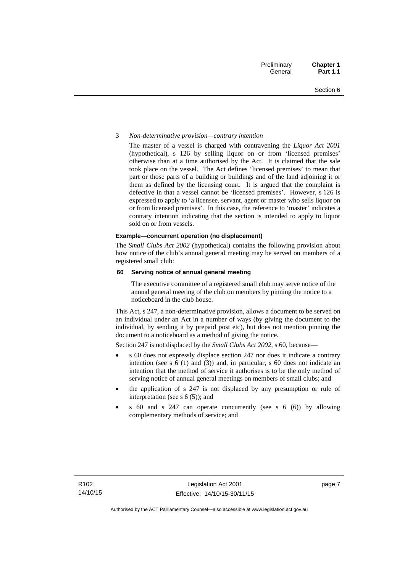#### 3 *Non-determinative provision—contrary intention*

The master of a vessel is charged with contravening the *Liquor Act 2001* (hypothetical), s 126 by selling liquor on or from 'licensed premises' otherwise than at a time authorised by the Act. It is claimed that the sale took place on the vessel. The Act defines 'licensed premises' to mean that part or those parts of a building or buildings and of the land adjoining it or them as defined by the licensing court. It is argued that the complaint is defective in that a vessel cannot be 'licensed premises'. However, s 126 is expressed to apply to 'a licensee, servant, agent or master who sells liquor on or from licensed premises'. In this case, the reference to 'master' indicates a contrary intention indicating that the section is intended to apply to liquor sold on or from vessels.

#### **Example—concurrent operation (no displacement)**

The *Small Clubs Act 2002* (hypothetical) contains the following provision about how notice of the club's annual general meeting may be served on members of a registered small club:

#### **60 Serving notice of annual general meeting**

The executive committee of a registered small club may serve notice of the annual general meeting of the club on members by pinning the notice to a noticeboard in the club house.

This Act, s 247, a non-determinative provision, allows a document to be served on an individual under an Act in a number of ways (by giving the document to the individual, by sending it by prepaid post etc), but does not mention pinning the document to a noticeboard as a method of giving the notice.

Section 247 is not displaced by the *Small Clubs Act 2002*, s 60, because—

- s 60 does not expressly displace section 247 nor does it indicate a contrary intention (see s 6 (1) and (3)) and, in particular, s 60 does not indicate an intention that the method of service it authorises is to be the only method of serving notice of annual general meetings on members of small clubs; and
- the application of s 247 is not displaced by any presumption or rule of interpretation (see s  $6(5)$ ); and
- s 60 and s 247 can operate concurrently (see s 6 (6)) by allowing complementary methods of service; and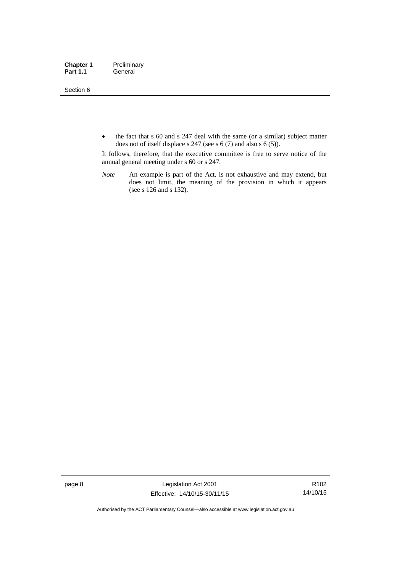Section 6

• the fact that s 60 and s 247 deal with the same (or a similar) subject matter does not of itself displace s 247 (see s 6 (7) and also s 6 (5)).

It follows, therefore, that the executive committee is free to serve notice of the annual general meeting under s 60 or s 247.

*Note* An example is part of the Act, is not exhaustive and may extend, but does not limit, the meaning of the provision in which it appears (see s 126 and s 132).

page 8 Legislation Act 2001 Effective: 14/10/15-30/11/15

R102 14/10/15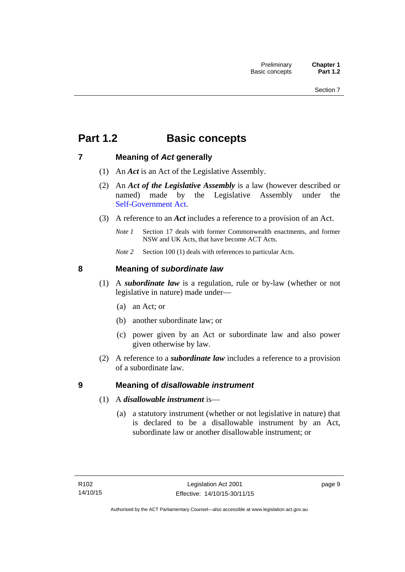## <span id="page-24-0"></span>**Part 1.2 Basic concepts**

## <span id="page-24-1"></span>**7 Meaning of** *Act* **generally**

- (1) An *Act* is an Act of the Legislative Assembly.
- (2) An *Act of the Legislative Assembly* is a law (however described or named) made by the Legislative Assembly under the [Self-Government Act.](http://www.comlaw.gov.au/Series/C2004A03699)
- (3) A reference to an *Act* includes a reference to a provision of an Act.
	- *Note 1* Section 17 deals with former Commonwealth enactments, and former NSW and UK Acts, that have become ACT Acts.
	- *Note 2* Section 100 (1) deals with references to particular Acts.

## <span id="page-24-2"></span>**8 Meaning of** *subordinate law*

- (1) A *subordinate law* is a regulation, rule or by-law (whether or not legislative in nature) made under—
	- (a) an Act; or
	- (b) another subordinate law; or
	- (c) power given by an Act or subordinate law and also power given otherwise by law.
- (2) A reference to a *subordinate law* includes a reference to a provision of a subordinate law.

## <span id="page-24-3"></span>**9 Meaning of** *disallowable instrument*

- (1) A *disallowable instrument* is—
	- (a) a statutory instrument (whether or not legislative in nature) that is declared to be a disallowable instrument by an Act, subordinate law or another disallowable instrument; or

page 9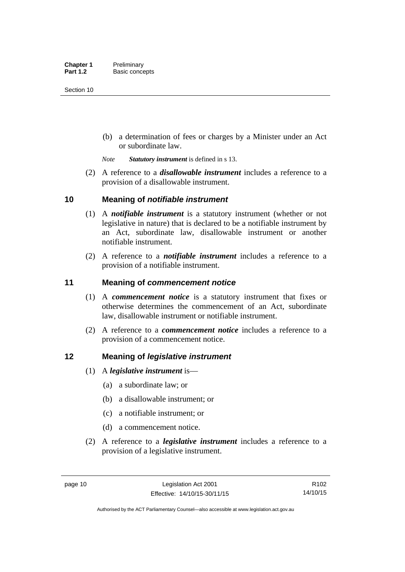(b) a determination of fees or charges by a Minister under an Act or subordinate law.

*Note Statutory instrument* is defined in s 13.

 (2) A reference to a *disallowable instrument* includes a reference to a provision of a disallowable instrument.

## <span id="page-25-0"></span>**10 Meaning of** *notifiable instrument*

- (1) A *notifiable instrument* is a statutory instrument (whether or not legislative in nature) that is declared to be a notifiable instrument by an Act, subordinate law, disallowable instrument or another notifiable instrument.
- (2) A reference to a *notifiable instrument* includes a reference to a provision of a notifiable instrument.

## <span id="page-25-1"></span>**11 Meaning of** *commencement notice*

- (1) A *commencement notice* is a statutory instrument that fixes or otherwise determines the commencement of an Act, subordinate law, disallowable instrument or notifiable instrument.
- (2) A reference to a *commencement notice* includes a reference to a provision of a commencement notice.

## <span id="page-25-2"></span>**12 Meaning of** *legislative instrument*

- (1) A *legislative instrument* is—
	- (a) a subordinate law; or
	- (b) a disallowable instrument; or
	- (c) a notifiable instrument; or
	- (d) a commencement notice.
- (2) A reference to a *legislative instrument* includes a reference to a provision of a legislative instrument.

R102 14/10/15

Authorised by the ACT Parliamentary Counsel—also accessible at www.legislation.act.gov.au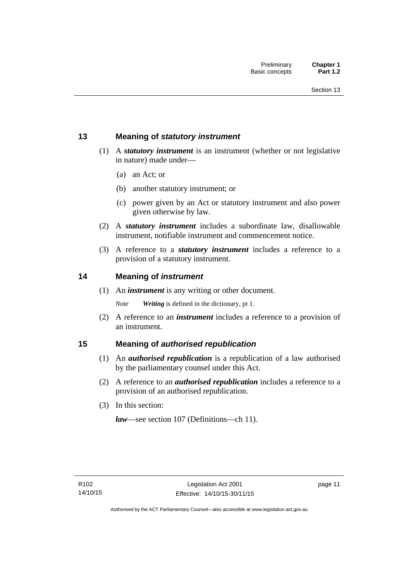## <span id="page-26-0"></span>**13 Meaning of** *statutory instrument*

- (1) A *statutory instrument* is an instrument (whether or not legislative in nature) made under—
	- (a) an Act; or
	- (b) another statutory instrument; or
	- (c) power given by an Act or statutory instrument and also power given otherwise by law.
- (2) A *statutory instrument* includes a subordinate law, disallowable instrument, notifiable instrument and commencement notice.
- (3) A reference to a *statutory instrument* includes a reference to a provision of a statutory instrument.

## <span id="page-26-1"></span>**14 Meaning of** *instrument*

(1) An *instrument* is any writing or other document.

*Note Writing* is defined in the dictionary, pt 1.

 (2) A reference to an *instrument* includes a reference to a provision of an instrument.

## <span id="page-26-2"></span>**15 Meaning of** *authorised republication*

- (1) An *authorised republication* is a republication of a law authorised by the parliamentary counsel under this Act.
- (2) A reference to an *authorised republication* includes a reference to a provision of an authorised republication.
- (3) In this section:

*law*—see section 107 (Definitions—ch 11).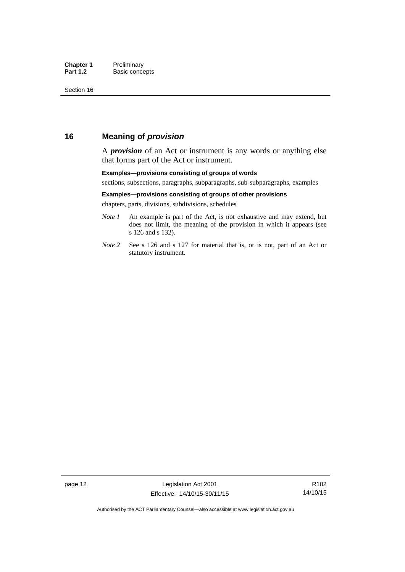## <span id="page-27-0"></span>**16 Meaning of** *provision*

A *provision* of an Act or instrument is any words or anything else that forms part of the Act or instrument.

#### **Examples—provisions consisting of groups of words**

sections, subsections, paragraphs, subparagraphs, sub-subparagraphs, examples

#### **Examples—provisions consisting of groups of other provisions**

chapters, parts, divisions, subdivisions, schedules

- *Note 1* An example is part of the Act, is not exhaustive and may extend, but does not limit, the meaning of the provision in which it appears (see s 126 and s 132).
- *Note 2* See s 126 and s 127 for material that is, or is not, part of an Act or statutory instrument.

R102 14/10/15

Authorised by the ACT Parliamentary Counsel—also accessible at www.legislation.act.gov.au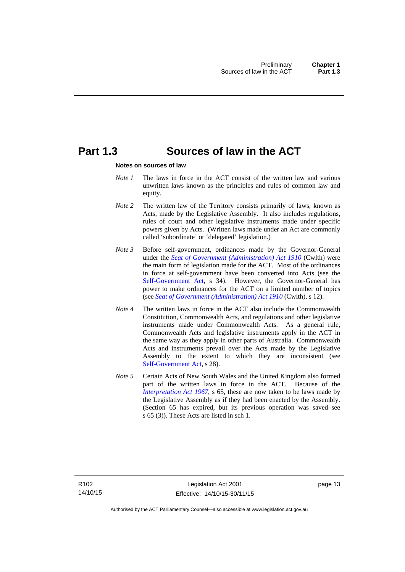## <span id="page-28-0"></span>**Part 1.3 Sources of law in the ACT**

#### **Notes on sources of law**

- *Note 1* The laws in force in the ACT consist of the written law and various unwritten laws known as the principles and rules of common law and equity.
- *Note* 2 The written law of the Territory consists primarily of laws, known as Acts, made by the Legislative Assembly. It also includes regulations, rules of court and other legislative instruments made under specific powers given by Acts. (Written laws made under an Act are commonly called 'subordinate' or 'delegated' legislation.)
- *Note 3* Before self-government, ordinances made by the Governor-General under the *[Seat of Government \(Administration\) Act 1910](http://www.comlaw.gov.au/Series/C2004A07446)* (Cwlth) were the main form of legislation made for the ACT. Most of the ordinances in force at self-government have been converted into Acts (see the [Self-Government Act,](http://www.comlaw.gov.au/Series/C2004A03699) s 34). However, the Governor-General has power to make ordinances for the ACT on a limited number of topics (see *[Seat of Government \(Administration\) Act 1910](http://www.comlaw.gov.au/Series/C2004A07446)* (Cwlth), s 12).
- *Note 4* The written laws in force in the ACT also include the Commonwealth Constitution, Commonwealth Acts, and regulations and other legislative instruments made under Commonwealth Acts. As a general rule, Commonwealth Acts and legislative instruments apply in the ACT in the same way as they apply in other parts of Australia. Commonwealth Acts and instruments prevail over the Acts made by the Legislative Assembly to the extent to which they are inconsistent (see [Self-Government Act](http://www.comlaw.gov.au/Series/C2004A03699), s 28).
- *Note 5* Certain Acts of New South Wales and the United Kingdom also formed part of the written laws in force in the ACT. Because of the *[Interpretation Act 1967](http://www.legislation.act.gov.au/a/1967-48)*, s 65, these are now taken to be laws made by the Legislative Assembly as if they had been enacted by the Assembly. (Section 65 has expired, but its previous operation was saved–see s 65 (3)). These Acts are listed in sch 1.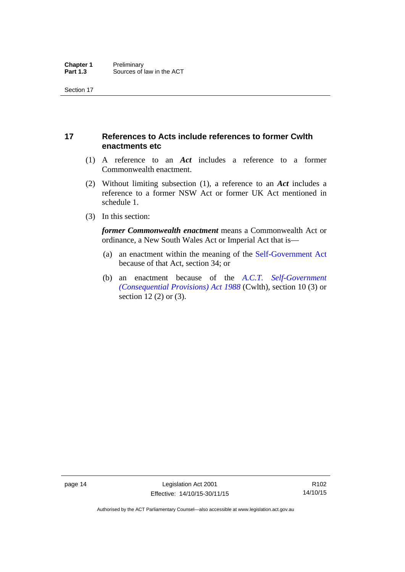## <span id="page-29-0"></span>**17 References to Acts include references to former Cwlth enactments etc**

- (1) A reference to an *Act* includes a reference to a former Commonwealth enactment.
- (2) Without limiting subsection (1), a reference to an *Act* includes a reference to a former NSW Act or former UK Act mentioned in schedule 1.
- (3) In this section:

*former Commonwealth enactment* means a Commonwealth Act or ordinance, a New South Wales Act or Imperial Act that is—

- (a) an enactment within the meaning of the [Self-Government Act](http://www.comlaw.gov.au/Series/C2004A03699) because of that Act, section 34; or
- (b) an enactment because of the *[A.C.T. Self-Government](http://www.comlaw.gov.au/Series/C2004A03702)  [\(Consequential Provisions\) Act 1988](http://www.comlaw.gov.au/Series/C2004A03702)* (Cwlth), section 10 (3) or section 12 (2) or (3).

R102 14/10/15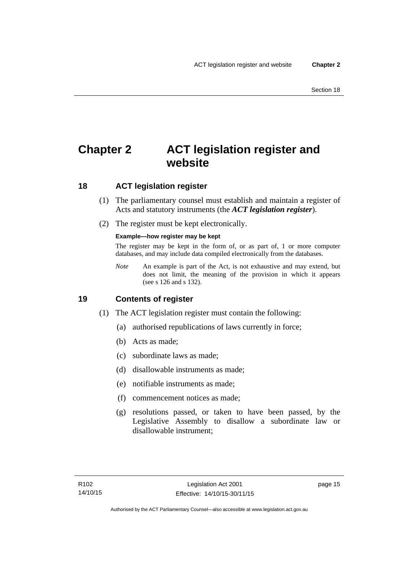## <span id="page-30-0"></span>**Chapter 2 ACT legislation register and website**

## <span id="page-30-1"></span>**18 ACT legislation register**

- (1) The parliamentary counsel must establish and maintain a register of Acts and statutory instruments (the *ACT legislation register*).
- (2) The register must be kept electronically.

### **Example—how register may be kept**

The register may be kept in the form of, or as part of, 1 or more computer databases, and may include data compiled electronically from the databases.

*Note* An example is part of the Act, is not exhaustive and may extend, but does not limit, the meaning of the provision in which it appears (see s 126 and s 132).

## <span id="page-30-2"></span>**19 Contents of register**

- (1) The ACT legislation register must contain the following:
	- (a) authorised republications of laws currently in force;
	- (b) Acts as made;
	- (c) subordinate laws as made;
	- (d) disallowable instruments as made;
	- (e) notifiable instruments as made;
	- (f) commencement notices as made;
	- (g) resolutions passed, or taken to have been passed, by the Legislative Assembly to disallow a subordinate law or disallowable instrument;

page 15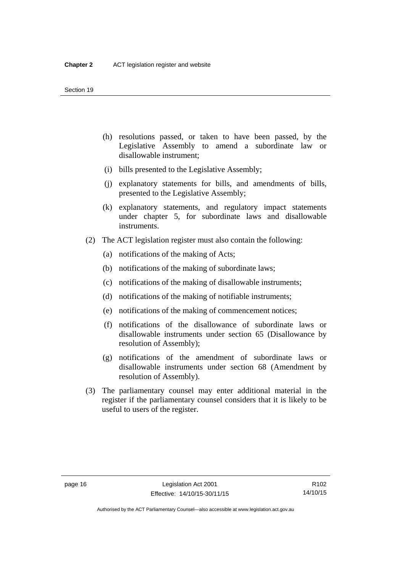- (h) resolutions passed, or taken to have been passed, by the Legislative Assembly to amend a subordinate law or disallowable instrument;
- (i) bills presented to the Legislative Assembly;
- (j) explanatory statements for bills, and amendments of bills, presented to the Legislative Assembly;
- (k) explanatory statements, and regulatory impact statements under chapter 5, for subordinate laws and disallowable instruments.
- (2) The ACT legislation register must also contain the following:
	- (a) notifications of the making of Acts;
	- (b) notifications of the making of subordinate laws;
	- (c) notifications of the making of disallowable instruments;
	- (d) notifications of the making of notifiable instruments;
	- (e) notifications of the making of commencement notices;
	- (f) notifications of the disallowance of subordinate laws or disallowable instruments under section 65 (Disallowance by resolution of Assembly);
	- (g) notifications of the amendment of subordinate laws or disallowable instruments under section 68 (Amendment by resolution of Assembly).
- (3) The parliamentary counsel may enter additional material in the register if the parliamentary counsel considers that it is likely to be useful to users of the register.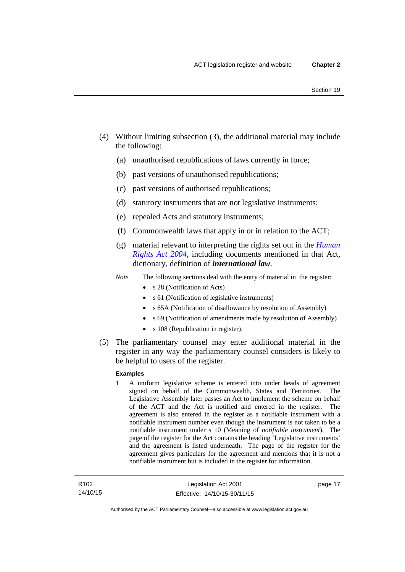- (4) Without limiting subsection (3), the additional material may include the following:
	- (a) unauthorised republications of laws currently in force;
	- (b) past versions of unauthorised republications;
	- (c) past versions of authorised republications;
	- (d) statutory instruments that are not legislative instruments;
	- (e) repealed Acts and statutory instruments;
	- (f) Commonwealth laws that apply in or in relation to the ACT;
	- (g) material relevant to interpreting the rights set out in the *[Human](http://www.legislation.act.gov.au/a/2004-5)  [Rights Act 2004](http://www.legislation.act.gov.au/a/2004-5)*, including documents mentioned in that Act, dictionary, definition of *international law*.
	- *Note* The following sections deal with the entry of material in the register:
		- s 28 (Notification of Acts)
		- s 61 (Notification of legislative instruments)
		- s 65A (Notification of disallowance by resolution of Assembly)
		- s 69 (Notification of amendments made by resolution of Assembly)
		- s 108 (Republication in register).
- (5) The parliamentary counsel may enter additional material in the register in any way the parliamentary counsel considers is likely to be helpful to users of the register.

#### **Examples**

1 A uniform legislative scheme is entered into under heads of agreement signed on behalf of the Commonwealth, States and Territories. The Legislative Assembly later passes an Act to implement the scheme on behalf of the ACT and the Act is notified and entered in the register. The agreement is also entered in the register as a notifiable instrument with a notifiable instrument number even though the instrument is not taken to be a notifiable instrument under s 10 (Meaning of *notifiable instrument*). The page of the register for the Act contains the heading 'Legislative instruments' and the agreement is listed underneath. The page of the register for the agreement gives particulars for the agreement and mentions that it is not a notifiable instrument but is included in the register for information.

page 17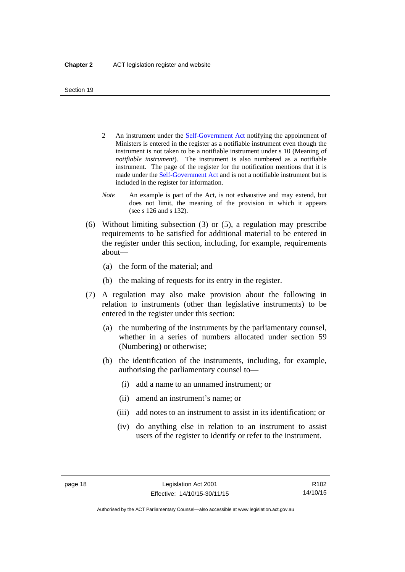- 2 An instrument under the [Self-Government Act](http://www.comlaw.gov.au/Series/C2004A03699) notifying the appointment of Ministers is entered in the register as a notifiable instrument even though the instrument is not taken to be a notifiable instrument under s 10 (Meaning of *notifiable instrument*). The instrument is also numbered as a notifiable instrument. The page of the register for the notification mentions that it is made under the [Self-Government Act](http://www.comlaw.gov.au/Series/C2004A03699) and is not a notifiable instrument but is included in the register for information.
- *Note* An example is part of the Act, is not exhaustive and may extend, but does not limit, the meaning of the provision in which it appears (see s 126 and s 132).
- (6) Without limiting subsection (3) or (5), a regulation may prescribe requirements to be satisfied for additional material to be entered in the register under this section, including, for example, requirements about—
	- (a) the form of the material; and
	- (b) the making of requests for its entry in the register.
- (7) A regulation may also make provision about the following in relation to instruments (other than legislative instruments) to be entered in the register under this section:
	- (a) the numbering of the instruments by the parliamentary counsel, whether in a series of numbers allocated under section 59 (Numbering) or otherwise;
	- (b) the identification of the instruments, including, for example, authorising the parliamentary counsel to—
		- (i) add a name to an unnamed instrument; or
		- (ii) amend an instrument's name; or
		- (iii) add notes to an instrument to assist in its identification; or
		- (iv) do anything else in relation to an instrument to assist users of the register to identify or refer to the instrument.

R102 14/10/15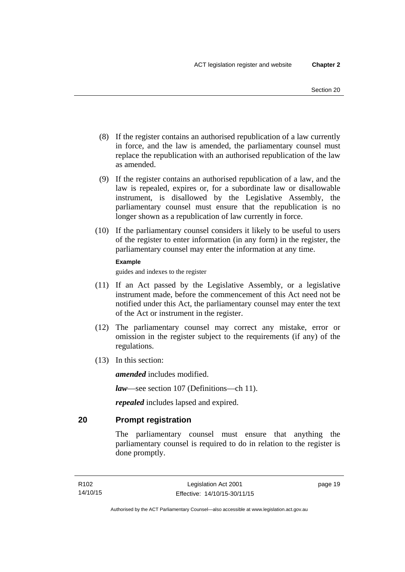- (8) If the register contains an authorised republication of a law currently in force, and the law is amended, the parliamentary counsel must replace the republication with an authorised republication of the law as amended.
- (9) If the register contains an authorised republication of a law, and the law is repealed, expires or, for a subordinate law or disallowable instrument, is disallowed by the Legislative Assembly, the parliamentary counsel must ensure that the republication is no longer shown as a republication of law currently in force.
- (10) If the parliamentary counsel considers it likely to be useful to users of the register to enter information (in any form) in the register, the parliamentary counsel may enter the information at any time.

#### **Example**

guides and indexes to the register

- (11) If an Act passed by the Legislative Assembly, or a legislative instrument made, before the commencement of this Act need not be notified under this Act, the parliamentary counsel may enter the text of the Act or instrument in the register.
- (12) The parliamentary counsel may correct any mistake, error or omission in the register subject to the requirements (if any) of the regulations.
- (13) In this section:

*amended* includes modified.

*law*—see section 107 (Definitions—ch 11).

*repealed* includes lapsed and expired.

## <span id="page-34-0"></span>**20 Prompt registration**

The parliamentary counsel must ensure that anything the parliamentary counsel is required to do in relation to the register is done promptly.

page 19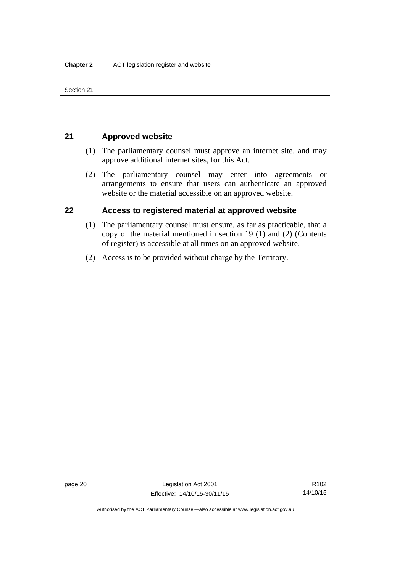Section 21

## <span id="page-35-0"></span>**21 Approved website**

- (1) The parliamentary counsel must approve an internet site, and may approve additional internet sites, for this Act.
- (2) The parliamentary counsel may enter into agreements or arrangements to ensure that users can authenticate an approved website or the material accessible on an approved website.

## <span id="page-35-1"></span>**22 Access to registered material at approved website**

- (1) The parliamentary counsel must ensure, as far as practicable, that a copy of the material mentioned in section 19 (1) and (2) (Contents of register) is accessible at all times on an approved website.
- (2) Access is to be provided without charge by the Territory.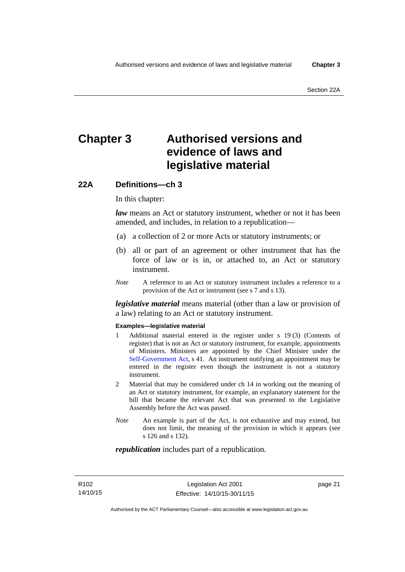# **Chapter 3 Authorised versions and evidence of laws and legislative material**

### **22A Definitions—ch 3**

In this chapter:

*law* means an Act or statutory instrument, whether or not it has been amended, and includes, in relation to a republication—

- (a) a collection of 2 or more Acts or statutory instruments; or
- (b) all or part of an agreement or other instrument that has the force of law or is in, or attached to, an Act or statutory instrument.
- *Note* A reference to an Act or statutory instrument includes a reference to a provision of the Act or instrument (see s 7 and s 13).

*legislative material* means material (other than a law or provision of a law) relating to an Act or statutory instrument.

#### **Examples—legislative material**

- 1 Additional material entered in the register under s 19 (3) (Contents of register) that is not an Act or statutory instrument, for example, appointments of Ministers. Ministers are appointed by the Chief Minister under the [Self-Government Act,](http://www.comlaw.gov.au/Series/C2004A03699) s 41. An instrument notifying an appointment may be entered in the register even though the instrument is not a statutory instrument.
- 2 Material that may be considered under ch 14 in working out the meaning of an Act or statutory instrument, for example, an explanatory statement for the bill that became the relevant Act that was presented to the Legislative Assembly before the Act was passed.
- *Note* An example is part of the Act, is not exhaustive and may extend, but does not limit, the meaning of the provision in which it appears (see s 126 and s 132).

#### *republication* includes part of a republication.

page 21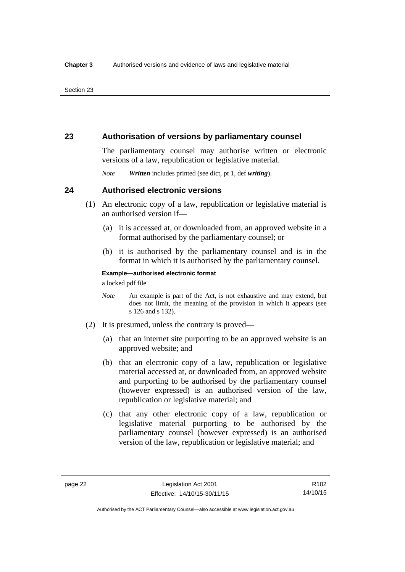### **23 Authorisation of versions by parliamentary counsel**

The parliamentary counsel may authorise written or electronic versions of a law, republication or legislative material.

*Note Written* includes printed (see dict, pt 1, def *writing*).

### **24 Authorised electronic versions**

- (1) An electronic copy of a law, republication or legislative material is an authorised version if—
	- (a) it is accessed at, or downloaded from, an approved website in a format authorised by the parliamentary counsel; or
	- (b) it is authorised by the parliamentary counsel and is in the format in which it is authorised by the parliamentary counsel.

**Example—authorised electronic format**  a locked pdf file

*Note* An example is part of the Act, is not exhaustive and may extend, but does not limit, the meaning of the provision in which it appears (see s 126 and s 132).

- (2) It is presumed, unless the contrary is proved—
	- (a) that an internet site purporting to be an approved website is an approved website; and
	- (b) that an electronic copy of a law, republication or legislative material accessed at, or downloaded from, an approved website and purporting to be authorised by the parliamentary counsel (however expressed) is an authorised version of the law, republication or legislative material; and
	- (c) that any other electronic copy of a law, republication or legislative material purporting to be authorised by the parliamentary counsel (however expressed) is an authorised version of the law, republication or legislative material; and

Authorised by the ACT Parliamentary Counsel—also accessible at www.legislation.act.gov.au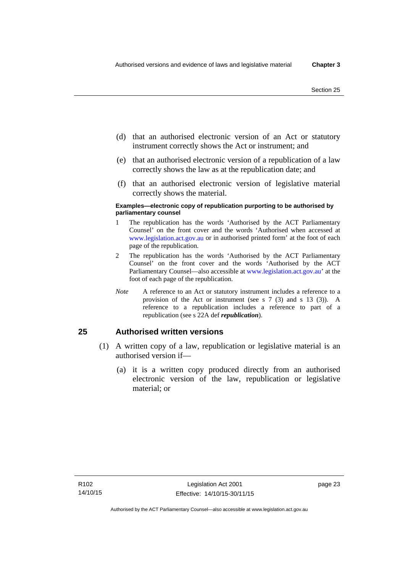- (d) that an authorised electronic version of an Act or statutory instrument correctly shows the Act or instrument; and
- (e) that an authorised electronic version of a republication of a law correctly shows the law as at the republication date; and
- (f) that an authorised electronic version of legislative material correctly shows the material.

#### **Examples—electronic copy of republication purporting to be authorised by parliamentary counsel**

- 1 The republication has the words 'Authorised by the ACT Parliamentary Counsel' on the front cover and the words 'Authorised when accessed at [www.legislation.act.gov.au](http://www.legislation.act.gov.au/) or in authorised printed form' at the foot of each page of the republication.
- 2 The republication has the words 'Authorised by the ACT Parliamentary Counsel' on the front cover and the words 'Authorised by the ACT Parliamentary Counsel—also accessible at [www.legislation.act.gov.au](http://www.legislation.act.gov.au/)' at the foot of each page of the republication.
- *Note* A reference to an Act or statutory instrument includes a reference to a provision of the Act or instrument (see s 7 (3) and s 13 (3)). A reference to a republication includes a reference to part of a republication (see s 22A def *republication*).

### **25 Authorised written versions**

- (1) A written copy of a law, republication or legislative material is an authorised version if—
	- (a) it is a written copy produced directly from an authorised electronic version of the law, republication or legislative material; or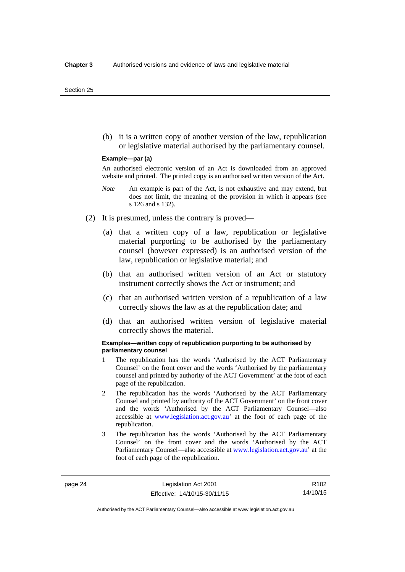(b) it is a written copy of another version of the law, republication or legislative material authorised by the parliamentary counsel.

#### **Example—par (a)**

An authorised electronic version of an Act is downloaded from an approved website and printed. The printed copy is an authorised written version of the Act.

- *Note* An example is part of the Act, is not exhaustive and may extend, but does not limit, the meaning of the provision in which it appears (see s 126 and s 132).
- (2) It is presumed, unless the contrary is proved—
	- (a) that a written copy of a law, republication or legislative material purporting to be authorised by the parliamentary counsel (however expressed) is an authorised version of the law, republication or legislative material; and
	- (b) that an authorised written version of an Act or statutory instrument correctly shows the Act or instrument; and
	- (c) that an authorised written version of a republication of a law correctly shows the law as at the republication date; and
	- (d) that an authorised written version of legislative material correctly shows the material.

#### **Examples—written copy of republication purporting to be authorised by parliamentary counsel**

- 1 The republication has the words 'Authorised by the ACT Parliamentary Counsel' on the front cover and the words 'Authorised by the parliamentary counsel and printed by authority of the ACT Government' at the foot of each page of the republication.
- 2 The republication has the words 'Authorised by the ACT Parliamentary Counsel and printed by authority of the ACT Government' on the front cover and the words 'Authorised by the ACT Parliamentary Counsel—also accessible at [www.legislation.act.gov.au'](http://www.legislation.act.gov.au/) at the foot of each page of the republication.
- 3 The republication has the words 'Authorised by the ACT Parliamentary Counsel' on the front cover and the words 'Authorised by the ACT Parliamentary Counsel—also accessible at [www.legislation.act.gov.au](http://www.legislation.act.gov.au/)' at the foot of each page of the republication.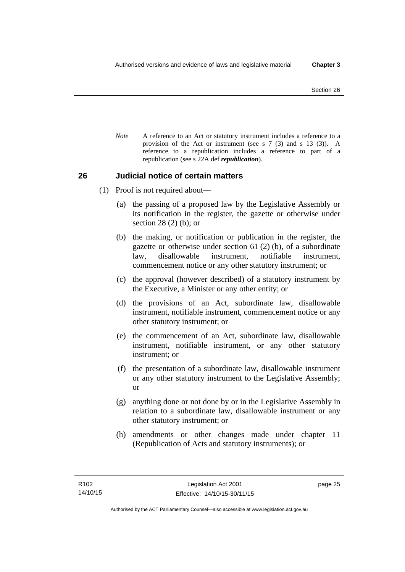*Note* A reference to an Act or statutory instrument includes a reference to a provision of the Act or instrument (see s 7 (3) and s 13 (3)). A reference to a republication includes a reference to part of a republication (see s 22A def *republication*).

### **26 Judicial notice of certain matters**

- (1) Proof is not required about—
	- (a) the passing of a proposed law by the Legislative Assembly or its notification in the register, the gazette or otherwise under section 28 (2) (b); or
	- (b) the making, or notification or publication in the register, the gazette or otherwise under section 61 (2) (b), of a subordinate law, disallowable instrument, notifiable instrument, commencement notice or any other statutory instrument; or
	- (c) the approval (however described) of a statutory instrument by the Executive, a Minister or any other entity; or
	- (d) the provisions of an Act, subordinate law, disallowable instrument, notifiable instrument, commencement notice or any other statutory instrument; or
	- (e) the commencement of an Act, subordinate law, disallowable instrument, notifiable instrument, or any other statutory instrument; or
	- (f) the presentation of a subordinate law, disallowable instrument or any other statutory instrument to the Legislative Assembly; or
	- (g) anything done or not done by or in the Legislative Assembly in relation to a subordinate law, disallowable instrument or any other statutory instrument; or
	- (h) amendments or other changes made under chapter 11 (Republication of Acts and statutory instruments); or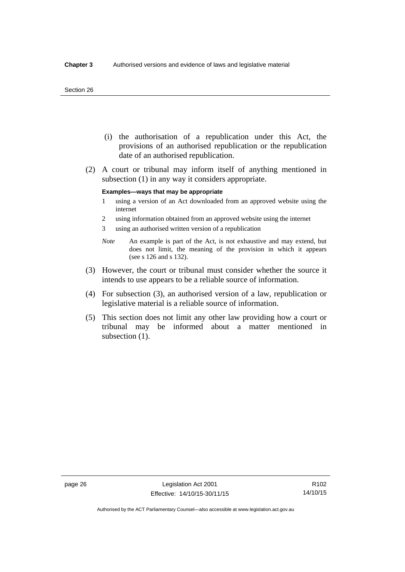#### Section 26

- (i) the authorisation of a republication under this Act, the provisions of an authorised republication or the republication date of an authorised republication.
- (2) A court or tribunal may inform itself of anything mentioned in subsection (1) in any way it considers appropriate.

#### **Examples—ways that may be appropriate**

- 1 using a version of an Act downloaded from an approved website using the internet
- 2 using information obtained from an approved website using the internet
- 3 using an authorised written version of a republication
- *Note* An example is part of the Act, is not exhaustive and may extend, but does not limit, the meaning of the provision in which it appears (see s 126 and s 132).
- (3) However, the court or tribunal must consider whether the source it intends to use appears to be a reliable source of information.
- (4) For subsection (3), an authorised version of a law, republication or legislative material is a reliable source of information.
- (5) This section does not limit any other law providing how a court or tribunal may be informed about a matter mentioned in subsection  $(1)$ .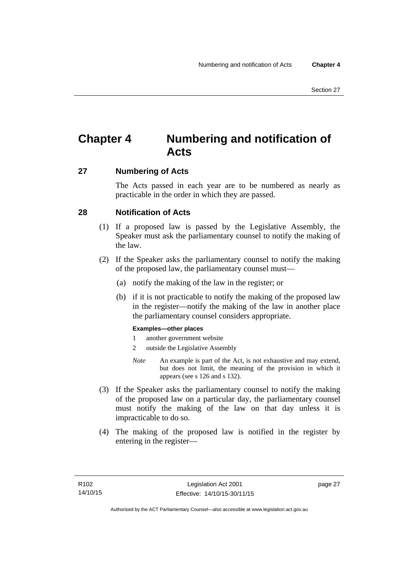# **Chapter 4 Numbering and notification of Acts**

### **27 Numbering of Acts**

The Acts passed in each year are to be numbered as nearly as practicable in the order in which they are passed.

### **28 Notification of Acts**

- (1) If a proposed law is passed by the Legislative Assembly, the Speaker must ask the parliamentary counsel to notify the making of the law.
- (2) If the Speaker asks the parliamentary counsel to notify the making of the proposed law, the parliamentary counsel must—
	- (a) notify the making of the law in the register; or
	- (b) if it is not practicable to notify the making of the proposed law in the register—notify the making of the law in another place the parliamentary counsel considers appropriate.

### **Examples—other places**

- 1 another government website
- 2 outside the Legislative Assembly
- *Note* An example is part of the Act, is not exhaustive and may extend, but does not limit, the meaning of the provision in which it appears (see s 126 and s 132).
- (3) If the Speaker asks the parliamentary counsel to notify the making of the proposed law on a particular day, the parliamentary counsel must notify the making of the law on that day unless it is impracticable to do so.
- (4) The making of the proposed law is notified in the register by entering in the register—

page 27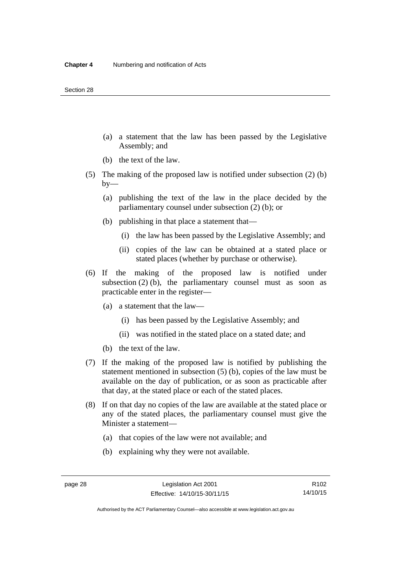- (a) a statement that the law has been passed by the Legislative Assembly; and
- (b) the text of the law.
- (5) The making of the proposed law is notified under subsection (2) (b)  $by-$ 
	- (a) publishing the text of the law in the place decided by the parliamentary counsel under subsection (2) (b); or
	- (b) publishing in that place a statement that—
		- (i) the law has been passed by the Legislative Assembly; and
		- (ii) copies of the law can be obtained at a stated place or stated places (whether by purchase or otherwise).
- (6) If the making of the proposed law is notified under subsection  $(2)$  (b), the parliamentary counsel must as soon as practicable enter in the register—
	- (a) a statement that the law—
		- (i) has been passed by the Legislative Assembly; and
		- (ii) was notified in the stated place on a stated date; and
	- (b) the text of the law.
- (7) If the making of the proposed law is notified by publishing the statement mentioned in subsection (5) (b), copies of the law must be available on the day of publication, or as soon as practicable after that day, at the stated place or each of the stated places.
- (8) If on that day no copies of the law are available at the stated place or any of the stated places, the parliamentary counsel must give the Minister a statement—
	- (a) that copies of the law were not available; and
	- (b) explaining why they were not available.

Authorised by the ACT Parliamentary Counsel—also accessible at www.legislation.act.gov.au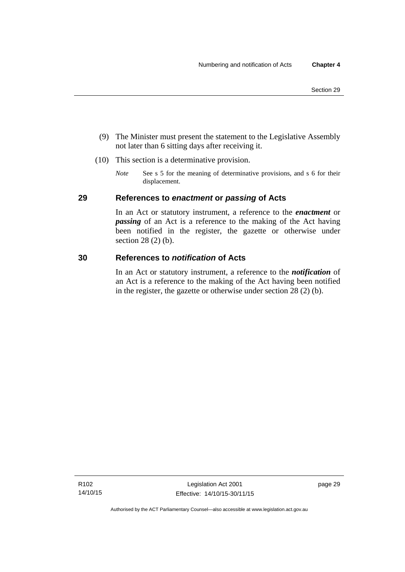- (9) The Minister must present the statement to the Legislative Assembly not later than 6 sitting days after receiving it.
- (10) This section is a determinative provision.
	- *Note* See s 5 for the meaning of determinative provisions, and s 6 for their displacement.

### **29 References to** *enactment* **or** *passing* **of Acts**

In an Act or statutory instrument, a reference to the *enactment* or *passing* of an Act is a reference to the making of the Act having been notified in the register, the gazette or otherwise under section 28 (2) (b).

### **30 References to** *notification* **of Acts**

In an Act or statutory instrument, a reference to the *notification* of an Act is a reference to the making of the Act having been notified in the register, the gazette or otherwise under section 28 (2) (b).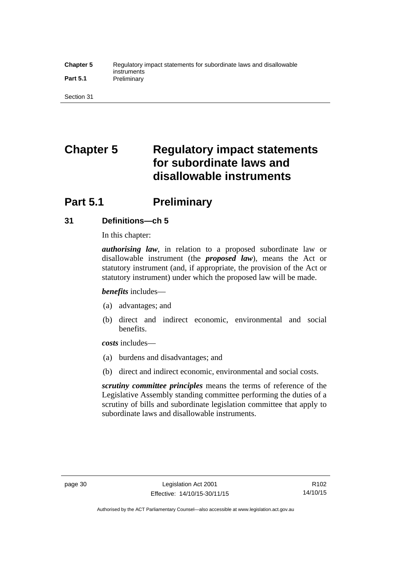#### **Chapter 5** Regulatory impact statements for subordinate laws and disallowable instruments Part 5.1 **Preliminary**

Section 31

# **Chapter 5 Regulatory impact statements for subordinate laws and disallowable instruments**

# **Part 5.1** Preliminary

### **31 Definitions—ch 5**

In this chapter:

*authorising law*, in relation to a proposed subordinate law or disallowable instrument (the *proposed law*), means the Act or statutory instrument (and, if appropriate, the provision of the Act or statutory instrument) under which the proposed law will be made.

*benefits* includes—

- (a) advantages; and
- (b) direct and indirect economic, environmental and social benefits.

*costs* includes—

- (a) burdens and disadvantages; and
- (b) direct and indirect economic, environmental and social costs.

*scrutiny committee principles* means the terms of reference of the Legislative Assembly standing committee performing the duties of a scrutiny of bills and subordinate legislation committee that apply to subordinate laws and disallowable instruments.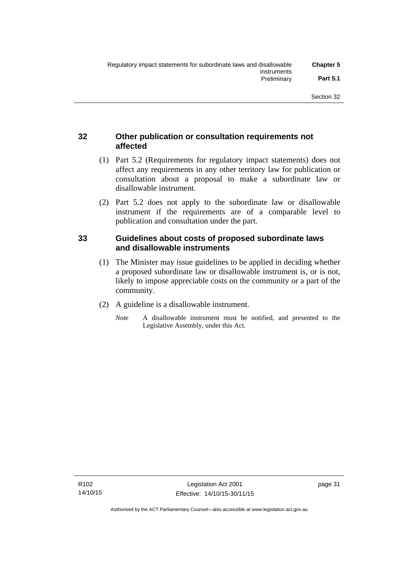### **32 Other publication or consultation requirements not affected**

- (1) Part 5.2 (Requirements for regulatory impact statements) does not affect any requirements in any other territory law for publication or consultation about a proposal to make a subordinate law or disallowable instrument.
- (2) Part 5.2 does not apply to the subordinate law or disallowable instrument if the requirements are of a comparable level to publication and consultation under the part.

### **33 Guidelines about costs of proposed subordinate laws and disallowable instruments**

- (1) The Minister may issue guidelines to be applied in deciding whether a proposed subordinate law or disallowable instrument is, or is not, likely to impose appreciable costs on the community or a part of the community.
- (2) A guideline is a disallowable instrument.
	- *Note* A disallowable instrument must be notified, and presented to the Legislative Assembly, under this Act.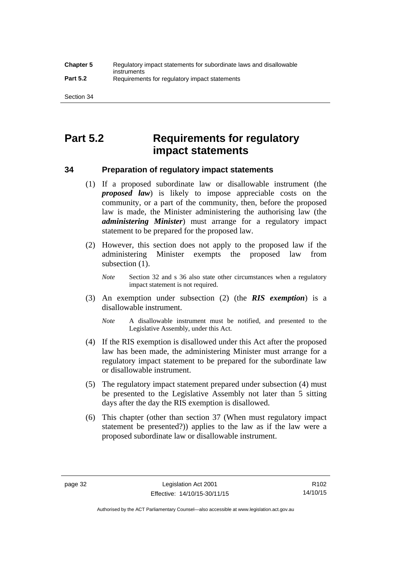# **Part 5.2 Requirements for regulatory impact statements**

### **34 Preparation of regulatory impact statements**

- (1) If a proposed subordinate law or disallowable instrument (the *proposed law*) is likely to impose appreciable costs on the community, or a part of the community, then, before the proposed law is made, the Minister administering the authorising law (the *administering Minister*) must arrange for a regulatory impact statement to be prepared for the proposed law.
- (2) However, this section does not apply to the proposed law if the administering Minister exempts the proposed law from subsection  $(1)$ .

*Note* Section 32 and s 36 also state other circumstances when a regulatory impact statement is not required.

- (3) An exemption under subsection (2) (the *RIS exemption*) is a disallowable instrument.
	- *Note* A disallowable instrument must be notified, and presented to the Legislative Assembly, under this Act.
- (4) If the RIS exemption is disallowed under this Act after the proposed law has been made, the administering Minister must arrange for a regulatory impact statement to be prepared for the subordinate law or disallowable instrument.
- (5) The regulatory impact statement prepared under subsection (4) must be presented to the Legislative Assembly not later than 5 sitting days after the day the RIS exemption is disallowed.
- (6) This chapter (other than section 37 (When must regulatory impact statement be presented?)) applies to the law as if the law were a proposed subordinate law or disallowable instrument.

Authorised by the ACT Parliamentary Counsel—also accessible at www.legislation.act.gov.au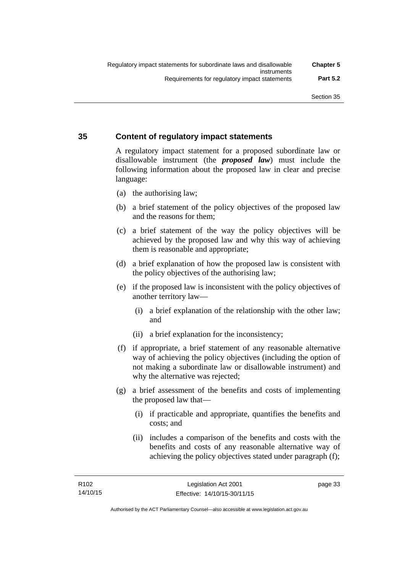### **35 Content of regulatory impact statements**

A regulatory impact statement for a proposed subordinate law or disallowable instrument (the *proposed law*) must include the following information about the proposed law in clear and precise language:

- (a) the authorising law;
- (b) a brief statement of the policy objectives of the proposed law and the reasons for them;
- (c) a brief statement of the way the policy objectives will be achieved by the proposed law and why this way of achieving them is reasonable and appropriate;
- (d) a brief explanation of how the proposed law is consistent with the policy objectives of the authorising law;
- (e) if the proposed law is inconsistent with the policy objectives of another territory law—
	- (i) a brief explanation of the relationship with the other law; and
	- (ii) a brief explanation for the inconsistency;
- (f) if appropriate, a brief statement of any reasonable alternative way of achieving the policy objectives (including the option of not making a subordinate law or disallowable instrument) and why the alternative was rejected;
- (g) a brief assessment of the benefits and costs of implementing the proposed law that—
	- (i) if practicable and appropriate, quantifies the benefits and costs; and
	- (ii) includes a comparison of the benefits and costs with the benefits and costs of any reasonable alternative way of achieving the policy objectives stated under paragraph (f);

page 33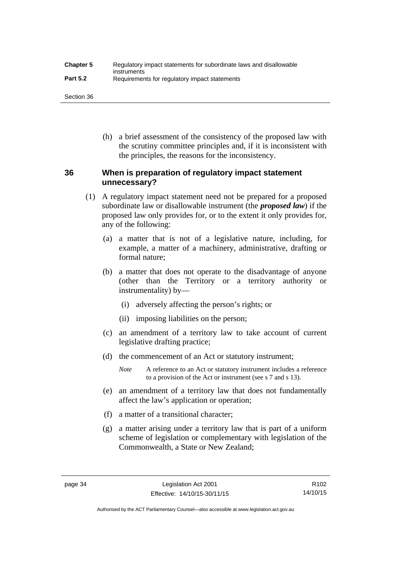| <b>Chapter 5</b> | Regulatory impact statements for subordinate laws and disallowable |
|------------------|--------------------------------------------------------------------|
| <b>Part 5.2</b>  | instruments<br>Requirements for regulatory impact statements       |

Section 36

 (h) a brief assessment of the consistency of the proposed law with the scrutiny committee principles and, if it is inconsistent with the principles, the reasons for the inconsistency.

### **36 When is preparation of regulatory impact statement unnecessary?**

- (1) A regulatory impact statement need not be prepared for a proposed subordinate law or disallowable instrument (the *proposed law*) if the proposed law only provides for, or to the extent it only provides for, any of the following:
	- (a) a matter that is not of a legislative nature, including, for example, a matter of a machinery, administrative, drafting or formal nature;
	- (b) a matter that does not operate to the disadvantage of anyone (other than the Territory or a territory authority or instrumentality) by—
		- (i) adversely affecting the person's rights; or
		- (ii) imposing liabilities on the person;
	- (c) an amendment of a territory law to take account of current legislative drafting practice;
	- (d) the commencement of an Act or statutory instrument;
		- *Note* A reference to an Act or statutory instrument includes a reference to a provision of the Act or instrument (see s 7 and s 13).
	- (e) an amendment of a territory law that does not fundamentally affect the law's application or operation;
	- (f) a matter of a transitional character;
	- (g) a matter arising under a territory law that is part of a uniform scheme of legislation or complementary with legislation of the Commonwealth, a State or New Zealand;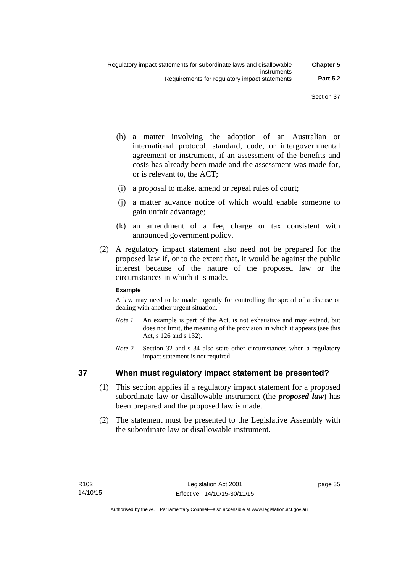- (h) a matter involving the adoption of an Australian or international protocol, standard, code, or intergovernmental agreement or instrument, if an assessment of the benefits and costs has already been made and the assessment was made for, or is relevant to, the ACT;
- (i) a proposal to make, amend or repeal rules of court;
- (j) a matter advance notice of which would enable someone to gain unfair advantage;
- (k) an amendment of a fee, charge or tax consistent with announced government policy.
- (2) A regulatory impact statement also need not be prepared for the proposed law if, or to the extent that, it would be against the public interest because of the nature of the proposed law or the circumstances in which it is made.

### **Example**

A law may need to be made urgently for controlling the spread of a disease or dealing with another urgent situation.

- *Note 1* An example is part of the Act, is not exhaustive and may extend, but does not limit, the meaning of the provision in which it appears (see this Act, s 126 and s 132).
- *Note* 2 Section 32 and s 34 also state other circumstances when a regulatory impact statement is not required.

### **37 When must regulatory impact statement be presented?**

- (1) This section applies if a regulatory impact statement for a proposed subordinate law or disallowable instrument (the *proposed law*) has been prepared and the proposed law is made.
- (2) The statement must be presented to the Legislative Assembly with the subordinate law or disallowable instrument.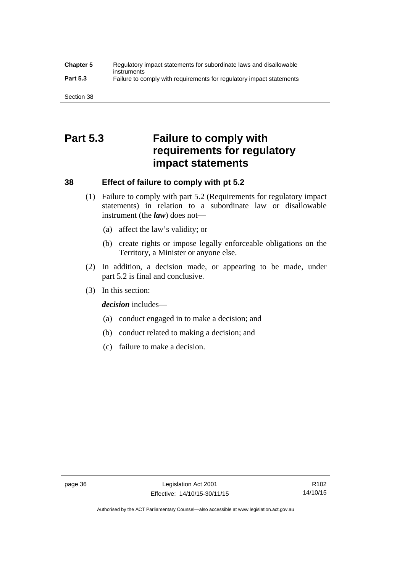#### **Chapter 5** Regulatory impact statements for subordinate laws and disallowable instruments **Part 5.3** Failure to comply with requirements for regulatory impact statements

Section 38

# **Part 5.3 Failure to comply with requirements for regulatory impact statements**

### **38 Effect of failure to comply with pt 5.2**

- (1) Failure to comply with part 5.2 (Requirements for regulatory impact statements) in relation to a subordinate law or disallowable instrument (the *law*) does not—
	- (a) affect the law's validity; or
	- (b) create rights or impose legally enforceable obligations on the Territory, a Minister or anyone else.
- (2) In addition, a decision made, or appearing to be made, under part 5.2 is final and conclusive.
- (3) In this section:

*decision* includes—

- (a) conduct engaged in to make a decision; and
- (b) conduct related to making a decision; and
- (c) failure to make a decision.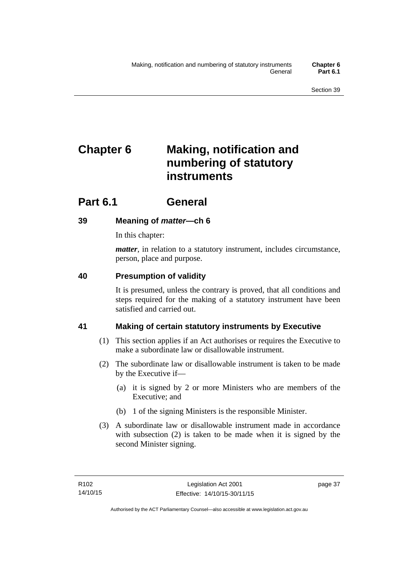# **Chapter 6 Making, notification and numbering of statutory instruments**

# **Part 6.1 General**

## **39 Meaning of** *matter***—ch 6**

In this chapter:

*matter*, in relation to a statutory instrument, includes circumstance, person, place and purpose.

## **40 Presumption of validity**

It is presumed, unless the contrary is proved, that all conditions and steps required for the making of a statutory instrument have been satisfied and carried out.

## **41 Making of certain statutory instruments by Executive**

- (1) This section applies if an Act authorises or requires the Executive to make a subordinate law or disallowable instrument.
- (2) The subordinate law or disallowable instrument is taken to be made by the Executive if—
	- (a) it is signed by 2 or more Ministers who are members of the Executive; and
	- (b) 1 of the signing Ministers is the responsible Minister.
- (3) A subordinate law or disallowable instrument made in accordance with subsection (2) is taken to be made when it is signed by the second Minister signing.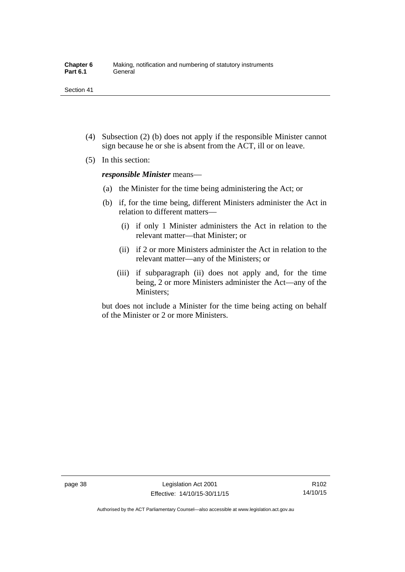- (4) Subsection (2) (b) does not apply if the responsible Minister cannot sign because he or she is absent from the ACT, ill or on leave.
- (5) In this section:

*responsible Minister* means—

- (a) the Minister for the time being administering the Act; or
- (b) if, for the time being, different Ministers administer the Act in relation to different matters—
	- (i) if only 1 Minister administers the Act in relation to the relevant matter—that Minister; or
	- (ii) if 2 or more Ministers administer the Act in relation to the relevant matter—any of the Ministers; or
	- (iii) if subparagraph (ii) does not apply and, for the time being, 2 or more Ministers administer the Act—any of the Ministers;

but does not include a Minister for the time being acting on behalf of the Minister or 2 or more Ministers.

Authorised by the ACT Parliamentary Counsel—also accessible at www.legislation.act.gov.au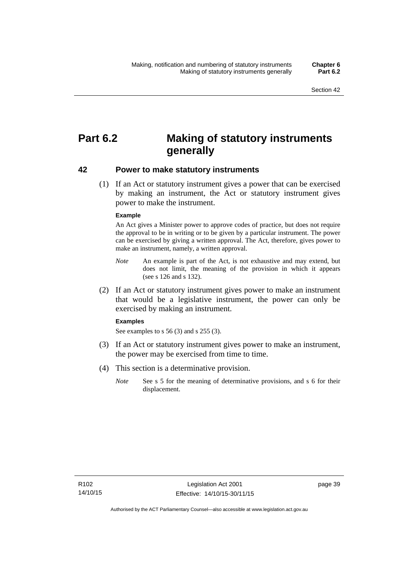# **Part 6.2 Making of statutory instruments generally**

### **42 Power to make statutory instruments**

 (1) If an Act or statutory instrument gives a power that can be exercised by making an instrument, the Act or statutory instrument gives power to make the instrument.

#### **Example**

An Act gives a Minister power to approve codes of practice, but does not require the approval to be in writing or to be given by a particular instrument. The power can be exercised by giving a written approval. The Act, therefore, gives power to make an instrument, namely, a written approval.

- *Note* An example is part of the Act, is not exhaustive and may extend, but does not limit, the meaning of the provision in which it appears (see s 126 and s 132).
- (2) If an Act or statutory instrument gives power to make an instrument that would be a legislative instrument, the power can only be exercised by making an instrument.

#### **Examples**

See examples to s 56 (3) and s 255 (3).

- (3) If an Act or statutory instrument gives power to make an instrument, the power may be exercised from time to time.
- (4) This section is a determinative provision.
	- *Note* See s 5 for the meaning of determinative provisions, and s 6 for their displacement.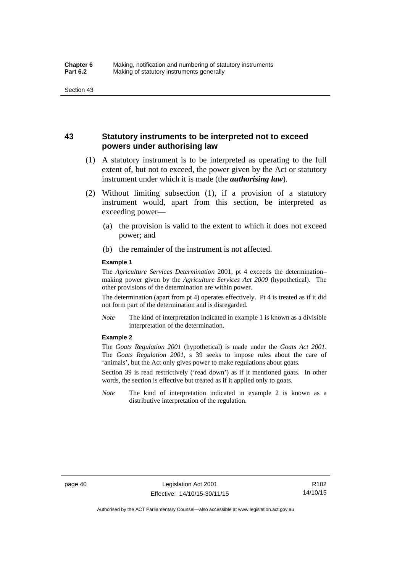### **43 Statutory instruments to be interpreted not to exceed powers under authorising law**

- (1) A statutory instrument is to be interpreted as operating to the full extent of, but not to exceed, the power given by the Act or statutory instrument under which it is made (the *authorising law*).
- (2) Without limiting subsection (1), if a provision of a statutory instrument would, apart from this section, be interpreted as exceeding power—
	- (a) the provision is valid to the extent to which it does not exceed power; and
	- (b) the remainder of the instrument is not affected.

#### **Example 1**

The *Agriculture Services Determination* 2001, pt 4 exceeds the determination– making power given by the *Agriculture Services Act 2000* (hypothetical). The other provisions of the determination are within power.

The determination (apart from pt 4) operates effectively. Pt 4 is treated as if it did not form part of the determination and is disregarded.

*Note* The kind of interpretation indicated in example 1 is known as a divisible interpretation of the determination.

#### **Example 2**

The *Goats Regulation 2001* (hypothetical) is made under the *Goats Act 2001*. The *Goats Regulation 2001*, s 39 seeks to impose rules about the care of 'animals', but the Act only gives power to make regulations about goats.

Section 39 is read restrictively ('read down') as if it mentioned goats. In other words, the section is effective but treated as if it applied only to goats.

*Note* The kind of interpretation indicated in example 2 is known as a distributive interpretation of the regulation.

R102 14/10/15

Authorised by the ACT Parliamentary Counsel—also accessible at www.legislation.act.gov.au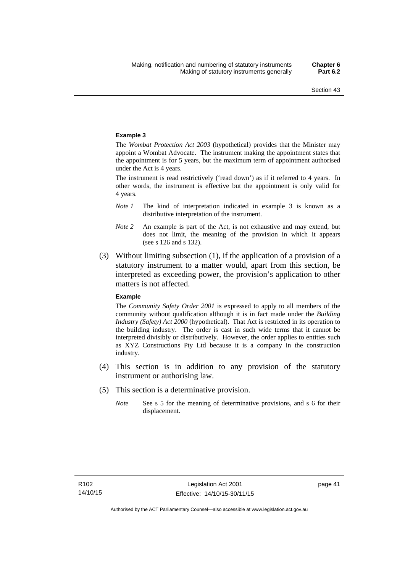#### **Example 3**

The *Wombat Protection Act 2003* (hypothetical) provides that the Minister may appoint a Wombat Advocate. The instrument making the appointment states that the appointment is for 5 years, but the maximum term of appointment authorised under the Act is 4 years.

The instrument is read restrictively ('read down') as if it referred to 4 years. In other words, the instrument is effective but the appointment is only valid for 4 years.

- *Note 1* The kind of interpretation indicated in example 3 is known as a distributive interpretation of the instrument.
- *Note 2* An example is part of the Act, is not exhaustive and may extend, but does not limit, the meaning of the provision in which it appears (see s 126 and s 132).
- (3) Without limiting subsection (1), if the application of a provision of a statutory instrument to a matter would, apart from this section, be interpreted as exceeding power, the provision's application to other matters is not affected.

#### **Example**

The *Community Safety Order 2001* is expressed to apply to all members of the community without qualification although it is in fact made under the *Building Industry (Safety) Act 2000* (hypothetical). That Act is restricted in its operation to the building industry. The order is cast in such wide terms that it cannot be interpreted divisibly or distributively. However, the order applies to entities such as XYZ Constructions Pty Ltd because it is a company in the construction industry.

- (4) This section is in addition to any provision of the statutory instrument or authorising law.
- (5) This section is a determinative provision.
	- *Note* See s 5 for the meaning of determinative provisions, and s 6 for their displacement.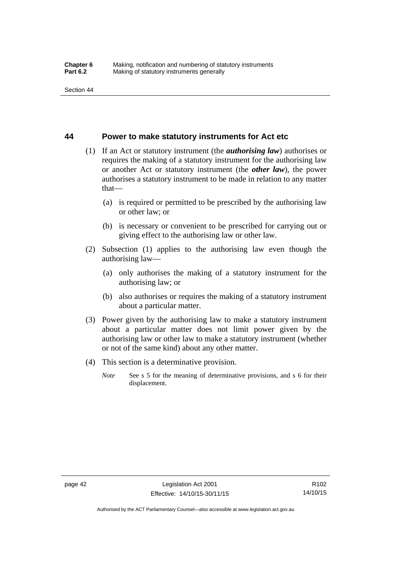### **44 Power to make statutory instruments for Act etc**

- (1) If an Act or statutory instrument (the *authorising law*) authorises or requires the making of a statutory instrument for the authorising law or another Act or statutory instrument (the *other law*), the power authorises a statutory instrument to be made in relation to any matter that—
	- (a) is required or permitted to be prescribed by the authorising law or other law; or
	- (b) is necessary or convenient to be prescribed for carrying out or giving effect to the authorising law or other law.
- (2) Subsection (1) applies to the authorising law even though the authorising law—
	- (a) only authorises the making of a statutory instrument for the authorising law; or
	- (b) also authorises or requires the making of a statutory instrument about a particular matter.
- (3) Power given by the authorising law to make a statutory instrument about a particular matter does not limit power given by the authorising law or other law to make a statutory instrument (whether or not of the same kind) about any other matter.
- (4) This section is a determinative provision.
	- *Note* See s 5 for the meaning of determinative provisions, and s 6 for their displacement.

R102 14/10/15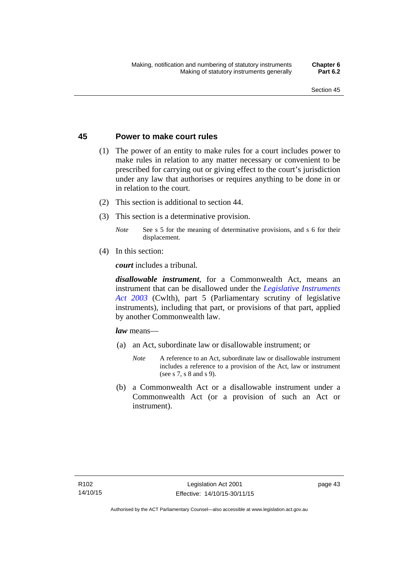### **45 Power to make court rules**

- (1) The power of an entity to make rules for a court includes power to make rules in relation to any matter necessary or convenient to be prescribed for carrying out or giving effect to the court's jurisdiction under any law that authorises or requires anything to be done in or in relation to the court.
- (2) This section is additional to section 44.
- (3) This section is a determinative provision.
	- *Note* See s 5 for the meaning of determinative provisions, and s 6 for their displacement.
- (4) In this section:

*court* includes a tribunal*.*

*disallowable instrument*, for a Commonwealth Act, means an instrument that can be disallowed under the *[Legislative Instruments](http://www.comlaw.gov.au/Series/C2004A01224)  [Act 2003](http://www.comlaw.gov.au/Series/C2004A01224)* (Cwlth), part 5 (Parliamentary scrutiny of legislative instruments), including that part, or provisions of that part, applied by another Commonwealth law.

*law* means—

- (a) an Act, subordinate law or disallowable instrument; or
	- *Note* A reference to an Act, subordinate law or disallowable instrument includes a reference to a provision of the Act, law or instrument (see s 7, s 8 and s 9).
- (b) a Commonwealth Act or a disallowable instrument under a Commonwealth Act (or a provision of such an Act or instrument).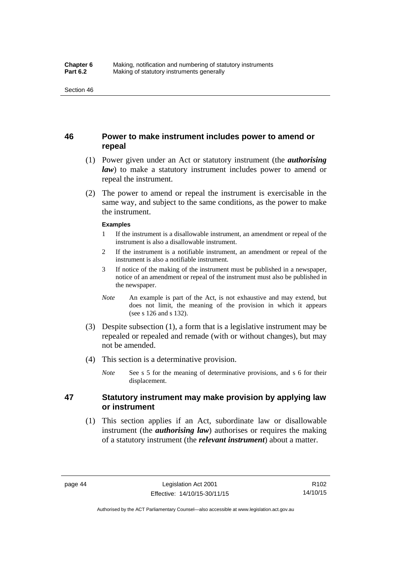### **46 Power to make instrument includes power to amend or repeal**

- (1) Power given under an Act or statutory instrument (the *authorising law*) to make a statutory instrument includes power to amend or repeal the instrument.
- (2) The power to amend or repeal the instrument is exercisable in the same way, and subject to the same conditions, as the power to make the instrument.

#### **Examples**

- 1 If the instrument is a disallowable instrument, an amendment or repeal of the instrument is also a disallowable instrument.
- 2 If the instrument is a notifiable instrument, an amendment or repeal of the instrument is also a notifiable instrument.
- 3 If notice of the making of the instrument must be published in a newspaper, notice of an amendment or repeal of the instrument must also be published in the newspaper.
- *Note* An example is part of the Act, is not exhaustive and may extend, but does not limit, the meaning of the provision in which it appears (see s 126 and s 132).
- (3) Despite subsection (1), a form that is a legislative instrument may be repealed or repealed and remade (with or without changes), but may not be amended.
- (4) This section is a determinative provision.
	- *Note* See s 5 for the meaning of determinative provisions, and s 6 for their displacement.

### **47 Statutory instrument may make provision by applying law or instrument**

 (1) This section applies if an Act, subordinate law or disallowable instrument (the *authorising law*) authorises or requires the making of a statutory instrument (the *relevant instrument*) about a matter.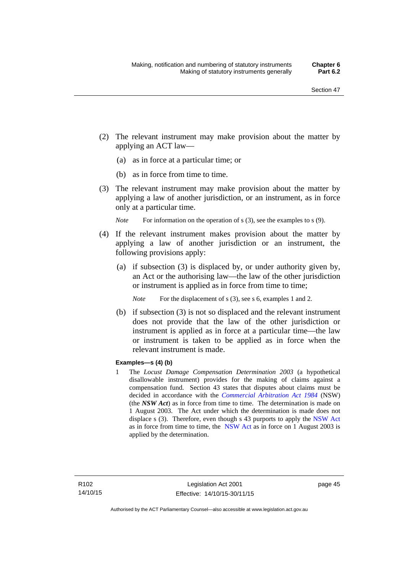- (2) The relevant instrument may make provision about the matter by applying an ACT law—
	- (a) as in force at a particular time; or
	- (b) as in force from time to time.
- (3) The relevant instrument may make provision about the matter by applying a law of another jurisdiction, or an instrument, as in force only at a particular time.

*Note* For information on the operation of s (3), see the examples to s (9).

- (4) If the relevant instrument makes provision about the matter by applying a law of another jurisdiction or an instrument, the following provisions apply:
	- (a) if subsection (3) is displaced by, or under authority given by, an Act or the authorising law—the law of the other jurisdiction or instrument is applied as in force from time to time;
		- *Note* For the displacement of s (3), see s 6, examples 1 and 2.
	- (b) if subsection (3) is not so displaced and the relevant instrument does not provide that the law of the other jurisdiction or instrument is applied as in force at a particular time—the law or instrument is taken to be applied as in force when the relevant instrument is made.

### **Examples—s (4) (b)**

1 The *Locust Damage Compensation Determination 2003* (a hypothetical disallowable instrument) provides for the making of claims against a compensation fund. Section 43 states that disputes about claims must be decided in accordance with the *[Commercial Arbitration Act 1984](http://www.legislation.nsw.gov.au/maintop/view/repealed/act+160+1984+cd+0+Y)* (NSW) (the *NSW Act*) as in force from time to time. The determination is made on 1 August 2003. The Act under which the determination is made does not displace s (3). Therefore, even though s 43 purports to apply the [NSW Act](http://www.legislation.nsw.gov.au/maintop/view/repealed/act+160+1984+cd+0+Y) as in force from time to time, the [NSW Act](http://www.legislation.nsw.gov.au/maintop/view/repealed/act+160+1984+cd+0+Y) as in force on 1 August 2003 is applied by the determination.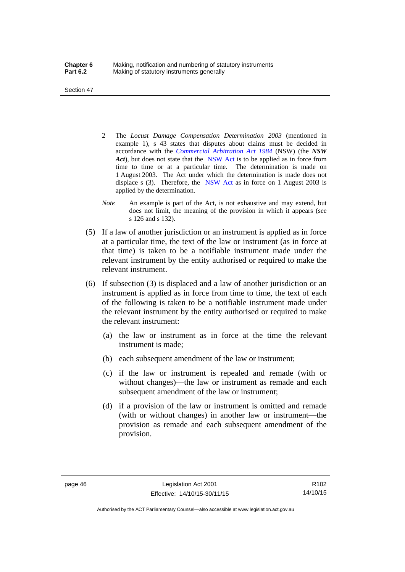Section 47

- 2 The *Locust Damage Compensation Determination 2003* (mentioned in example 1), s 43 states that disputes about claims must be decided in accordance with the *[Commercial Arbitration Act 1984](http://www.legislation.nsw.gov.au/maintop/view/repealed/act+160+1984+cd+0+Y)* (NSW) (the *NSW Act*), but does not state that the [NSW Act](http://www.legislation.nsw.gov.au/maintop/view/repealed/act+160+1984+cd+0+Y) is to be applied as in force from time to time or at a particular time. The determination is made on 1 August 2003. The Act under which the determination is made does not displace s (3). Therefore, the [NSW Act](http://www.legislation.nsw.gov.au/maintop/view/repealed/act+160+1984+cd+0+Y) as in force on 1 August 2003 is applied by the determination.
- *Note* An example is part of the Act, is not exhaustive and may extend, but does not limit, the meaning of the provision in which it appears (see s 126 and s 132).
- (5) If a law of another jurisdiction or an instrument is applied as in force at a particular time, the text of the law or instrument (as in force at that time) is taken to be a notifiable instrument made under the relevant instrument by the entity authorised or required to make the relevant instrument.
- (6) If subsection (3) is displaced and a law of another jurisdiction or an instrument is applied as in force from time to time, the text of each of the following is taken to be a notifiable instrument made under the relevant instrument by the entity authorised or required to make the relevant instrument:
	- (a) the law or instrument as in force at the time the relevant instrument is made;
	- (b) each subsequent amendment of the law or instrument;
	- (c) if the law or instrument is repealed and remade (with or without changes)—the law or instrument as remade and each subsequent amendment of the law or instrument;
	- (d) if a provision of the law or instrument is omitted and remade (with or without changes) in another law or instrument—the provision as remade and each subsequent amendment of the provision.

R102 14/10/15

Authorised by the ACT Parliamentary Counsel—also accessible at www.legislation.act.gov.au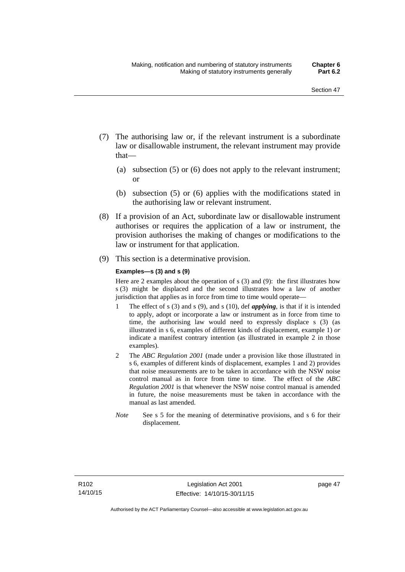- (7) The authorising law or, if the relevant instrument is a subordinate law or disallowable instrument, the relevant instrument may provide that—
	- (a) subsection (5) or (6) does not apply to the relevant instrument; or
	- (b) subsection (5) or (6) applies with the modifications stated in the authorising law or relevant instrument.
- (8) If a provision of an Act, subordinate law or disallowable instrument authorises or requires the application of a law or instrument, the provision authorises the making of changes or modifications to the law or instrument for that application.
- (9) This section is a determinative provision.

#### **Examples—s (3) and s (9)**

Here are 2 examples about the operation of s (3) and (9): the first illustrates how s (3) might be displaced and the second illustrates how a law of another jurisdiction that applies as in force from time to time would operate—

- 1 The effect of s (3) and s (9), and s (10), def *applying*, is that if it is intended to apply, adopt or incorporate a law or instrument as in force from time to time, the authorising law would need to expressly displace s (3) (as illustrated in s 6, examples of different kinds of displacement, example 1) *or* indicate a manifest contrary intention (as illustrated in example 2 in those examples).
- 2 The *ABC Regulation 2001* (made under a provision like those illustrated in s 6, examples of different kinds of displacement, examples 1 and 2) provides that noise measurements are to be taken in accordance with the NSW noise control manual as in force from time to time. The effect of the *ABC Regulation 2001* is that whenever the NSW noise control manual is amended in future, the noise measurements must be taken in accordance with the manual as last amended.
- *Note* See s 5 for the meaning of determinative provisions, and s 6 for their displacement.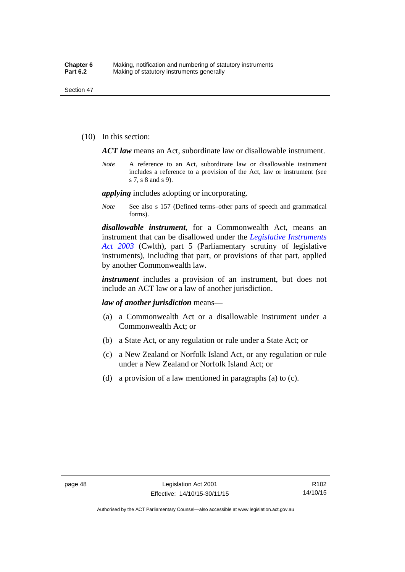(10) In this section:

*ACT law* means an Act, subordinate law or disallowable instrument.

*Note* A reference to an Act, subordinate law or disallowable instrument includes a reference to a provision of the Act, law or instrument (see s 7, s 8 and s 9).

*applying* includes adopting or incorporating.

*Note* See also s 157 (Defined terms–other parts of speech and grammatical forms).

*disallowable instrument*, for a Commonwealth Act, means an instrument that can be disallowed under the *[Legislative Instruments](http://www.comlaw.gov.au/Series/C2004A01224)  [Act 2003](http://www.comlaw.gov.au/Series/C2004A01224)* (Cwlth), part 5 (Parliamentary scrutiny of legislative instruments), including that part, or provisions of that part, applied by another Commonwealth law.

*instrument* includes a provision of an instrument, but does not include an ACT law or a law of another jurisdiction.

*law of another jurisdiction* means—

- (a) a Commonwealth Act or a disallowable instrument under a Commonwealth Act; or
- (b) a State Act, or any regulation or rule under a State Act; or
- (c) a New Zealand or Norfolk Island Act, or any regulation or rule under a New Zealand or Norfolk Island Act; or
- (d) a provision of a law mentioned in paragraphs (a) to (c).

R102 14/10/15

Authorised by the ACT Parliamentary Counsel—also accessible at www.legislation.act.gov.au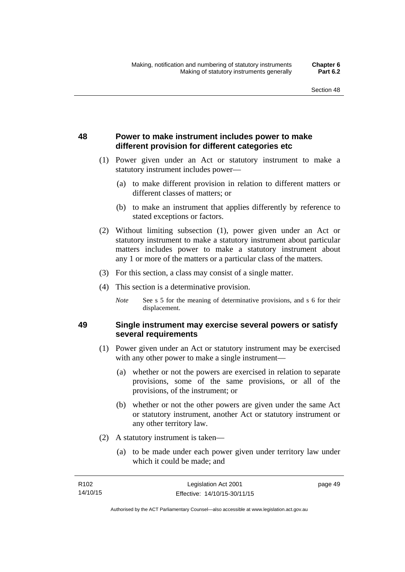## **48 Power to make instrument includes power to make different provision for different categories etc**

- (1) Power given under an Act or statutory instrument to make a statutory instrument includes power—
	- (a) to make different provision in relation to different matters or different classes of matters; or
	- (b) to make an instrument that applies differently by reference to stated exceptions or factors.
- (2) Without limiting subsection (1), power given under an Act or statutory instrument to make a statutory instrument about particular matters includes power to make a statutory instrument about any 1 or more of the matters or a particular class of the matters.
- (3) For this section, a class may consist of a single matter.
- (4) This section is a determinative provision.
	- *Note* See s 5 for the meaning of determinative provisions, and s 6 for their displacement.

### **49 Single instrument may exercise several powers or satisfy several requirements**

- (1) Power given under an Act or statutory instrument may be exercised with any other power to make a single instrument—
	- (a) whether or not the powers are exercised in relation to separate provisions, some of the same provisions, or all of the provisions, of the instrument; or
	- (b) whether or not the other powers are given under the same Act or statutory instrument, another Act or statutory instrument or any other territory law.
- (2) A statutory instrument is taken—
	- (a) to be made under each power given under territory law under which it could be made; and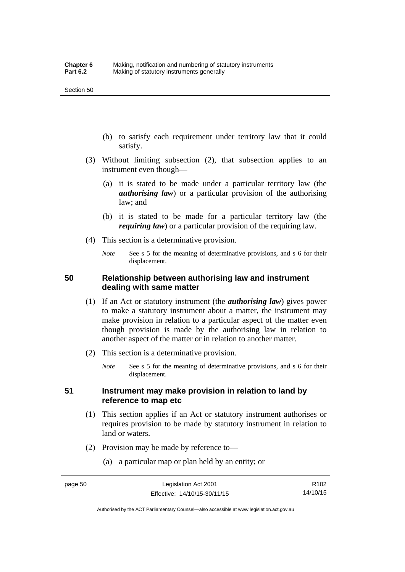- (b) to satisfy each requirement under territory law that it could satisfy.
- (3) Without limiting subsection (2), that subsection applies to an instrument even though—
	- (a) it is stated to be made under a particular territory law (the *authorising law*) or a particular provision of the authorising law; and
	- (b) it is stated to be made for a particular territory law (the *requiring law*) or a particular provision of the requiring law.
- (4) This section is a determinative provision.
	- *Note* See s 5 for the meaning of determinative provisions, and s 6 for their displacement.

### **50 Relationship between authorising law and instrument dealing with same matter**

- (1) If an Act or statutory instrument (the *authorising law*) gives power to make a statutory instrument about a matter, the instrument may make provision in relation to a particular aspect of the matter even though provision is made by the authorising law in relation to another aspect of the matter or in relation to another matter.
- (2) This section is a determinative provision.
	- *Note* See s 5 for the meaning of determinative provisions, and s 6 for their displacement.

### **51 Instrument may make provision in relation to land by reference to map etc**

- (1) This section applies if an Act or statutory instrument authorises or requires provision to be made by statutory instrument in relation to land or waters.
- (2) Provision may be made by reference to—
	- (a) a particular map or plan held by an entity; or

Authorised by the ACT Parliamentary Counsel—also accessible at www.legislation.act.gov.au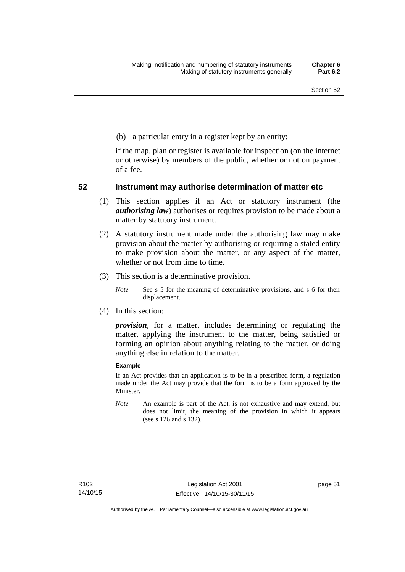(b) a particular entry in a register kept by an entity;

if the map, plan or register is available for inspection (on the internet or otherwise) by members of the public, whether or not on payment of a fee.

### **52 Instrument may authorise determination of matter etc**

- (1) This section applies if an Act or statutory instrument (the *authorising law*) authorises or requires provision to be made about a matter by statutory instrument.
- (2) A statutory instrument made under the authorising law may make provision about the matter by authorising or requiring a stated entity to make provision about the matter, or any aspect of the matter, whether or not from time to time.
- (3) This section is a determinative provision.
	- *Note* See s 5 for the meaning of determinative provisions, and s 6 for their displacement.
- (4) In this section:

*provision*, for a matter, includes determining or regulating the matter, applying the instrument to the matter, being satisfied or forming an opinion about anything relating to the matter, or doing anything else in relation to the matter.

#### **Example**

If an Act provides that an application is to be in a prescribed form, a regulation made under the Act may provide that the form is to be a form approved by the Minister.

*Note* An example is part of the Act, is not exhaustive and may extend, but does not limit, the meaning of the provision in which it appears (see s 126 and s 132).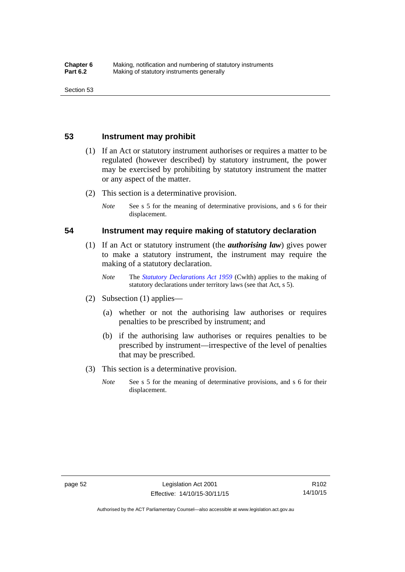### **53 Instrument may prohibit**

- (1) If an Act or statutory instrument authorises or requires a matter to be regulated (however described) by statutory instrument, the power may be exercised by prohibiting by statutory instrument the matter or any aspect of the matter.
- (2) This section is a determinative provision.
	- *Note* See s 5 for the meaning of determinative provisions, and s 6 for their displacement.

### **54 Instrument may require making of statutory declaration**

- (1) If an Act or statutory instrument (the *authorising law*) gives power to make a statutory instrument, the instrument may require the making of a statutory declaration.
	- *Note* The *[Statutory Declarations Act 1959](http://www.comlaw.gov.au/Series/C2004A07365)* (Cwlth) applies to the making of statutory declarations under territory laws (see that Act, s 5).
- (2) Subsection (1) applies—
	- (a) whether or not the authorising law authorises or requires penalties to be prescribed by instrument; and
	- (b) if the authorising law authorises or requires penalties to be prescribed by instrument—irrespective of the level of penalties that may be prescribed.
- (3) This section is a determinative provision.
	- *Note* See s 5 for the meaning of determinative provisions, and s 6 for their displacement.

R102 14/10/15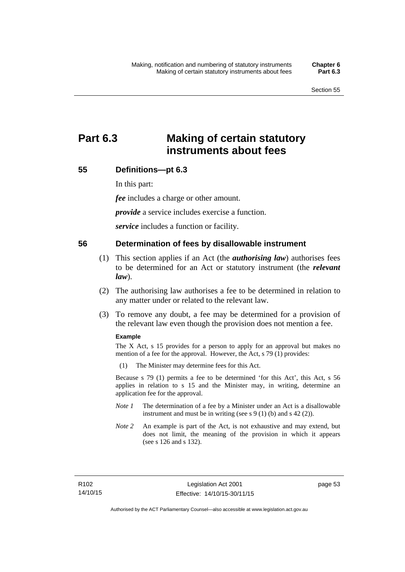# **Part 6.3 Making of certain statutory instruments about fees**

### **55 Definitions—pt 6.3**

In this part:

*fee* includes a charge or other amount.

*provide* a service includes exercise a function.

*service* includes a function or facility.

### **56 Determination of fees by disallowable instrument**

- (1) This section applies if an Act (the *authorising law*) authorises fees to be determined for an Act or statutory instrument (the *relevant law*).
- (2) The authorising law authorises a fee to be determined in relation to any matter under or related to the relevant law.
- (3) To remove any doubt, a fee may be determined for a provision of the relevant law even though the provision does not mention a fee.

#### **Example**

The X Act, s 15 provides for a person to apply for an approval but makes no mention of a fee for the approval. However, the Act, s 79 (1) provides:

(1) The Minister may determine fees for this Act.

Because s 79 (1) permits a fee to be determined 'for this Act', this Act, s 56 applies in relation to s 15 and the Minister may, in writing, determine an application fee for the approval.

- *Note 1* The determination of a fee by a Minister under an Act is a disallowable instrument and must be in writing (see s 9 (1) (b) and s 42 (2)).
- *Note 2* An example is part of the Act, is not exhaustive and may extend, but does not limit, the meaning of the provision in which it appears (see s 126 and s 132).

page 53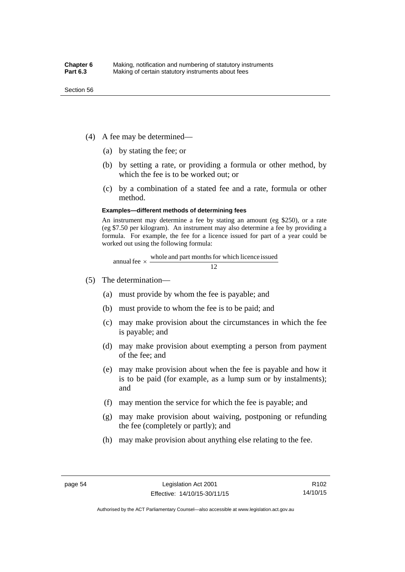- (4) A fee may be determined—
	- (a) by stating the fee; or
	- (b) by setting a rate, or providing a formula or other method, by which the fee is to be worked out; or
	- (c) by a combination of a stated fee and a rate, formula or other method.

#### **Examples—different methods of determining fees**

An instrument may determine a fee by stating an amount (eg \$250), or a rate (eg \$7.50 per kilogram). An instrument may also determine a fee by providing a formula. For example, the fee for a licence issued for part of a year could be worked out using the following formula:

annual fee  $\times$  whole and part months for which licence issued  $\frac{12}{\sqrt{12}}$ 

- (5) The determination—
	- (a) must provide by whom the fee is payable; and
	- (b) must provide to whom the fee is to be paid; and
	- (c) may make provision about the circumstances in which the fee is payable; and
	- (d) may make provision about exempting a person from payment of the fee; and
	- (e) may make provision about when the fee is payable and how it is to be paid (for example, as a lump sum or by instalments); and
	- (f) may mention the service for which the fee is payable; and
	- (g) may make provision about waiving, postponing or refunding the fee (completely or partly); and
	- (h) may make provision about anything else relating to the fee.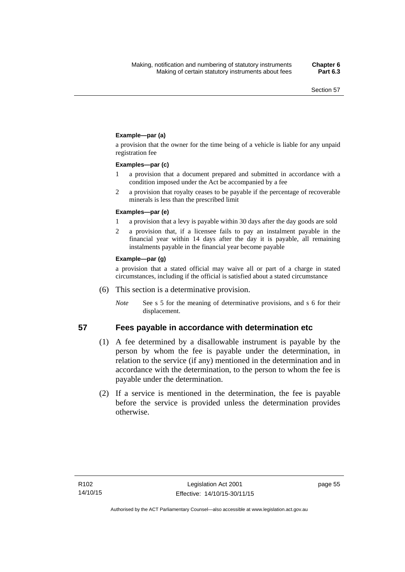### **Example—par (a)**

a provision that the owner for the time being of a vehicle is liable for any unpaid registration fee

#### **Examples—par (c)**

- 1 a provision that a document prepared and submitted in accordance with a condition imposed under the Act be accompanied by a fee
- 2 a provision that royalty ceases to be payable if the percentage of recoverable minerals is less than the prescribed limit

#### **Examples—par (e)**

- 1 a provision that a levy is payable within 30 days after the day goods are sold
- 2 a provision that, if a licensee fails to pay an instalment payable in the financial year within 14 days after the day it is payable, all remaining instalments payable in the financial year become payable

#### **Example—par (g)**

a provision that a stated official may waive all or part of a charge in stated circumstances, including if the official is satisfied about a stated circumstance

- (6) This section is a determinative provision.
	- *Note* See s 5 for the meaning of determinative provisions, and s 6 for their displacement.

- **57 Fees payable in accordance with determination etc**  (1) A fee determined by a disallowable instrument is payable by the
	- person by whom the fee is payable under the determination, in relation to the service (if any) mentioned in the determination and in accordance with the determination, to the person to whom the fee is payable under the determination.
	- (2) If a service is mentioned in the determination, the fee is payable before the service is provided unless the determination provides otherwise.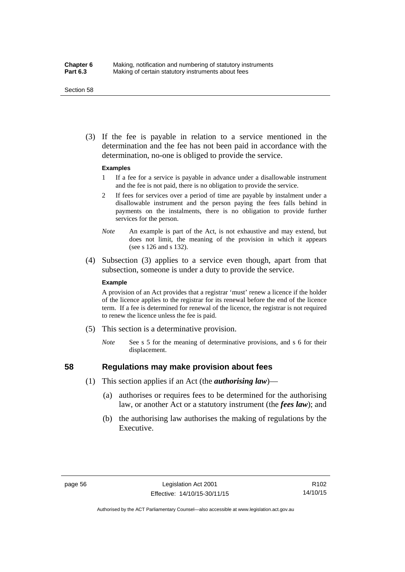#### Section 58

 (3) If the fee is payable in relation to a service mentioned in the determination and the fee has not been paid in accordance with the determination, no-one is obliged to provide the service.

#### **Examples**

- 1 If a fee for a service is payable in advance under a disallowable instrument and the fee is not paid, there is no obligation to provide the service.
- 2 If fees for services over a period of time are payable by instalment under a disallowable instrument and the person paying the fees falls behind in payments on the instalments, there is no obligation to provide further services for the person.
- *Note* An example is part of the Act, is not exhaustive and may extend, but does not limit, the meaning of the provision in which it appears (see s 126 and s 132).
- (4) Subsection (3) applies to a service even though, apart from that subsection, someone is under a duty to provide the service.

#### **Example**

A provision of an Act provides that a registrar 'must' renew a licence if the holder of the licence applies to the registrar for its renewal before the end of the licence term. If a fee is determined for renewal of the licence, the registrar is not required to renew the licence unless the fee is paid.

- (5) This section is a determinative provision.
	- *Note* See s 5 for the meaning of determinative provisions, and s 6 for their displacement.

## **58 Regulations may make provision about fees**

- (1) This section applies if an Act (the *authorising law*)—
	- (a) authorises or requires fees to be determined for the authorising law, or another Act or a statutory instrument (the *fees law*); and
	- (b) the authorising law authorises the making of regulations by the Executive.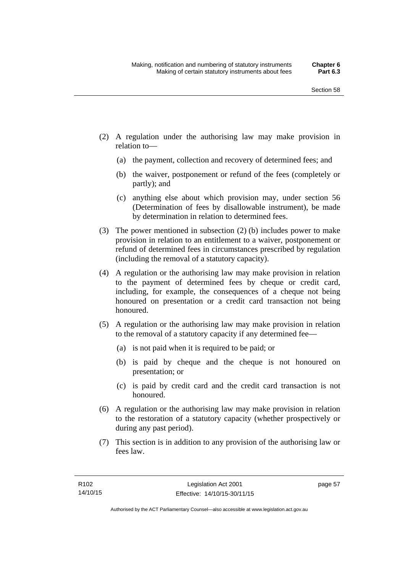- (2) A regulation under the authorising law may make provision in relation to—
	- (a) the payment, collection and recovery of determined fees; and
	- (b) the waiver, postponement or refund of the fees (completely or partly); and
	- (c) anything else about which provision may, under section 56 (Determination of fees by disallowable instrument), be made by determination in relation to determined fees.
- (3) The power mentioned in subsection (2) (b) includes power to make provision in relation to an entitlement to a waiver, postponement or refund of determined fees in circumstances prescribed by regulation (including the removal of a statutory capacity).
- (4) A regulation or the authorising law may make provision in relation to the payment of determined fees by cheque or credit card, including, for example, the consequences of a cheque not being honoured on presentation or a credit card transaction not being honoured.
- (5) A regulation or the authorising law may make provision in relation to the removal of a statutory capacity if any determined fee—
	- (a) is not paid when it is required to be paid; or
	- (b) is paid by cheque and the cheque is not honoured on presentation; or
	- (c) is paid by credit card and the credit card transaction is not honoured.
- (6) A regulation or the authorising law may make provision in relation to the restoration of a statutory capacity (whether prospectively or during any past period).
- (7) This section is in addition to any provision of the authorising law or fees law.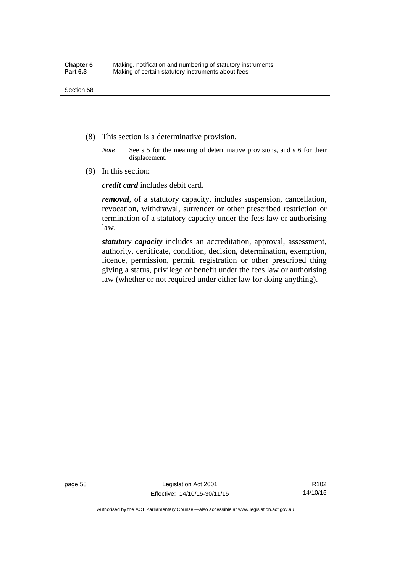- (8) This section is a determinative provision.
	- *Note* See s 5 for the meaning of determinative provisions, and s 6 for their displacement.
- (9) In this section:

*credit card* includes debit card.

*removal*, of a statutory capacity, includes suspension, cancellation, revocation, withdrawal, surrender or other prescribed restriction or termination of a statutory capacity under the fees law or authorising law.

*statutory capacity* includes an accreditation, approval, assessment, authority, certificate, condition, decision, determination, exemption, licence, permission, permit, registration or other prescribed thing giving a status, privilege or benefit under the fees law or authorising law (whether or not required under either law for doing anything).

page 58 Legislation Act 2001 Effective: 14/10/15-30/11/15

R102 14/10/15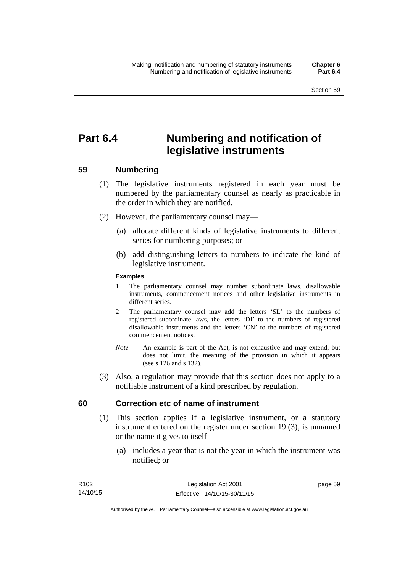# **Part 6.4 Numbering and notification of legislative instruments**

## **59 Numbering**

- (1) The legislative instruments registered in each year must be numbered by the parliamentary counsel as nearly as practicable in the order in which they are notified.
- (2) However, the parliamentary counsel may—
	- (a) allocate different kinds of legislative instruments to different series for numbering purposes; or
	- (b) add distinguishing letters to numbers to indicate the kind of legislative instrument.

## **Examples**

- 1 The parliamentary counsel may number subordinate laws, disallowable instruments, commencement notices and other legislative instruments in different series.
- 2 The parliamentary counsel may add the letters 'SL' to the numbers of registered subordinate laws, the letters 'DI' to the numbers of registered disallowable instruments and the letters 'CN' to the numbers of registered commencement notices.
- *Note* An example is part of the Act, is not exhaustive and may extend, but does not limit, the meaning of the provision in which it appears (see s 126 and s 132).
- (3) Also, a regulation may provide that this section does not apply to a notifiable instrument of a kind prescribed by regulation.

## **60 Correction etc of name of instrument**

- (1) This section applies if a legislative instrument, or a statutory instrument entered on the register under section 19 (3), is unnamed or the name it gives to itself—
	- (a) includes a year that is not the year in which the instrument was notified; or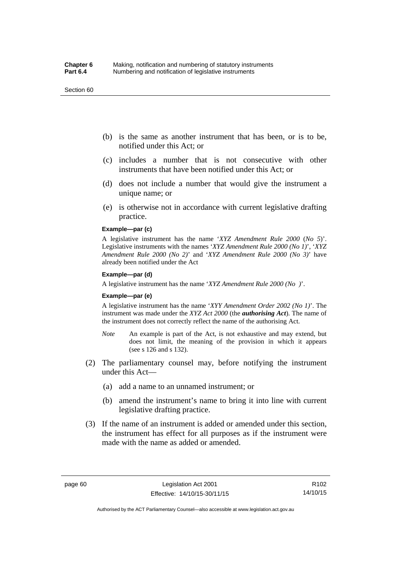#### Section 60

- (b) is the same as another instrument that has been, or is to be, notified under this Act; or
- (c) includes a number that is not consecutive with other instruments that have been notified under this Act; or
- (d) does not include a number that would give the instrument a unique name; or
- (e) is otherwise not in accordance with current legislative drafting practice.

## **Example—par (c)**

A legislative instrument has the name '*XYZ Amendment Rule 2000* (*No 5*)'. Legislative instruments with the names '*XYZ Amendment Rule 2000 (No 1)*', '*XYZ Amendment Rule 2000 (No 2)*' and '*XYZ Amendment Rule 2000 (No 3)*' have already been notified under the Act

#### **Example—par (d)**

A legislative instrument has the name '*XYZ Amendment Rule 2000 (No )*'.

#### **Example—par (e)**

A legislative instrument has the name '*XYY Amendment Order 2002 (No 1)*'. The instrument was made under the *XYZ Act 2000* (the *authorising Act*). The name of the instrument does not correctly reflect the name of the authorising Act.

- *Note* An example is part of the Act, is not exhaustive and may extend, but does not limit, the meaning of the provision in which it appears (see s 126 and s 132).
- (2) The parliamentary counsel may, before notifying the instrument under this Act—
	- (a) add a name to an unnamed instrument; or
	- (b) amend the instrument's name to bring it into line with current legislative drafting practice.
- (3) If the name of an instrument is added or amended under this section, the instrument has effect for all purposes as if the instrument were made with the name as added or amended.

R102 14/10/15

Authorised by the ACT Parliamentary Counsel—also accessible at www.legislation.act.gov.au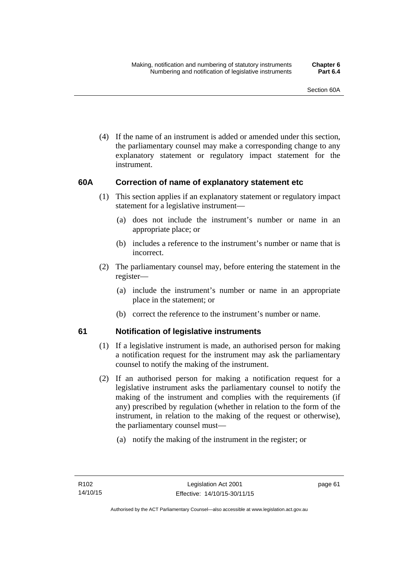(4) If the name of an instrument is added or amended under this section, the parliamentary counsel may make a corresponding change to any explanatory statement or regulatory impact statement for the instrument.

## **60A Correction of name of explanatory statement etc**

- (1) This section applies if an explanatory statement or regulatory impact statement for a legislative instrument—
	- (a) does not include the instrument's number or name in an appropriate place; or
	- (b) includes a reference to the instrument's number or name that is incorrect.
- (2) The parliamentary counsel may, before entering the statement in the register—
	- (a) include the instrument's number or name in an appropriate place in the statement; or
	- (b) correct the reference to the instrument's number or name.

## **61 Notification of legislative instruments**

- (1) If a legislative instrument is made, an authorised person for making a notification request for the instrument may ask the parliamentary counsel to notify the making of the instrument.
- (2) If an authorised person for making a notification request for a legislative instrument asks the parliamentary counsel to notify the making of the instrument and complies with the requirements (if any) prescribed by regulation (whether in relation to the form of the instrument, in relation to the making of the request or otherwise), the parliamentary counsel must—
	- (a) notify the making of the instrument in the register; or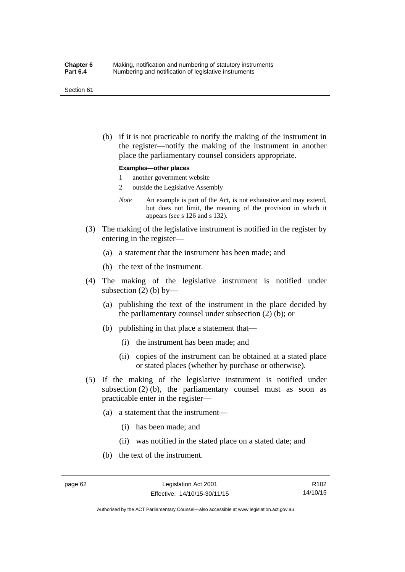#### Section 61

 (b) if it is not practicable to notify the making of the instrument in the register—notify the making of the instrument in another place the parliamentary counsel considers appropriate.

#### **Examples—other places**

- 1 another government website
- 2 outside the Legislative Assembly
- *Note* An example is part of the Act, is not exhaustive and may extend, but does not limit, the meaning of the provision in which it appears (see s 126 and s 132).
- (3) The making of the legislative instrument is notified in the register by entering in the register—
	- (a) a statement that the instrument has been made; and
	- (b) the text of the instrument.
- (4) The making of the legislative instrument is notified under subsection  $(2)$  (b) by—
	- (a) publishing the text of the instrument in the place decided by the parliamentary counsel under subsection (2) (b); or
	- (b) publishing in that place a statement that—
		- (i) the instrument has been made; and
		- (ii) copies of the instrument can be obtained at a stated place or stated places (whether by purchase or otherwise).
- (5) If the making of the legislative instrument is notified under subsection  $(2)$  (b), the parliamentary counsel must as soon as practicable enter in the register—
	- (a) a statement that the instrument—
		- (i) has been made; and
		- (ii) was notified in the stated place on a stated date; and
	- (b) the text of the instrument.

R102 14/10/15

Authorised by the ACT Parliamentary Counsel—also accessible at www.legislation.act.gov.au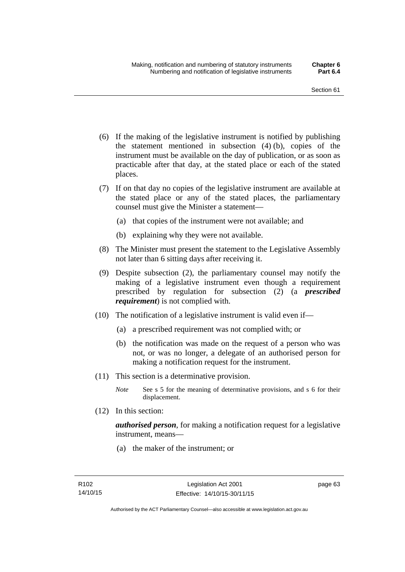- (6) If the making of the legislative instrument is notified by publishing the statement mentioned in subsection (4) (b), copies of the instrument must be available on the day of publication, or as soon as practicable after that day, at the stated place or each of the stated places.
- (7) If on that day no copies of the legislative instrument are available at the stated place or any of the stated places, the parliamentary counsel must give the Minister a statement—
	- (a) that copies of the instrument were not available; and
	- (b) explaining why they were not available.
- (8) The Minister must present the statement to the Legislative Assembly not later than 6 sitting days after receiving it.
- (9) Despite subsection (2), the parliamentary counsel may notify the making of a legislative instrument even though a requirement prescribed by regulation for subsection (2) (a *prescribed requirement*) is not complied with.
- (10) The notification of a legislative instrument is valid even if—
	- (a) a prescribed requirement was not complied with; or
	- (b) the notification was made on the request of a person who was not, or was no longer, a delegate of an authorised person for making a notification request for the instrument.
- (11) This section is a determinative provision.
	- *Note* See s 5 for the meaning of determinative provisions, and s 6 for their displacement.
- (12) In this section:

*authorised person*, for making a notification request for a legislative instrument, means—

(a) the maker of the instrument; or

page 63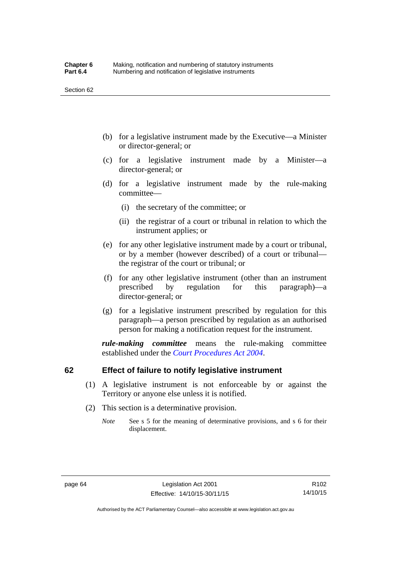- (b) for a legislative instrument made by the Executive—a Minister or director-general; or
- (c) for a legislative instrument made by a Minister—a director-general; or
- (d) for a legislative instrument made by the rule-making committee—
	- (i) the secretary of the committee; or
	- (ii) the registrar of a court or tribunal in relation to which the instrument applies; or
- (e) for any other legislative instrument made by a court or tribunal, or by a member (however described) of a court or tribunal the registrar of the court or tribunal; or
- (f) for any other legislative instrument (other than an instrument prescribed by regulation for this paragraph)—a director-general; or
- (g) for a legislative instrument prescribed by regulation for this paragraph—a person prescribed by regulation as an authorised person for making a notification request for the instrument.

*rule-making committee* means the rule-making committee established under the *[Court Procedures Act 2004](http://www.legislation.act.gov.au/a/2004-59)*.

## **62 Effect of failure to notify legislative instrument**

- (1) A legislative instrument is not enforceable by or against the Territory or anyone else unless it is notified.
- (2) This section is a determinative provision.
	- *Note* See s 5 for the meaning of determinative provisions, and s 6 for their displacement.

R102 14/10/15

Authorised by the ACT Parliamentary Counsel—also accessible at www.legislation.act.gov.au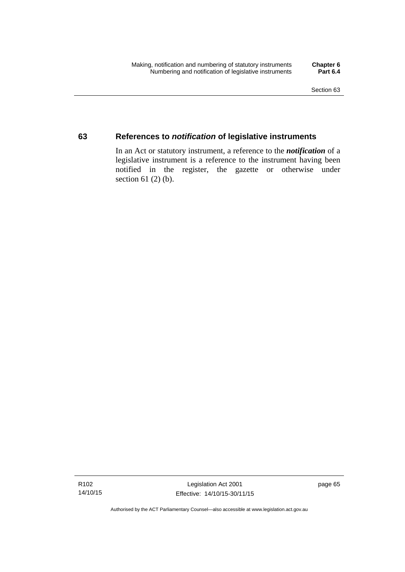## **63 References to** *notification* **of legislative instruments**

In an Act or statutory instrument, a reference to the *notification* of a legislative instrument is a reference to the instrument having been notified in the register, the gazette or otherwise under section  $61$  (2) (b).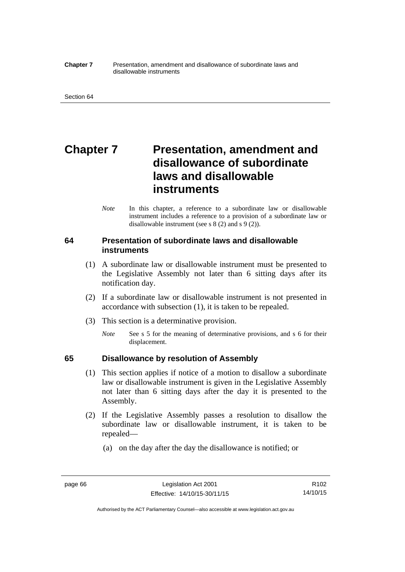#### **Chapter 7** Presentation, amendment and disallowance of subordinate laws and disallowable instruments

# **Chapter 7** Presentation, amendment and **disallowance of subordinate laws and disallowable instruments**

*Note* In this chapter, a reference to a subordinate law or disallowable instrument includes a reference to a provision of a subordinate law or disallowable instrument (see s 8 (2) and s 9 (2)).

## **64 Presentation of subordinate laws and disallowable instruments**

- (1) A subordinate law or disallowable instrument must be presented to the Legislative Assembly not later than 6 sitting days after its notification day.
- (2) If a subordinate law or disallowable instrument is not presented in accordance with subsection (1), it is taken to be repealed.
- (3) This section is a determinative provision.
	- *Note* See s 5 for the meaning of determinative provisions, and s 6 for their displacement.

## **65 Disallowance by resolution of Assembly**

- (1) This section applies if notice of a motion to disallow a subordinate law or disallowable instrument is given in the Legislative Assembly not later than 6 sitting days after the day it is presented to the Assembly.
- (2) If the Legislative Assembly passes a resolution to disallow the subordinate law or disallowable instrument, it is taken to be repealed—
	- (a) on the day after the day the disallowance is notified; or

Authorised by the ACT Parliamentary Counsel—also accessible at www.legislation.act.gov.au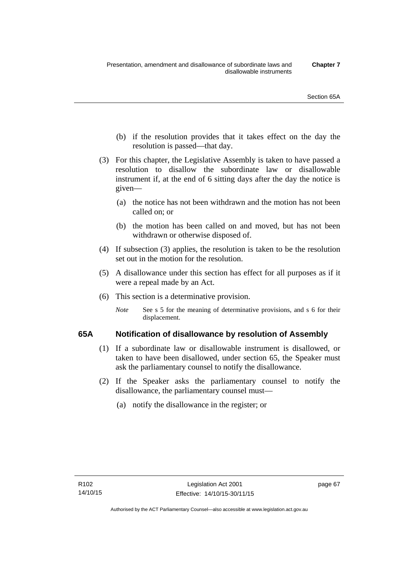- (b) if the resolution provides that it takes effect on the day the resolution is passed—that day.
- (3) For this chapter, the Legislative Assembly is taken to have passed a resolution to disallow the subordinate law or disallowable instrument if, at the end of 6 sitting days after the day the notice is given—
	- (a) the notice has not been withdrawn and the motion has not been called on; or
	- (b) the motion has been called on and moved, but has not been withdrawn or otherwise disposed of.
- (4) If subsection (3) applies, the resolution is taken to be the resolution set out in the motion for the resolution.
- (5) A disallowance under this section has effect for all purposes as if it were a repeal made by an Act.
- (6) This section is a determinative provision.
	- *Note* See s 5 for the meaning of determinative provisions, and s 6 for their displacement.

## **65A Notification of disallowance by resolution of Assembly**

- (1) If a subordinate law or disallowable instrument is disallowed, or taken to have been disallowed, under section 65, the Speaker must ask the parliamentary counsel to notify the disallowance.
- (2) If the Speaker asks the parliamentary counsel to notify the disallowance, the parliamentary counsel must—
	- (a) notify the disallowance in the register; or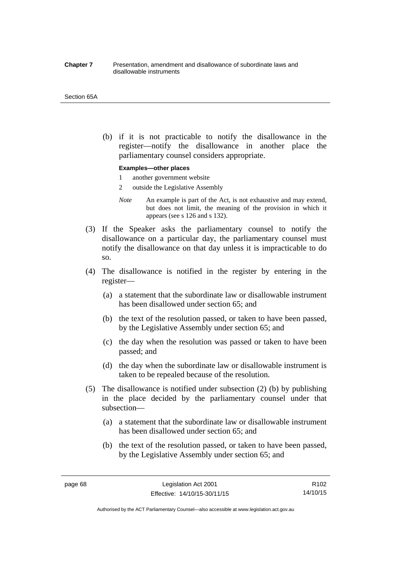#### **Chapter 7** Presentation, amendment and disallowance of subordinate laws and disallowable instruments

#### Section 65A

 (b) if it is not practicable to notify the disallowance in the register—notify the disallowance in another place the parliamentary counsel considers appropriate.

#### **Examples—other places**

- 1 another government website
- 2 outside the Legislative Assembly
- *Note* An example is part of the Act, is not exhaustive and may extend, but does not limit, the meaning of the provision in which it appears (see s 126 and s 132).
- (3) If the Speaker asks the parliamentary counsel to notify the disallowance on a particular day, the parliamentary counsel must notify the disallowance on that day unless it is impracticable to do so.
- (4) The disallowance is notified in the register by entering in the register—
	- (a) a statement that the subordinate law or disallowable instrument has been disallowed under section 65; and
	- (b) the text of the resolution passed, or taken to have been passed, by the Legislative Assembly under section 65; and
	- (c) the day when the resolution was passed or taken to have been passed; and
	- (d) the day when the subordinate law or disallowable instrument is taken to be repealed because of the resolution.
- (5) The disallowance is notified under subsection (2) (b) by publishing in the place decided by the parliamentary counsel under that subsection—
	- (a) a statement that the subordinate law or disallowable instrument has been disallowed under section 65; and
	- (b) the text of the resolution passed, or taken to have been passed, by the Legislative Assembly under section 65; and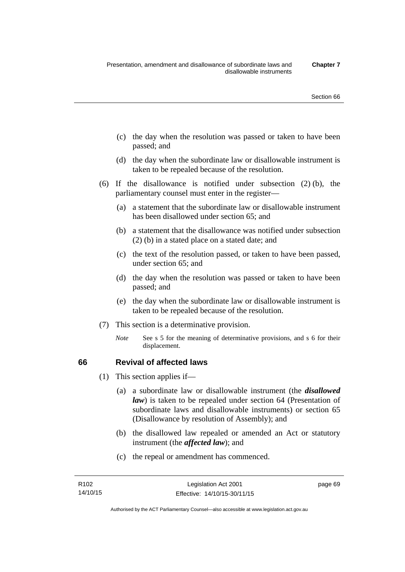- (c) the day when the resolution was passed or taken to have been passed; and
- (d) the day when the subordinate law or disallowable instrument is taken to be repealed because of the resolution.
- (6) If the disallowance is notified under subsection (2) (b), the parliamentary counsel must enter in the register—
	- (a) a statement that the subordinate law or disallowable instrument has been disallowed under section 65; and
	- (b) a statement that the disallowance was notified under subsection (2) (b) in a stated place on a stated date; and
	- (c) the text of the resolution passed, or taken to have been passed, under section 65; and
	- (d) the day when the resolution was passed or taken to have been passed; and
	- (e) the day when the subordinate law or disallowable instrument is taken to be repealed because of the resolution.
- (7) This section is a determinative provision.
	- *Note* See s 5 for the meaning of determinative provisions, and s 6 for their displacement.

## **66 Revival of affected laws**

- (1) This section applies if—
	- (a) a subordinate law or disallowable instrument (the *disallowed law*) is taken to be repealed under section 64 (Presentation of subordinate laws and disallowable instruments) or section 65 (Disallowance by resolution of Assembly); and
	- (b) the disallowed law repealed or amended an Act or statutory instrument (the *affected law*); and
	- (c) the repeal or amendment has commenced.

page 69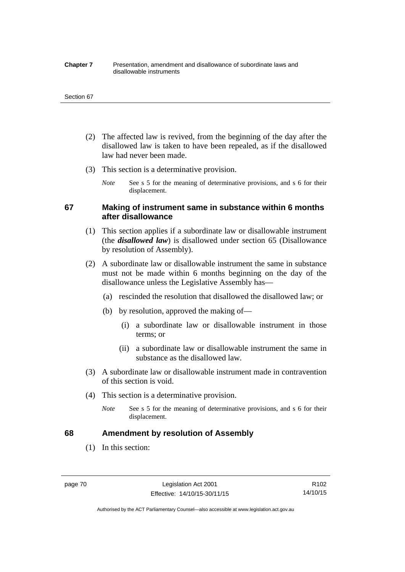#### **Chapter 7** Presentation, amendment and disallowance of subordinate laws and disallowable instruments

#### Section 67

- (2) The affected law is revived, from the beginning of the day after the disallowed law is taken to have been repealed, as if the disallowed law had never been made.
- (3) This section is a determinative provision.
	- *Note* See s 5 for the meaning of determinative provisions, and s 6 for their displacement.

## **67 Making of instrument same in substance within 6 months after disallowance**

- (1) This section applies if a subordinate law or disallowable instrument (the *disallowed law*) is disallowed under section 65 (Disallowance by resolution of Assembly).
- (2) A subordinate law or disallowable instrument the same in substance must not be made within 6 months beginning on the day of the disallowance unless the Legislative Assembly has—
	- (a) rescinded the resolution that disallowed the disallowed law; or
	- (b) by resolution, approved the making of—
		- (i) a subordinate law or disallowable instrument in those terms; or
		- (ii) a subordinate law or disallowable instrument the same in substance as the disallowed law.
- (3) A subordinate law or disallowable instrument made in contravention of this section is void.
- (4) This section is a determinative provision.
	- *Note* See s 5 for the meaning of determinative provisions, and s 6 for their displacement.

## **68 Amendment by resolution of Assembly**

(1) In this section:

page 70 Legislation Act 2001 Effective: 14/10/15-30/11/15

R102 14/10/15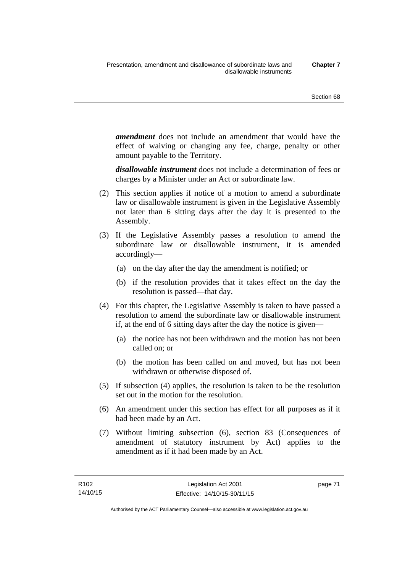*amendment* does not include an amendment that would have the effect of waiving or changing any fee, charge, penalty or other amount payable to the Territory.

*disallowable instrument* does not include a determination of fees or charges by a Minister under an Act or subordinate law.

- (2) This section applies if notice of a motion to amend a subordinate law or disallowable instrument is given in the Legislative Assembly not later than 6 sitting days after the day it is presented to the Assembly.
- (3) If the Legislative Assembly passes a resolution to amend the subordinate law or disallowable instrument, it is amended accordingly—
	- (a) on the day after the day the amendment is notified; or
	- (b) if the resolution provides that it takes effect on the day the resolution is passed—that day.
- (4) For this chapter, the Legislative Assembly is taken to have passed a resolution to amend the subordinate law or disallowable instrument if, at the end of 6 sitting days after the day the notice is given—
	- (a) the notice has not been withdrawn and the motion has not been called on; or
	- (b) the motion has been called on and moved, but has not been withdrawn or otherwise disposed of.
- (5) If subsection (4) applies, the resolution is taken to be the resolution set out in the motion for the resolution.
- (6) An amendment under this section has effect for all purposes as if it had been made by an Act.
- (7) Without limiting subsection (6), section 83 (Consequences of amendment of statutory instrument by Act) applies to the amendment as if it had been made by an Act.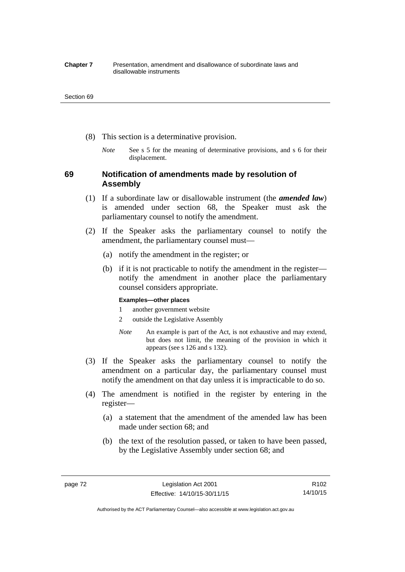#### **Chapter 7** Presentation, amendment and disallowance of subordinate laws and disallowable instruments

#### Section 69

- (8) This section is a determinative provision.
	- *Note* See s 5 for the meaning of determinative provisions, and s 6 for their displacement.

## **69 Notification of amendments made by resolution of Assembly**

- (1) If a subordinate law or disallowable instrument (the *amended law*) is amended under section 68, the Speaker must ask the parliamentary counsel to notify the amendment.
- (2) If the Speaker asks the parliamentary counsel to notify the amendment, the parliamentary counsel must—
	- (a) notify the amendment in the register; or
	- (b) if it is not practicable to notify the amendment in the register notify the amendment in another place the parliamentary counsel considers appropriate.

### **Examples—other places**

- 1 another government website
- 2 outside the Legislative Assembly
- *Note* An example is part of the Act, is not exhaustive and may extend, but does not limit, the meaning of the provision in which it appears (see s 126 and s 132).
- (3) If the Speaker asks the parliamentary counsel to notify the amendment on a particular day, the parliamentary counsel must notify the amendment on that day unless it is impracticable to do so.
- (4) The amendment is notified in the register by entering in the register—
	- (a) a statement that the amendment of the amended law has been made under section 68; and
	- (b) the text of the resolution passed, or taken to have been passed, by the Legislative Assembly under section 68; and

Authorised by the ACT Parliamentary Counsel—also accessible at www.legislation.act.gov.au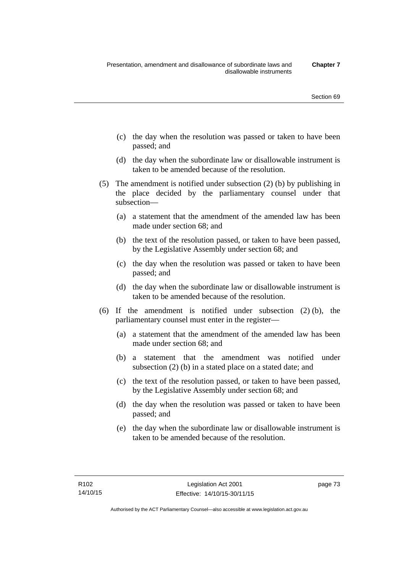- (c) the day when the resolution was passed or taken to have been passed; and
- (d) the day when the subordinate law or disallowable instrument is taken to be amended because of the resolution.
- (5) The amendment is notified under subsection (2) (b) by publishing in the place decided by the parliamentary counsel under that subsection—
	- (a) a statement that the amendment of the amended law has been made under section 68; and
	- (b) the text of the resolution passed, or taken to have been passed, by the Legislative Assembly under section 68; and
	- (c) the day when the resolution was passed or taken to have been passed; and
	- (d) the day when the subordinate law or disallowable instrument is taken to be amended because of the resolution.
- (6) If the amendment is notified under subsection (2) (b), the parliamentary counsel must enter in the register—
	- (a) a statement that the amendment of the amended law has been made under section 68; and
	- (b) a statement that the amendment was notified under subsection (2) (b) in a stated place on a stated date; and
	- (c) the text of the resolution passed, or taken to have been passed, by the Legislative Assembly under section 68; and
	- (d) the day when the resolution was passed or taken to have been passed; and
	- (e) the day when the subordinate law or disallowable instrument is taken to be amended because of the resolution.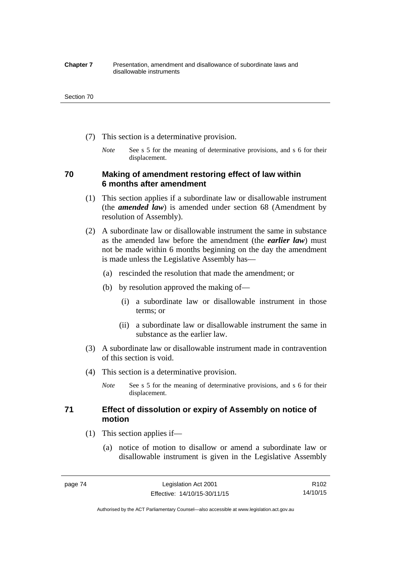#### **Chapter 7** Presentation, amendment and disallowance of subordinate laws and disallowable instruments

#### Section 70

- (7) This section is a determinative provision.
	- *Note* See s 5 for the meaning of determinative provisions, and s 6 for their displacement.

## **70 Making of amendment restoring effect of law within 6 months after amendment**

- (1) This section applies if a subordinate law or disallowable instrument (the *amended law*) is amended under section 68 (Amendment by resolution of Assembly).
- (2) A subordinate law or disallowable instrument the same in substance as the amended law before the amendment (the *earlier law*) must not be made within 6 months beginning on the day the amendment is made unless the Legislative Assembly has—
	- (a) rescinded the resolution that made the amendment; or
	- (b) by resolution approved the making of—
		- (i) a subordinate law or disallowable instrument in those terms; or
		- (ii) a subordinate law or disallowable instrument the same in substance as the earlier law.
- (3) A subordinate law or disallowable instrument made in contravention of this section is void.
- (4) This section is a determinative provision.
	- *Note* See s 5 for the meaning of determinative provisions, and s 6 for their displacement.

## **71 Effect of dissolution or expiry of Assembly on notice of motion**

- (1) This section applies if—
	- (a) notice of motion to disallow or amend a subordinate law or disallowable instrument is given in the Legislative Assembly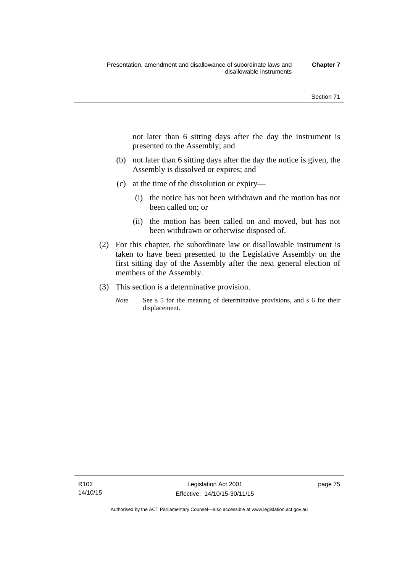not later than 6 sitting days after the day the instrument is presented to the Assembly; and

- (b) not later than 6 sitting days after the day the notice is given, the Assembly is dissolved or expires; and
- (c) at the time of the dissolution or expiry—
	- (i) the notice has not been withdrawn and the motion has not been called on; or
	- (ii) the motion has been called on and moved, but has not been withdrawn or otherwise disposed of.
- (2) For this chapter, the subordinate law or disallowable instrument is taken to have been presented to the Legislative Assembly on the first sitting day of the Assembly after the next general election of members of the Assembly.
- (3) This section is a determinative provision.
	- *Note* See s 5 for the meaning of determinative provisions, and s 6 for their displacement.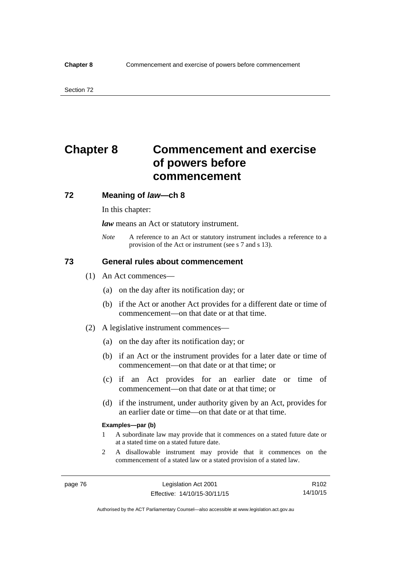# **Chapter 8 Commencement and exercise of powers before commencement**

## **72 Meaning of** *law***—ch 8**

In this chapter:

*law* means an Act or statutory instrument.

*Note* A reference to an Act or statutory instrument includes a reference to a provision of the Act or instrument (see s 7 and s 13).

## **73 General rules about commencement**

- (1) An Act commences—
	- (a) on the day after its notification day; or
	- (b) if the Act or another Act provides for a different date or time of commencement—on that date or at that time.
- (2) A legislative instrument commences—
	- (a) on the day after its notification day; or
	- (b) if an Act or the instrument provides for a later date or time of commencement—on that date or at that time; or
	- (c) if an Act provides for an earlier date or time of commencement—on that date or at that time; or
	- (d) if the instrument, under authority given by an Act, provides for an earlier date or time—on that date or at that time.

#### **Examples—par (b)**

- 1 A subordinate law may provide that it commences on a stated future date or at a stated time on a stated future date.
- 2 A disallowable instrument may provide that it commences on the commencement of a stated law or a stated provision of a stated law.

R102 14/10/15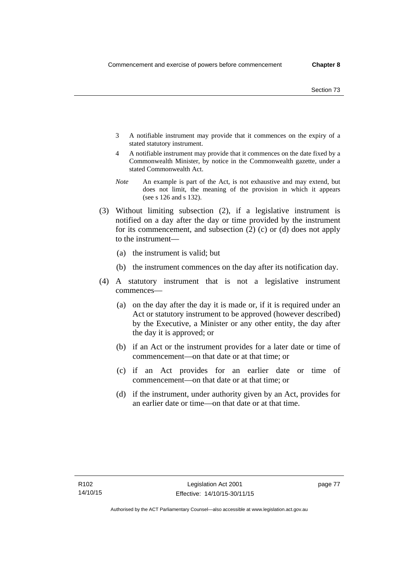- 3 A notifiable instrument may provide that it commences on the expiry of a stated statutory instrument.
- 4 A notifiable instrument may provide that it commences on the date fixed by a Commonwealth Minister, by notice in the Commonwealth gazette, under a stated Commonwealth Act.
- *Note* An example is part of the Act, is not exhaustive and may extend, but does not limit, the meaning of the provision in which it appears (see s 126 and s 132).
- (3) Without limiting subsection (2), if a legislative instrument is notified on a day after the day or time provided by the instrument for its commencement, and subsection (2) (c) or (d) does not apply to the instrument—
	- (a) the instrument is valid; but
	- (b) the instrument commences on the day after its notification day.
- (4) A statutory instrument that is not a legislative instrument commences—
	- (a) on the day after the day it is made or, if it is required under an Act or statutory instrument to be approved (however described) by the Executive, a Minister or any other entity, the day after the day it is approved; or
	- (b) if an Act or the instrument provides for a later date or time of commencement—on that date or at that time; or
	- (c) if an Act provides for an earlier date or time of commencement—on that date or at that time; or
	- (d) if the instrument, under authority given by an Act, provides for an earlier date or time—on that date or at that time.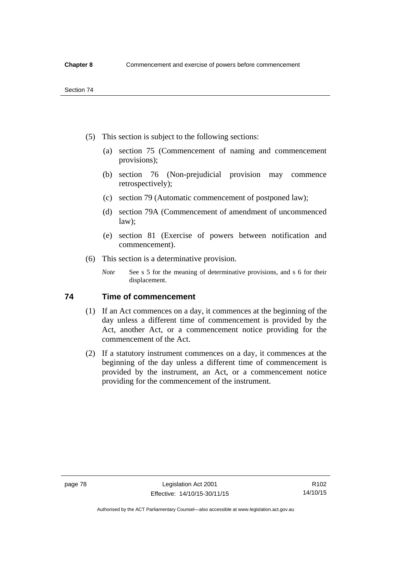- (5) This section is subject to the following sections:
	- (a) section 75 (Commencement of naming and commencement provisions);
	- (b) section 76 (Non-prejudicial provision may commence retrospectively);
	- (c) section 79 (Automatic commencement of postponed law);
	- (d) section 79A (Commencement of amendment of uncommenced law);
	- (e) section 81 (Exercise of powers between notification and commencement).
- (6) This section is a determinative provision.
	- *Note* See s 5 for the meaning of determinative provisions, and s 6 for their displacement.

## **74 Time of commencement**

- (1) If an Act commences on a day, it commences at the beginning of the day unless a different time of commencement is provided by the Act, another Act, or a commencement notice providing for the commencement of the Act.
- (2) If a statutory instrument commences on a day, it commences at the beginning of the day unless a different time of commencement is provided by the instrument, an Act, or a commencement notice providing for the commencement of the instrument.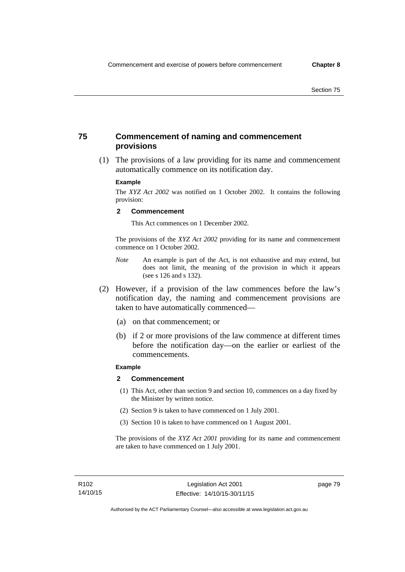## **75 Commencement of naming and commencement provisions**

 (1) The provisions of a law providing for its name and commencement automatically commence on its notification day.

### **Example**

The *XYZ Act 2002* was notified on 1 October 2002. It contains the following provision:

#### **2 Commencement**

This Act commences on 1 December 2002.

The provisions of the *XYZ Act 2002* providing for its name and commencement commence on 1 October 2002.

- *Note* An example is part of the Act, is not exhaustive and may extend, but does not limit, the meaning of the provision in which it appears (see s 126 and s 132).
- (2) However, if a provision of the law commences before the law's notification day, the naming and commencement provisions are taken to have automatically commenced—
	- (a) on that commencement; or
	- (b) if 2 or more provisions of the law commence at different times before the notification day—on the earlier or earliest of the commencements.

## **Example**

#### **2 Commencement**

- (1) This Act, other than section 9 and section 10, commences on a day fixed by the Minister by written notice.
- (2) Section 9 is taken to have commenced on 1 July 2001.
- (3) Section 10 is taken to have commenced on 1 August 2001.

The provisions of the *XYZ Act 2001* providing for its name and commencement are taken to have commenced on 1 July 2001.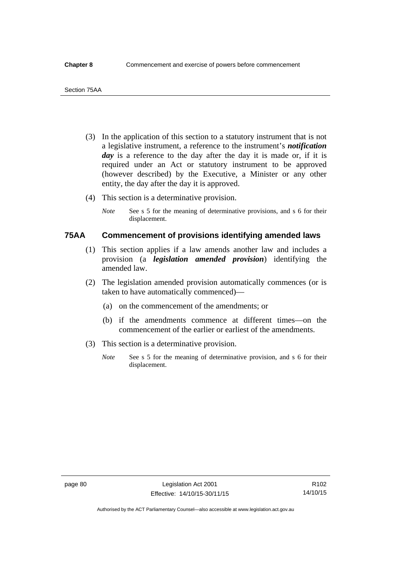- (3) In the application of this section to a statutory instrument that is not a legislative instrument, a reference to the instrument's *notification*  day is a reference to the day after the day it is made or, if it is required under an Act or statutory instrument to be approved (however described) by the Executive, a Minister or any other entity, the day after the day it is approved.
- (4) This section is a determinative provision.
	- *Note* See s 5 for the meaning of determinative provisions, and s 6 for their displacement.

## **75AA Commencement of provisions identifying amended laws**

- (1) This section applies if a law amends another law and includes a provision (a *legislation amended provision*) identifying the amended law.
- (2) The legislation amended provision automatically commences (or is taken to have automatically commenced)—
	- (a) on the commencement of the amendments; or
	- (b) if the amendments commence at different times—on the commencement of the earlier or earliest of the amendments.
- (3) This section is a determinative provision.
	- *Note* See s 5 for the meaning of determinative provision, and s 6 for their displacement.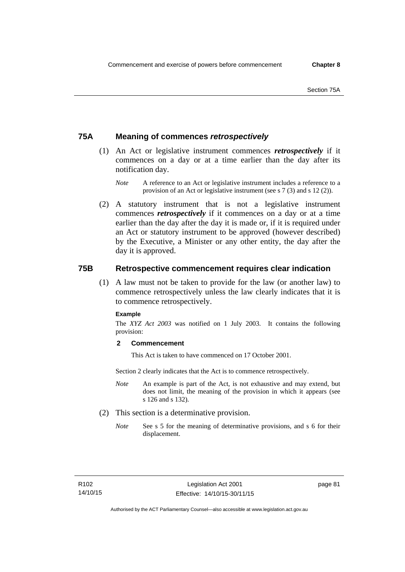## **75A Meaning of commences** *retrospectively*

- (1) An Act or legislative instrument commences *retrospectively* if it commences on a day or at a time earlier than the day after its notification day.
	- *Note* A reference to an Act or legislative instrument includes a reference to a provision of an Act or legislative instrument (see s 7 (3) and s 12 (2)).
- (2) A statutory instrument that is not a legislative instrument commences *retrospectively* if it commences on a day or at a time earlier than the day after the day it is made or, if it is required under an Act or statutory instrument to be approved (however described) by the Executive, a Minister or any other entity, the day after the day it is approved.

## **75B Retrospective commencement requires clear indication**

(1) A law must not be taken to provide for the law (or another law) to commence retrospectively unless the law clearly indicates that it is to commence retrospectively.

### **Example**

The *XYZ Act 2003* was notified on 1 July 2003. It contains the following provision:

### **2 Commencement**

This Act is taken to have commenced on 17 October 2001.

Section 2 clearly indicates that the Act is to commence retrospectively.

- *Note* An example is part of the Act, is not exhaustive and may extend, but does not limit, the meaning of the provision in which it appears (see s 126 and s 132).
- (2) This section is a determinative provision.
	- *Note* See s 5 for the meaning of determinative provisions, and s 6 for their displacement.

page 81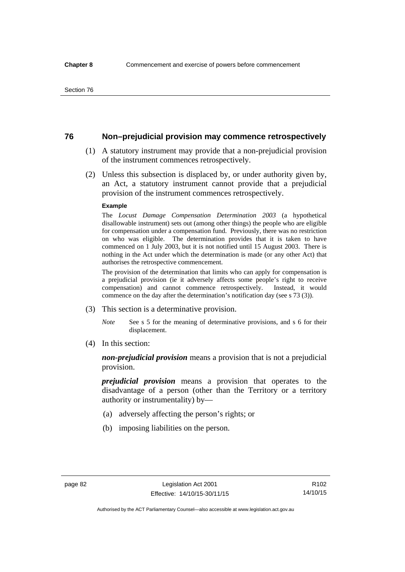## **76 Non–prejudicial provision may commence retrospectively**

- (1) A statutory instrument may provide that a non-prejudicial provision of the instrument commences retrospectively.
- (2) Unless this subsection is displaced by, or under authority given by, an Act, a statutory instrument cannot provide that a prejudicial provision of the instrument commences retrospectively.

#### **Example**

The *Locust Damage Compensation Determination 2003* (a hypothetical disallowable instrument) sets out (among other things) the people who are eligible for compensation under a compensation fund. Previously, there was no restriction on who was eligible. The determination provides that it is taken to have commenced on 1 July 2003, but it is not notified until 15 August 2003. There is nothing in the Act under which the determination is made (or any other Act) that authorises the retrospective commencement.

The provision of the determination that limits who can apply for compensation is a prejudicial provision (ie it adversely affects some people's right to receive compensation) and cannot commence retrospectively. Instead, it would commence on the day after the determination's notification day (see s 73 (3)).

- (3) This section is a determinative provision.
	- *Note* See s 5 for the meaning of determinative provisions, and s 6 for their displacement.
- (4) In this section:

*non-prejudicial provision* means a provision that is not a prejudicial provision.

*prejudicial provision* means a provision that operates to the disadvantage of a person (other than the Territory or a territory authority or instrumentality) by—

- (a) adversely affecting the person's rights; or
- (b) imposing liabilities on the person.

R102 14/10/15

Authorised by the ACT Parliamentary Counsel—also accessible at www.legislation.act.gov.au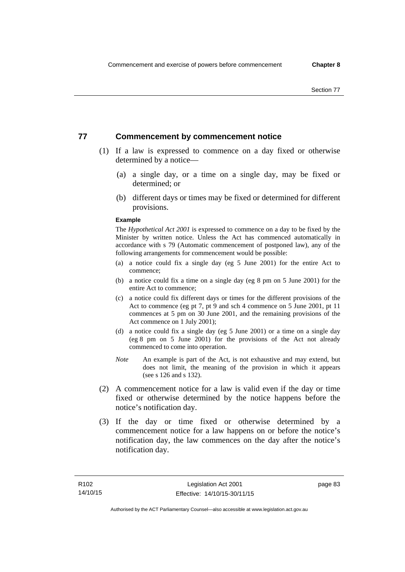## **77 Commencement by commencement notice**

- (1) If a law is expressed to commence on a day fixed or otherwise determined by a notice—
	- (a) a single day, or a time on a single day, may be fixed or determined; or
	- (b) different days or times may be fixed or determined for different provisions.

#### **Example**

The *Hypothetical Act 2001* is expressed to commence on a day to be fixed by the Minister by written notice. Unless the Act has commenced automatically in accordance with s 79 (Automatic commencement of postponed law), any of the following arrangements for commencement would be possible:

- (a) a notice could fix a single day (eg 5 June 2001) for the entire Act to commence;
- (b) a notice could fix a time on a single day (eg 8 pm on 5 June 2001) for the entire Act to commence;
- (c) a notice could fix different days or times for the different provisions of the Act to commence (eg pt 7, pt 9 and sch 4 commence on 5 June 2001, pt 11 commences at 5 pm on 30 June 2001, and the remaining provisions of the Act commence on 1 July 2001);
- (d) a notice could fix a single day (eg 5 June 2001) or a time on a single day (eg 8 pm on 5 June 2001) for the provisions of the Act not already commenced to come into operation.
- *Note* An example is part of the Act, is not exhaustive and may extend, but does not limit, the meaning of the provision in which it appears (see s 126 and s 132).
- (2) A commencement notice for a law is valid even if the day or time fixed or otherwise determined by the notice happens before the notice's notification day.
- (3) If the day or time fixed or otherwise determined by a commencement notice for a law happens on or before the notice's notification day, the law commences on the day after the notice's notification day.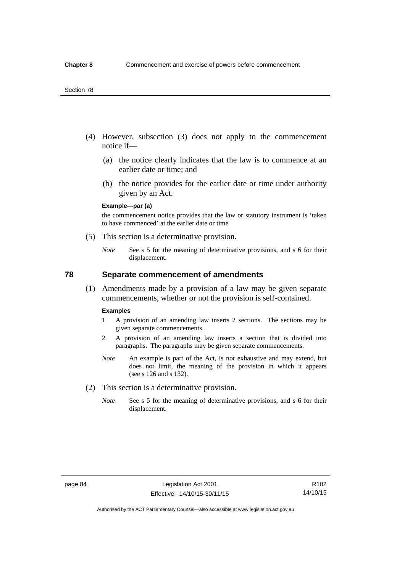- (4) However, subsection (3) does not apply to the commencement notice if—
	- (a) the notice clearly indicates that the law is to commence at an earlier date or time; and
	- (b) the notice provides for the earlier date or time under authority given by an Act.

### **Example—par (a)**

the commencement notice provides that the law or statutory instrument is 'taken to have commenced' at the earlier date or time

- (5) This section is a determinative provision.
	- *Note* See s 5 for the meaning of determinative provisions, and s 6 for their displacement.

## **78 Separate commencement of amendments**

 (1) Amendments made by a provision of a law may be given separate commencements, whether or not the provision is self-contained.

#### **Examples**

- 1 A provision of an amending law inserts 2 sections. The sections may be given separate commencements.
- 2 A provision of an amending law inserts a section that is divided into paragraphs. The paragraphs may be given separate commencements.
- *Note* An example is part of the Act, is not exhaustive and may extend, but does not limit, the meaning of the provision in which it appears (see s 126 and s 132).
- (2) This section is a determinative provision.
	- *Note* See s 5 for the meaning of determinative provisions, and s 6 for their displacement.

R102 14/10/15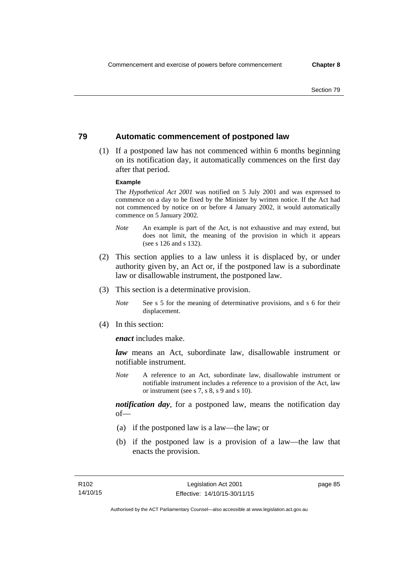## **79 Automatic commencement of postponed law**

 (1) If a postponed law has not commenced within 6 months beginning on its notification day, it automatically commences on the first day after that period.

#### **Example**

The *Hypothetical Act 2001* was notified on 5 July 2001 and was expressed to commence on a day to be fixed by the Minister by written notice. If the Act had not commenced by notice on or before 4 January 2002, it would automatically commence on 5 January 2002.

- *Note* An example is part of the Act, is not exhaustive and may extend, but does not limit, the meaning of the provision in which it appears (see s 126 and s 132).
- (2) This section applies to a law unless it is displaced by, or under authority given by, an Act or, if the postponed law is a subordinate law or disallowable instrument, the postponed law.
- (3) This section is a determinative provision.
	- *Note* See s 5 for the meaning of determinative provisions, and s 6 for their displacement.
- (4) In this section:

*enact* includes make.

*law* means an Act, subordinate law, disallowable instrument or notifiable instrument.

*Note* A reference to an Act, subordinate law, disallowable instrument or notifiable instrument includes a reference to a provision of the Act, law or instrument (see s 7, s 8, s 9 and s 10).

*notification day*, for a postponed law, means the notification day  $of$ 

- (a) if the postponed law is a law—the law; or
- (b) if the postponed law is a provision of a law—the law that enacts the provision.

page 85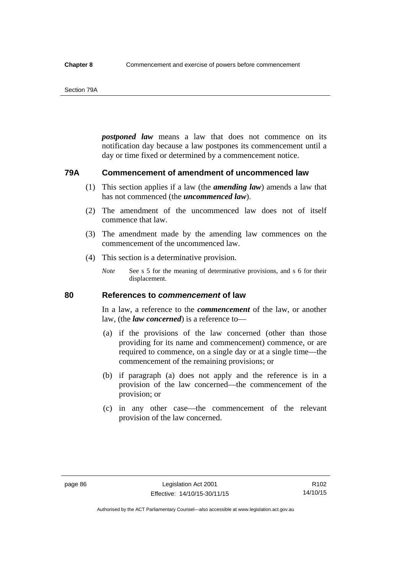#### Section 79A

*postponed law* means a law that does not commence on its notification day because a law postpones its commencement until a day or time fixed or determined by a commencement notice.

## **79A Commencement of amendment of uncommenced law**

- (1) This section applies if a law (the *amending law*) amends a law that has not commenced (the *uncommenced law*).
- (2) The amendment of the uncommenced law does not of itself commence that law.
- (3) The amendment made by the amending law commences on the commencement of the uncommenced law.
- (4) This section is a determinative provision.
	- *Note* See s 5 for the meaning of determinative provisions, and s 6 for their displacement.

## **80 References to** *commencement* **of law**

In a law, a reference to the *commencement* of the law, or another law, (the *law concerned*) is a reference to—

- (a) if the provisions of the law concerned (other than those providing for its name and commencement) commence, or are required to commence, on a single day or at a single time—the commencement of the remaining provisions; or
- (b) if paragraph (a) does not apply and the reference is in a provision of the law concerned—the commencement of the provision; or
- (c) in any other case—the commencement of the relevant provision of the law concerned.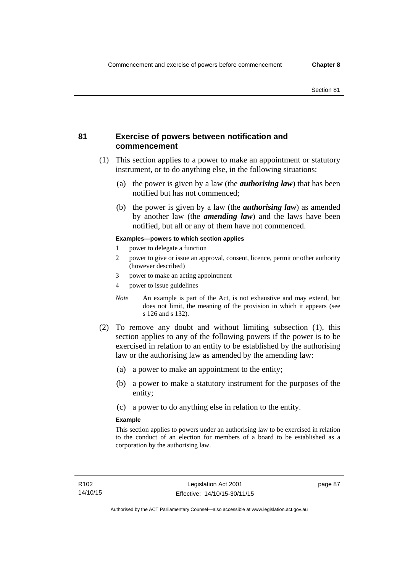## **81 Exercise of powers between notification and commencement**

- (1) This section applies to a power to make an appointment or statutory instrument, or to do anything else, in the following situations:
	- (a) the power is given by a law (the *authorising law*) that has been notified but has not commenced;
	- (b) the power is given by a law (the *authorising law*) as amended by another law (the *amending law*) and the laws have been notified, but all or any of them have not commenced.

### **Examples—powers to which section applies**

- 1 power to delegate a function
- 2 power to give or issue an approval, consent, licence, permit or other authority (however described)
- 3 power to make an acting appointment
- 4 power to issue guidelines
- *Note* An example is part of the Act, is not exhaustive and may extend, but does not limit, the meaning of the provision in which it appears (see s 126 and s 132).
- (2) To remove any doubt and without limiting subsection (1), this section applies to any of the following powers if the power is to be exercised in relation to an entity to be established by the authorising law or the authorising law as amended by the amending law:
	- (a) a power to make an appointment to the entity;
	- (b) a power to make a statutory instrument for the purposes of the entity;
	- (c) a power to do anything else in relation to the entity.

#### **Example**

This section applies to powers under an authorising law to be exercised in relation to the conduct of an election for members of a board to be established as a corporation by the authorising law.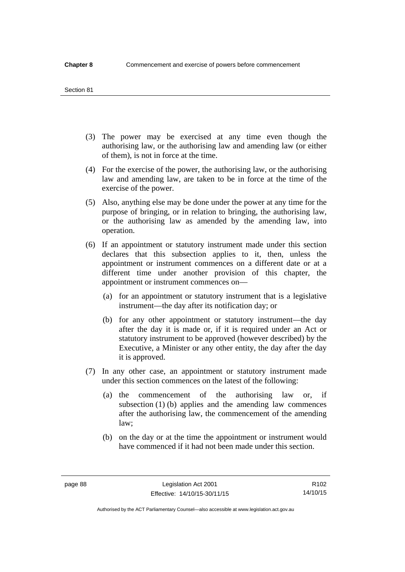#### Section 81

- (3) The power may be exercised at any time even though the authorising law, or the authorising law and amending law (or either of them), is not in force at the time.
- (4) For the exercise of the power, the authorising law, or the authorising law and amending law, are taken to be in force at the time of the exercise of the power.
- (5) Also, anything else may be done under the power at any time for the purpose of bringing, or in relation to bringing, the authorising law, or the authorising law as amended by the amending law, into operation.
- (6) If an appointment or statutory instrument made under this section declares that this subsection applies to it, then, unless the appointment or instrument commences on a different date or at a different time under another provision of this chapter, the appointment or instrument commences on—
	- (a) for an appointment or statutory instrument that is a legislative instrument—the day after its notification day; or
	- (b) for any other appointment or statutory instrument—the day after the day it is made or, if it is required under an Act or statutory instrument to be approved (however described) by the Executive, a Minister or any other entity, the day after the day it is approved.
- (7) In any other case, an appointment or statutory instrument made under this section commences on the latest of the following:
	- (a) the commencement of the authorising law or, if subsection (1) (b) applies and the amending law commences after the authorising law, the commencement of the amending law;
	- (b) on the day or at the time the appointment or instrument would have commenced if it had not been made under this section.

R102 14/10/15

Authorised by the ACT Parliamentary Counsel—also accessible at www.legislation.act.gov.au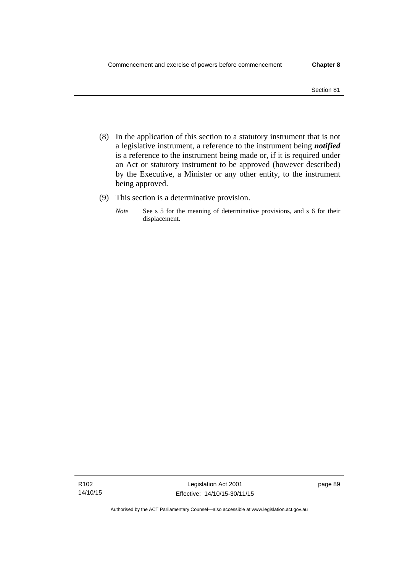- (8) In the application of this section to a statutory instrument that is not a legislative instrument, a reference to the instrument being *notified*  is a reference to the instrument being made or, if it is required under an Act or statutory instrument to be approved (however described) by the Executive, a Minister or any other entity, to the instrument being approved.
- (9) This section is a determinative provision.
	- *Note* See s 5 for the meaning of determinative provisions, and s 6 for their displacement.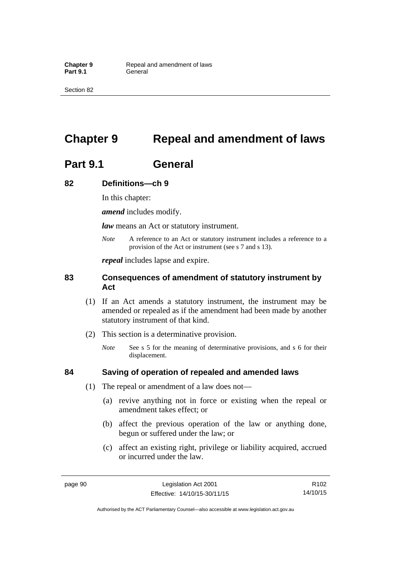Section 82

# **Chapter 9 Repeal and amendment of laws**

# **Part 9.1 General**

## **82 Definitions—ch 9**

In this chapter:

*amend* includes modify.

*law* means an Act or statutory instrument.

*Note* A reference to an Act or statutory instrument includes a reference to a provision of the Act or instrument (see s 7 and s 13).

*repeal* includes lapse and expire.

## **83 Consequences of amendment of statutory instrument by Act**

- (1) If an Act amends a statutory instrument, the instrument may be amended or repealed as if the amendment had been made by another statutory instrument of that kind.
- (2) This section is a determinative provision.
	- *Note* See s 5 for the meaning of determinative provisions, and s 6 for their displacement.

## **84 Saving of operation of repealed and amended laws**

- (1) The repeal or amendment of a law does not—
	- (a) revive anything not in force or existing when the repeal or amendment takes effect; or
	- (b) affect the previous operation of the law or anything done, begun or suffered under the law; or
	- (c) affect an existing right, privilege or liability acquired, accrued or incurred under the law.

page 90 Legislation Act 2001 Effective: 14/10/15-30/11/15

R102 14/10/15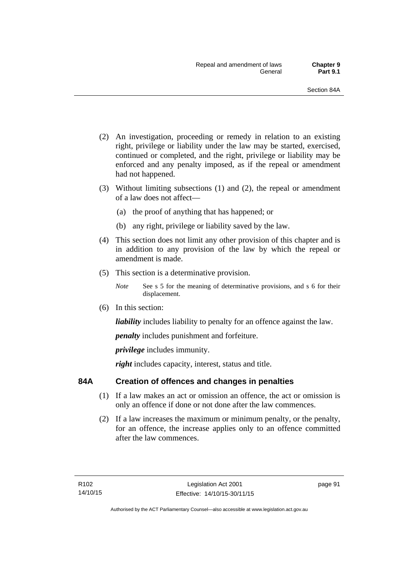- (2) An investigation, proceeding or remedy in relation to an existing right, privilege or liability under the law may be started, exercised, continued or completed, and the right, privilege or liability may be enforced and any penalty imposed, as if the repeal or amendment had not happened.
- (3) Without limiting subsections (1) and (2), the repeal or amendment of a law does not affect—
	- (a) the proof of anything that has happened; or
	- (b) any right, privilege or liability saved by the law.
- (4) This section does not limit any other provision of this chapter and is in addition to any provision of the law by which the repeal or amendment is made.
- (5) This section is a determinative provision.
	- *Note* See s 5 for the meaning of determinative provisions, and s 6 for their displacement.
- (6) In this section:

*liability* includes liability to penalty for an offence against the law.

*penalty* includes punishment and forfeiture.

*privilege* includes immunity.

right includes capacity, interest, status and title.

## **84A Creation of offences and changes in penalties**

- (1) If a law makes an act or omission an offence, the act or omission is only an offence if done or not done after the law commences.
- (2) If a law increases the maximum or minimum penalty, or the penalty, for an offence, the increase applies only to an offence committed after the law commences.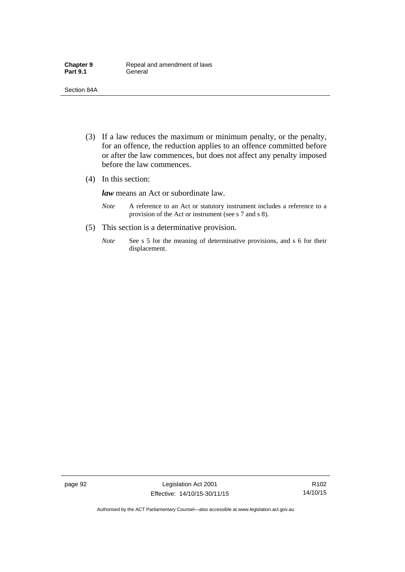- (3) If a law reduces the maximum or minimum penalty, or the penalty, for an offence, the reduction applies to an offence committed before or after the law commences, but does not affect any penalty imposed before the law commences.
- (4) In this section:

*law* means an Act or subordinate law.

- *Note* A reference to an Act or statutory instrument includes a reference to a provision of the Act or instrument (see s 7 and s 8).
- (5) This section is a determinative provision.
	- *Note* See s 5 for the meaning of determinative provisions, and s 6 for their displacement.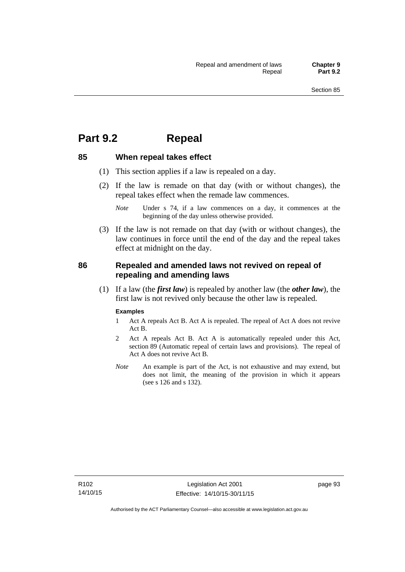## **Part 9.2 Repeal**

## **85 When repeal takes effect**

- (1) This section applies if a law is repealed on a day.
- (2) If the law is remade on that day (with or without changes), the repeal takes effect when the remade law commences.

 (3) If the law is not remade on that day (with or without changes), the law continues in force until the end of the day and the repeal takes effect at midnight on the day.

## **86 Repealed and amended laws not revived on repeal of repealing and amending laws**

 (1) If a law (the *first law*) is repealed by another law (the *other law*), the first law is not revived only because the other law is repealed.

#### **Examples**

- 1 Act A repeals Act B. Act A is repealed. The repeal of Act A does not revive Act B.
- 2 Act A repeals Act B. Act A is automatically repealed under this Act, section 89 (Automatic repeal of certain laws and provisions). The repeal of Act A does not revive Act B.
- *Note* An example is part of the Act, is not exhaustive and may extend, but does not limit, the meaning of the provision in which it appears (see s 126 and s 132).

*Note* Under s 74, if a law commences on a day, it commences at the beginning of the day unless otherwise provided.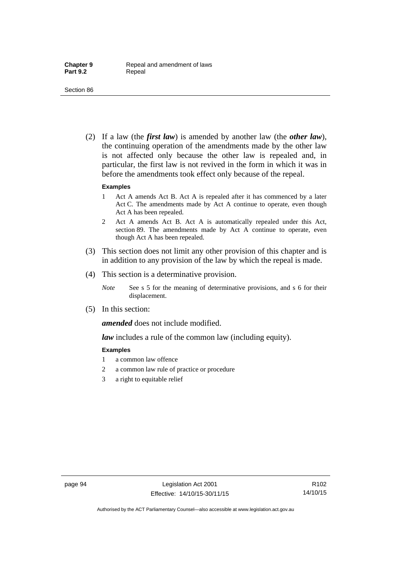(2) If a law (the *first law*) is amended by another law (the *other law*), the continuing operation of the amendments made by the other law is not affected only because the other law is repealed and, in particular, the first law is not revived in the form in which it was in before the amendments took effect only because of the repeal.

#### **Examples**

- 1 Act A amends Act B. Act A is repealed after it has commenced by a later Act C. The amendments made by Act A continue to operate, even though Act A has been repealed.
- 2 Act A amends Act B. Act A is automatically repealed under this Act, section 89. The amendments made by Act A continue to operate, even though Act A has been repealed.
- (3) This section does not limit any other provision of this chapter and is in addition to any provision of the law by which the repeal is made.
- (4) This section is a determinative provision.
	- *Note* See s 5 for the meaning of determinative provisions, and s 6 for their displacement.
- (5) In this section:

*amended* does not include modified.

*law* includes a rule of the common law (including equity).

#### **Examples**

- 1 a common law offence
- 2 a common law rule of practice or procedure
- 3 a right to equitable relief

R102 14/10/15

Authorised by the ACT Parliamentary Counsel—also accessible at www.legislation.act.gov.au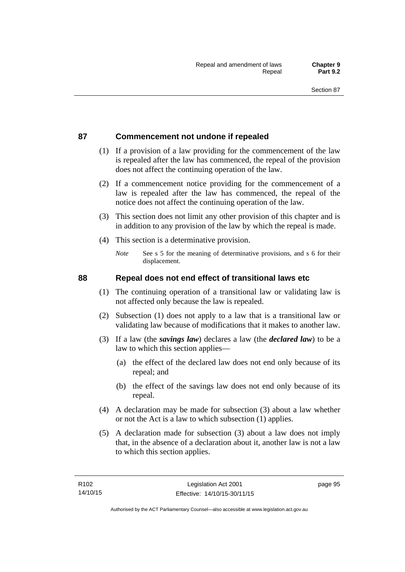## **87 Commencement not undone if repealed**

- (1) If a provision of a law providing for the commencement of the law is repealed after the law has commenced, the repeal of the provision does not affect the continuing operation of the law.
- (2) If a commencement notice providing for the commencement of a law is repealed after the law has commenced, the repeal of the notice does not affect the continuing operation of the law.
- (3) This section does not limit any other provision of this chapter and is in addition to any provision of the law by which the repeal is made.
- (4) This section is a determinative provision.
	- *Note* See s 5 for the meaning of determinative provisions, and s 6 for their displacement.

## **88 Repeal does not end effect of transitional laws etc**

- (1) The continuing operation of a transitional law or validating law is not affected only because the law is repealed.
- (2) Subsection (1) does not apply to a law that is a transitional law or validating law because of modifications that it makes to another law.
- (3) If a law (the *savings law*) declares a law (the *declared law*) to be a law to which this section applies—
	- (a) the effect of the declared law does not end only because of its repeal; and
	- (b) the effect of the savings law does not end only because of its repeal.
- (4) A declaration may be made for subsection (3) about a law whether or not the Act is a law to which subsection (1) applies.
- (5) A declaration made for subsection (3) about a law does not imply that, in the absence of a declaration about it, another law is not a law to which this section applies.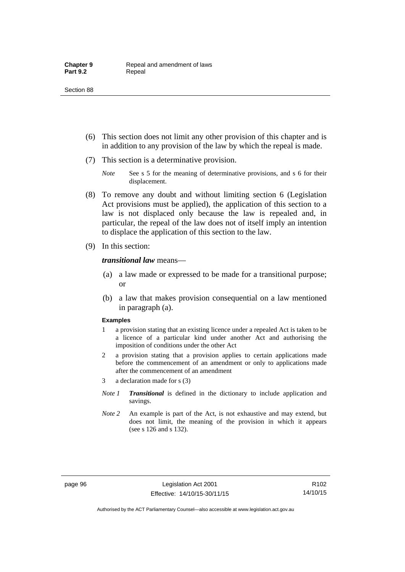- (6) This section does not limit any other provision of this chapter and is in addition to any provision of the law by which the repeal is made.
- (7) This section is a determinative provision.
	- *Note* See s 5 for the meaning of determinative provisions, and s 6 for their displacement.
- (8) To remove any doubt and without limiting section 6 (Legislation Act provisions must be applied), the application of this section to a law is not displaced only because the law is repealed and, in particular, the repeal of the law does not of itself imply an intention to displace the application of this section to the law.
- (9) In this section:

*transitional law* means—

- (a) a law made or expressed to be made for a transitional purpose; or
- (b) a law that makes provision consequential on a law mentioned in paragraph (a).

#### **Examples**

- 1 a provision stating that an existing licence under a repealed Act is taken to be a licence of a particular kind under another Act and authorising the imposition of conditions under the other Act
- 2 a provision stating that a provision applies to certain applications made before the commencement of an amendment or only to applications made after the commencement of an amendment
- 3 a declaration made for s (3)
- *Note 1 Transitional* is defined in the dictionary to include application and savings.
- *Note 2* An example is part of the Act, is not exhaustive and may extend, but does not limit, the meaning of the provision in which it appears (see s 126 and s 132).

R102 14/10/15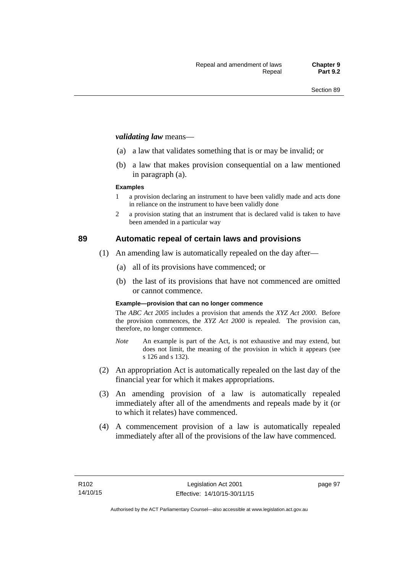#### *validating law* means—

- (a) a law that validates something that is or may be invalid; or
- (b) a law that makes provision consequential on a law mentioned in paragraph (a).

#### **Examples**

- 1 a provision declaring an instrument to have been validly made and acts done in reliance on the instrument to have been validly done
- 2 a provision stating that an instrument that is declared valid is taken to have been amended in a particular way

## **89 Automatic repeal of certain laws and provisions**

- (1) An amending law is automatically repealed on the day after—
	- (a) all of its provisions have commenced; or
	- (b) the last of its provisions that have not commenced are omitted or cannot commence.

#### **Example—provision that can no longer commence**

The *ABC Act 2005* includes a provision that amends the *XYZ Act 2000*. Before the provision commences, the *XYZ Act 2000* is repealed. The provision can, therefore, no longer commence.

- *Note* An example is part of the Act, is not exhaustive and may extend, but does not limit, the meaning of the provision in which it appears (see s 126 and s 132).
- (2) An appropriation Act is automatically repealed on the last day of the financial year for which it makes appropriations.
- (3) An amending provision of a law is automatically repealed immediately after all of the amendments and repeals made by it (or to which it relates) have commenced.
- (4) A commencement provision of a law is automatically repealed immediately after all of the provisions of the law have commenced.

page 97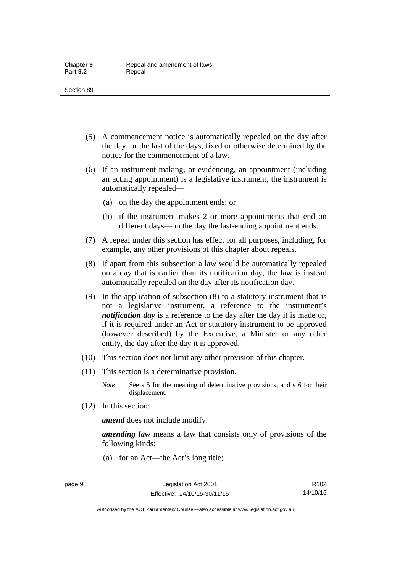- (5) A commencement notice is automatically repealed on the day after the day, or the last of the days, fixed or otherwise determined by the notice for the commencement of a law.
- (6) If an instrument making, or evidencing, an appointment (including an acting appointment) is a legislative instrument, the instrument is automatically repealed—
	- (a) on the day the appointment ends; or
	- (b) if the instrument makes 2 or more appointments that end on different days—on the day the last-ending appointment ends.
- (7) A repeal under this section has effect for all purposes, including, for example, any other provisions of this chapter about repeals.
- (8) If apart from this subsection a law would be automatically repealed on a day that is earlier than its notification day, the law is instead automatically repealed on the day after its notification day.
- (9) In the application of subsection (8) to a statutory instrument that is not a legislative instrument, a reference to the instrument's *notification day* is a reference to the day after the day it is made or, if it is required under an Act or statutory instrument to be approved (however described) by the Executive, a Minister or any other entity, the day after the day it is approved.
- (10) This section does not limit any other provision of this chapter.
- (11) This section is a determinative provision.
	- *Note* See s 5 for the meaning of determinative provisions, and s 6 for their displacement.
- (12) In this section:

*amend* does not include modify.

*amending law* means a law that consists only of provisions of the following kinds:

(a) for an Act—the Act's long title;

R102 14/10/15

Authorised by the ACT Parliamentary Counsel—also accessible at www.legislation.act.gov.au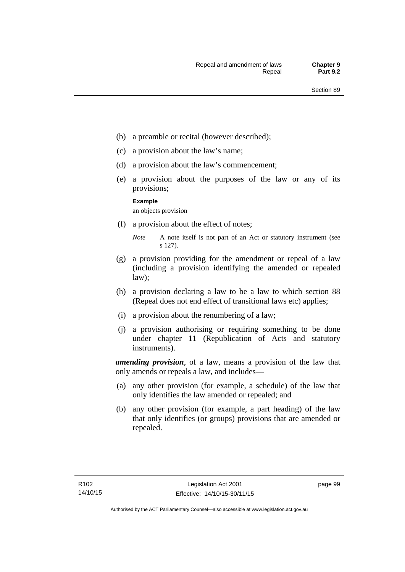- (b) a preamble or recital (however described);
- (c) a provision about the law's name;
- (d) a provision about the law's commencement;
- (e) a provision about the purposes of the law or any of its provisions;

#### **Example**

an objects provision

(f) a provision about the effect of notes;

- (g) a provision providing for the amendment or repeal of a law (including a provision identifying the amended or repealed law);
- (h) a provision declaring a law to be a law to which section 88 (Repeal does not end effect of transitional laws etc) applies;
- (i) a provision about the renumbering of a law;
- (j) a provision authorising or requiring something to be done under chapter 11 (Republication of Acts and statutory instruments).

*amending provision*, of a law, means a provision of the law that only amends or repeals a law, and includes—

- (a) any other provision (for example, a schedule) of the law that only identifies the law amended or repealed; and
- (b) any other provision (for example, a part heading) of the law that only identifies (or groups) provisions that are amended or repealed.

page 99

*Note* A note itself is not part of an Act or statutory instrument (see s 127).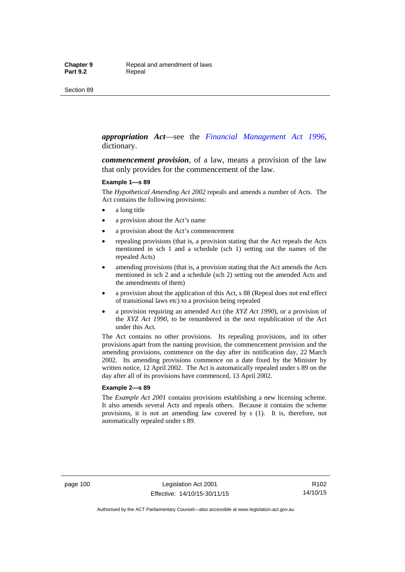#### *appropriation Act*—see the *[Financial Management Act 1996](http://www.legislation.act.gov.au/a/1996-22)*, dictionary.

*commencement provision*, of a law, means a provision of the law that only provides for the commencement of the law.

#### **Example 1—s 89**

The *Hypothetical Amending Act 2002* repeals and amends a number of Acts. The Act contains the following provisions:

- a long title
- a provision about the Act's name
- a provision about the Act's commencement
- repealing provisions (that is, a provision stating that the Act repeals the Acts mentioned in sch 1 and a schedule (sch 1) setting out the names of the repealed Acts)
- amending provisions (that is, a provision stating that the Act amends the Acts mentioned in sch 2 and a schedule (sch 2) setting out the amended Acts and the amendments of them)
- a provision about the application of this Act, s 88 (Repeal does not end effect of transitional laws etc) to a provision being repealed
- a provision requiring an amended Act (the *XYZ Act 1990*), or a provision of the *XYZ Act 1990*, to be renumbered in the next republication of the Act under this Act.

The Act contains no other provisions. Its repealing provisions, and its other provisions apart from the naming provision, the commencement provision and the amending provisions, commence on the day after its notification day, 22 March 2002. Its amending provisions commence on a date fixed by the Minister by written notice, 12 April 2002. The Act is automatically repealed under s 89 on the day after all of its provisions have commenced, 13 April 2002.

#### **Example 2—s 89**

The *Example Act 2001* contains provisions establishing a new licensing scheme. It also amends several Acts and repeals others. Because it contains the scheme provisions, it is not an amending law covered by s (1). It is, therefore, not automatically repealed under s 89.

page 100 Legislation Act 2001 Effective: 14/10/15-30/11/15

R102 14/10/15

Authorised by the ACT Parliamentary Counsel—also accessible at www.legislation.act.gov.au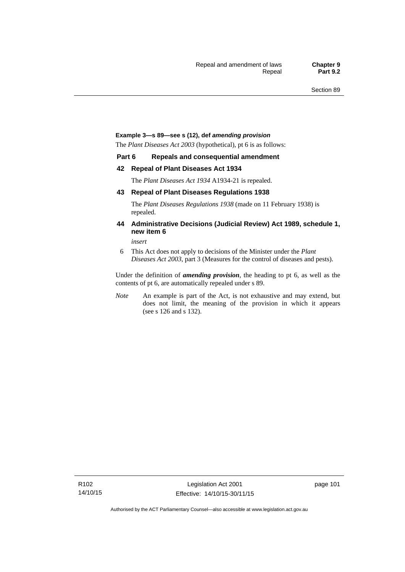#### **Example 3—s 89—see s (12), def** *amending provision*

The *Plant Diseases Act 2003* (hypothetical), pt 6 is as follows:

#### **Part 6 Repeals and consequential amendment**

#### **42 Repeal of Plant Diseases Act 1934**

The *Plant Diseases Act 1934* A1934-21 is repealed.

#### **43 Repeal of Plant Diseases Regulations 1938**

The *Plant Diseases Regulations 1938* (made on 11 February 1938) is repealed.

#### **44 Administrative Decisions (Judicial Review) Act 1989, schedule 1, new item 6**

*insert* 

6 This Act does not apply to decisions of the Minister under the *Plant Diseases Act 2003*, part 3 (Measures for the control of diseases and pests).

Under the definition of *amending provision*, the heading to pt 6, as well as the contents of pt 6, are automatically repealed under s 89.

*Note* An example is part of the Act, is not exhaustive and may extend, but does not limit, the meaning of the provision in which it appears (see s 126 and s 132).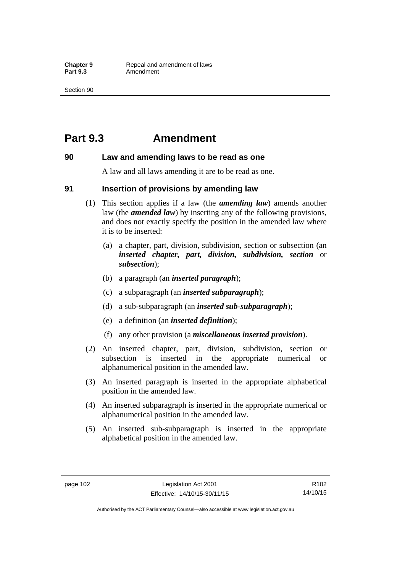## **Part 9.3 Amendment**

#### **90 Law and amending laws to be read as one**

A law and all laws amending it are to be read as one.

#### **91 Insertion of provisions by amending law**

- (1) This section applies if a law (the *amending law*) amends another law (the *amended law*) by inserting any of the following provisions, and does not exactly specify the position in the amended law where it is to be inserted:
	- (a) a chapter, part, division, subdivision, section or subsection (an *inserted chapter, part, division, subdivision, section* or *subsection*);
	- (b) a paragraph (an *inserted paragraph*);
	- (c) a subparagraph (an *inserted subparagraph*);
	- (d) a sub-subparagraph (an *inserted sub-subparagraph*);
	- (e) a definition (an *inserted definition*);
	- (f) any other provision (a *miscellaneous inserted provision*).
- (2) An inserted chapter, part, division, subdivision, section or subsection is inserted in the appropriate numerical or alphanumerical position in the amended law.
- (3) An inserted paragraph is inserted in the appropriate alphabetical position in the amended law.
- (4) An inserted subparagraph is inserted in the appropriate numerical or alphanumerical position in the amended law.
- (5) An inserted sub-subparagraph is inserted in the appropriate alphabetical position in the amended law.

R102 14/10/15

Authorised by the ACT Parliamentary Counsel—also accessible at www.legislation.act.gov.au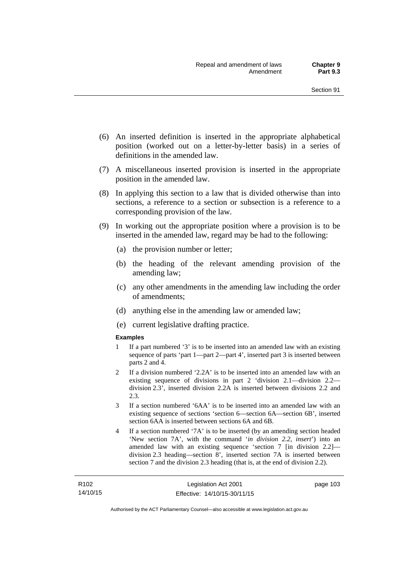- (6) An inserted definition is inserted in the appropriate alphabetical position (worked out on a letter-by-letter basis) in a series of definitions in the amended law.
- (7) A miscellaneous inserted provision is inserted in the appropriate position in the amended law.
- (8) In applying this section to a law that is divided otherwise than into sections, a reference to a section or subsection is a reference to a corresponding provision of the law.
- (9) In working out the appropriate position where a provision is to be inserted in the amended law, regard may be had to the following:
	- (a) the provision number or letter;
	- (b) the heading of the relevant amending provision of the amending law;
	- (c) any other amendments in the amending law including the order of amendments;
	- (d) anything else in the amending law or amended law;
	- (e) current legislative drafting practice.

#### **Examples**

- 1 If a part numbered '3' is to be inserted into an amended law with an existing sequence of parts 'part 1—part 2—part 4', inserted part 3 is inserted between parts 2 and 4.
- 2 If a division numbered '2.2A' is to be inserted into an amended law with an existing sequence of divisions in part 2 'division 2.1—division 2.2 division 2.3', inserted division 2.2A is inserted between divisions 2.2 and 2.3.
- 3 If a section numbered '6AA' is to be inserted into an amended law with an existing sequence of sections 'section 6—section 6A—section 6B', inserted section 6AA is inserted between sections 6A and 6B.
- 4 If a section numbered '7A' is to be inserted (by an amending section headed 'New section 7A', with the command '*in division 2.2, insert*') into an amended law with an existing sequence 'section 7 [in division 2.2] division 2.3 heading—section 8', inserted section 7A is inserted between section 7 and the division 2.3 heading (that is, at the end of division 2.2).

page 103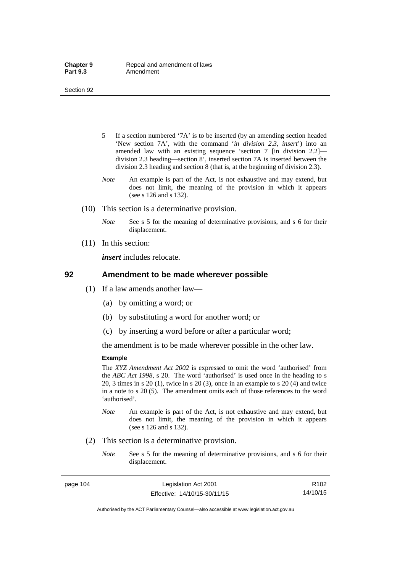- 5 If a section numbered '7A' is to be inserted (by an amending section headed 'New section 7A', with the command '*in division 2.3, insert*') into an amended law with an existing sequence 'section 7 [in division 2.2] division 2.3 heading—section 8', inserted section 7A is inserted between the division 2.3 heading and section 8 (that is, at the beginning of division 2.3).
- *Note* An example is part of the Act, is not exhaustive and may extend, but does not limit, the meaning of the provision in which it appears (see s 126 and s 132).
- (10) This section is a determinative provision.
	- *Note* See s 5 for the meaning of determinative provisions, and s 6 for their displacement.
- (11) In this section:

*insert* includes relocate.

#### **92 Amendment to be made wherever possible**

- (1) If a law amends another law—
	- (a) by omitting a word; or
	- (b) by substituting a word for another word; or
	- (c) by inserting a word before or after a particular word;

the amendment is to be made wherever possible in the other law.

#### **Example**

The *XYZ Amendment Act 2002* is expressed to omit the word 'authorised' from the *ABC Act 1998*, s 20. The word 'authorised' is used once in the heading to s 20, 3 times in s 20 (1), twice in s 20 (3), once in an example to s 20 (4) and twice in a note to s 20 (5). The amendment omits each of those references to the word 'authorised'.

- *Note* An example is part of the Act, is not exhaustive and may extend, but does not limit, the meaning of the provision in which it appears (see s 126 and s 132).
- (2) This section is a determinative provision.
	- *Note* See s 5 for the meaning of determinative provisions, and s 6 for their displacement.

page 104 Legislation Act 2001 Effective: 14/10/15-30/11/15

R102 14/10/15

Authorised by the ACT Parliamentary Counsel—also accessible at www.legislation.act.gov.au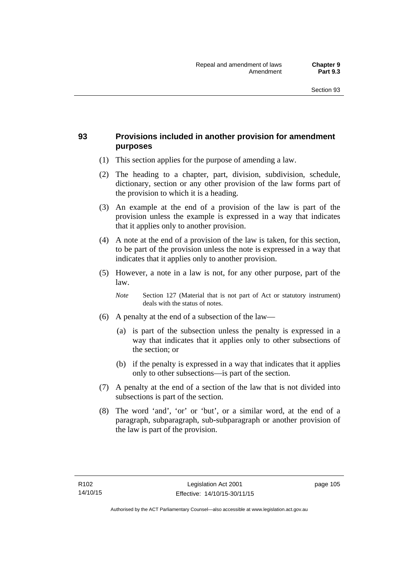## **93 Provisions included in another provision for amendment purposes**

- (1) This section applies for the purpose of amending a law.
- (2) The heading to a chapter, part, division, subdivision, schedule, dictionary, section or any other provision of the law forms part of the provision to which it is a heading.
- (3) An example at the end of a provision of the law is part of the provision unless the example is expressed in a way that indicates that it applies only to another provision.
- (4) A note at the end of a provision of the law is taken, for this section, to be part of the provision unless the note is expressed in a way that indicates that it applies only to another provision.
- (5) However, a note in a law is not, for any other purpose, part of the law.

*Note* Section 127 (Material that is not part of Act or statutory instrument) deals with the status of notes.

- (6) A penalty at the end of a subsection of the law—
	- (a) is part of the subsection unless the penalty is expressed in a way that indicates that it applies only to other subsections of the section; or
	- (b) if the penalty is expressed in a way that indicates that it applies only to other subsections—is part of the section.
- (7) A penalty at the end of a section of the law that is not divided into subsections is part of the section.
- (8) The word 'and', 'or' or 'but', or a similar word, at the end of a paragraph, subparagraph, sub-subparagraph or another provision of the law is part of the provision.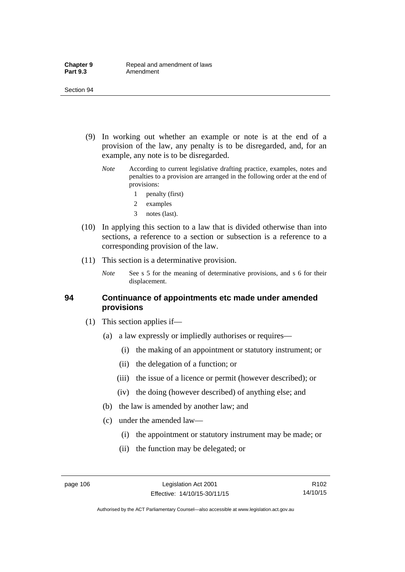- (9) In working out whether an example or note is at the end of a provision of the law, any penalty is to be disregarded, and, for an example, any note is to be disregarded.
	- *Note* According to current legislative drafting practice, examples, notes and penalties to a provision are arranged in the following order at the end of provisions:
		- 1 penalty (first)
		- 2 examples
		- 3 notes (last).
- (10) In applying this section to a law that is divided otherwise than into sections, a reference to a section or subsection is a reference to a corresponding provision of the law.
- (11) This section is a determinative provision.
	- *Note* See s 5 for the meaning of determinative provisions, and s 6 for their displacement.

#### **94 Continuance of appointments etc made under amended provisions**

- (1) This section applies if—
	- (a) a law expressly or impliedly authorises or requires—
		- (i) the making of an appointment or statutory instrument; or
		- (ii) the delegation of a function; or
		- (iii) the issue of a licence or permit (however described); or
		- (iv) the doing (however described) of anything else; and
	- (b) the law is amended by another law; and
	- (c) under the amended law—
		- (i) the appointment or statutory instrument may be made; or
		- (ii) the function may be delegated; or

Authorised by the ACT Parliamentary Counsel—also accessible at www.legislation.act.gov.au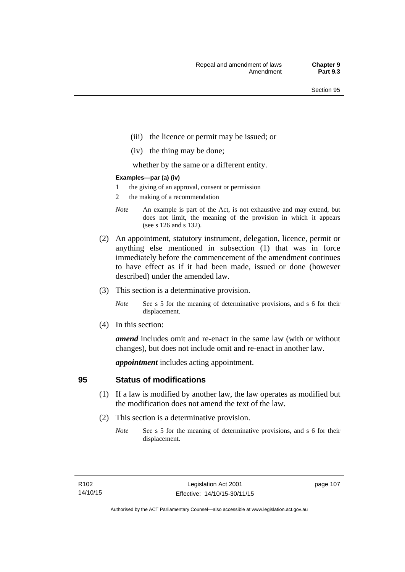- (iii) the licence or permit may be issued; or
- (iv) the thing may be done;

whether by the same or a different entity.

#### **Examples—par (a) (iv)**

- 1 the giving of an approval, consent or permission
- 2 the making of a recommendation
- *Note* An example is part of the Act, is not exhaustive and may extend, but does not limit, the meaning of the provision in which it appears (see s 126 and s 132).
- (2) An appointment, statutory instrument, delegation, licence, permit or anything else mentioned in subsection (1) that was in force immediately before the commencement of the amendment continues to have effect as if it had been made, issued or done (however described) under the amended law.
- (3) This section is a determinative provision.
	- *Note* See s 5 for the meaning of determinative provisions, and s 6 for their displacement.
- (4) In this section:

*amend* includes omit and re-enact in the same law (with or without changes), but does not include omit and re-enact in another law.

*appointment* includes acting appointment.

## **95 Status of modifications**

- (1) If a law is modified by another law, the law operates as modified but the modification does not amend the text of the law.
- (2) This section is a determinative provision.
	- *Note* See s 5 for the meaning of determinative provisions, and s 6 for their displacement.

page 107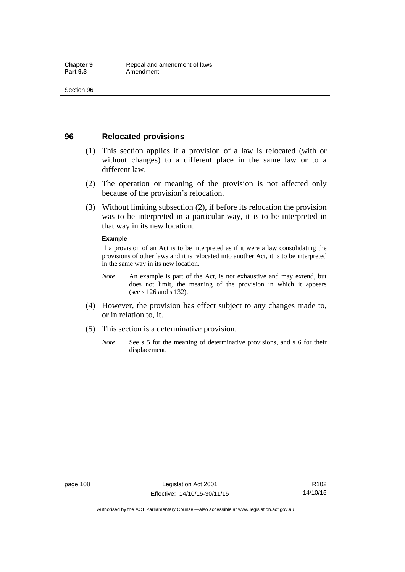## **96 Relocated provisions**

- (1) This section applies if a provision of a law is relocated (with or without changes) to a different place in the same law or to a different law.
- (2) The operation or meaning of the provision is not affected only because of the provision's relocation.
- (3) Without limiting subsection (2), if before its relocation the provision was to be interpreted in a particular way, it is to be interpreted in that way in its new location.

#### **Example**

If a provision of an Act is to be interpreted as if it were a law consolidating the provisions of other laws and it is relocated into another Act, it is to be interpreted in the same way in its new location.

- *Note* An example is part of the Act, is not exhaustive and may extend, but does not limit, the meaning of the provision in which it appears (see s 126 and s 132).
- (4) However, the provision has effect subject to any changes made to, or in relation to, it.
- (5) This section is a determinative provision.
	- *Note* See s 5 for the meaning of determinative provisions, and s 6 for their displacement.

Authorised by the ACT Parliamentary Counsel—also accessible at www.legislation.act.gov.au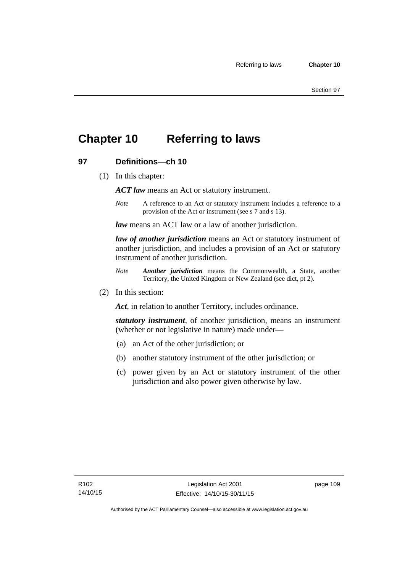## **Chapter 10 Referring to laws**

## **97 Definitions—ch 10**

(1) In this chapter:

*ACT law* means an Act or statutory instrument.

*Note* A reference to an Act or statutory instrument includes a reference to a provision of the Act or instrument (see s 7 and s 13).

*law* means an ACT law or a law of another jurisdiction.

*law of another jurisdiction* means an Act or statutory instrument of another jurisdiction, and includes a provision of an Act or statutory instrument of another jurisdiction.

- *Note Another jurisdiction* means the Commonwealth, a State, another Territory, the United Kingdom or New Zealand (see dict, pt 2).
- (2) In this section:

*Act*, in relation to another Territory, includes ordinance.

*statutory instrument*, of another jurisdiction, means an instrument (whether or not legislative in nature) made under—

- (a) an Act of the other jurisdiction; or
- (b) another statutory instrument of the other jurisdiction; or
- (c) power given by an Act or statutory instrument of the other jurisdiction and also power given otherwise by law.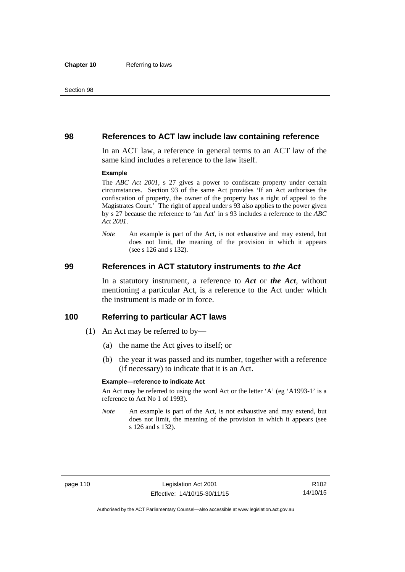#### **98 References to ACT law include law containing reference**

In an ACT law, a reference in general terms to an ACT law of the same kind includes a reference to the law itself.

#### **Example**

The *ABC Act 2001*, s 27 gives a power to confiscate property under certain circumstances. Section 93 of the same Act provides 'If an Act authorises the confiscation of property, the owner of the property has a right of appeal to the Magistrates Court.' The right of appeal under s 93 also applies to the power given by s 27 because the reference to 'an Act' in s 93 includes a reference to the *ABC Act 2001*.

*Note* An example is part of the Act, is not exhaustive and may extend, but does not limit, the meaning of the provision in which it appears (see s 126 and s 132).

#### **99 References in ACT statutory instruments to** *the Act*

In a statutory instrument, a reference to *Act* or *the Act*, without mentioning a particular Act, is a reference to the Act under which the instrument is made or in force.

#### **100 Referring to particular ACT laws**

- (1) An Act may be referred to by—
	- (a) the name the Act gives to itself; or
	- (b) the year it was passed and its number, together with a reference (if necessary) to indicate that it is an Act.

#### **Example—reference to indicate Act**

An Act may be referred to using the word Act or the letter 'A' (eg 'A1993-1' is a reference to Act No 1 of 1993).

*Note* An example is part of the Act, is not exhaustive and may extend, but does not limit, the meaning of the provision in which it appears (see s 126 and s 132).

R102 14/10/15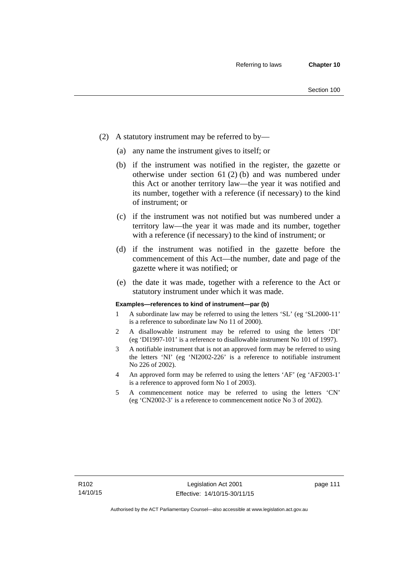- (2) A statutory instrument may be referred to by—
	- (a) any name the instrument gives to itself; or
	- (b) if the instrument was notified in the register, the gazette or otherwise under section 61 (2) (b) and was numbered under this Act or another territory law—the year it was notified and its number, together with a reference (if necessary) to the kind of instrument; or
	- (c) if the instrument was not notified but was numbered under a territory law—the year it was made and its number, together with a reference (if necessary) to the kind of instrument; or
	- (d) if the instrument was notified in the gazette before the commencement of this Act—the number, date and page of the gazette where it was notified; or
	- (e) the date it was made, together with a reference to the Act or statutory instrument under which it was made.

#### **Examples—references to kind of instrument—par (b)**

- 1 A subordinate law may be referred to using the letters 'SL' (eg 'SL2000-11' is a reference to subordinate law No 11 of 2000).
- 2 A disallowable instrument may be referred to using the letters 'DI' (eg 'DI1997-101' is a reference to disallowable instrument No 101 of 1997).
- 3 A notifiable instrument that is not an approved form may be referred to using the letters 'NI' (eg 'NI2002-226' is a reference to notifiable instrument No 226 of 2002).
- 4 An approved form may be referred to using the letters 'AF' (eg 'AF2003-1' is a reference to approved form No 1 of 2003).
- 5 A commencement notice may be referred to using the letters 'CN' (eg 'CN2002-3' is a reference to commencement notice No 3 of 2002).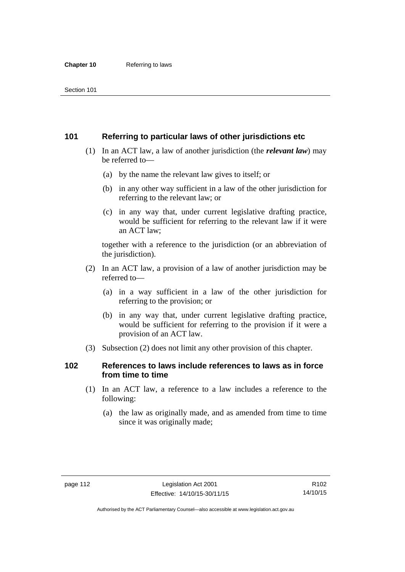## **101 Referring to particular laws of other jurisdictions etc**

- (1) In an ACT law, a law of another jurisdiction (the *relevant law*) may be referred to—
	- (a) by the name the relevant law gives to itself; or
	- (b) in any other way sufficient in a law of the other jurisdiction for referring to the relevant law; or
	- (c) in any way that, under current legislative drafting practice, would be sufficient for referring to the relevant law if it were an ACT law;

together with a reference to the jurisdiction (or an abbreviation of the jurisdiction).

- (2) In an ACT law, a provision of a law of another jurisdiction may be referred to—
	- (a) in a way sufficient in a law of the other jurisdiction for referring to the provision; or
	- (b) in any way that, under current legislative drafting practice, would be sufficient for referring to the provision if it were a provision of an ACT law.
- (3) Subsection (2) does not limit any other provision of this chapter.

## **102 References to laws include references to laws as in force from time to time**

- (1) In an ACT law, a reference to a law includes a reference to the following:
	- (a) the law as originally made, and as amended from time to time since it was originally made;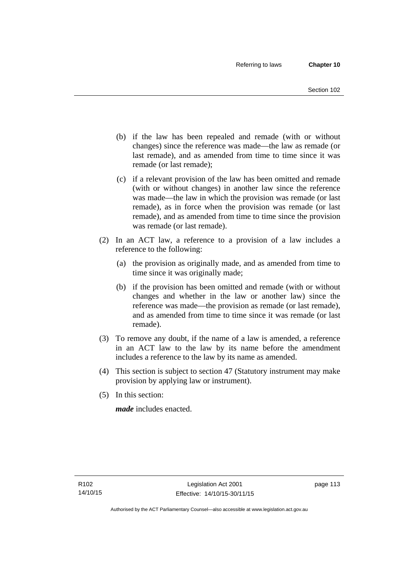- (b) if the law has been repealed and remade (with or without changes) since the reference was made—the law as remade (or last remade), and as amended from time to time since it was remade (or last remade);
- (c) if a relevant provision of the law has been omitted and remade (with or without changes) in another law since the reference was made—the law in which the provision was remade (or last remade), as in force when the provision was remade (or last remade), and as amended from time to time since the provision was remade (or last remade).
- (2) In an ACT law, a reference to a provision of a law includes a reference to the following:
	- (a) the provision as originally made, and as amended from time to time since it was originally made;
	- (b) if the provision has been omitted and remade (with or without changes and whether in the law or another law) since the reference was made—the provision as remade (or last remade), and as amended from time to time since it was remade (or last remade).
- (3) To remove any doubt, if the name of a law is amended, a reference in an ACT law to the law by its name before the amendment includes a reference to the law by its name as amended.
- (4) This section is subject to section 47 (Statutory instrument may make provision by applying law or instrument).
- (5) In this section:

*made* includes enacted.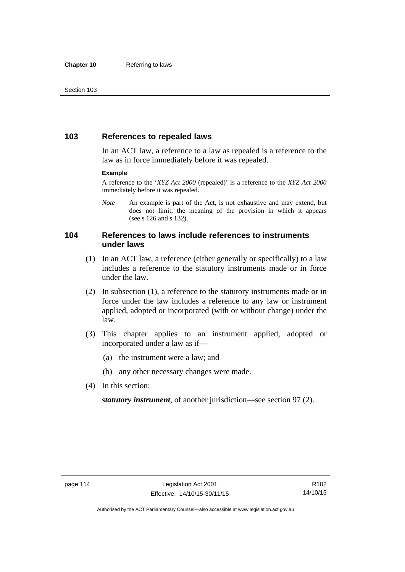## **103 References to repealed laws**

In an ACT law, a reference to a law as repealed is a reference to the law as in force immediately before it was repealed.

#### **Example**

A reference to the '*XYZ Act 2000* (repealed)' is a reference to the *XYZ Act 2000* immediately before it was repealed.

*Note* An example is part of the Act, is not exhaustive and may extend, but does not limit, the meaning of the provision in which it appears (see s 126 and s 132).

## **104 References to laws include references to instruments under laws**

- (1) In an ACT law, a reference (either generally or specifically) to a law includes a reference to the statutory instruments made or in force under the law.
- (2) In subsection (1), a reference to the statutory instruments made or in force under the law includes a reference to any law or instrument applied, adopted or incorporated (with or without change) under the law.
- (3) This chapter applies to an instrument applied, adopted or incorporated under a law as if—
	- (a) the instrument were a law; and
	- (b) any other necessary changes were made.
- (4) In this section:

*statutory instrument*, of another jurisdiction—see section 97 (2).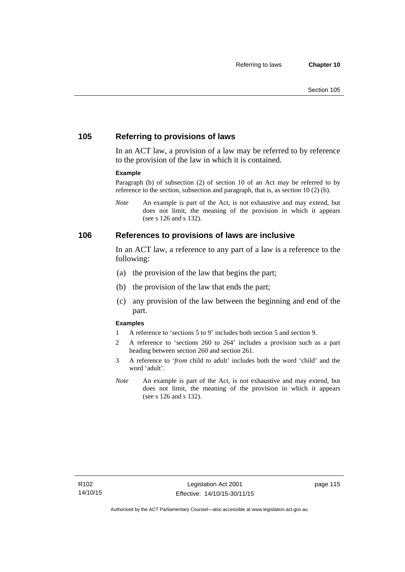## **105 Referring to provisions of laws**

In an ACT law, a provision of a law may be referred to by reference to the provision of the law in which it is contained.

#### **Example**

Paragraph (b) of subsection (2) of section 10 of an Act may be referred to by reference to the section, subsection and paragraph, that is, as section 10 (2) (b).

*Note* An example is part of the Act, is not exhaustive and may extend, but does not limit, the meaning of the provision in which it appears (see s 126 and s 132).

#### **106 References to provisions of laws are inclusive**

In an ACT law, a reference to any part of a law is a reference to the following:

- (a) the provision of the law that begins the part;
- (b) the provision of the law that ends the part;
- (c) any provision of the law between the beginning and end of the part.

#### **Examples**

- 1 A reference to 'sections 5 to 9' includes both section 5 and section 9.
- 2 A reference to 'sections 260 to 264' includes a provision such as a part heading between section 260 and section 261.
- 3 A reference to '*from* child *to* adult' includes both the word 'child' and the word 'adult'.
- *Note* An example is part of the Act, is not exhaustive and may extend, but does not limit, the meaning of the provision in which it appears (see s 126 and s 132).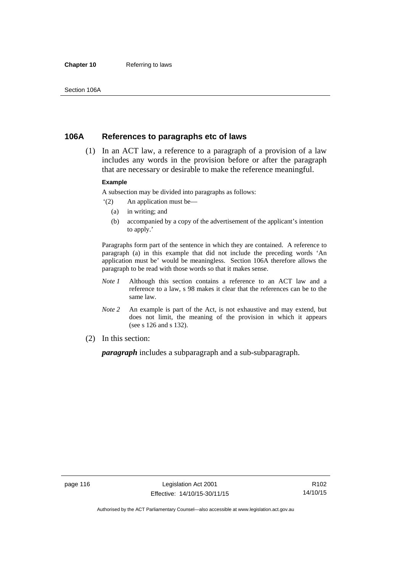#### **Chapter 10** Referring to laws

## **106A References to paragraphs etc of laws**

 (1) In an ACT law, a reference to a paragraph of a provision of a law includes any words in the provision before or after the paragraph that are necessary or desirable to make the reference meaningful.

#### **Example**

A subsection may be divided into paragraphs as follows:

- '(2) An application must be—
	- (a) in writing; and
	- (b) accompanied by a copy of the advertisement of the applicant's intention to apply.'

Paragraphs form part of the sentence in which they are contained. A reference to paragraph (a) in this example that did not include the preceding words 'An application must be' would be meaningless. Section 106A therefore allows the paragraph to be read with those words so that it makes sense.

- *Note 1* Although this section contains a reference to an ACT law and a reference to a law, s 98 makes it clear that the references can be to the same law.
- *Note 2* An example is part of the Act, is not exhaustive and may extend, but does not limit, the meaning of the provision in which it appears (see s 126 and s 132).
- (2) In this section:

*paragraph* includes a subparagraph and a sub-subparagraph.

R102 14/10/15

Authorised by the ACT Parliamentary Counsel—also accessible at www.legislation.act.gov.au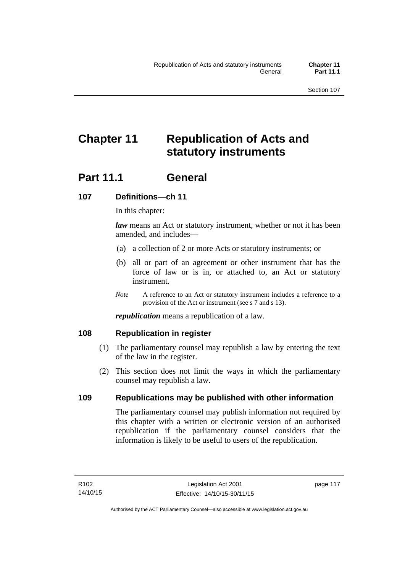# **Chapter 11 Republication of Acts and statutory instruments**

## Part 11.1 General

## **107 Definitions—ch 11**

In this chapter:

*law* means an Act or statutory instrument, whether or not it has been amended, and includes—

- (a) a collection of 2 or more Acts or statutory instruments; or
- (b) all or part of an agreement or other instrument that has the force of law or is in, or attached to, an Act or statutory instrument.
- *Note* A reference to an Act or statutory instrument includes a reference to a provision of the Act or instrument (see s 7 and s 13).

*republication* means a republication of a law.

## **108 Republication in register**

- (1) The parliamentary counsel may republish a law by entering the text of the law in the register.
- (2) This section does not limit the ways in which the parliamentary counsel may republish a law.

## **109 Republications may be published with other information**

The parliamentary counsel may publish information not required by this chapter with a written or electronic version of an authorised republication if the parliamentary counsel considers that the information is likely to be useful to users of the republication.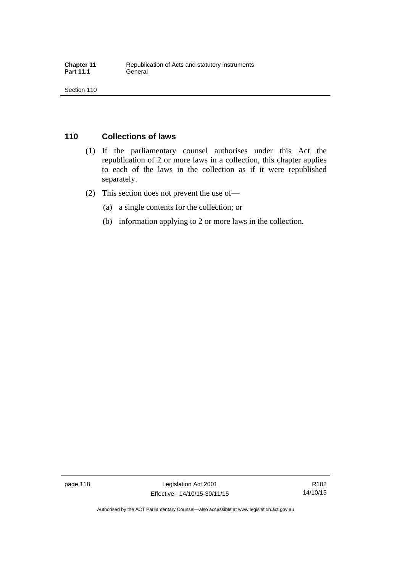## **110 Collections of laws**

- (1) If the parliamentary counsel authorises under this Act the republication of 2 or more laws in a collection, this chapter applies to each of the laws in the collection as if it were republished separately.
- (2) This section does not prevent the use of—
	- (a) a single contents for the collection; or
	- (b) information applying to 2 or more laws in the collection.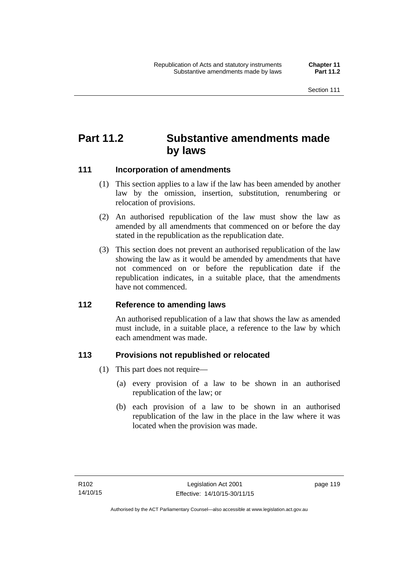## **Part 11.2 Substantive amendments made by laws**

## **111 Incorporation of amendments**

- (1) This section applies to a law if the law has been amended by another law by the omission, insertion, substitution, renumbering or relocation of provisions.
- (2) An authorised republication of the law must show the law as amended by all amendments that commenced on or before the day stated in the republication as the republication date.
- (3) This section does not prevent an authorised republication of the law showing the law as it would be amended by amendments that have not commenced on or before the republication date if the republication indicates, in a suitable place, that the amendments have not commenced.

## **112 Reference to amending laws**

An authorised republication of a law that shows the law as amended must include, in a suitable place, a reference to the law by which each amendment was made.

## **113 Provisions not republished or relocated**

- (1) This part does not require—
	- (a) every provision of a law to be shown in an authorised republication of the law; or
	- (b) each provision of a law to be shown in an authorised republication of the law in the place in the law where it was located when the provision was made.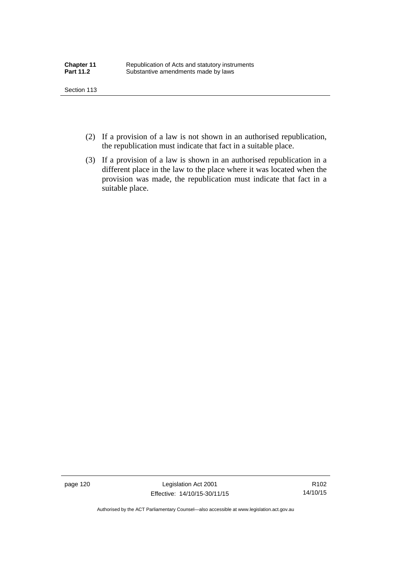- (2) If a provision of a law is not shown in an authorised republication, the republication must indicate that fact in a suitable place.
- (3) If a provision of a law is shown in an authorised republication in a different place in the law to the place where it was located when the provision was made, the republication must indicate that fact in a suitable place.

page 120 Legislation Act 2001 Effective: 14/10/15-30/11/15

R102 14/10/15

Authorised by the ACT Parliamentary Counsel—also accessible at www.legislation.act.gov.au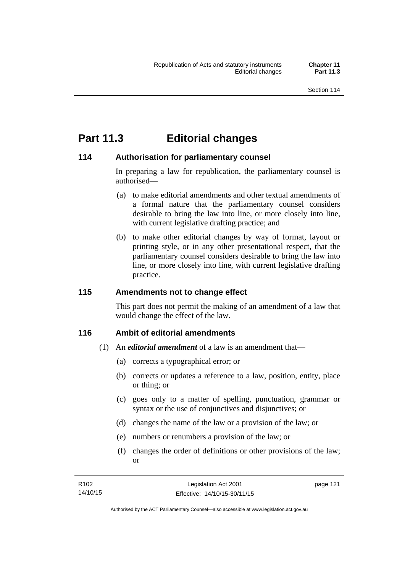## **Part 11.3 Editorial changes**

## **114 Authorisation for parliamentary counsel**

In preparing a law for republication, the parliamentary counsel is authorised—

- (a) to make editorial amendments and other textual amendments of a formal nature that the parliamentary counsel considers desirable to bring the law into line, or more closely into line, with current legislative drafting practice; and
- (b) to make other editorial changes by way of format, layout or printing style, or in any other presentational respect, that the parliamentary counsel considers desirable to bring the law into line, or more closely into line, with current legislative drafting practice.

## **115 Amendments not to change effect**

This part does not permit the making of an amendment of a law that would change the effect of the law.

## **116 Ambit of editorial amendments**

- (1) An *editorial amendment* of a law is an amendment that—
	- (a) corrects a typographical error; or
	- (b) corrects or updates a reference to a law, position, entity, place or thing; or
	- (c) goes only to a matter of spelling, punctuation, grammar or syntax or the use of conjunctives and disjunctives; or
	- (d) changes the name of the law or a provision of the law; or
	- (e) numbers or renumbers a provision of the law; or
	- (f) changes the order of definitions or other provisions of the law; or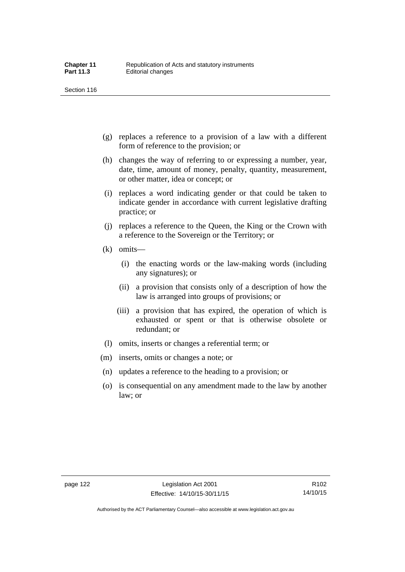- (g) replaces a reference to a provision of a law with a different form of reference to the provision; or
- (h) changes the way of referring to or expressing a number, year, date, time, amount of money, penalty, quantity, measurement, or other matter, idea or concept; or
- (i) replaces a word indicating gender or that could be taken to indicate gender in accordance with current legislative drafting practice; or
- (j) replaces a reference to the Queen, the King or the Crown with a reference to the Sovereign or the Territory; or
- (k) omits—
	- (i) the enacting words or the law-making words (including any signatures); or
	- (ii) a provision that consists only of a description of how the law is arranged into groups of provisions; or
	- (iii) a provision that has expired, the operation of which is exhausted or spent or that is otherwise obsolete or redundant; or
- (l) omits, inserts or changes a referential term; or
- (m) inserts, omits or changes a note; or
- (n) updates a reference to the heading to a provision; or
- (o) is consequential on any amendment made to the law by another law; or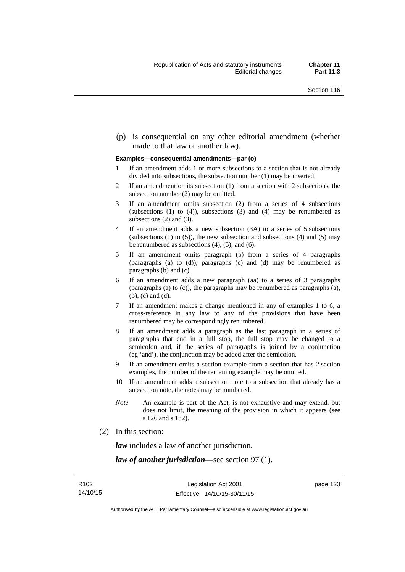(p) is consequential on any other editorial amendment (whether made to that law or another law).

#### **Examples—consequential amendments—par (o)**

- 1 If an amendment adds 1 or more subsections to a section that is not already divided into subsections, the subsection number (1) may be inserted.
- 2 If an amendment omits subsection (1) from a section with 2 subsections, the subsection number (2) may be omitted.
- 3 If an amendment omits subsection (2) from a series of 4 subsections (subsections  $(1)$  to  $(4)$ ), subsections  $(3)$  and  $(4)$  may be renumbered as subsections (2) and (3).
- 4 If an amendment adds a new subsection (3A) to a series of 5 subsections (subsections  $(1)$  to  $(5)$ ), the new subsection and subsections  $(4)$  and  $(5)$  may be renumbered as subsections (4), (5), and (6).
- 5 If an amendment omits paragraph (b) from a series of 4 paragraphs (paragraphs (a) to (d)), paragraphs (c) and (d) may be renumbered as paragraphs (b) and (c).
- 6 If an amendment adds a new paragraph (aa) to a series of 3 paragraphs (paragraphs (a) to (c)), the paragraphs may be renumbered as paragraphs (a), (b), (c) and (d).
- 7 If an amendment makes a change mentioned in any of examples 1 to 6, a cross-reference in any law to any of the provisions that have been renumbered may be correspondingly renumbered.
- 8 If an amendment adds a paragraph as the last paragraph in a series of paragraphs that end in a full stop, the full stop may be changed to a semicolon and, if the series of paragraphs is joined by a conjunction (eg 'and'), the conjunction may be added after the semicolon.
- 9 If an amendment omits a section example from a section that has 2 section examples, the number of the remaining example may be omitted.
- 10 If an amendment adds a subsection note to a subsection that already has a subsection note, the notes may be numbered.
- *Note* An example is part of the Act, is not exhaustive and may extend, but does not limit, the meaning of the provision in which it appears (see s 126 and s 132).
- (2) In this section:

*law* includes a law of another jurisdiction.

*law of another jurisdiction*—see section 97 (1).

page 123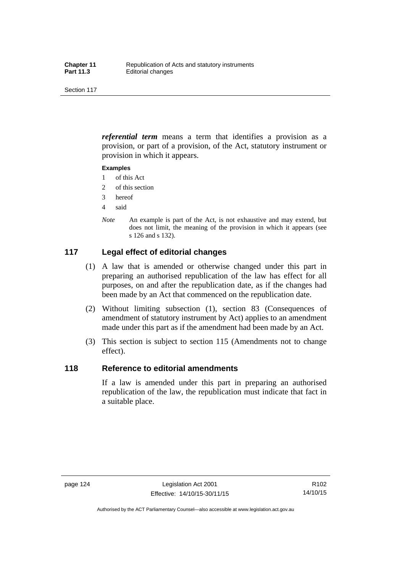*referential term* means a term that identifies a provision as a provision, or part of a provision, of the Act, statutory instrument or provision in which it appears.

#### **Examples**

- 1 of this Act
- 2 of this section
- 3 hereof
- 4 said
- *Note* An example is part of the Act, is not exhaustive and may extend, but does not limit, the meaning of the provision in which it appears (see s 126 and s 132).

## **117 Legal effect of editorial changes**

- (1) A law that is amended or otherwise changed under this part in preparing an authorised republication of the law has effect for all purposes, on and after the republication date, as if the changes had been made by an Act that commenced on the republication date.
- (2) Without limiting subsection (1), section 83 (Consequences of amendment of statutory instrument by Act) applies to an amendment made under this part as if the amendment had been made by an Act.
- (3) This section is subject to section 115 (Amendments not to change effect).

## **118 Reference to editorial amendments**

If a law is amended under this part in preparing an authorised republication of the law, the republication must indicate that fact in a suitable place.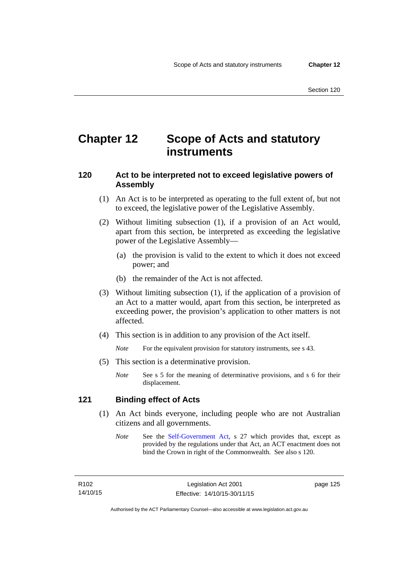## **Chapter 12 Scope of Acts and statutory instruments**

## **120 Act to be interpreted not to exceed legislative powers of Assembly**

- (1) An Act is to be interpreted as operating to the full extent of, but not to exceed, the legislative power of the Legislative Assembly.
- (2) Without limiting subsection (1), if a provision of an Act would, apart from this section, be interpreted as exceeding the legislative power of the Legislative Assembly—
	- (a) the provision is valid to the extent to which it does not exceed power; and
	- (b) the remainder of the Act is not affected.
- (3) Without limiting subsection (1), if the application of a provision of an Act to a matter would, apart from this section, be interpreted as exceeding power, the provision's application to other matters is not affected.
- (4) This section is in addition to any provision of the Act itself.

*Note* For the equivalent provision for statutory instruments, see s 43.

- (5) This section is a determinative provision.
	- *Note* See s 5 for the meaning of determinative provisions, and s 6 for their displacement.

## **121 Binding effect of Acts**

- (1) An Act binds everyone, including people who are not Australian citizens and all governments.
	- *Note* See the [Self-Government Act](http://www.comlaw.gov.au/Series/C2004A03699), s 27 which provides that, except as provided by the regulations under that Act, an ACT enactment does not bind the Crown in right of the Commonwealth. See also s 120.

R102 14/10/15 page 125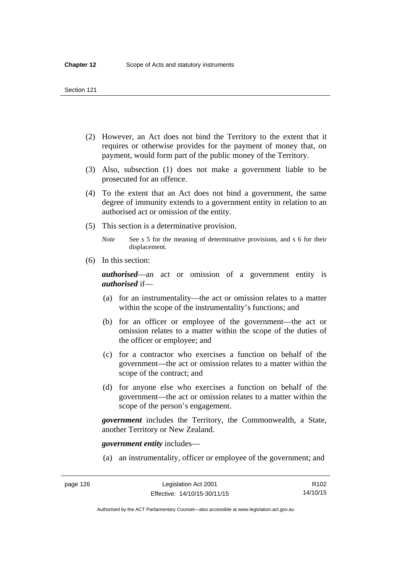- (2) However, an Act does not bind the Territory to the extent that it requires or otherwise provides for the payment of money that, on payment, would form part of the public money of the Territory.
- (3) Also, subsection (1) does not make a government liable to be prosecuted for an offence.
- (4) To the extent that an Act does not bind a government, the same degree of immunity extends to a government entity in relation to an authorised act or omission of the entity.
- (5) This section is a determinative provision.

*Note* See s 5 for the meaning of determinative provisions, and s 6 for their displacement.

(6) In this section:

*authorised*—an act or omission of a government entity is *authorised* if—

- (a) for an instrumentality—the act or omission relates to a matter within the scope of the instrumentality's functions; and
- (b) for an officer or employee of the government—the act or omission relates to a matter within the scope of the duties of the officer or employee; and
- (c) for a contractor who exercises a function on behalf of the government—the act or omission relates to a matter within the scope of the contract; and
- (d) for anyone else who exercises a function on behalf of the government—the act or omission relates to a matter within the scope of the person's engagement.

*government* includes the Territory, the Commonwealth, a State, another Territory or New Zealand.

*government entity* includes—

(a) an instrumentality, officer or employee of the government; and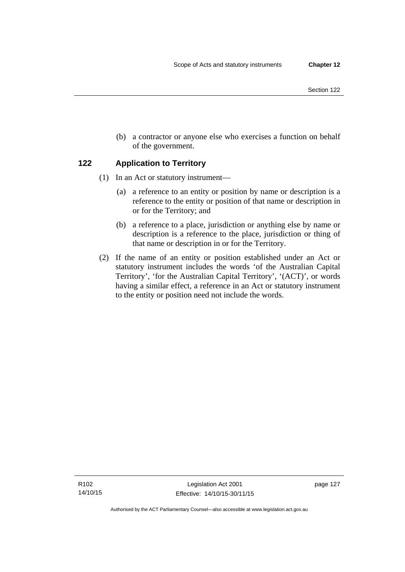(b) a contractor or anyone else who exercises a function on behalf of the government.

## **122 Application to Territory**

- (1) In an Act or statutory instrument—
	- (a) a reference to an entity or position by name or description is a reference to the entity or position of that name or description in or for the Territory; and
	- (b) a reference to a place, jurisdiction or anything else by name or description is a reference to the place, jurisdiction or thing of that name or description in or for the Territory.
- (2) If the name of an entity or position established under an Act or statutory instrument includes the words 'of the Australian Capital Territory', 'for the Australian Capital Territory', '(ACT)', or words having a similar effect, a reference in an Act or statutory instrument to the entity or position need not include the words.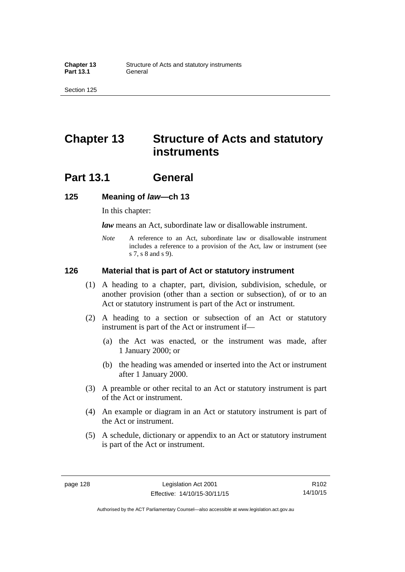## **Chapter 13 Structure of Acts and statutory instruments**

## **Part 13.1 General**

#### **125 Meaning of** *law***—ch 13**

In this chapter:

*law* means an Act, subordinate law or disallowable instrument.

*Note* A reference to an Act, subordinate law or disallowable instrument includes a reference to a provision of the Act, law or instrument (see s 7, s 8 and s 9).

#### **126 Material that is part of Act or statutory instrument**

- (1) A heading to a chapter, part, division, subdivision, schedule, or another provision (other than a section or subsection), of or to an Act or statutory instrument is part of the Act or instrument.
- (2) A heading to a section or subsection of an Act or statutory instrument is part of the Act or instrument if—
	- (a) the Act was enacted, or the instrument was made, after 1 January 2000; or
	- (b) the heading was amended or inserted into the Act or instrument after 1 January 2000.
- (3) A preamble or other recital to an Act or statutory instrument is part of the Act or instrument.
- (4) An example or diagram in an Act or statutory instrument is part of the Act or instrument.
- (5) A schedule, dictionary or appendix to an Act or statutory instrument is part of the Act or instrument.

R102 14/10/15

Authorised by the ACT Parliamentary Counsel—also accessible at www.legislation.act.gov.au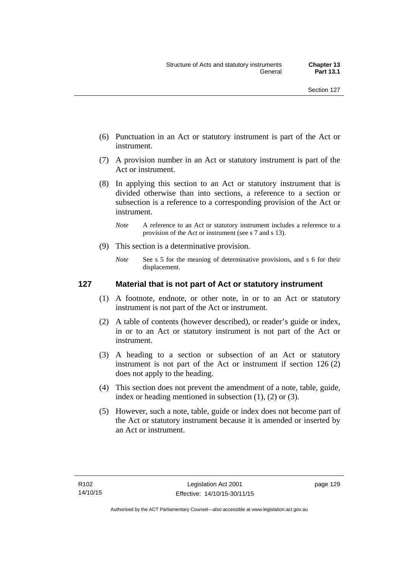- (6) Punctuation in an Act or statutory instrument is part of the Act or instrument.
- (7) A provision number in an Act or statutory instrument is part of the Act or instrument.
- (8) In applying this section to an Act or statutory instrument that is divided otherwise than into sections, a reference to a section or subsection is a reference to a corresponding provision of the Act or instrument.
	- *Note* A reference to an Act or statutory instrument includes a reference to a provision of the Act or instrument (see s 7 and s 13).
- (9) This section is a determinative provision.
	- *Note* See s 5 for the meaning of determinative provisions, and s 6 for their displacement.

### **127 Material that is not part of Act or statutory instrument**

- (1) A footnote, endnote, or other note, in or to an Act or statutory instrument is not part of the Act or instrument.
- (2) A table of contents (however described), or reader's guide or index, in or to an Act or statutory instrument is not part of the Act or instrument.
- (3) A heading to a section or subsection of an Act or statutory instrument is not part of the Act or instrument if section 126 (2) does not apply to the heading.
- (4) This section does not prevent the amendment of a note, table, guide, index or heading mentioned in subsection (1), (2) or (3).
- (5) However, such a note, table, guide or index does not become part of the Act or statutory instrument because it is amended or inserted by an Act or instrument.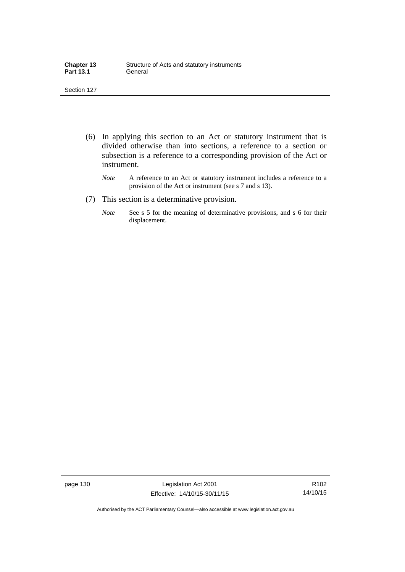| <b>Chapter 13</b> | Structure of Acts and statutory instruments |
|-------------------|---------------------------------------------|
| <b>Part 13.1</b>  | General                                     |

- (6) In applying this section to an Act or statutory instrument that is divided otherwise than into sections, a reference to a section or subsection is a reference to a corresponding provision of the Act or instrument.
	- *Note* A reference to an Act or statutory instrument includes a reference to a provision of the Act or instrument (see s 7 and s 13).
- (7) This section is a determinative provision.
	- *Note* See s 5 for the meaning of determinative provisions, and s 6 for their displacement.

page 130 Legislation Act 2001 Effective: 14/10/15-30/11/15

R102 14/10/15

Authorised by the ACT Parliamentary Counsel—also accessible at www.legislation.act.gov.au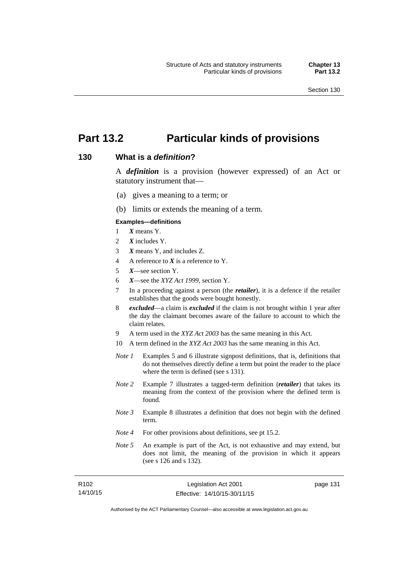page 131

## **Part 13.2 Particular kinds of provisions**

### **130 What is a** *definition***?**

A *definition* is a provision (however expressed) of an Act or statutory instrument that—

- (a) gives a meaning to a term; or
- (b) limits or extends the meaning of a term.

#### **Examples—definitions**

- 1 *X* means Y.
- 2 *X* includes Y.
- 3 *X* means Y, and includes Z.
- 4 A reference to *X* is a reference to Y.
- 5 *X*—see section Y.
- 6 *X*—see the *XYZ Act 1999*, section Y.
- 7 In a proceeding against a person (the *retailer*), it is a defence if the retailer establishes that the goods were bought honestly.
- 8 *excluded*—a claim is *excluded* if the claim is not brought within 1 year after the day the claimant becomes aware of the failure to account to which the claim relates.
- 9 A term used in the *XYZ Act 2003* has the same meaning in this Act.
- 10 A term defined in the *XYZ Act 2003* has the same meaning in this Act.
- *Note 1* Examples 5 and 6 illustrate signpost definitions, that is, definitions that do not themselves directly define a term but point the reader to the place where the term is defined (see s 131).
- *Note 2* Example 7 illustrates a tagged-term definition (*retailer*) that takes its meaning from the context of the provision where the defined term is found.
- *Note 3* Example 8 illustrates a definition that does not begin with the defined term.
- *Note 4* For other provisions about definitions, see pt 15.2.
- *Note 5* An example is part of the Act, is not exhaustive and may extend, but does not limit, the meaning of the provision in which it appears (see s 126 and s 132).

| R <sub>102</sub> | Legislation Act 2001         |  |
|------------------|------------------------------|--|
| 14/10/15         | Effective: 14/10/15-30/11/15 |  |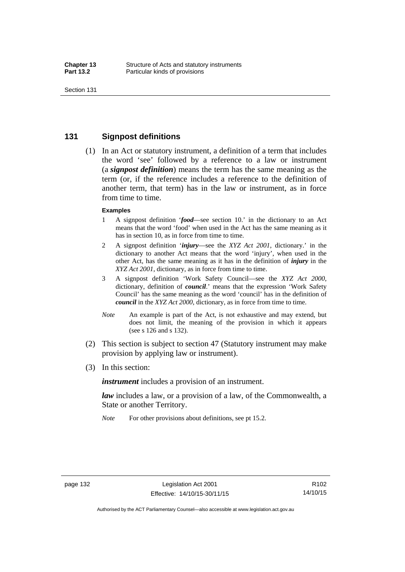### **131 Signpost definitions**

 (1) In an Act or statutory instrument, a definition of a term that includes the word 'see' followed by a reference to a law or instrument (a *signpost definition*) means the term has the same meaning as the term (or, if the reference includes a reference to the definition of another term, that term) has in the law or instrument, as in force from time to time.

#### **Examples**

- 1 A signpost definition '*food*—see section 10.' in the dictionary to an Act means that the word 'food' when used in the Act has the same meaning as it has in section 10, as in force from time to time.
- 2 A signpost definition '*injury*—see the *XYZ Act 2001*, dictionary.' in the dictionary to another Act means that the word 'injury', when used in the other Act, has the same meaning as it has in the definition of *injury* in the *XYZ Act 2001*, dictionary, as in force from time to time.
- 3 A signpost definition 'Work Safety Council—see the *XYZ Act 2000*, dictionary, definition of *council*.' means that the expression 'Work Safety Council' has the same meaning as the word 'council' has in the definition of *council* in the *XYZ Act 2000*, dictionary, as in force from time to time.
- *Note* An example is part of the Act, is not exhaustive and may extend, but does not limit, the meaning of the provision in which it appears (see s 126 and s 132).
- (2) This section is subject to section 47 (Statutory instrument may make provision by applying law or instrument).
- (3) In this section:

*instrument* includes a provision of an instrument.

*law* includes a law, or a provision of a law, of the Commonwealth, a State or another Territory.

*Note* For other provisions about definitions, see pt 15.2.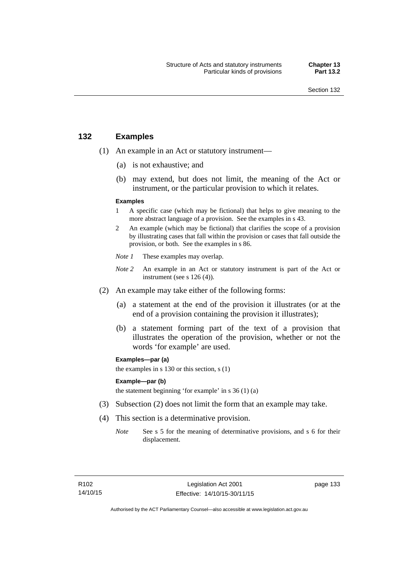### **132 Examples**

- (1) An example in an Act or statutory instrument—
	- (a) is not exhaustive; and
	- (b) may extend, but does not limit, the meaning of the Act or instrument, or the particular provision to which it relates.

#### **Examples**

- 1 A specific case (which may be fictional) that helps to give meaning to the more abstract language of a provision. See the examples in s 43.
- 2 An example (which may be fictional) that clarifies the scope of a provision by illustrating cases that fall within the provision or cases that fall outside the provision, or both. See the examples in s 86.
- *Note 1* These examples may overlap.
- *Note* 2 An example in an Act or statutory instrument is part of the Act or instrument (see s 126 (4)).
- (2) An example may take either of the following forms:
	- (a) a statement at the end of the provision it illustrates (or at the end of a provision containing the provision it illustrates);
	- (b) a statement forming part of the text of a provision that illustrates the operation of the provision, whether or not the words 'for example' are used.

**Examples—par (a)** 

the examples in s 130 or this section, s (1)

#### **Example—par (b)**

the statement beginning 'for example' in s 36 (1) (a)

- (3) Subsection (2) does not limit the form that an example may take.
- (4) This section is a determinative provision.
	- *Note* See s 5 for the meaning of determinative provisions, and s 6 for their displacement.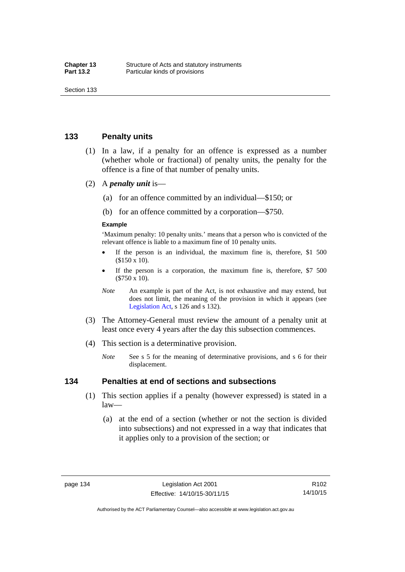### **133 Penalty units**

- (1) In a law, if a penalty for an offence is expressed as a number (whether whole or fractional) of penalty units, the penalty for the offence is a fine of that number of penalty units.
- (2) A *penalty unit* is—
	- (a) for an offence committed by an individual—\$150; or
	- (b) for an offence committed by a corporation—\$750.

#### **Example**

'Maximum penalty: 10 penalty units.' means that a person who is convicted of the relevant offence is liable to a maximum fine of 10 penalty units.

- If the person is an individual, the maximum fine is, therefore, \$1 500 (\$150 x 10).
- If the person is a corporation, the maximum fine is, therefore, \$7 500 (\$750 x 10).
- *Note* An example is part of the Act, is not exhaustive and may extend, but does not limit, the meaning of the provision in which it appears (see [Legislation Act,](http://www.legislation.act.gov.au/a/2001-14) s 126 and s 132).
- (3) The Attorney-General must review the amount of a penalty unit at least once every 4 years after the day this subsection commences.
- (4) This section is a determinative provision.
	- *Note* See s 5 for the meaning of determinative provisions, and s 6 for their displacement.

### **134 Penalties at end of sections and subsections**

- (1) This section applies if a penalty (however expressed) is stated in a law—
	- (a) at the end of a section (whether or not the section is divided into subsections) and not expressed in a way that indicates that it applies only to a provision of the section; or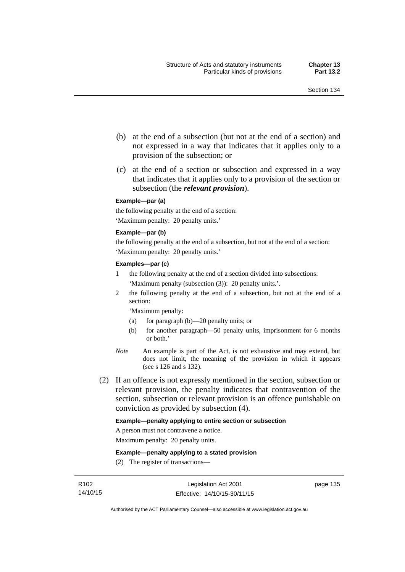- (b) at the end of a subsection (but not at the end of a section) and not expressed in a way that indicates that it applies only to a provision of the subsection; or
- (c) at the end of a section or subsection and expressed in a way that indicates that it applies only to a provision of the section or subsection (the *relevant provision*).

#### **Example—par (a)**

the following penalty at the end of a section: 'Maximum penalty: 20 penalty units.'

#### **Example—par (b)**

the following penalty at the end of a subsection, but not at the end of a section: 'Maximum penalty: 20 penalty units.'

#### **Examples—par (c)**

- 1 the following penalty at the end of a section divided into subsections: 'Maximum penalty (subsection (3)): 20 penalty units.'.
- 2 the following penalty at the end of a subsection, but not at the end of a section:

'Maximum penalty:

- (a) for paragraph (b)—20 penalty units; or
- (b) for another paragraph—50 penalty units, imprisonment for 6 months or both.'
- *Note* An example is part of the Act, is not exhaustive and may extend, but does not limit, the meaning of the provision in which it appears (see s 126 and s 132).
- (2) If an offence is not expressly mentioned in the section, subsection or relevant provision, the penalty indicates that contravention of the section, subsection or relevant provision is an offence punishable on conviction as provided by subsection (4).

#### **Example—penalty applying to entire section or subsection**

A person must not contravene a notice.

Maximum penalty: 20 penalty units.

**Example—penalty applying to a stated provision** 

(2) The register of transactions—

page 135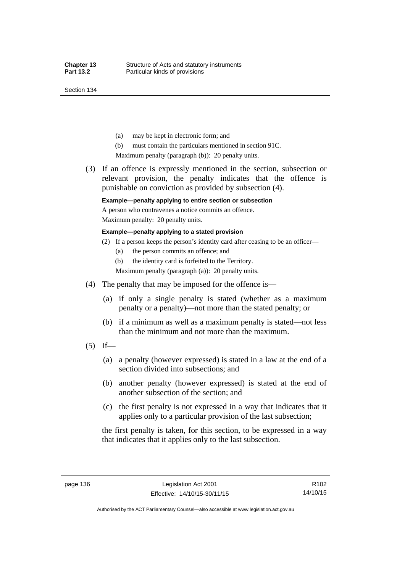Section 134

- (a) may be kept in electronic form; and
- (b) must contain the particulars mentioned in section 91C.

Maximum penalty (paragraph (b)): 20 penalty units.

 (3) If an offence is expressly mentioned in the section, subsection or relevant provision, the penalty indicates that the offence is punishable on conviction as provided by subsection (4).

### **Example—penalty applying to entire section or subsection**

A person who contravenes a notice commits an offence. Maximum penalty: 20 penalty units.

#### **Example—penalty applying to a stated provision**

- (2) If a person keeps the person's identity card after ceasing to be an officer—
	- (a) the person commits an offence; and
	- (b) the identity card is forfeited to the Territory.

Maximum penalty (paragraph (a)): 20 penalty units.

- (4) The penalty that may be imposed for the offence is—
	- (a) if only a single penalty is stated (whether as a maximum penalty or a penalty)—not more than the stated penalty; or
	- (b) if a minimum as well as a maximum penalty is stated—not less than the minimum and not more than the maximum.
- $(5)$  If—
	- (a) a penalty (however expressed) is stated in a law at the end of a section divided into subsections; and
	- (b) another penalty (however expressed) is stated at the end of another subsection of the section; and
	- (c) the first penalty is not expressed in a way that indicates that it applies only to a particular provision of the last subsection;

the first penalty is taken, for this section, to be expressed in a way that indicates that it applies only to the last subsection.

Authorised by the ACT Parliamentary Counsel—also accessible at www.legislation.act.gov.au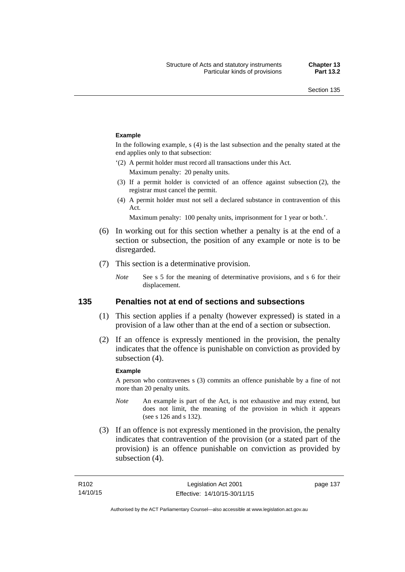#### **Example**

In the following example, s (4) is the last subsection and the penalty stated at the end applies only to that subsection:

'(2) A permit holder must record all transactions under this Act.

Maximum penalty: 20 penalty units.

- (3) If a permit holder is convicted of an offence against subsection (2), the registrar must cancel the permit.
- (4) A permit holder must not sell a declared substance in contravention of this Act.

Maximum penalty: 100 penalty units, imprisonment for 1 year or both.'.

- (6) In working out for this section whether a penalty is at the end of a section or subsection, the position of any example or note is to be disregarded.
- (7) This section is a determinative provision.
	- *Note* See s 5 for the meaning of determinative provisions, and s 6 for their displacement.

### **135 Penalties not at end of sections and subsections**

- (1) This section applies if a penalty (however expressed) is stated in a provision of a law other than at the end of a section or subsection.
- (2) If an offence is expressly mentioned in the provision, the penalty indicates that the offence is punishable on conviction as provided by subsection (4).

#### **Example**

A person who contravenes s (3) commits an offence punishable by a fine of not more than 20 penalty units.

- *Note* An example is part of the Act, is not exhaustive and may extend, but does not limit, the meaning of the provision in which it appears (see s 126 and s 132).
- (3) If an offence is not expressly mentioned in the provision, the penalty indicates that contravention of the provision (or a stated part of the provision) is an offence punishable on conviction as provided by subsection (4).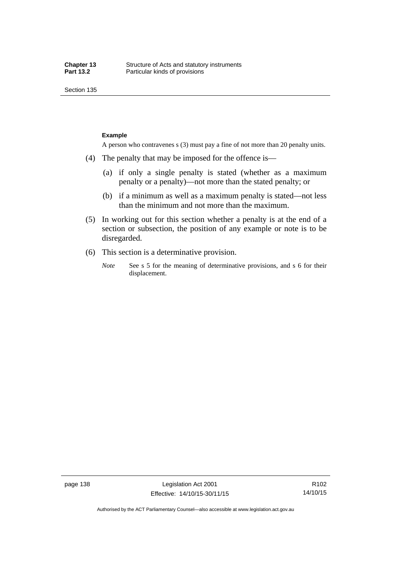Section 135

#### **Example**

A person who contravenes s (3) must pay a fine of not more than 20 penalty units.

- (4) The penalty that may be imposed for the offence is—
	- (a) if only a single penalty is stated (whether as a maximum penalty or a penalty)—not more than the stated penalty; or
	- (b) if a minimum as well as a maximum penalty is stated—not less than the minimum and not more than the maximum.
- (5) In working out for this section whether a penalty is at the end of a section or subsection, the position of any example or note is to be disregarded.
- (6) This section is a determinative provision.
	- *Note* See s 5 for the meaning of determinative provisions, and s 6 for their displacement.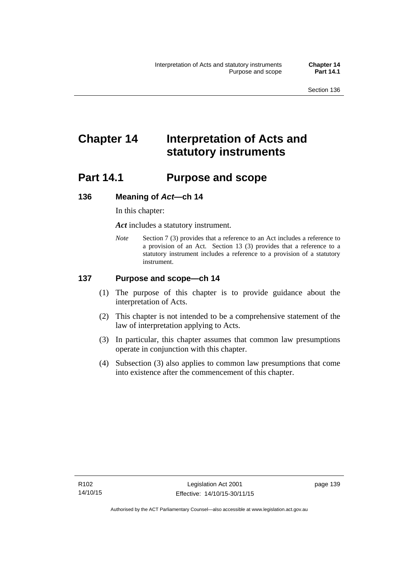# **Chapter 14 Interpretation of Acts and statutory instruments**

## **Part 14.1 Purpose and scope**

### **136 Meaning of** *Act***—ch 14**

In this chapter:

*Act* includes a statutory instrument.

*Note* Section 7 (3) provides that a reference to an Act includes a reference to a provision of an Act. Section 13 (3) provides that a reference to a statutory instrument includes a reference to a provision of a statutory instrument.

### **137 Purpose and scope—ch 14**

- (1) The purpose of this chapter is to provide guidance about the interpretation of Acts.
- (2) This chapter is not intended to be a comprehensive statement of the law of interpretation applying to Acts.
- (3) In particular, this chapter assumes that common law presumptions operate in conjunction with this chapter.
- (4) Subsection (3) also applies to common law presumptions that come into existence after the commencement of this chapter.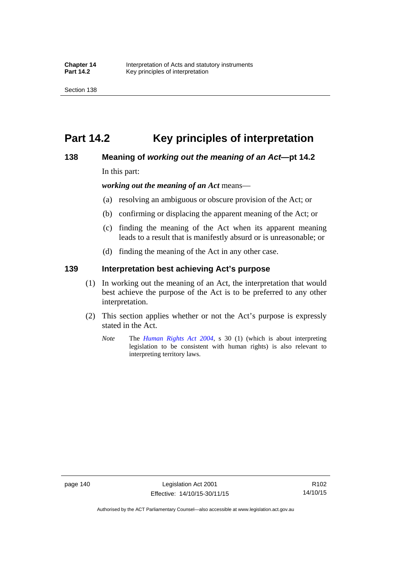## **Part 14.2 Key principles of interpretation**

### **138 Meaning of** *working out the meaning of an Act***—pt 14.2**

In this part:

*working out the meaning of an Act* means—

- (a) resolving an ambiguous or obscure provision of the Act; or
- (b) confirming or displacing the apparent meaning of the Act; or
- (c) finding the meaning of the Act when its apparent meaning leads to a result that is manifestly absurd or is unreasonable; or
- (d) finding the meaning of the Act in any other case.

### **139 Interpretation best achieving Act's purpose**

- (1) In working out the meaning of an Act, the interpretation that would best achieve the purpose of the Act is to be preferred to any other interpretation.
- (2) This section applies whether or not the Act's purpose is expressly stated in the Act.
	- *Note* The *[Human Rights Act 2004](http://www.legislation.act.gov.au/a/2004-5)*, s 30 (1) (which is about interpreting legislation to be consistent with human rights) is also relevant to interpreting territory laws.

R102 14/10/15

Authorised by the ACT Parliamentary Counsel—also accessible at www.legislation.act.gov.au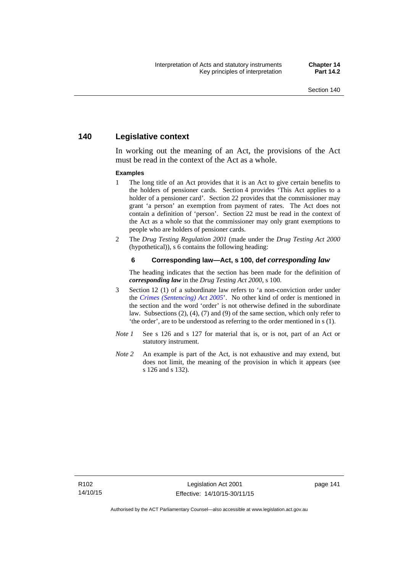### **140 Legislative context**

In working out the meaning of an Act, the provisions of the Act must be read in the context of the Act as a whole.

#### **Examples**

- 1 The long title of an Act provides that it is an Act to give certain benefits to the holders of pensioner cards. Section 4 provides 'This Act applies to a holder of a pensioner card'. Section 22 provides that the commissioner may grant 'a person' an exemption from payment of rates. The Act does not contain a definition of 'person'. Section 22 must be read in the context of the Act as a whole so that the commissioner may only grant exemptions to people who are holders of pensioner cards.
- 2 The *Drug Testing Regulation 2001* (made under the *Drug Testing Act 2000* (hypothetical)), s 6 contains the following heading:

#### **6 Corresponding law—Act, s 100, def** *corresponding law*

The heading indicates that the section has been made for the definition of *corresponding law* in the *Drug Testing Act 2000*, s 100.

- 3 Section 12 (1) of a subordinate law refers to 'a non-conviction order under the *[Crimes \(Sentencing\) Act 2005](http://www.legislation.act.gov.au/a/2005-58)*'. No other kind of order is mentioned in the section and the word 'order' is not otherwise defined in the subordinate law. Subsections (2), (4), (7) and (9) of the same section, which only refer to 'the order', are to be understood as referring to the order mentioned in s (1).
- *Note 1* See s 126 and s 127 for material that is, or is not, part of an Act or statutory instrument.
- *Note 2* An example is part of the Act, is not exhaustive and may extend, but does not limit, the meaning of the provision in which it appears (see s 126 and s 132).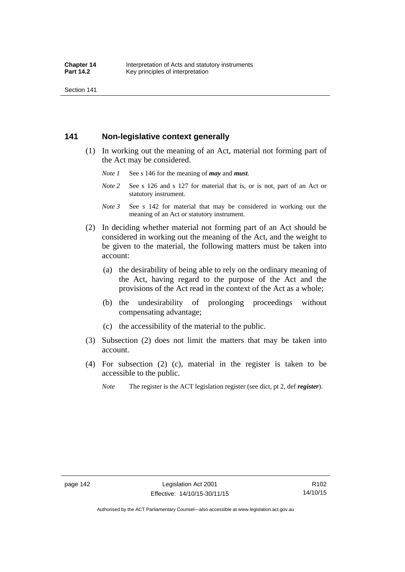Section 141

### **141 Non-legislative context generally**

- (1) In working out the meaning of an Act, material not forming part of the Act may be considered.
	- *Note 1* See s 146 for the meaning of *may* and *must*.
	- *Note* 2 See s 126 and s 127 for material that is, or is not, part of an Act or statutory instrument.
	- *Note 3* See s 142 for material that may be considered in working out the meaning of an Act or statutory instrument.
- (2) In deciding whether material not forming part of an Act should be considered in working out the meaning of the Act, and the weight to be given to the material, the following matters must be taken into account:
	- (a) the desirability of being able to rely on the ordinary meaning of the Act, having regard to the purpose of the Act and the provisions of the Act read in the context of the Act as a whole;
	- (b) the undesirability of prolonging proceedings without compensating advantage;
	- (c) the accessibility of the material to the public.
- (3) Subsection (2) does not limit the matters that may be taken into account.
- (4) For subsection (2) (c), material in the register is taken to be accessible to the public.
	- *Note* The register is the ACT legislation register (see dict, pt 2, def *register*).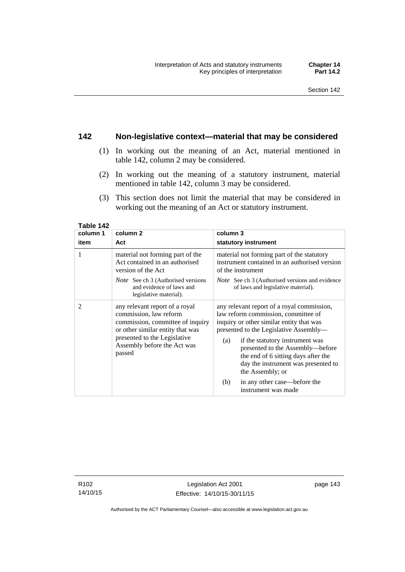### **142 Non-legislative context—material that may be considered**

- (1) In working out the meaning of an Act, material mentioned in table 142, column 2 may be considered.
- (2) In working out the meaning of a statutory instrument, material mentioned in table 142, column 3 may be considered.
- (3) This section does not limit the material that may be considered in working out the meaning of an Act or statutory instrument.

| column 1 | column 2                                                                                                                                                                                                  | column 3                                                                                                                                                                                                                                                                                                                                                |  |
|----------|-----------------------------------------------------------------------------------------------------------------------------------------------------------------------------------------------------------|---------------------------------------------------------------------------------------------------------------------------------------------------------------------------------------------------------------------------------------------------------------------------------------------------------------------------------------------------------|--|
| item     | Act                                                                                                                                                                                                       | statutory instrument                                                                                                                                                                                                                                                                                                                                    |  |
| 1        | material not forming part of the<br>Act contained in an authorised<br>version of the Act                                                                                                                  | material not forming part of the statutory<br>instrument contained in an authorised version<br>of the instrument                                                                                                                                                                                                                                        |  |
|          | <i>Note</i> See ch 3 (Authorised versions<br>and evidence of laws and<br>legislative material).                                                                                                           | <i>Note</i> See ch 3 (Authorised versions and evidence<br>of laws and legislative material).                                                                                                                                                                                                                                                            |  |
| 2        | any relevant report of a royal<br>commission, law reform<br>commission, committee of inquiry<br>or other similar entity that was<br>presented to the Legislative<br>Assembly before the Act was<br>passed | any relevant report of a royal commission,<br>law reform commission, committee of<br>inquiry or other similar entity that was<br>presented to the Legislative Assembly—<br>if the statutory instrument was<br>(a)<br>presented to the Assembly-before<br>the end of 6 sitting days after the<br>day the instrument was presented to<br>the Assembly; or |  |
|          |                                                                                                                                                                                                           | in any other case—before the<br>(b)<br>instrument was made                                                                                                                                                                                                                                                                                              |  |

**Table 142** 

R102 14/10/15

Authorised by the ACT Parliamentary Counsel—also accessible at www.legislation.act.gov.au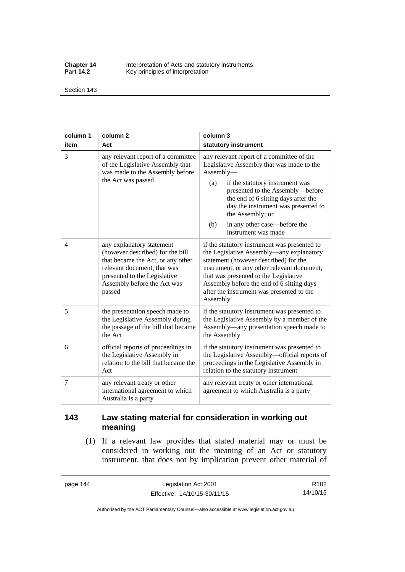**Chapter 14** Interpretation of Acts and statutory instruments<br>**Part 14.2** Key principles of interpretation Key principles of interpretation

Section 143

| column 1 | column <sub>2</sub>                                                                                                                                                                                        | column 3                                                                                                                                                                                                                                                                                                                                          |  |
|----------|------------------------------------------------------------------------------------------------------------------------------------------------------------------------------------------------------------|---------------------------------------------------------------------------------------------------------------------------------------------------------------------------------------------------------------------------------------------------------------------------------------------------------------------------------------------------|--|
| item     | Act                                                                                                                                                                                                        | statutory instrument                                                                                                                                                                                                                                                                                                                              |  |
| 3        | any relevant report of a committee<br>of the Legislative Assembly that<br>was made to the Assembly before<br>the Act was passed                                                                            | any relevant report of a committee of the<br>Legislative Assembly that was made to the<br>Assembly-<br>(a)<br>if the statutory instrument was<br>presented to the Assembly-before<br>the end of 6 sitting days after the<br>day the instrument was presented to<br>the Assembly; or<br>in any other case—before the<br>(b)<br>instrument was made |  |
| 4        | any explanatory statement<br>(however described) for the bill<br>that became the Act, or any other<br>relevant document, that was<br>presented to the Legislative<br>Assembly before the Act was<br>passed | if the statutory instrument was presented to<br>the Legislative Assembly—any explanatory<br>statement (however described) for the<br>instrument, or any other relevant document,<br>that was presented to the Legislative<br>Assembly before the end of 6 sitting days<br>after the instrument was presented to the<br>Assembly                   |  |
| 5        | the presentation speech made to<br>the Legislative Assembly during<br>the passage of the bill that became<br>the Act                                                                                       | if the statutory instrument was presented to<br>the Legislative Assembly by a member of the<br>Assembly—any presentation speech made to<br>the Assembly                                                                                                                                                                                           |  |
| 6        | official reports of proceedings in<br>the Legislative Assembly in<br>relation to the bill that became the<br>Act                                                                                           | if the statutory instrument was presented to<br>the Legislative Assembly-official reports of<br>proceedings in the Legislative Assembly in<br>relation to the statutory instrument                                                                                                                                                                |  |
| 7        | any relevant treaty or other<br>international agreement to which<br>Australia is a party                                                                                                                   | any relevant treaty or other international<br>agreement to which Australia is a party                                                                                                                                                                                                                                                             |  |

## **143 Law stating material for consideration in working out meaning**

 (1) If a relevant law provides that stated material may or must be considered in working out the meaning of an Act or statutory instrument, that does not by implication prevent other material of

page 144 Legislation Act 2001 Effective: 14/10/15-30/11/15

R102 14/10/15

Authorised by the ACT Parliamentary Counsel—also accessible at www.legislation.act.gov.au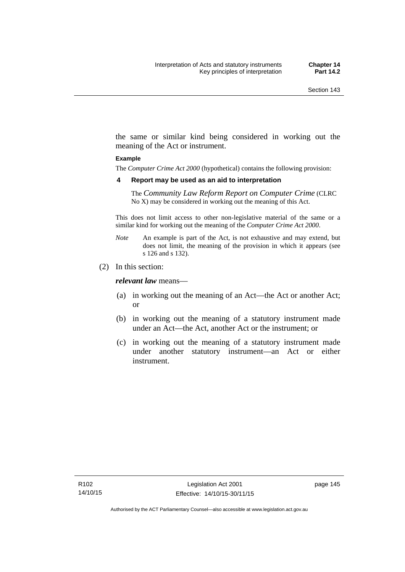the same or similar kind being considered in working out the meaning of the Act or instrument.

#### **Example**

The *Computer Crime Act 2000* (hypothetical) contains the following provision:

#### **4 Report may be used as an aid to interpretation**

The *Community Law Reform Report on Computer Crime* (CLRC No X) may be considered in working out the meaning of this Act.

This does not limit access to other non-legislative material of the same or a similar kind for working out the meaning of the *Computer Crime Act 2000*.

- *Note* An example is part of the Act, is not exhaustive and may extend, but does not limit, the meaning of the provision in which it appears (see s 126 and s 132).
- (2) In this section:

*relevant law* means—

- (a) in working out the meaning of an Act—the Act or another Act; or
- (b) in working out the meaning of a statutory instrument made under an Act—the Act, another Act or the instrument; or
- (c) in working out the meaning of a statutory instrument made under another statutory instrument—an Act or either instrument.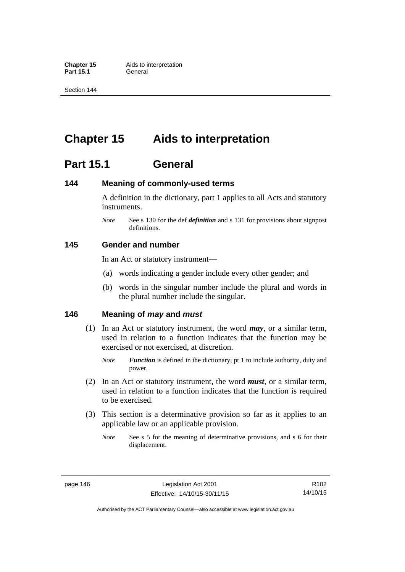**Part 15.1** 

Section 144

# **Chapter 15 Aids to interpretation**

## **Part 15.1 General**

### **144 Meaning of commonly-used terms**

A definition in the dictionary, part 1 applies to all Acts and statutory instruments.

*Note* See s 130 for the def *definition* and s 131 for provisions about signpost definitions.

### **145 Gender and number**

In an Act or statutory instrument—

- (a) words indicating a gender include every other gender; and
- (b) words in the singular number include the plural and words in the plural number include the singular.

### **146 Meaning of** *may* **and** *must*

- (1) In an Act or statutory instrument, the word *may*, or a similar term, used in relation to a function indicates that the function may be exercised or not exercised, at discretion.
	- *Note Function* is defined in the dictionary, pt 1 to include authority, duty and power.
- (2) In an Act or statutory instrument, the word *must*, or a similar term, used in relation to a function indicates that the function is required to be exercised.
- (3) This section is a determinative provision so far as it applies to an applicable law or an applicable provision.
	- *Note* See s 5 for the meaning of determinative provisions, and s 6 for their displacement.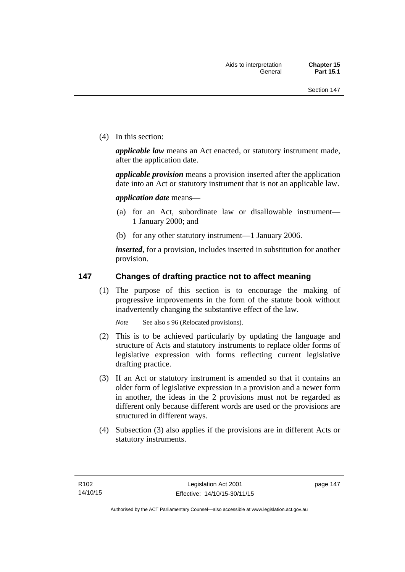(4) In this section:

*applicable law* means an Act enacted, or statutory instrument made, after the application date.

*applicable provision* means a provision inserted after the application date into an Act or statutory instrument that is not an applicable law.

*application date* means—

- (a) for an Act, subordinate law or disallowable instrument— 1 January 2000; and
- (b) for any other statutory instrument—1 January 2006.

*inserted*, for a provision, includes inserted in substitution for another provision.

### **147 Changes of drafting practice not to affect meaning**

(1) The purpose of this section is to encourage the making of progressive improvements in the form of the statute book without inadvertently changing the substantive effect of the law.

*Note* See also s 96 (Relocated provisions).

- (2) This is to be achieved particularly by updating the language and structure of Acts and statutory instruments to replace older forms of legislative expression with forms reflecting current legislative drafting practice.
- (3) If an Act or statutory instrument is amended so that it contains an older form of legislative expression in a provision and a newer form in another, the ideas in the 2 provisions must not be regarded as different only because different words are used or the provisions are structured in different ways.
- (4) Subsection (3) also applies if the provisions are in different Acts or statutory instruments.

page 147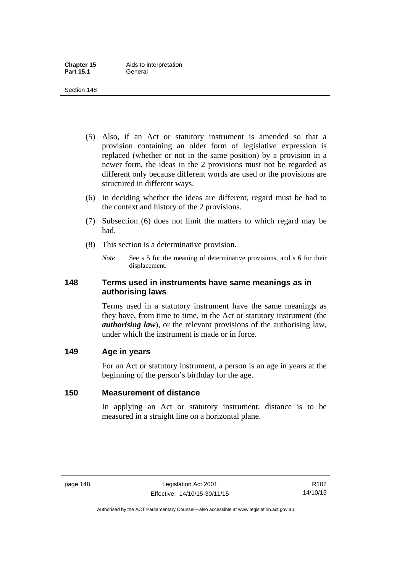- (5) Also, if an Act or statutory instrument is amended so that a provision containing an older form of legislative expression is replaced (whether or not in the same position) by a provision in a newer form, the ideas in the 2 provisions must not be regarded as different only because different words are used or the provisions are structured in different ways.
- (6) In deciding whether the ideas are different, regard must be had to the context and history of the 2 provisions.
- (7) Subsection (6) does not limit the matters to which regard may be had.
- (8) This section is a determinative provision.
	- *Note* See s 5 for the meaning of determinative provisions, and s 6 for their displacement.

### **148 Terms used in instruments have same meanings as in authorising laws**

Terms used in a statutory instrument have the same meanings as they have, from time to time, in the Act or statutory instrument (the *authorising law*), or the relevant provisions of the authorising law, under which the instrument is made or in force.

### **149 Age in years**

For an Act or statutory instrument, a person is an age in years at the beginning of the person's birthday for the age.

## **150 Measurement of distance**

In applying an Act or statutory instrument, distance is to be measured in a straight line on a horizontal plane.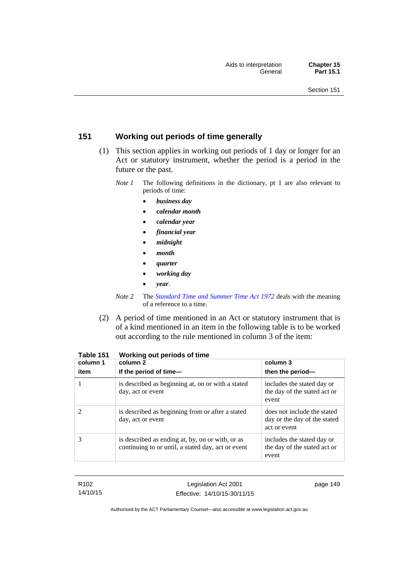## **151 Working out periods of time generally**

- (1) This section applies in working out periods of 1 day or longer for an Act or statutory instrument, whether the period is a period in the future or the past.
	- *Note 1* The following definitions in the dictionary, pt 1 are also relevant to periods of time:
		- *business day*
		- *calendar month*
		- *calendar year*
		- *financial year*
		- *midnight*
		- *month*
		- *quarter*
		- *working day*
		- *year*.
	- *Note 2* The *[Standard Time and Summer Time Act 1972](http://www.legislation.act.gov.au/a/1972-34)* deals with the meaning of a reference to a time.
- (2) A period of time mentioned in an Act or statutory instrument that is of a kind mentioned in an item in the following table is to be worked out according to the rule mentioned in column 3 of the item:

| column 1<br>item | column 2<br>If the period of time-                                                                     | column 3<br>then the period-                                                |
|------------------|--------------------------------------------------------------------------------------------------------|-----------------------------------------------------------------------------|
|                  | is described as beginning at, on or with a stated<br>day, act or event                                 | includes the stated day or<br>the day of the stated act or<br>event         |
|                  | is described as beginning from or after a stated<br>day, act or event                                  | does not include the stated<br>day or the day of the stated<br>act or event |
| 3                | is described as ending at, by, on or with, or as<br>continuing to or until, a stated day, act or event | includes the stated day or<br>the day of the stated act or<br>event         |

#### **Table 151 Working out periods of time**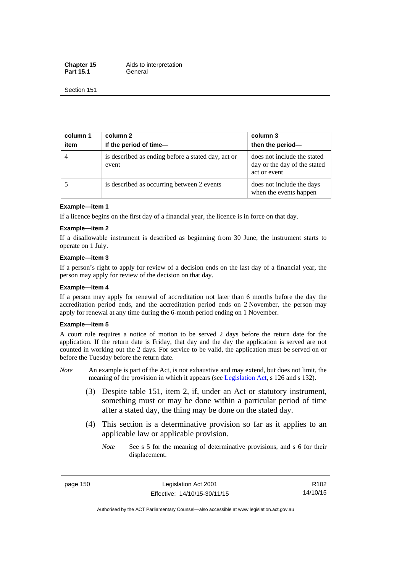**Chapter 15** Aids to interpretation Part 15.1 **General** 

Section 151

| column 1<br>item | column 2<br>If the period of time-                          | column 3<br>then the period-                                                |
|------------------|-------------------------------------------------------------|-----------------------------------------------------------------------------|
|                  | is described as ending before a stated day, act or<br>event | does not include the stated<br>day or the day of the stated<br>act or event |
|                  | is described as occurring between 2 events                  | does not include the days<br>when the events happen                         |

#### **Example—item 1**

If a licence begins on the first day of a financial year, the licence is in force on that day.

#### **Example—item 2**

If a disallowable instrument is described as beginning from 30 June, the instrument starts to operate on 1 July.

#### **Example—item 3**

If a person's right to apply for review of a decision ends on the last day of a financial year, the person may apply for review of the decision on that day.

#### **Example—item 4**

If a person may apply for renewal of accreditation not later than 6 months before the day the accreditation period ends, and the accreditation period ends on 2 November, the person may apply for renewal at any time during the 6-month period ending on 1 November.

#### **Example—item 5**

A court rule requires a notice of motion to be served 2 days before the return date for the application. If the return date is Friday, that day and the day the application is served are not counted in working out the 2 days. For service to be valid, the application must be served on or before the Tuesday before the return date.

- *Note* An example is part of the Act, is not exhaustive and may extend, but does not limit, the meaning of the provision in which it appears (see [Legislation Act](http://www.legislation.act.gov.au/a/2001-14), s 126 and s 132).
	- (3) Despite table 151, item 2, if, under an Act or statutory instrument, something must or may be done within a particular period of time after a stated day, the thing may be done on the stated day.
	- (4) This section is a determinative provision so far as it applies to an applicable law or applicable provision.
		- *Note* See s 5 for the meaning of determinative provisions, and s 6 for their displacement.

page 150 Legislation Act 2001 Effective: 14/10/15-30/11/15

R102 14/10/15

Authorised by the ACT Parliamentary Counsel—also accessible at www.legislation.act.gov.au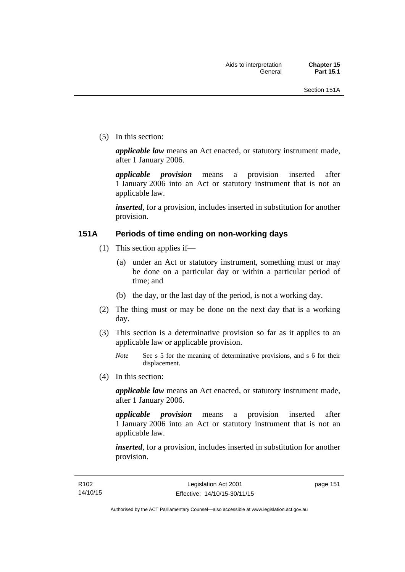(5) In this section:

*applicable law* means an Act enacted, or statutory instrument made, after 1 January 2006.

*applicable provision* means a provision inserted after 1 January 2006 into an Act or statutory instrument that is not an applicable law.

*inserted*, for a provision, includes inserted in substitution for another provision.

### **151A Periods of time ending on non-working days**

- (1) This section applies if—
	- (a) under an Act or statutory instrument, something must or may be done on a particular day or within a particular period of time; and
	- (b) the day, or the last day of the period, is not a working day.
- (2) The thing must or may be done on the next day that is a working day.
- (3) This section is a determinative provision so far as it applies to an applicable law or applicable provision.

(4) In this section:

*applicable law* means an Act enacted, or statutory instrument made, after 1 January 2006.

*applicable provision* means a provision inserted after 1 January 2006 into an Act or statutory instrument that is not an applicable law.

*inserted*, for a provision, includes inserted in substitution for another provision.

*Note* See s 5 for the meaning of determinative provisions, and s 6 for their displacement.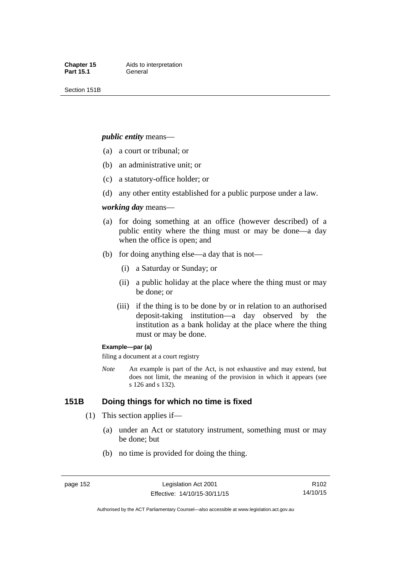Section 151B

#### *public entity* means—

- (a) a court or tribunal; or
- (b) an administrative unit; or
- (c) a statutory-office holder; or
- (d) any other entity established for a public purpose under a law.

#### *working day* means—

- (a) for doing something at an office (however described) of a public entity where the thing must or may be done—a day when the office is open; and
- (b) for doing anything else—a day that is not—
	- (i) a Saturday or Sunday; or
	- (ii) a public holiday at the place where the thing must or may be done; or
	- (iii) if the thing is to be done by or in relation to an authorised deposit-taking institution—a day observed by the institution as a bank holiday at the place where the thing must or may be done.

#### **Example—par (a)**

filing a document at a court registry

*Note* An example is part of the Act, is not exhaustive and may extend, but does not limit, the meaning of the provision in which it appears (see s 126 and s 132).

### **151B Doing things for which no time is fixed**

- (1) This section applies if—
	- (a) under an Act or statutory instrument, something must or may be done; but
	- (b) no time is provided for doing the thing.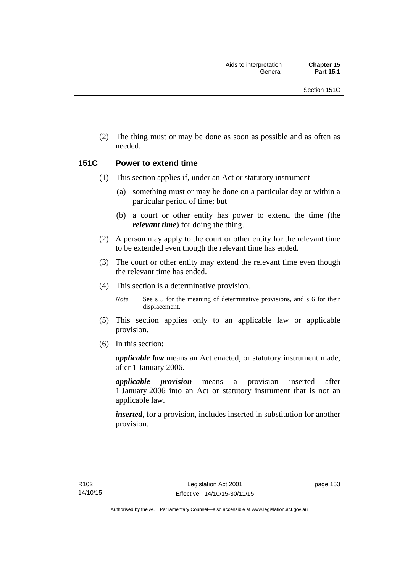(2) The thing must or may be done as soon as possible and as often as needed.

### **151C Power to extend time**

- (1) This section applies if, under an Act or statutory instrument—
	- (a) something must or may be done on a particular day or within a particular period of time; but
	- (b) a court or other entity has power to extend the time (the *relevant time*) for doing the thing.
- (2) A person may apply to the court or other entity for the relevant time to be extended even though the relevant time has ended.
- (3) The court or other entity may extend the relevant time even though the relevant time has ended.
- (4) This section is a determinative provision.

*Note* See s 5 for the meaning of determinative provisions, and s 6 for their displacement.

- (5) This section applies only to an applicable law or applicable provision.
- (6) In this section:

*applicable law* means an Act enacted, or statutory instrument made, after 1 January 2006.

*applicable provision* means a provision inserted after 1 January 2006 into an Act or statutory instrument that is not an applicable law.

*inserted*, for a provision, includes inserted in substitution for another provision.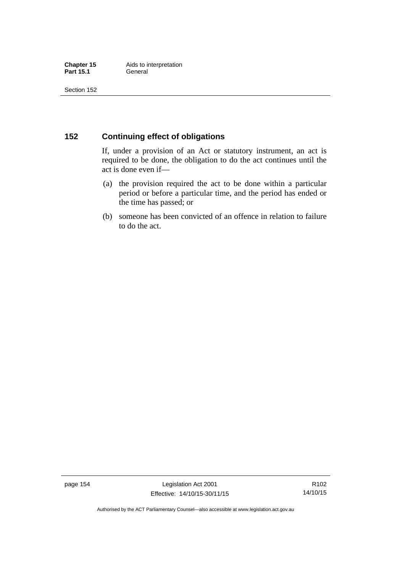### **152 Continuing effect of obligations**

If, under a provision of an Act or statutory instrument, an act is required to be done, the obligation to do the act continues until the act is done even if—

- (a) the provision required the act to be done within a particular period or before a particular time, and the period has ended or the time has passed; or
- (b) someone has been convicted of an offence in relation to failure to do the act.

page 154 Legislation Act 2001 Effective: 14/10/15-30/11/15

R102 14/10/15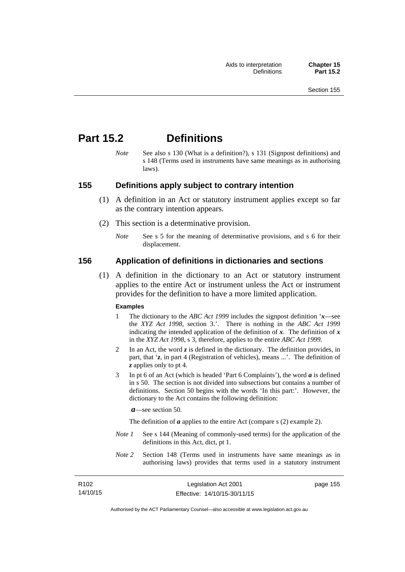## **Part 15.2 Definitions**

*Note* See also s 130 (What is a definition?), s 131 (Signpost definitions) and s 148 (Terms used in instruments have same meanings as in authorising laws).

### **155 Definitions apply subject to contrary intention**

- (1) A definition in an Act or statutory instrument applies except so far as the contrary intention appears.
- (2) This section is a determinative provision.
	- *Note* See s 5 for the meaning of determinative provisions, and s 6 for their displacement.

### **156 Application of definitions in dictionaries and sections**

 (1) A definition in the dictionary to an Act or statutory instrument applies to the entire Act or instrument unless the Act or instrument provides for the definition to have a more limited application.

#### **Examples**

- 1 The dictionary to the *ABC Act 1999* includes the signpost definition '*x*—see the *XYZ Act 1998*, section 3.'. There is nothing in the *ABC Act 1999* indicating the intended application of the definition of  $x$ . The definition of  $x$ in the *XYZ Act 1998*, s 3, therefore, applies to the entire *ABC Act 1999*.
- 2 In an Act, the word *z* is defined in the dictionary. The definition provides, in part, that '*z*, in part 4 (Registration of vehicles), means ...'. The definition of *z* applies only to pt 4.
- 3 In pt 6 of an Act (which is headed 'Part 6 Complaints'), the word *a* is defined in s 50. The section is not divided into subsections but contains a number of definitions. Section 50 begins with the words 'In this part:'. However, the dictionary to the Act contains the following definition:

*a*—see section 50.

The definition of *a* applies to the entire Act (compare s (2) example 2).

- *Note 1* See s 144 (Meaning of commonly-used terms) for the application of the definitions in this Act, dict, pt 1.
- *Note 2* Section 148 (Terms used in instruments have same meanings as in authorising laws) provides that terms used in a statutory instrument

| R <sub>102</sub> | Legislation Act 2001         | page 155 |
|------------------|------------------------------|----------|
| 14/10/15         | Effective: 14/10/15-30/11/15 |          |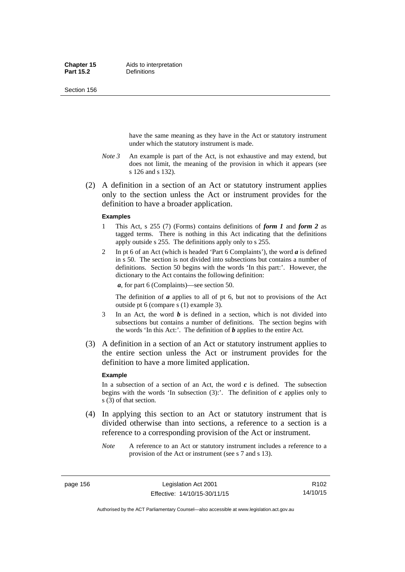Section 156

have the same meaning as they have in the Act or statutory instrument under which the statutory instrument is made.

- *Note 3* An example is part of the Act, is not exhaustive and may extend, but does not limit, the meaning of the provision in which it appears (see s 126 and s 132).
- (2) A definition in a section of an Act or statutory instrument applies only to the section unless the Act or instrument provides for the definition to have a broader application.

#### **Examples**

- 1 This Act, s 255 (7) (Forms) contains definitions of *form 1* and *form 2* as tagged terms. There is nothing in this Act indicating that the definitions apply outside s 255. The definitions apply only to s 255.
- 2 In pt 6 of an Act (which is headed 'Part 6 Complaints'), the word *a* is defined in s 50. The section is not divided into subsections but contains a number of definitions. Section 50 begins with the words 'In this part:'. However, the dictionary to the Act contains the following definition:

*a*, for part 6 (Complaints)—see section 50.

The definition of *a* applies to all of pt 6, but not to provisions of the Act outside pt 6 (compare s (1) example 3).

- 3 In an Act, the word *b* is defined in a section, which is not divided into subsections but contains a number of definitions. The section begins with the words 'In this Act:'. The definition of *b* applies to the entire Act.
- (3) A definition in a section of an Act or statutory instrument applies to the entire section unless the Act or instrument provides for the definition to have a more limited application.

#### **Example**

In a subsection of a section of an Act, the word  $c$  is defined. The subsection begins with the words 'In subsection  $(3)$ :'. The definition of  $c$  applies only to s (3) of that section.

- (4) In applying this section to an Act or statutory instrument that is divided otherwise than into sections, a reference to a section is a reference to a corresponding provision of the Act or instrument.
	- *Note* A reference to an Act or statutory instrument includes a reference to a provision of the Act or instrument (see s 7 and s 13).

page 156 Legislation Act 2001 Effective: 14/10/15-30/11/15

Authorised by the ACT Parliamentary Counsel—also accessible at www.legislation.act.gov.au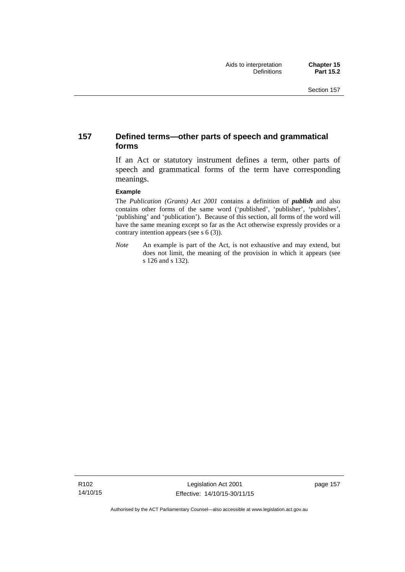### **157 Defined terms—other parts of speech and grammatical forms**

If an Act or statutory instrument defines a term, other parts of speech and grammatical forms of the term have corresponding meanings.

#### **Example**

The *Publication (Grants) Act 2001* contains a definition of *publish* and also contains other forms of the same word ('published', 'publisher', 'publishes', 'publishing' and 'publication'). Because of this section, all forms of the word will have the same meaning except so far as the Act otherwise expressly provides or a contrary intention appears (see s 6 (3)).

*Note* An example is part of the Act, is not exhaustive and may extend, but does not limit, the meaning of the provision in which it appears (see s 126 and s 132).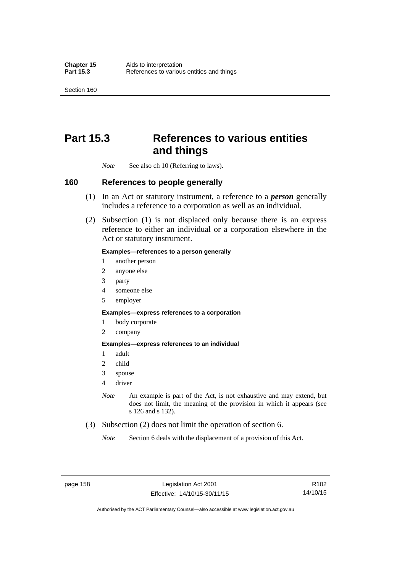Section 160

## **Part 15.3 References to various entities and things**

*Note* See also ch 10 (Referring to laws).

### **160 References to people generally**

- (1) In an Act or statutory instrument, a reference to a *person* generally includes a reference to a corporation as well as an individual.
- (2) Subsection (1) is not displaced only because there is an express reference to either an individual or a corporation elsewhere in the Act or statutory instrument.

#### **Examples—references to a person generally**

- 1 another person
- 2 anyone else
- 3 party
- 4 someone else
- 5 employer

#### **Examples—express references to a corporation**

- 1 body corporate
- 2 company

#### **Examples—express references to an individual**

- 1 adult
- 2 child
- 3 spouse
- 4 driver
- *Note* An example is part of the Act, is not exhaustive and may extend, but does not limit, the meaning of the provision in which it appears (see s 126 and s 132).
- (3) Subsection (2) does not limit the operation of section 6.
	- *Note* Section 6 deals with the displacement of a provision of this Act.

R102 14/10/15

Authorised by the ACT Parliamentary Counsel—also accessible at www.legislation.act.gov.au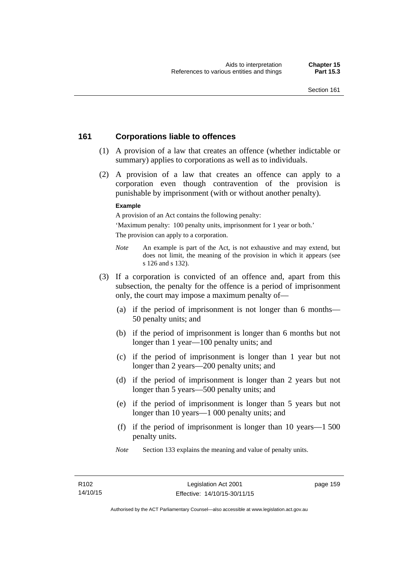### **161 Corporations liable to offences**

- (1) A provision of a law that creates an offence (whether indictable or summary) applies to corporations as well as to individuals.
- (2) A provision of a law that creates an offence can apply to a corporation even though contravention of the provision is punishable by imprisonment (with or without another penalty).

#### **Example**

A provision of an Act contains the following penalty:

'Maximum penalty: 100 penalty units, imprisonment for 1 year or both.' The provision can apply to a corporation.

- *Note* An example is part of the Act, is not exhaustive and may extend, but does not limit, the meaning of the provision in which it appears (see s 126 and s 132).
- (3) If a corporation is convicted of an offence and, apart from this subsection, the penalty for the offence is a period of imprisonment only, the court may impose a maximum penalty of—
	- (a) if the period of imprisonment is not longer than 6 months— 50 penalty units; and
	- (b) if the period of imprisonment is longer than 6 months but not longer than 1 year—100 penalty units; and
	- (c) if the period of imprisonment is longer than 1 year but not longer than 2 years—200 penalty units; and
	- (d) if the period of imprisonment is longer than 2 years but not longer than 5 years—500 penalty units; and
	- (e) if the period of imprisonment is longer than 5 years but not longer than 10 years—1 000 penalty units; and
	- (f) if the period of imprisonment is longer than 10 years—1 500 penalty units.
	- *Note* Section 133 explains the meaning and value of penalty units.

page 159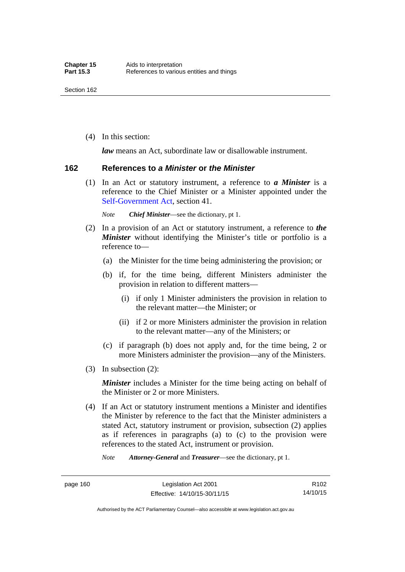(4) In this section:

*law* means an Act, subordinate law or disallowable instrument.

#### **162 References to** *a Minister* **or** *the Minister*

 (1) In an Act or statutory instrument, a reference to *a Minister* is a reference to the Chief Minister or a Minister appointed under the [Self-Government Act,](http://www.comlaw.gov.au/Series/C2004A03699) section 41.

*Note Chief Minister*—see the dictionary, pt 1.

- (2) In a provision of an Act or statutory instrument, a reference to *the Minister* without identifying the Minister's title or portfolio is a reference to—
	- (a) the Minister for the time being administering the provision; or
	- (b) if, for the time being, different Ministers administer the provision in relation to different matters—
		- (i) if only 1 Minister administers the provision in relation to the relevant matter—the Minister; or
		- (ii) if 2 or more Ministers administer the provision in relation to the relevant matter—any of the Ministers; or
	- (c) if paragraph (b) does not apply and, for the time being, 2 or more Ministers administer the provision—any of the Ministers.
- (3) In subsection (2):

*Minister* includes a Minister for the time being acting on behalf of the Minister or 2 or more Ministers.

 (4) If an Act or statutory instrument mentions a Minister and identifies the Minister by reference to the fact that the Minister administers a stated Act, statutory instrument or provision, subsection (2) applies as if references in paragraphs (a) to (c) to the provision were references to the stated Act, instrument or provision.

*Note Attorney-General* and *Treasurer*—see the dictionary, pt 1.

page 160 Legislation Act 2001 Effective: 14/10/15-30/11/15

Authorised by the ACT Parliamentary Counsel—also accessible at www.legislation.act.gov.au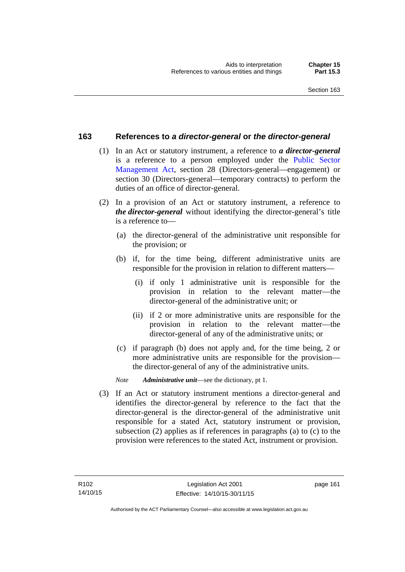### **163 References to** *a director-general* **or** *the director-general*

- (1) In an Act or statutory instrument, a reference to *a director-general* is a reference to a person employed under the [Public Sector](http://www.legislation.act.gov.au/a/1994-37)  [Management Act,](http://www.legislation.act.gov.au/a/1994-37) section 28 (Directors-general—engagement) or section 30 (Directors-general—temporary contracts) to perform the duties of an office of director-general.
- (2) In a provision of an Act or statutory instrument, a reference to *the director-general* without identifying the director-general's title is a reference to—
	- (a) the director-general of the administrative unit responsible for the provision; or
	- (b) if, for the time being, different administrative units are responsible for the provision in relation to different matters—
		- (i) if only 1 administrative unit is responsible for the provision in relation to the relevant matter—the director-general of the administrative unit; or
		- (ii) if 2 or more administrative units are responsible for the provision in relation to the relevant matter—the director-general of any of the administrative units; or
	- (c) if paragraph (b) does not apply and, for the time being, 2 or more administrative units are responsible for the provision the director-general of any of the administrative units.
	- *Note Administrative unit*—see the dictionary, pt 1.
- (3) If an Act or statutory instrument mentions a director-general and identifies the director-general by reference to the fact that the director-general is the director-general of the administrative unit responsible for a stated Act, statutory instrument or provision, subsection (2) applies as if references in paragraphs (a) to (c) to the provision were references to the stated Act, instrument or provision.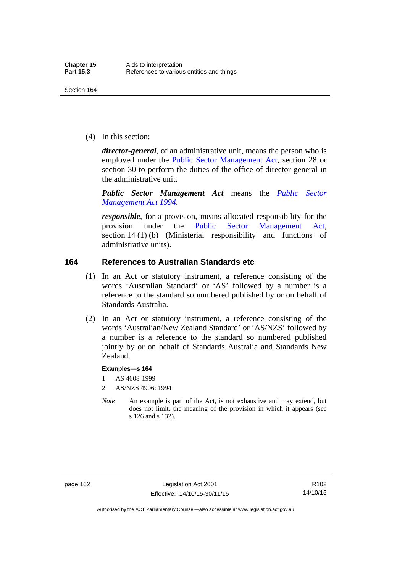(4) In this section:

*director-general*, of an administrative unit, means the person who is employed under the [Public Sector Management Act,](http://www.legislation.act.gov.au/a/1994-37) section 28 or section 30 to perform the duties of the office of director-general in the administrative unit.

*Public Sector Management Act* means the *[Public Sector](http://www.legislation.act.gov.au/a/1994-37)  [Management Act 1994](http://www.legislation.act.gov.au/a/1994-37)*.

*responsible*, for a provision, means allocated responsibility for the provision under the [Public Sector Management Act](http://www.legislation.act.gov.au/a/1994-37), section 14 (1) (b) (Ministerial responsibility and functions of administrative units).

### **164 References to Australian Standards etc**

- (1) In an Act or statutory instrument, a reference consisting of the words 'Australian Standard' or 'AS' followed by a number is a reference to the standard so numbered published by or on behalf of Standards Australia.
- (2) In an Act or statutory instrument, a reference consisting of the words 'Australian/New Zealand Standard' or 'AS/NZS' followed by a number is a reference to the standard so numbered published jointly by or on behalf of Standards Australia and Standards New Zealand.

#### **Examples—s 164**

- 1 AS 4608-1999
- 2 AS/NZS 4906: 1994
- *Note* An example is part of the Act, is not exhaustive and may extend, but does not limit, the meaning of the provision in which it appears (see s 126 and s 132).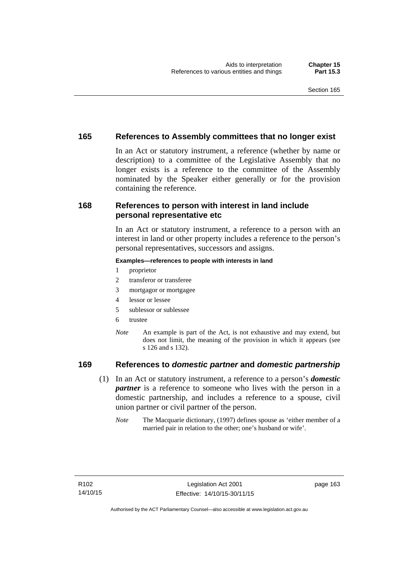### **165 References to Assembly committees that no longer exist**

In an Act or statutory instrument, a reference (whether by name or description) to a committee of the Legislative Assembly that no longer exists is a reference to the committee of the Assembly nominated by the Speaker either generally or for the provision containing the reference.

### **168 References to person with interest in land include personal representative etc**

In an Act or statutory instrument, a reference to a person with an interest in land or other property includes a reference to the person's personal representatives, successors and assigns.

#### **Examples—references to people with interests in land**

- 1 proprietor
- 2 transferor or transferee
- 3 mortgagor or mortgagee
- 4 lessor or lessee
- 5 sublessor or sublessee
- 6 trustee
- *Note* An example is part of the Act, is not exhaustive and may extend, but does not limit, the meaning of the provision in which it appears (see s 126 and s 132).

### **169 References to** *domestic partner* **and** *domestic partnership*

- (1) In an Act or statutory instrument, a reference to a person's *domestic partner* is a reference to someone who lives with the person in a domestic partnership, and includes a reference to a spouse, civil union partner or civil partner of the person.
	- *Note* The Macquarie dictionary, (1997) defines spouse as 'either member of a married pair in relation to the other; one's husband or wife'.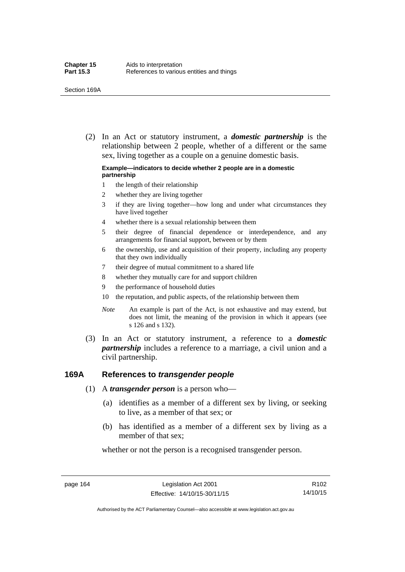(2) In an Act or statutory instrument, a *domestic partnership* is the relationship between 2 people, whether of a different or the same sex, living together as a couple on a genuine domestic basis.

#### **Example—indicators to decide whether 2 people are in a domestic partnership**

- 1 the length of their relationship
- 2 whether they are living together
- 3 if they are living together—how long and under what circumstances they have lived together
- 4 whether there is a sexual relationship between them
- 5 their degree of financial dependence or interdependence, and any arrangements for financial support, between or by them
- 6 the ownership, use and acquisition of their property, including any property that they own individually
- 7 their degree of mutual commitment to a shared life
- 8 whether they mutually care for and support children
- 9 the performance of household duties
- 10 the reputation, and public aspects, of the relationship between them
- *Note* An example is part of the Act, is not exhaustive and may extend, but does not limit, the meaning of the provision in which it appears (see s 126 and s 132).
- (3) In an Act or statutory instrument, a reference to a *domestic partnership* includes a reference to a marriage, a civil union and a civil partnership.

### **169A References to** *transgender people*

- (1) A *transgender person* is a person who—
	- (a) identifies as a member of a different sex by living, or seeking to live, as a member of that sex; or
	- (b) has identified as a member of a different sex by living as a member of that sex;

whether or not the person is a recognised transgender person.

page 164 Legislation Act 2001 Effective: 14/10/15-30/11/15

Authorised by the ACT Parliamentary Counsel—also accessible at www.legislation.act.gov.au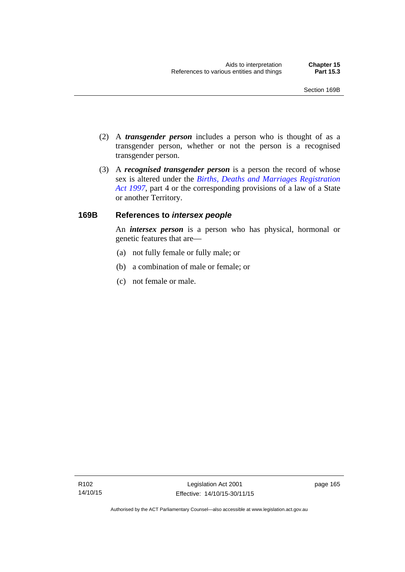- (2) A *transgender person* includes a person who is thought of as a transgender person, whether or not the person is a recognised transgender person.
- (3) A *recognised transgender person* is a person the record of whose sex is altered under the *[Births, Deaths and Marriages Registration](http://www.legislation.act.gov.au/a/1997-112)  [Act 1997](http://www.legislation.act.gov.au/a/1997-112)*, part 4 or the corresponding provisions of a law of a State or another Territory.

## **169B References to** *intersex people*

An *intersex person* is a person who has physical, hormonal or genetic features that are—

- (a) not fully female or fully male; or
- (b) a combination of male or female; or
- (c) not female or male.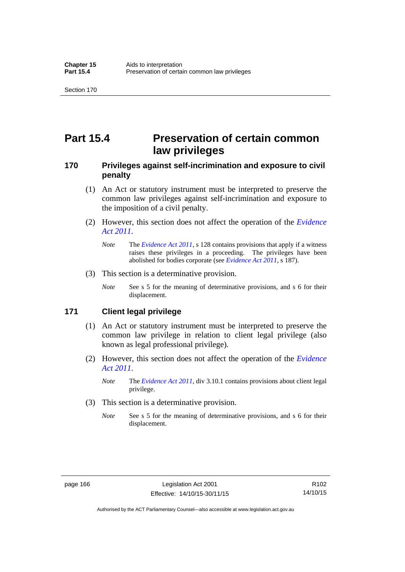# **Part 15.4 Preservation of certain common law privileges**

## **170 Privileges against self-incrimination and exposure to civil penalty**

- (1) An Act or statutory instrument must be interpreted to preserve the common law privileges against self-incrimination and exposure to the imposition of a civil penalty.
- (2) However, this section does not affect the operation of the *[Evidence](http://www.legislation.act.gov.au/a/2011-12)  [Act 2011](http://www.legislation.act.gov.au/a/2011-12)*.
	- *Note* The *[Evidence Act 2011](http://www.legislation.act.gov.au/a/2011-12)*, s 128 contains provisions that apply if a witness raises these privileges in a proceeding. The privileges have been abolished for bodies corporate (see *[Evidence Act 2011](http://www.legislation.act.gov.au/a/2011-12)*, s 187).
- (3) This section is a determinative provision.
	- *Note* See s 5 for the meaning of determinative provisions, and s 6 for their displacement.

### **171 Client legal privilege**

- (1) An Act or statutory instrument must be interpreted to preserve the common law privilege in relation to client legal privilege (also known as legal professional privilege).
- (2) However, this section does not affect the operation of the *[Evidence](http://www.legislation.act.gov.au/a/2011-12)  [Act 2011](http://www.legislation.act.gov.au/a/2011-12)*.
	- *Note* The *[Evidence Act 2011](http://www.legislation.act.gov.au/a/2011-12)*, div 3.10.1 contains provisions about client legal privilege.
- (3) This section is a determinative provision.
	- *Note* See s 5 for the meaning of determinative provisions, and s 6 for their displacement.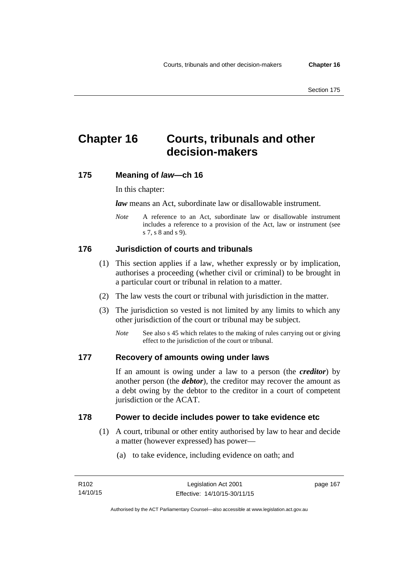# **Chapter 16 Courts, tribunals and other decision-makers**

## **175 Meaning of** *law***—ch 16**

In this chapter:

*law* means an Act, subordinate law or disallowable instrument.

*Note* A reference to an Act, subordinate law or disallowable instrument includes a reference to a provision of the Act, law or instrument (see s 7, s 8 and s 9).

# **176 Jurisdiction of courts and tribunals**

- (1) This section applies if a law, whether expressly or by implication, authorises a proceeding (whether civil or criminal) to be brought in a particular court or tribunal in relation to a matter.
- (2) The law vests the court or tribunal with jurisdiction in the matter.
- (3) The jurisdiction so vested is not limited by any limits to which any other jurisdiction of the court or tribunal may be subject.
	- *Note* See also s 45 which relates to the making of rules carrying out or giving effect to the jurisdiction of the court or tribunal.

#### **177 Recovery of amounts owing under laws**

If an amount is owing under a law to a person (the *creditor*) by another person (the *debtor*), the creditor may recover the amount as a debt owing by the debtor to the creditor in a court of competent jurisdiction or the ACAT.

#### **178 Power to decide includes power to take evidence etc**

- (1) A court, tribunal or other entity authorised by law to hear and decide a matter (however expressed) has power—
	- (a) to take evidence, including evidence on oath; and

page 167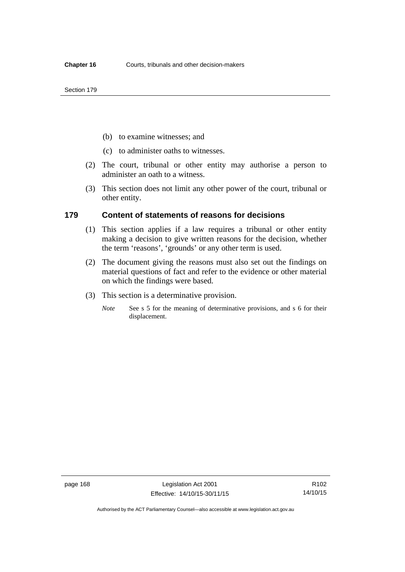- (b) to examine witnesses; and
- (c) to administer oaths to witnesses.
- (2) The court, tribunal or other entity may authorise a person to administer an oath to a witness.
- (3) This section does not limit any other power of the court, tribunal or other entity.

#### **179 Content of statements of reasons for decisions**

- (1) This section applies if a law requires a tribunal or other entity making a decision to give written reasons for the decision, whether the term 'reasons', 'grounds' or any other term is used.
- (2) The document giving the reasons must also set out the findings on material questions of fact and refer to the evidence or other material on which the findings were based.
- (3) This section is a determinative provision.
	- *Note* See s 5 for the meaning of determinative provisions, and s 6 for their displacement.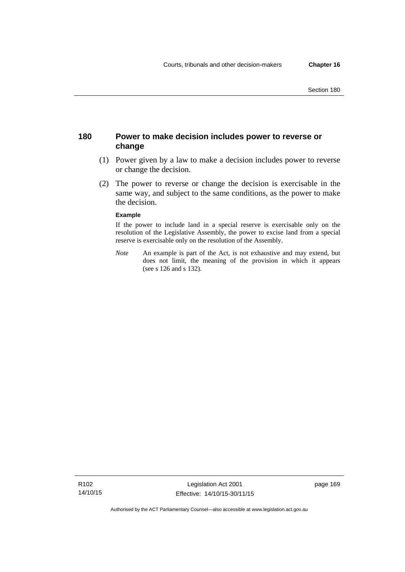## **180 Power to make decision includes power to reverse or change**

- (1) Power given by a law to make a decision includes power to reverse or change the decision.
- (2) The power to reverse or change the decision is exercisable in the same way, and subject to the same conditions, as the power to make the decision.

#### **Example**

If the power to include land in a special reserve is exercisable only on the resolution of the Legislative Assembly, the power to excise land from a special reserve is exercisable only on the resolution of the Assembly.

*Note* An example is part of the Act, is not exhaustive and may extend, but does not limit, the meaning of the provision in which it appears (see s 126 and s 132).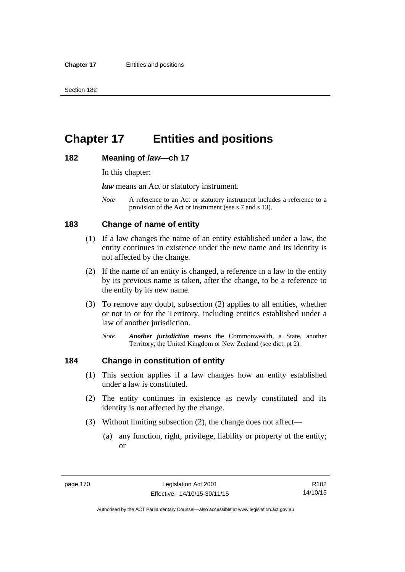# **Chapter 17 Entities and positions**

#### **182 Meaning of** *law***—ch 17**

In this chapter:

*law* means an Act or statutory instrument.

*Note* A reference to an Act or statutory instrument includes a reference to a provision of the Act or instrument (see s 7 and s 13).

## **183 Change of name of entity**

- (1) If a law changes the name of an entity established under a law, the entity continues in existence under the new name and its identity is not affected by the change.
- (2) If the name of an entity is changed, a reference in a law to the entity by its previous name is taken, after the change, to be a reference to the entity by its new name.
- (3) To remove any doubt, subsection (2) applies to all entities, whether or not in or for the Territory, including entities established under a law of another jurisdiction.
	- *Note Another jurisdiction* means the Commonwealth, a State, another Territory, the United Kingdom or New Zealand (see dict, pt 2).

### **184 Change in constitution of entity**

- (1) This section applies if a law changes how an entity established under a law is constituted.
- (2) The entity continues in existence as newly constituted and its identity is not affected by the change.
- (3) Without limiting subsection (2), the change does not affect—
	- (a) any function, right, privilege, liability or property of the entity; or

R102 14/10/15

Authorised by the ACT Parliamentary Counsel—also accessible at www.legislation.act.gov.au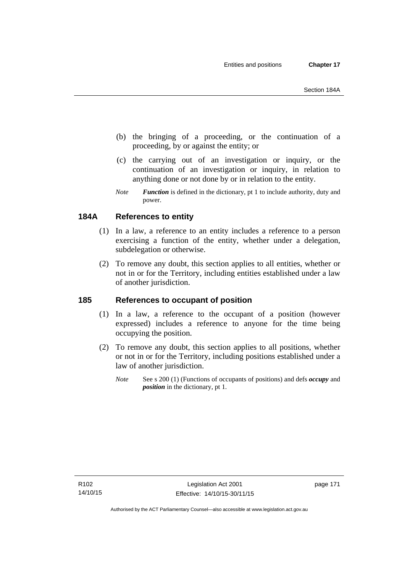- (b) the bringing of a proceeding, or the continuation of a proceeding, by or against the entity; or
- (c) the carrying out of an investigation or inquiry, or the continuation of an investigation or inquiry, in relation to anything done or not done by or in relation to the entity.
- *Note Function* is defined in the dictionary, pt 1 to include authority, duty and power.

# **184A References to entity**

- (1) In a law, a reference to an entity includes a reference to a person exercising a function of the entity, whether under a delegation, subdelegation or otherwise.
- (2) To remove any doubt, this section applies to all entities, whether or not in or for the Territory, including entities established under a law of another jurisdiction.

## **185 References to occupant of position**

- (1) In a law, a reference to the occupant of a position (however expressed) includes a reference to anyone for the time being occupying the position.
- (2) To remove any doubt, this section applies to all positions, whether or not in or for the Territory, including positions established under a law of another jurisdiction.
	- *Note* See s 200 (1) (Functions of occupants of positions) and defs *occupy* and *position* in the dictionary, pt 1.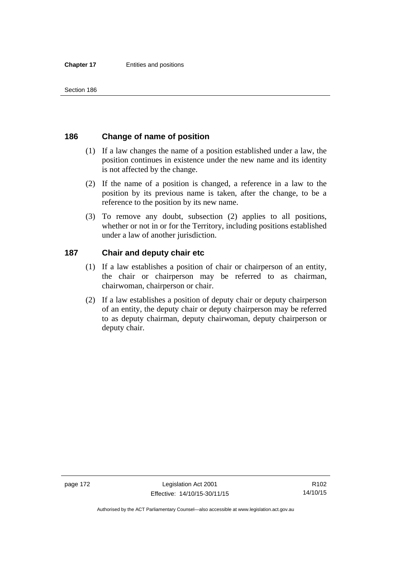## **186 Change of name of position**

- (1) If a law changes the name of a position established under a law, the position continues in existence under the new name and its identity is not affected by the change.
- (2) If the name of a position is changed, a reference in a law to the position by its previous name is taken, after the change, to be a reference to the position by its new name.
- (3) To remove any doubt, subsection (2) applies to all positions, whether or not in or for the Territory, including positions established under a law of another jurisdiction.

## **187 Chair and deputy chair etc**

- (1) If a law establishes a position of chair or chairperson of an entity, the chair or chairperson may be referred to as chairman, chairwoman, chairperson or chair.
- (2) If a law establishes a position of deputy chair or deputy chairperson of an entity, the deputy chair or deputy chairperson may be referred to as deputy chairman, deputy chairwoman, deputy chairperson or deputy chair.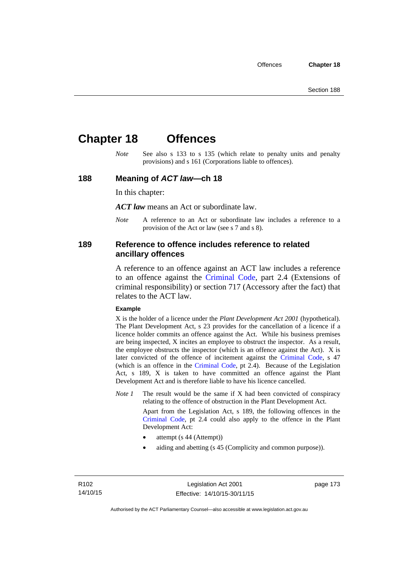# **Chapter 18 Offences**

*Note* See also s 133 to s 135 (which relate to penalty units and penalty provisions) and s 161 (Corporations liable to offences).

#### **188 Meaning of** *ACT law***—ch 18**

In this chapter:

*ACT law* means an Act or subordinate law.

*Note* A reference to an Act or subordinate law includes a reference to a provision of the Act or law (see s 7 and s 8).

### **189 Reference to offence includes reference to related ancillary offences**

A reference to an offence against an ACT law includes a reference to an offence against the [Criminal Code,](http://www.legislation.act.gov.au/a/2002-51) part 2.4 (Extensions of criminal responsibility) or section 717 (Accessory after the fact) that relates to the ACT law.

#### **Example**

X is the holder of a licence under the *Plant Development Act 2001* (hypothetical). The Plant Development Act, s 23 provides for the cancellation of a licence if a licence holder commits an offence against the Act. While his business premises are being inspected, X incites an employee to obstruct the inspector. As a result, the employee obstructs the inspector (which is an offence against the Act). X is later convicted of the offence of incitement against the [Criminal Code](http://www.legislation.act.gov.au/a/2002-51), s 47 (which is an offence in the [Criminal Code,](http://www.legislation.act.gov.au/a/2002-51) pt 2.4). Because of the Legislation Act, s 189, X is taken to have committed an offence against the Plant Development Act and is therefore liable to have his licence cancelled.

*Note 1* The result would be the same if X had been convicted of conspiracy relating to the offence of obstruction in the Plant Development Act.

> Apart from the Legislation Act, s 189, the following offences in the [Criminal Code,](http://www.legislation.act.gov.au/a/2002-51) pt 2.4 could also apply to the offence in the Plant Development Act:

- attempt (s 44 (Attempt))
- aiding and abetting (s 45 (Complicity and common purpose)).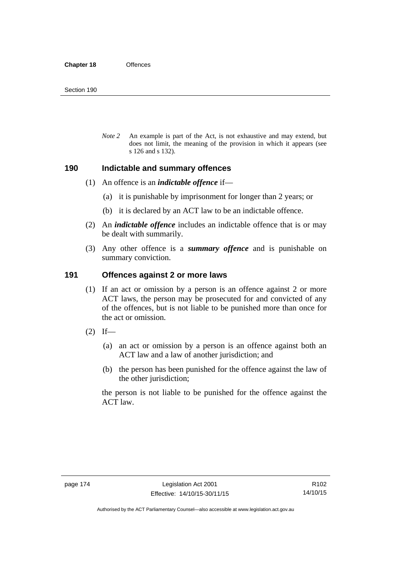*Note 2* An example is part of the Act, is not exhaustive and may extend, but does not limit, the meaning of the provision in which it appears (see s 126 and s 132).

#### **190 Indictable and summary offences**

- (1) An offence is an *indictable offence* if—
	- (a) it is punishable by imprisonment for longer than 2 years; or
	- (b) it is declared by an ACT law to be an indictable offence.
- (2) An *indictable offence* includes an indictable offence that is or may be dealt with summarily.
- (3) Any other offence is a *summary offence* and is punishable on summary conviction.

### **191 Offences against 2 or more laws**

- (1) If an act or omission by a person is an offence against 2 or more ACT laws, the person may be prosecuted for and convicted of any of the offences, but is not liable to be punished more than once for the act or omission.
- $(2)$  If—
	- (a) an act or omission by a person is an offence against both an ACT law and a law of another jurisdiction; and
	- (b) the person has been punished for the offence against the law of the other jurisdiction;

the person is not liable to be punished for the offence against the ACT law.

R102 14/10/15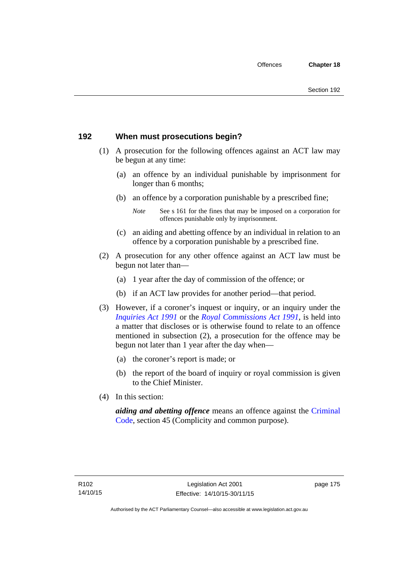## **192 When must prosecutions begin?**

- (1) A prosecution for the following offences against an ACT law may be begun at any time:
	- (a) an offence by an individual punishable by imprisonment for longer than 6 months;
	- (b) an offence by a corporation punishable by a prescribed fine;
		- *Note* See s 161 for the fines that may be imposed on a corporation for offences punishable only by imprisonment.
	- (c) an aiding and abetting offence by an individual in relation to an offence by a corporation punishable by a prescribed fine.
- (2) A prosecution for any other offence against an ACT law must be begun not later than—
	- (a) 1 year after the day of commission of the offence; or
	- (b) if an ACT law provides for another period—that period.
- (3) However, if a coroner's inquest or inquiry, or an inquiry under the *[Inquiries Act 1991](http://www.legislation.act.gov.au/a/1991-2)* or the *[Royal Commissions Act 1991](http://www.legislation.act.gov.au/a/1991-1)*, is held into a matter that discloses or is otherwise found to relate to an offence mentioned in subsection (2), a prosecution for the offence may be begun not later than 1 year after the day when—
	- (a) the coroner's report is made; or
	- (b) the report of the board of inquiry or royal commission is given to the Chief Minister.
- (4) In this section:

*aiding and abetting offence* means an offence against the [Criminal](http://www.legislation.act.gov.au/a/2002-51)  [Code](http://www.legislation.act.gov.au/a/2002-51), section 45 (Complicity and common purpose).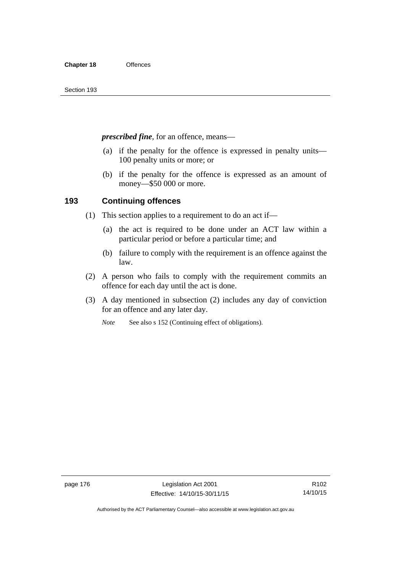*prescribed fine*, for an offence, means—

- (a) if the penalty for the offence is expressed in penalty units— 100 penalty units or more; or
- (b) if the penalty for the offence is expressed as an amount of money—\$50 000 or more.

## **193 Continuing offences**

- (1) This section applies to a requirement to do an act if—
	- (a) the act is required to be done under an ACT law within a particular period or before a particular time; and
	- (b) failure to comply with the requirement is an offence against the law.
- (2) A person who fails to comply with the requirement commits an offence for each day until the act is done.
- (3) A day mentioned in subsection (2) includes any day of conviction for an offence and any later day.

*Note* See also s 152 (Continuing effect of obligations).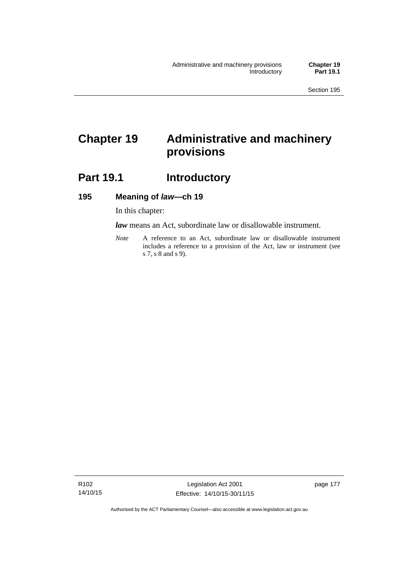# **Chapter 19 Administrative and machinery provisions**

# Part 19.1 **Introductory**

#### **195 Meaning of** *law***—ch 19**

In this chapter:

*law* means an Act, subordinate law or disallowable instrument.

*Note* A reference to an Act, subordinate law or disallowable instrument includes a reference to a provision of the Act, law or instrument (see s 7, s 8 and s 9).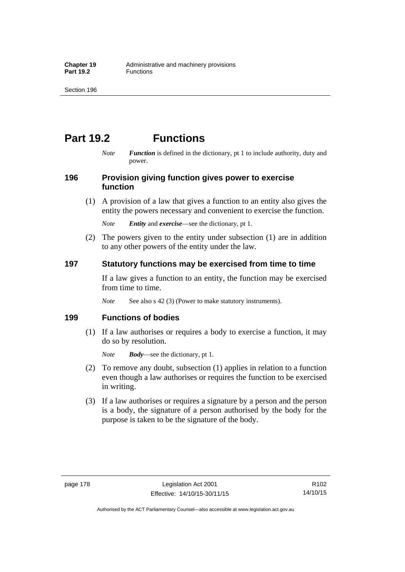# **Part 19.2 Functions**

*Note Function* is defined in the dictionary, pt 1 to include authority, duty and power.

## **196 Provision giving function gives power to exercise function**

 (1) A provision of a law that gives a function to an entity also gives the entity the powers necessary and convenient to exercise the function.

*Note Entity* and *exercise*—see the dictionary, pt 1.

 (2) The powers given to the entity under subsection (1) are in addition to any other powers of the entity under the law.

## **197 Statutory functions may be exercised from time to time**

If a law gives a function to an entity, the function may be exercised from time to time.

*Note* See also s 42 (3) (Power to make statutory instruments).

## **199 Functions of bodies**

 (1) If a law authorises or requires a body to exercise a function, it may do so by resolution.

*Note Body*—see the dictionary, pt 1.

- (2) To remove any doubt, subsection (1) applies in relation to a function even though a law authorises or requires the function to be exercised in writing.
- (3) If a law authorises or requires a signature by a person and the person is a body, the signature of a person authorised by the body for the purpose is taken to be the signature of the body.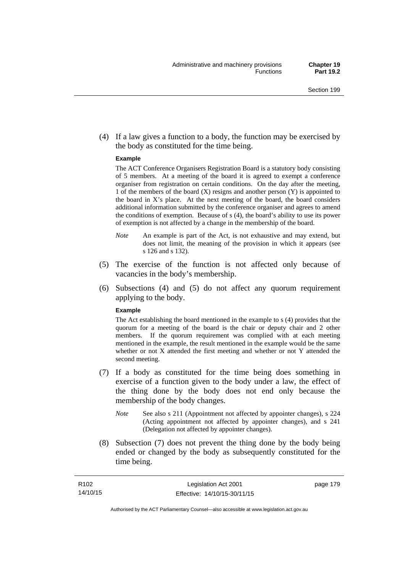(4) If a law gives a function to a body, the function may be exercised by the body as constituted for the time being.

#### **Example**

The ACT Conference Organisers Registration Board is a statutory body consisting of 5 members. At a meeting of the board it is agreed to exempt a conference organiser from registration on certain conditions. On the day after the meeting, 1 of the members of the board (X) resigns and another person (Y) is appointed to the board in  $X$ 's place. At the next meeting of the board, the board considers additional information submitted by the conference organiser and agrees to amend the conditions of exemption. Because of s (4), the board's ability to use its power of exemption is not affected by a change in the membership of the board.

- *Note* An example is part of the Act, is not exhaustive and may extend, but does not limit, the meaning of the provision in which it appears (see s 126 and s 132).
- (5) The exercise of the function is not affected only because of vacancies in the body's membership.
- (6) Subsections (4) and (5) do not affect any quorum requirement applying to the body.

#### **Example**

The Act establishing the board mentioned in the example to s (4) provides that the quorum for a meeting of the board is the chair or deputy chair and 2 other members. If the quorum requirement was complied with at each meeting mentioned in the example, the result mentioned in the example would be the same whether or not X attended the first meeting and whether or not Y attended the second meeting.

- (7) If a body as constituted for the time being does something in exercise of a function given to the body under a law, the effect of the thing done by the body does not end only because the membership of the body changes.
	- *Note* See also s 211 (Appointment not affected by appointer changes), s 224 (Acting appointment not affected by appointer changes), and s 241 (Delegation not affected by appointer changes).
- (8) Subsection (7) does not prevent the thing done by the body being ended or changed by the body as subsequently constituted for the time being.

page 179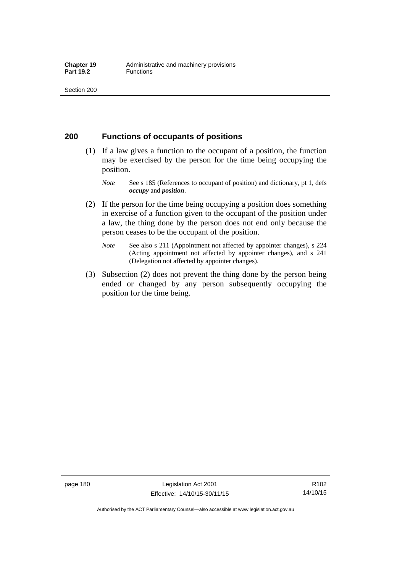### **200 Functions of occupants of positions**

- (1) If a law gives a function to the occupant of a position, the function may be exercised by the person for the time being occupying the position.
	- *Note* See s 185 (References to occupant of position) and dictionary, pt 1, defs *occupy* and *position*.
- (2) If the person for the time being occupying a position does something in exercise of a function given to the occupant of the position under a law, the thing done by the person does not end only because the person ceases to be the occupant of the position.
	- *Note* See also s 211 (Appointment not affected by appointer changes), s 224 (Acting appointment not affected by appointer changes), and s 241 (Delegation not affected by appointer changes).
- (3) Subsection (2) does not prevent the thing done by the person being ended or changed by any person subsequently occupying the position for the time being.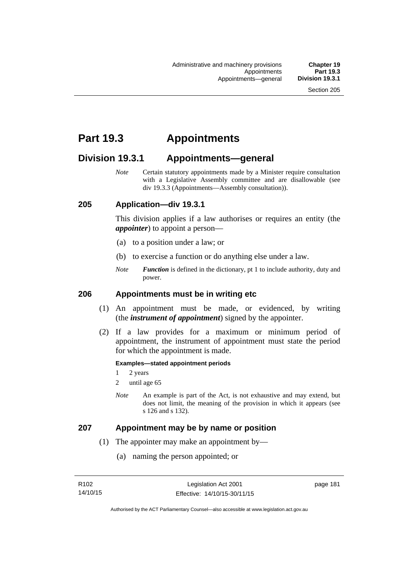# **Part 19.3 Appointments**

# **Division 19.3.1 Appointments—general**

*Note* Certain statutory appointments made by a Minister require consultation with a Legislative Assembly committee and are disallowable (see div 19.3.3 (Appointments—Assembly consultation)).

## **205 Application—div 19.3.1**

This division applies if a law authorises or requires an entity (the *appointer*) to appoint a person—

- (a) to a position under a law; or
- (b) to exercise a function or do anything else under a law.
- *Note Function* is defined in the dictionary, pt 1 to include authority, duty and power.

## **206 Appointments must be in writing etc**

- (1) An appointment must be made, or evidenced, by writing (the *instrument of appointment*) signed by the appointer.
- (2) If a law provides for a maximum or minimum period of appointment, the instrument of appointment must state the period for which the appointment is made.

#### **Examples—stated appointment periods**

- 1 2 years
- 2 until age 65
- *Note* An example is part of the Act, is not exhaustive and may extend, but does not limit, the meaning of the provision in which it appears (see s 126 and s 132).

#### **207 Appointment may be by name or position**

- (1) The appointer may make an appointment by—
	- (a) naming the person appointed; or

page 181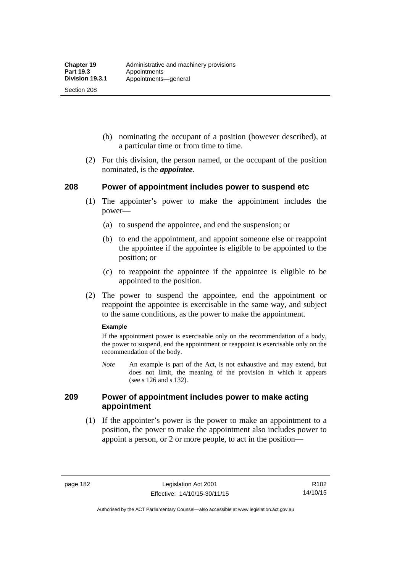Section 208

- (b) nominating the occupant of a position (however described), at a particular time or from time to time.
- (2) For this division, the person named, or the occupant of the position nominated, is the *appointee*.

## **208 Power of appointment includes power to suspend etc**

- (1) The appointer's power to make the appointment includes the power—
	- (a) to suspend the appointee, and end the suspension; or
	- (b) to end the appointment, and appoint someone else or reappoint the appointee if the appointee is eligible to be appointed to the position; or
	- (c) to reappoint the appointee if the appointee is eligible to be appointed to the position.
- (2) The power to suspend the appointee, end the appointment or reappoint the appointee is exercisable in the same way, and subject to the same conditions, as the power to make the appointment.

#### **Example**

If the appointment power is exercisable only on the recommendation of a body, the power to suspend, end the appointment or reappoint is exercisable only on the recommendation of the body.

*Note* An example is part of the Act, is not exhaustive and may extend, but does not limit, the meaning of the provision in which it appears (see s 126 and s 132).

## **209 Power of appointment includes power to make acting appointment**

 (1) If the appointer's power is the power to make an appointment to a position, the power to make the appointment also includes power to appoint a person, or 2 or more people, to act in the position—

page 182 Legislation Act 2001 Effective: 14/10/15-30/11/15

R102 14/10/15

Authorised by the ACT Parliamentary Counsel—also accessible at www.legislation.act.gov.au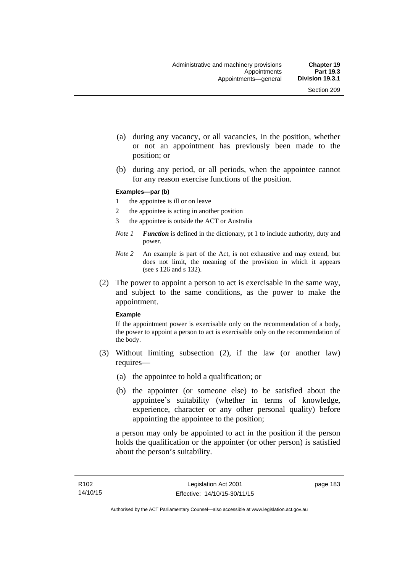- (a) during any vacancy, or all vacancies, in the position, whether or not an appointment has previously been made to the position; or
- (b) during any period, or all periods, when the appointee cannot for any reason exercise functions of the position.

#### **Examples—par (b)**

- 1 the appointee is ill or on leave
- 2 the appointee is acting in another position
- 3 the appointee is outside the ACT or Australia
- *Note 1 Function* is defined in the dictionary, pt 1 to include authority, duty and power.
- *Note 2* An example is part of the Act, is not exhaustive and may extend, but does not limit, the meaning of the provision in which it appears (see s 126 and s 132).
- (2) The power to appoint a person to act is exercisable in the same way, and subject to the same conditions, as the power to make the appointment.

#### **Example**

If the appointment power is exercisable only on the recommendation of a body, the power to appoint a person to act is exercisable only on the recommendation of the body.

- (3) Without limiting subsection (2), if the law (or another law) requires—
	- (a) the appointee to hold a qualification; or
	- (b) the appointer (or someone else) to be satisfied about the appointee's suitability (whether in terms of knowledge, experience, character or any other personal quality) before appointing the appointee to the position;

a person may only be appointed to act in the position if the person holds the qualification or the appointer (or other person) is satisfied about the person's suitability.

page 183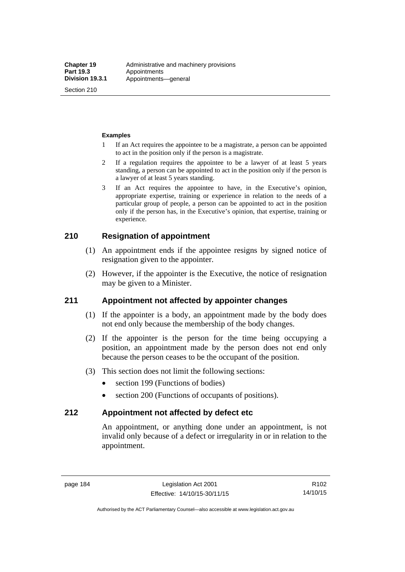Section 210

#### **Examples**

- 1 If an Act requires the appointee to be a magistrate, a person can be appointed to act in the position only if the person is a magistrate.
- 2 If a regulation requires the appointee to be a lawyer of at least 5 years standing, a person can be appointed to act in the position only if the person is a lawyer of at least 5 years standing.
- 3 If an Act requires the appointee to have, in the Executive's opinion, appropriate expertise, training or experience in relation to the needs of a particular group of people, a person can be appointed to act in the position only if the person has, in the Executive's opinion, that expertise, training or experience.

## **210 Resignation of appointment**

- (1) An appointment ends if the appointee resigns by signed notice of resignation given to the appointer.
- (2) However, if the appointer is the Executive, the notice of resignation may be given to a Minister.

## **211 Appointment not affected by appointer changes**

- (1) If the appointer is a body, an appointment made by the body does not end only because the membership of the body changes.
- (2) If the appointer is the person for the time being occupying a position, an appointment made by the person does not end only because the person ceases to be the occupant of the position.
- (3) This section does not limit the following sections:
	- section 199 (Functions of bodies)
	- section 200 (Functions of occupants of positions).

### **212 Appointment not affected by defect etc**

An appointment, or anything done under an appointment, is not invalid only because of a defect or irregularity in or in relation to the appointment.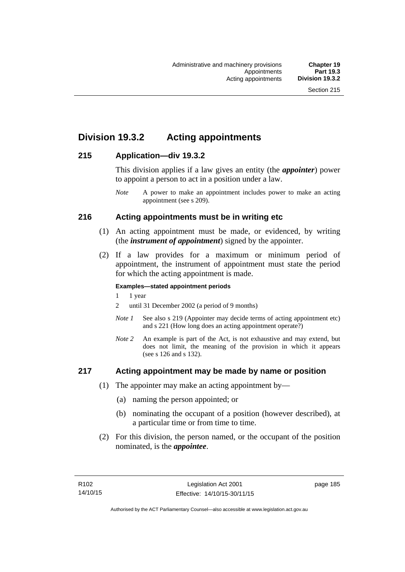# **Division 19.3.2 Acting appointments**

## **215 Application—div 19.3.2**

This division applies if a law gives an entity (the *appointer*) power to appoint a person to act in a position under a law.

## **216 Acting appointments must be in writing etc**

- (1) An acting appointment must be made, or evidenced, by writing (the *instrument of appointment*) signed by the appointer.
- (2) If a law provides for a maximum or minimum period of appointment, the instrument of appointment must state the period for which the acting appointment is made.

#### **Examples—stated appointment periods**

- 1 1 year
- 2 until 31 December 2002 (a period of 9 months)
- *Note 1* See also s 219 (Appointer may decide terms of acting appointment etc) and s 221 (How long does an acting appointment operate?)
- *Note 2* An example is part of the Act, is not exhaustive and may extend, but does not limit, the meaning of the provision in which it appears (see s 126 and s 132).

## **217 Acting appointment may be made by name or position**

- (1) The appointer may make an acting appointment by—
	- (a) naming the person appointed; or
	- (b) nominating the occupant of a position (however described), at a particular time or from time to time.
- (2) For this division, the person named, or the occupant of the position nominated, is the *appointee*.

*Note* A power to make an appointment includes power to make an acting appointment (see s 209).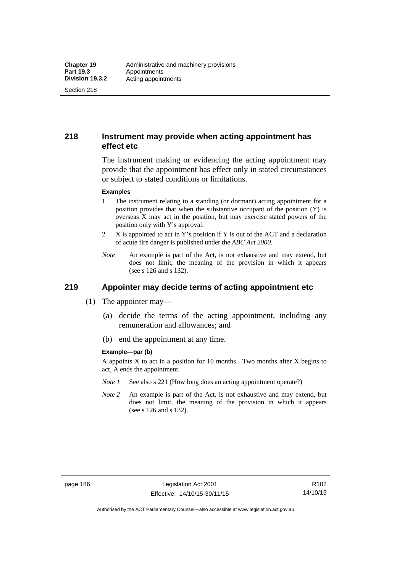Section 218

## **218 Instrument may provide when acting appointment has effect etc**

The instrument making or evidencing the acting appointment may provide that the appointment has effect only in stated circumstances or subject to stated conditions or limitations.

#### **Examples**

- 1 The instrument relating to a standing (or dormant) acting appointment for a position provides that when the substantive occupant of the position (Y) is overseas X may act in the position, but may exercise stated powers of the position only with Y's approval.
- 2 X is appointed to act in Y's position if Y is out of the ACT and a declaration of acute fire danger is published under the *ABC Act 2000*.
- *Note* An example is part of the Act, is not exhaustive and may extend, but does not limit, the meaning of the provision in which it appears (see s 126 and s 132).

# **219 Appointer may decide terms of acting appointment etc**

- (1) The appointer may—
	- (a) decide the terms of the acting appointment, including any remuneration and allowances; and
	- (b) end the appointment at any time.

#### **Example—par (b)**

A appoints  $X$  to act in a position for 10 months. Two months after  $X$  begins to act, A ends the appointment.

- *Note 1* See also s 221 (How long does an acting appointment operate?)
- *Note 2* An example is part of the Act, is not exhaustive and may extend, but does not limit, the meaning of the provision in which it appears (see s 126 and s 132).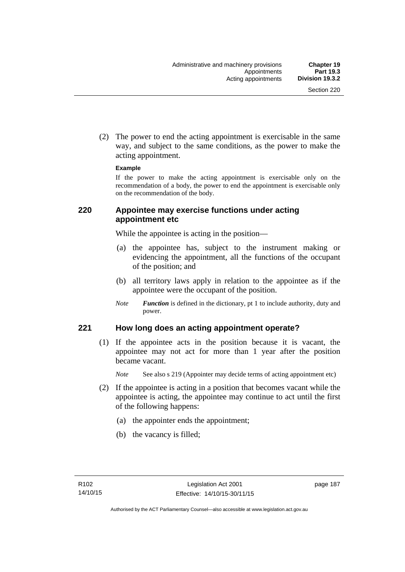(2) The power to end the acting appointment is exercisable in the same way, and subject to the same conditions, as the power to make the acting appointment.

#### **Example**

If the power to make the acting appointment is exercisable only on the recommendation of a body, the power to end the appointment is exercisable only on the recommendation of the body.

## **220 Appointee may exercise functions under acting appointment etc**

While the appointee is acting in the position—

- (a) the appointee has, subject to the instrument making or evidencing the appointment, all the functions of the occupant of the position; and
- (b) all territory laws apply in relation to the appointee as if the appointee were the occupant of the position.
- *Note Function* is defined in the dictionary, pt 1 to include authority, duty and power.

## **221 How long does an acting appointment operate?**

 (1) If the appointee acts in the position because it is vacant, the appointee may not act for more than 1 year after the position became vacant.

*Note* See also s 219 (Appointer may decide terms of acting appointment etc)

- (2) If the appointee is acting in a position that becomes vacant while the appointee is acting, the appointee may continue to act until the first of the following happens:
	- (a) the appointer ends the appointment;
	- (b) the vacancy is filled;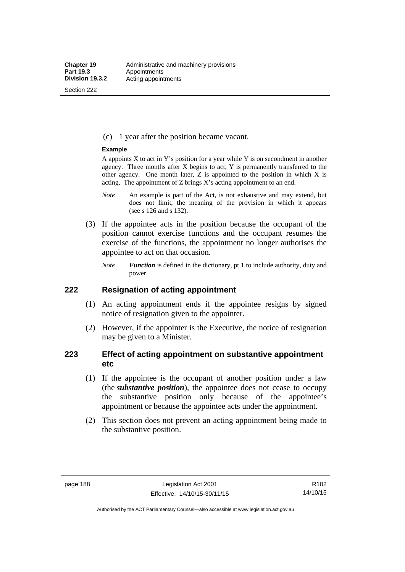Section 222

(c) 1 year after the position became vacant.

#### **Example**

A appoints  $X$  to act in Y's position for a year while Y is on secondment in another agency. Three months after X begins to act, Y is permanently transferred to the other agency. One month later,  $Z$  is appointed to the position in which  $X$  is acting. The appointment of Z brings X's acting appointment to an end.

- *Note* An example is part of the Act, is not exhaustive and may extend, but does not limit, the meaning of the provision in which it appears (see s 126 and s 132).
- (3) If the appointee acts in the position because the occupant of the position cannot exercise functions and the occupant resumes the exercise of the functions, the appointment no longer authorises the appointee to act on that occasion.
	- *Note Function* is defined in the dictionary, pt 1 to include authority, duty and power.

### **222 Resignation of acting appointment**

- (1) An acting appointment ends if the appointee resigns by signed notice of resignation given to the appointer.
- (2) However, if the appointer is the Executive, the notice of resignation may be given to a Minister.

## **223 Effect of acting appointment on substantive appointment etc**

- (1) If the appointee is the occupant of another position under a law (the *substantive position*), the appointee does not cease to occupy the substantive position only because of the appointee's appointment or because the appointee acts under the appointment.
- (2) This section does not prevent an acting appointment being made to the substantive position.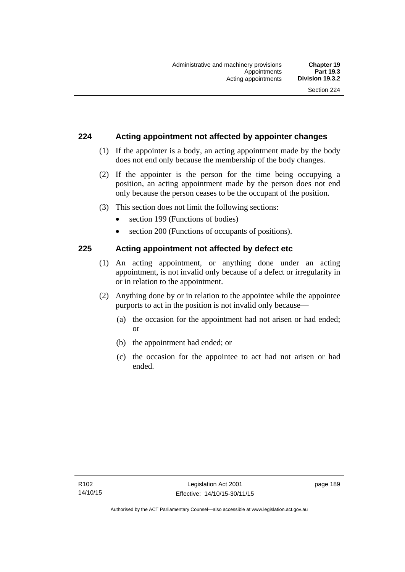## **224 Acting appointment not affected by appointer changes**

- (1) If the appointer is a body, an acting appointment made by the body does not end only because the membership of the body changes.
- (2) If the appointer is the person for the time being occupying a position, an acting appointment made by the person does not end only because the person ceases to be the occupant of the position.
- (3) This section does not limit the following sections:
	- section 199 (Functions of bodies)
	- section 200 (Functions of occupants of positions).

## **225 Acting appointment not affected by defect etc**

- (1) An acting appointment, or anything done under an acting appointment, is not invalid only because of a defect or irregularity in or in relation to the appointment.
- (2) Anything done by or in relation to the appointee while the appointee purports to act in the position is not invalid only because—
	- (a) the occasion for the appointment had not arisen or had ended; or
	- (b) the appointment had ended; or
	- (c) the occasion for the appointee to act had not arisen or had ended.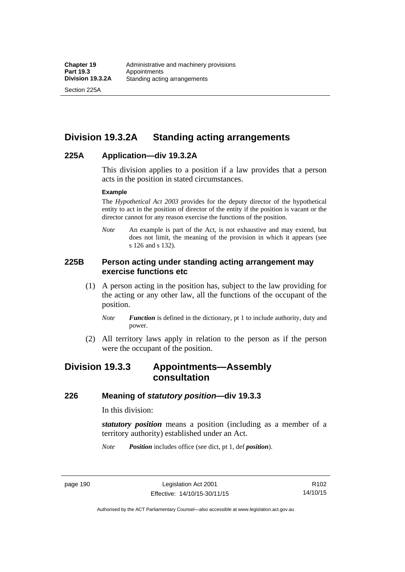Section 225A

# **Division 19.3.2A Standing acting arrangements**

## **225A Application—div 19.3.2A**

This division applies to a position if a law provides that a person acts in the position in stated circumstances.

#### **Example**

The *Hypothetical Act 2003* provides for the deputy director of the hypothetical entity to act in the position of director of the entity if the position is vacant or the director cannot for any reason exercise the functions of the position.

*Note* An example is part of the Act, is not exhaustive and may extend, but does not limit, the meaning of the provision in which it appears (see s 126 and s 132).

## **225B Person acting under standing acting arrangement may exercise functions etc**

- (1) A person acting in the position has, subject to the law providing for the acting or any other law, all the functions of the occupant of the position.
	- *Note Function* is defined in the dictionary, pt 1 to include authority, duty and power.
- (2) All territory laws apply in relation to the person as if the person were the occupant of the position.

# **Division 19.3.3 Appointments—Assembly consultation**

#### **226 Meaning of** *statutory position***—div 19.3.3**

In this division:

*statutory position* means a position (including as a member of a territory authority) established under an Act.

*Note Position* includes office (see dict, pt 1, def *position*).

page 190 Legislation Act 2001 Effective: 14/10/15-30/11/15

R102 14/10/15

Authorised by the ACT Parliamentary Counsel—also accessible at www.legislation.act.gov.au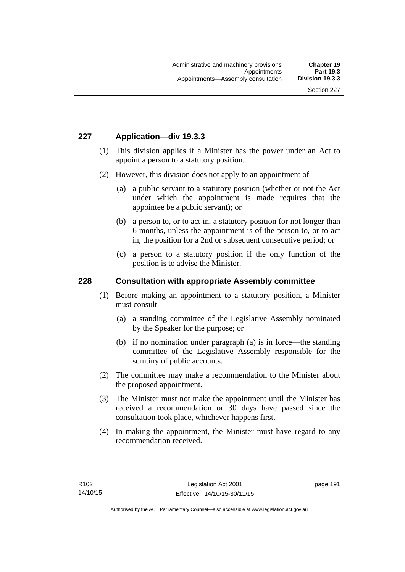## **227 Application—div 19.3.3**

- (1) This division applies if a Minister has the power under an Act to appoint a person to a statutory position.
- (2) However, this division does not apply to an appointment of—
	- (a) a public servant to a statutory position (whether or not the Act under which the appointment is made requires that the appointee be a public servant); or
	- (b) a person to, or to act in, a statutory position for not longer than 6 months, unless the appointment is of the person to, or to act in, the position for a 2nd or subsequent consecutive period; or
	- (c) a person to a statutory position if the only function of the position is to advise the Minister.

#### **228 Consultation with appropriate Assembly committee**

- (1) Before making an appointment to a statutory position, a Minister must consult—
	- (a) a standing committee of the Legislative Assembly nominated by the Speaker for the purpose; or
	- (b) if no nomination under paragraph (a) is in force—the standing committee of the Legislative Assembly responsible for the scrutiny of public accounts.
- (2) The committee may make a recommendation to the Minister about the proposed appointment.
- (3) The Minister must not make the appointment until the Minister has received a recommendation or 30 days have passed since the consultation took place, whichever happens first.
- (4) In making the appointment, the Minister must have regard to any recommendation received.

page 191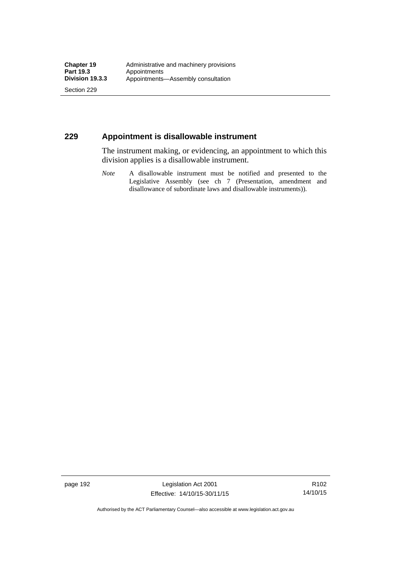Section 229

## **229 Appointment is disallowable instrument**

The instrument making, or evidencing, an appointment to which this division applies is a disallowable instrument.

*Note* A disallowable instrument must be notified and presented to the Legislative Assembly (see ch 7 (Presentation, amendment and disallowance of subordinate laws and disallowable instruments)).

page 192 Legislation Act 2001 Effective: 14/10/15-30/11/15

R102 14/10/15

Authorised by the ACT Parliamentary Counsel—also accessible at www.legislation.act.gov.au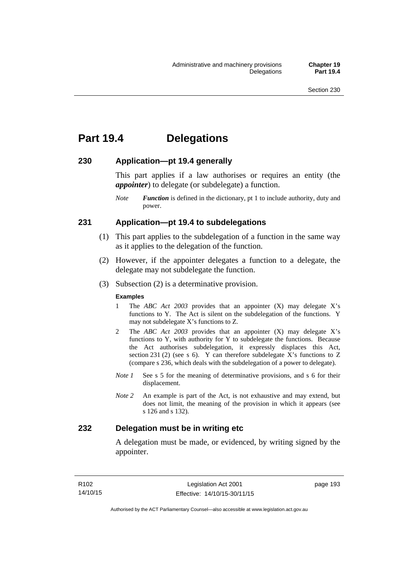# **Part 19.4 Delegations**

### **230 Application—pt 19.4 generally**

This part applies if a law authorises or requires an entity (the *appointer*) to delegate (or subdelegate) a function.

*Note Function* is defined in the dictionary, pt 1 to include authority, duty and power.

## **231 Application—pt 19.4 to subdelegations**

- (1) This part applies to the subdelegation of a function in the same way as it applies to the delegation of the function.
- (2) However, if the appointer delegates a function to a delegate, the delegate may not subdelegate the function.
- (3) Subsection (2) is a determinative provision.

#### **Examples**

- 1 The *ABC Act 2003* provides that an appointer (X) may delegate X's functions to Y. The Act is silent on the subdelegation of the functions. Y may not subdelegate X's functions to Z.
- 2 The *ABC Act 2003* provides that an appointer (X) may delegate X's functions to Y, with authority for Y to subdelegate the functions. Because the Act authorises subdelegation, it expressly displaces this Act, section 231 (2) (see s 6). Y can therefore subdelegate  $\overline{X}$ 's functions to Z (compare s 236, which deals with the subdelegation of a power to delegate)*.*
- *Note 1* See s 5 for the meaning of determinative provisions, and s 6 for their displacement.
- *Note 2* An example is part of the Act, is not exhaustive and may extend, but does not limit, the meaning of the provision in which it appears (see s 126 and s 132).

## **232 Delegation must be in writing etc**

A delegation must be made, or evidenced, by writing signed by the appointer.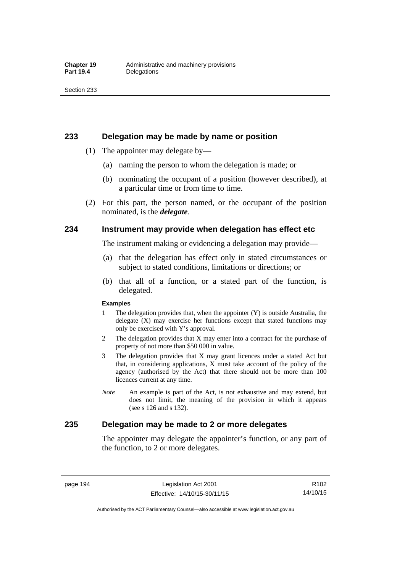#### **233 Delegation may be made by name or position**

- (1) The appointer may delegate by—
	- (a) naming the person to whom the delegation is made; or
	- (b) nominating the occupant of a position (however described), at a particular time or from time to time.
- (2) For this part, the person named, or the occupant of the position nominated, is the *delegate*.

#### **234 Instrument may provide when delegation has effect etc**

The instrument making or evidencing a delegation may provide—

- (a) that the delegation has effect only in stated circumstances or subject to stated conditions, limitations or directions; or
- (b) that all of a function, or a stated part of the function, is delegated.

#### **Examples**

- 1 The delegation provides that, when the appointer (Y) is outside Australia, the delegate (X) may exercise her functions except that stated functions may only be exercised with Y's approval.
- 2 The delegation provides that X may enter into a contract for the purchase of property of not more than \$50 000 in value.
- 3 The delegation provides that X may grant licences under a stated Act but that, in considering applications, X must take account of the policy of the agency (authorised by the Act) that there should not be more than 100 licences current at any time.
- *Note* An example is part of the Act, is not exhaustive and may extend, but does not limit, the meaning of the provision in which it appears (see s 126 and s 132).

### **235 Delegation may be made to 2 or more delegates**

The appointer may delegate the appointer's function, or any part of the function, to 2 or more delegates.

page 194 Legislation Act 2001 Effective: 14/10/15-30/11/15

Authorised by the ACT Parliamentary Counsel—also accessible at www.legislation.act.gov.au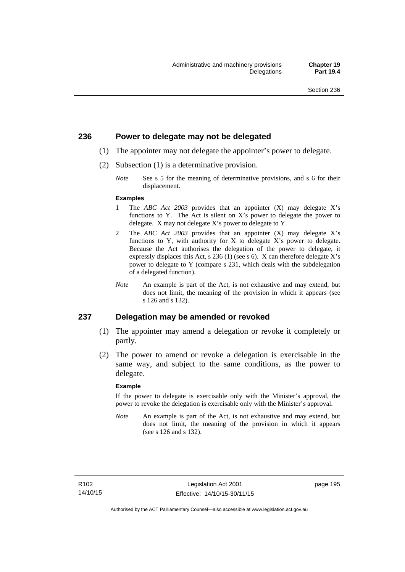### **236 Power to delegate may not be delegated**

- (1) The appointer may not delegate the appointer's power to delegate.
- (2) Subsection (1) is a determinative provision.
	- *Note* See s 5 for the meaning of determinative provisions, and s 6 for their displacement.

#### **Examples**

- 1 The *ABC Act 2003* provides that an appointer (X) may delegate X's functions to Y. The Act is silent on X's power to delegate the power to delegate. X may not delegate X's power to delegate to Y.
- 2 The *ABC Act 2003* provides that an appointer (X) may delegate X's functions to Y, with authority for X to delegate X's power to delegate. Because the Act authorises the delegation of the power to delegate, it expressly displaces this Act, s 236 (1) (see s 6). X can therefore delegate X's power to delegate to Y (compare s 231, which deals with the subdelegation of a delegated function).
- *Note* An example is part of the Act, is not exhaustive and may extend, but does not limit, the meaning of the provision in which it appears (see s 126 and s 132).

#### **237 Delegation may be amended or revoked**

- (1) The appointer may amend a delegation or revoke it completely or partly.
- (2) The power to amend or revoke a delegation is exercisable in the same way, and subject to the same conditions, as the power to delegate.

#### **Example**

If the power to delegate is exercisable only with the Minister's approval, the power to revoke the delegation is exercisable only with the Minister's approval.

*Note* An example is part of the Act, is not exhaustive and may extend, but does not limit, the meaning of the provision in which it appears (see s 126 and s 132).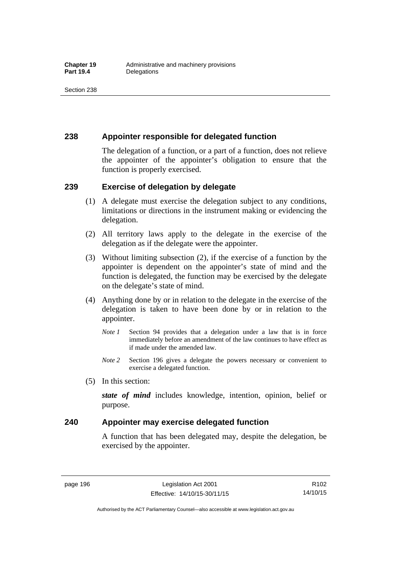## **238 Appointer responsible for delegated function**

The delegation of a function, or a part of a function, does not relieve the appointer of the appointer's obligation to ensure that the function is properly exercised.

## **239 Exercise of delegation by delegate**

- (1) A delegate must exercise the delegation subject to any conditions, limitations or directions in the instrument making or evidencing the delegation.
- (2) All territory laws apply to the delegate in the exercise of the delegation as if the delegate were the appointer.
- (3) Without limiting subsection (2), if the exercise of a function by the appointer is dependent on the appointer's state of mind and the function is delegated, the function may be exercised by the delegate on the delegate's state of mind.
- (4) Anything done by or in relation to the delegate in the exercise of the delegation is taken to have been done by or in relation to the appointer.
	- *Note 1* Section 94 provides that a delegation under a law that is in force immediately before an amendment of the law continues to have effect as if made under the amended law.
	- *Note 2* Section 196 gives a delegate the powers necessary or convenient to exercise a delegated function.
- (5) In this section:

*state of mind* includes knowledge, intention, opinion, belief or purpose.

## **240 Appointer may exercise delegated function**

A function that has been delegated may, despite the delegation, be exercised by the appointer.

page 196 Legislation Act 2001 Effective: 14/10/15-30/11/15

Authorised by the ACT Parliamentary Counsel—also accessible at www.legislation.act.gov.au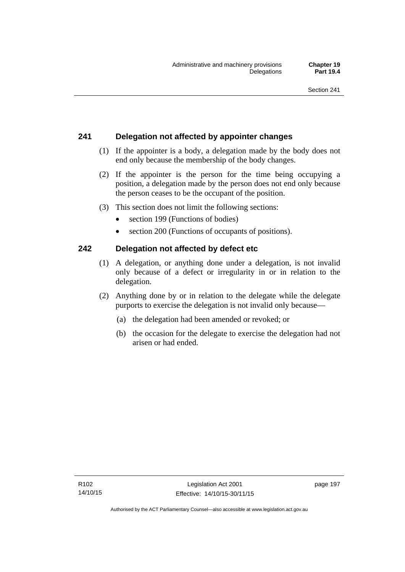# **241 Delegation not affected by appointer changes**

- (1) If the appointer is a body, a delegation made by the body does not end only because the membership of the body changes.
- (2) If the appointer is the person for the time being occupying a position, a delegation made by the person does not end only because the person ceases to be the occupant of the position.
- (3) This section does not limit the following sections:
	- section 199 (Functions of bodies)
	- section 200 (Functions of occupants of positions).

# **242 Delegation not affected by defect etc**

- (1) A delegation, or anything done under a delegation, is not invalid only because of a defect or irregularity in or in relation to the delegation.
- (2) Anything done by or in relation to the delegate while the delegate purports to exercise the delegation is not invalid only because—
	- (a) the delegation had been amended or revoked; or
	- (b) the occasion for the delegate to exercise the delegation had not arisen or had ended.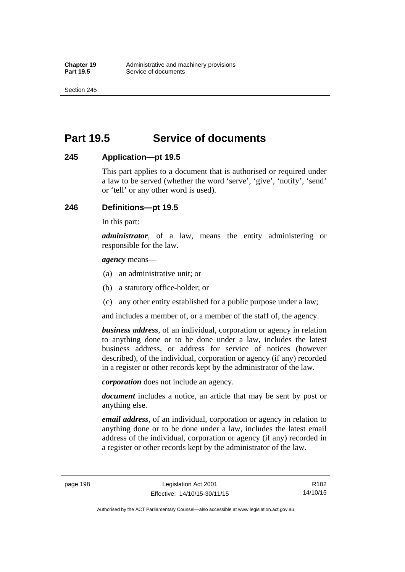Section 245

# **Part 19.5 Service of documents**

## **245 Application—pt 19.5**

This part applies to a document that is authorised or required under a law to be served (whether the word 'serve', 'give', 'notify', 'send' or 'tell' or any other word is used).

## **246 Definitions—pt 19.5**

In this part:

*administrator*, of a law, means the entity administering or responsible for the law.

*agency* means—

- (a) an administrative unit; or
- (b) a statutory office-holder; or
- (c) any other entity established for a public purpose under a law;

and includes a member of, or a member of the staff of, the agency.

*business address*, of an individual, corporation or agency in relation to anything done or to be done under a law, includes the latest business address, or address for service of notices (however described), of the individual, corporation or agency (if any) recorded in a register or other records kept by the administrator of the law.

*corporation* does not include an agency.

*document* includes a notice, an article that may be sent by post or anything else.

*email address*, of an individual, corporation or agency in relation to anything done or to be done under a law, includes the latest email address of the individual, corporation or agency (if any) recorded in a register or other records kept by the administrator of the law.

page 198 Legislation Act 2001 Effective: 14/10/15-30/11/15

Authorised by the ACT Parliamentary Counsel—also accessible at www.legislation.act.gov.au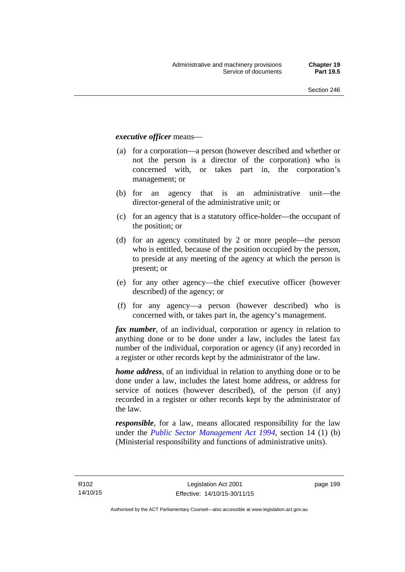#### *executive officer* means—

- (a) for a corporation—a person (however described and whether or not the person is a director of the corporation) who is concerned with, or takes part in, the corporation's management; or
- (b) for an agency that is an administrative unit—the director-general of the administrative unit; or
- (c) for an agency that is a statutory office-holder—the occupant of the position; or
- (d) for an agency constituted by 2 or more people—the person who is entitled, because of the position occupied by the person, to preside at any meeting of the agency at which the person is present; or
- (e) for any other agency—the chief executive officer (however described) of the agency; or
- (f) for any agency—a person (however described) who is concerned with, or takes part in, the agency's management.

*fax number*, of an individual, corporation or agency in relation to anything done or to be done under a law, includes the latest fax number of the individual, corporation or agency (if any) recorded in a register or other records kept by the administrator of the law.

*home address*, of an individual in relation to anything done or to be done under a law, includes the latest home address, or address for service of notices (however described), of the person (if any) recorded in a register or other records kept by the administrator of the law.

*responsible*, for a law, means allocated responsibility for the law under the *[Public Sector Management Act 1994](http://www.legislation.act.gov.au/a/1994-37)*, section 14 (1) (b) (Ministerial responsibility and functions of administrative units).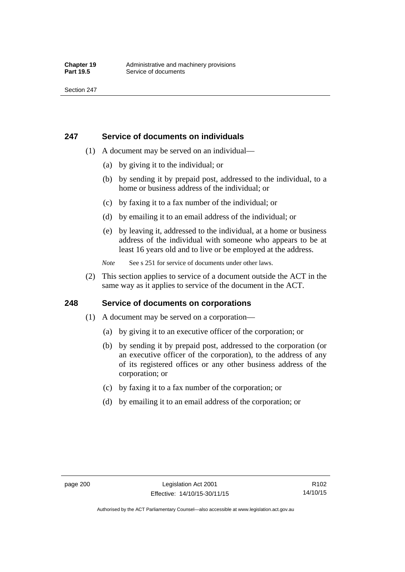## **247 Service of documents on individuals**

- (1) A document may be served on an individual—
	- (a) by giving it to the individual; or
	- (b) by sending it by prepaid post, addressed to the individual, to a home or business address of the individual; or
	- (c) by faxing it to a fax number of the individual; or
	- (d) by emailing it to an email address of the individual; or
	- (e) by leaving it, addressed to the individual, at a home or business address of the individual with someone who appears to be at least 16 years old and to live or be employed at the address.
	- *Note* See s 251 for service of documents under other laws.
- (2) This section applies to service of a document outside the ACT in the same way as it applies to service of the document in the ACT.

## **248 Service of documents on corporations**

- (1) A document may be served on a corporation—
	- (a) by giving it to an executive officer of the corporation; or
	- (b) by sending it by prepaid post, addressed to the corporation (or an executive officer of the corporation), to the address of any of its registered offices or any other business address of the corporation; or
	- (c) by faxing it to a fax number of the corporation; or
	- (d) by emailing it to an email address of the corporation; or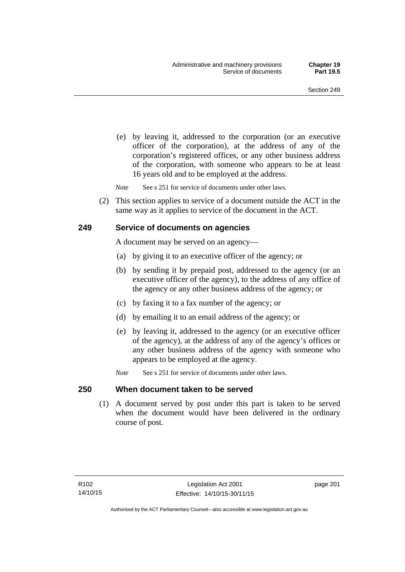(e) by leaving it, addressed to the corporation (or an executive officer of the corporation), at the address of any of the corporation's registered offices, or any other business address of the corporation, with someone who appears to be at least 16 years old and to be employed at the address.

*Note* See s 251 for service of documents under other laws.

 (2) This section applies to service of a document outside the ACT in the same way as it applies to service of the document in the ACT.

### **249 Service of documents on agencies**

A document may be served on an agency—

- (a) by giving it to an executive officer of the agency; or
- (b) by sending it by prepaid post, addressed to the agency (or an executive officer of the agency), to the address of any office of the agency or any other business address of the agency; or
- (c) by faxing it to a fax number of the agency; or
- (d) by emailing it to an email address of the agency; or
- (e) by leaving it, addressed to the agency (or an executive officer of the agency), at the address of any of the agency's offices or any other business address of the agency with someone who appears to be employed at the agency.
- *Note* See s 251 for service of documents under other laws.

#### **250 When document taken to be served**

 (1) A document served by post under this part is taken to be served when the document would have been delivered in the ordinary course of post.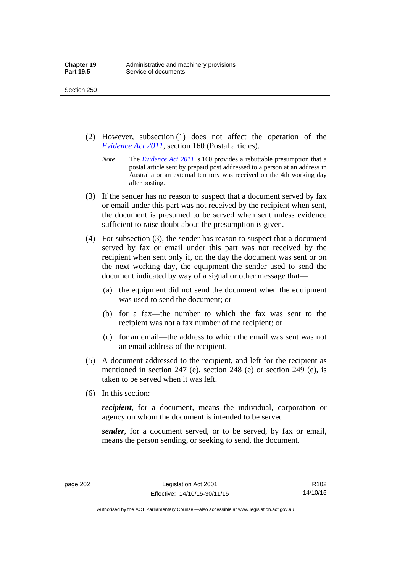- (2) However, subsection (1) does not affect the operation of the *[Evidence Act 2011](http://www.legislation.act.gov.au/a/2011-12)*, section 160 (Postal articles).
	- *Note* The *[Evidence Act 2011](http://www.legislation.act.gov.au/a/2011-12)*, s 160 provides a rebuttable presumption that a postal article sent by prepaid post addressed to a person at an address in Australia or an external territory was received on the 4th working day after posting.
- (3) If the sender has no reason to suspect that a document served by fax or email under this part was not received by the recipient when sent, the document is presumed to be served when sent unless evidence sufficient to raise doubt about the presumption is given.
- (4) For subsection (3), the sender has reason to suspect that a document served by fax or email under this part was not received by the recipient when sent only if, on the day the document was sent or on the next working day, the equipment the sender used to send the document indicated by way of a signal or other message that—
	- (a) the equipment did not send the document when the equipment was used to send the document; or
	- (b) for a fax—the number to which the fax was sent to the recipient was not a fax number of the recipient; or
	- (c) for an email—the address to which the email was sent was not an email address of the recipient.
- (5) A document addressed to the recipient, and left for the recipient as mentioned in section 247 (e), section 248 (e) or section 249 (e), is taken to be served when it was left.
- (6) In this section:

*recipient*, for a document, means the individual, corporation or agency on whom the document is intended to be served.

*sender*, for a document served, or to be served, by fax or email, means the person sending, or seeking to send, the document.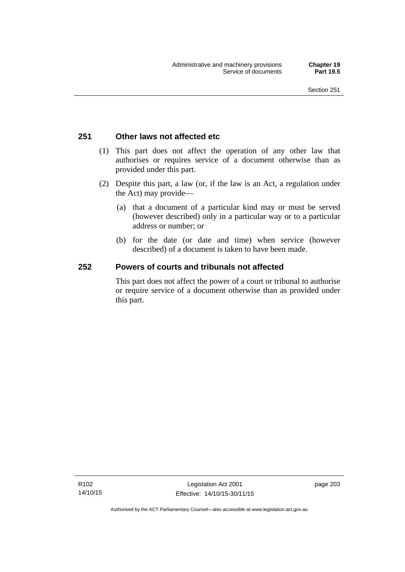### **251 Other laws not affected etc**

- (1) This part does not affect the operation of any other law that authorises or requires service of a document otherwise than as provided under this part.
- (2) Despite this part, a law (or, if the law is an Act, a regulation under the Act) may provide—
	- (a) that a document of a particular kind may or must be served (however described) only in a particular way or to a particular address or number; or
	- (b) for the date (or date and time) when service (however described) of a document is taken to have been made.

### **252 Powers of courts and tribunals not affected**

This part does not affect the power of a court or tribunal to authorise or require service of a document otherwise than as provided under this part.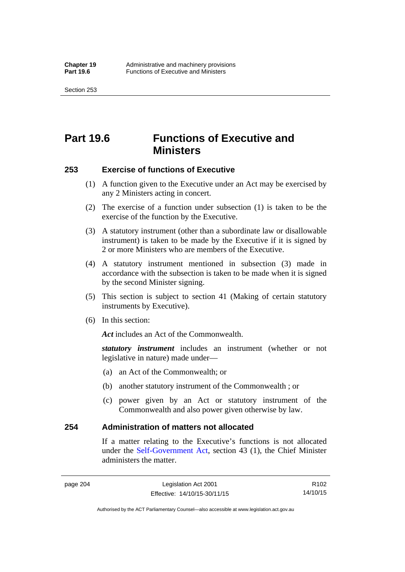Section 253

# **Part 19.6 Functions of Executive and Ministers**

### **253 Exercise of functions of Executive**

- (1) A function given to the Executive under an Act may be exercised by any 2 Ministers acting in concert.
- (2) The exercise of a function under subsection (1) is taken to be the exercise of the function by the Executive.
- (3) A statutory instrument (other than a subordinate law or disallowable instrument) is taken to be made by the Executive if it is signed by 2 or more Ministers who are members of the Executive.
- (4) A statutory instrument mentioned in subsection (3) made in accordance with the subsection is taken to be made when it is signed by the second Minister signing.
- (5) This section is subject to section 41 (Making of certain statutory instruments by Executive).
- (6) In this section:

Act includes an Act of the Commonwealth.

*statutory instrument* includes an instrument (whether or not legislative in nature) made under—

- (a) an Act of the Commonwealth; or
- (b) another statutory instrument of the Commonwealth ; or
- (c) power given by an Act or statutory instrument of the Commonwealth and also power given otherwise by law.

### **254 Administration of matters not allocated**

If a matter relating to the Executive's functions is not allocated under the [Self-Government Act,](http://www.comlaw.gov.au/Series/C2004A03699) section 43 (1), the Chief Minister administers the matter.

R102 14/10/15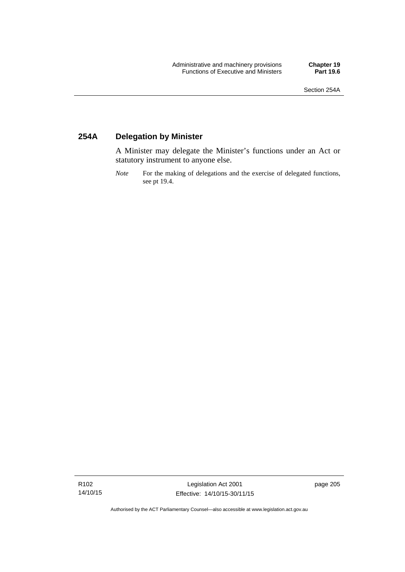### **254A Delegation by Minister**

A Minister may delegate the Minister's functions under an Act or statutory instrument to anyone else.

*Note* For the making of delegations and the exercise of delegated functions, see pt 19.4.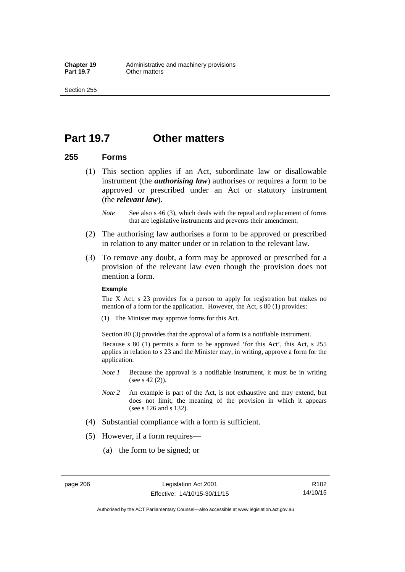### **Part 19.7 Other matters**

### **255 Forms**

- (1) This section applies if an Act, subordinate law or disallowable instrument (the *authorising law*) authorises or requires a form to be approved or prescribed under an Act or statutory instrument (the *relevant law*).
	- *Note* See also s 46 (3), which deals with the repeal and replacement of forms that are legislative instruments and prevents their amendment.
- (2) The authorising law authorises a form to be approved or prescribed in relation to any matter under or in relation to the relevant law.
- (3) To remove any doubt, a form may be approved or prescribed for a provision of the relevant law even though the provision does not mention a form.

#### **Example**

The X Act, s 23 provides for a person to apply for registration but makes no mention of a form for the application. However, the Act, s 80 (1) provides:

(1) The Minister may approve forms for this Act.

Section 80 (3) provides that the approval of a form is a notifiable instrument.

Because s 80 (1) permits a form to be approved 'for this Act', this Act, s 255 applies in relation to s 23 and the Minister may, in writing, approve a form for the application.

- *Note 1* Because the approval is a notifiable instrument, it must be in writing (see s 42 (2)).
- *Note 2* An example is part of the Act, is not exhaustive and may extend, but does not limit, the meaning of the provision in which it appears (see s 126 and s 132).
- (4) Substantial compliance with a form is sufficient.
- (5) However, if a form requires—
	- (a) the form to be signed; or

R102 14/10/15

Authorised by the ACT Parliamentary Counsel—also accessible at www.legislation.act.gov.au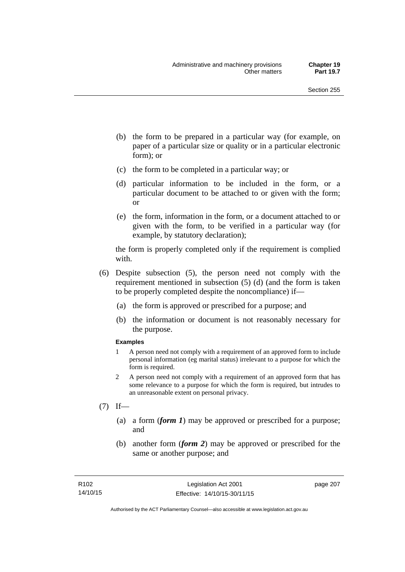- (b) the form to be prepared in a particular way (for example, on paper of a particular size or quality or in a particular electronic form); or
- (c) the form to be completed in a particular way; or
- (d) particular information to be included in the form, or a particular document to be attached to or given with the form; or
- (e) the form, information in the form, or a document attached to or given with the form, to be verified in a particular way (for example, by statutory declaration);

the form is properly completed only if the requirement is complied with.

- (6) Despite subsection (5), the person need not comply with the requirement mentioned in subsection (5) (d) (and the form is taken to be properly completed despite the noncompliance) if—
	- (a) the form is approved or prescribed for a purpose; and
	- (b) the information or document is not reasonably necessary for the purpose.

#### **Examples**

- 1 A person need not comply with a requirement of an approved form to include personal information (eg marital status) irrelevant to a purpose for which the form is required.
- 2 A person need not comply with a requirement of an approved form that has some relevance to a purpose for which the form is required, but intrudes to an unreasonable extent on personal privacy.
- $(7)$  If—
	- (a) a form (*form 1*) may be approved or prescribed for a purpose; and
	- (b) another form (*form 2*) may be approved or prescribed for the same or another purpose; and

page 207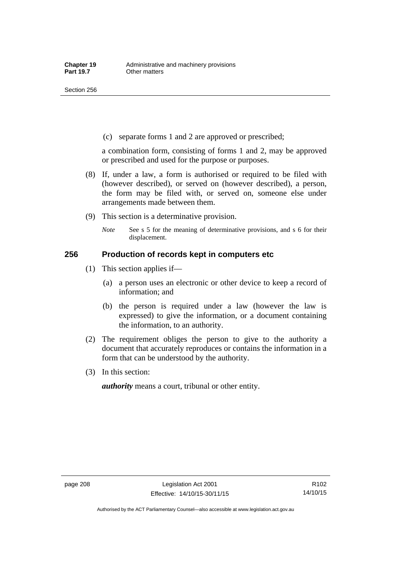(c) separate forms 1 and 2 are approved or prescribed;

a combination form, consisting of forms 1 and 2, may be approved or prescribed and used for the purpose or purposes.

- (8) If, under a law, a form is authorised or required to be filed with (however described), or served on (however described), a person, the form may be filed with, or served on, someone else under arrangements made between them.
- (9) This section is a determinative provision.
	- *Note* See s 5 for the meaning of determinative provisions, and s 6 for their displacement.

### **256 Production of records kept in computers etc**

- (1) This section applies if—
	- (a) a person uses an electronic or other device to keep a record of information; and
	- (b) the person is required under a law (however the law is expressed) to give the information, or a document containing the information, to an authority.
- (2) The requirement obliges the person to give to the authority a document that accurately reproduces or contains the information in a form that can be understood by the authority.
- (3) In this section:

*authority* means a court, tribunal or other entity.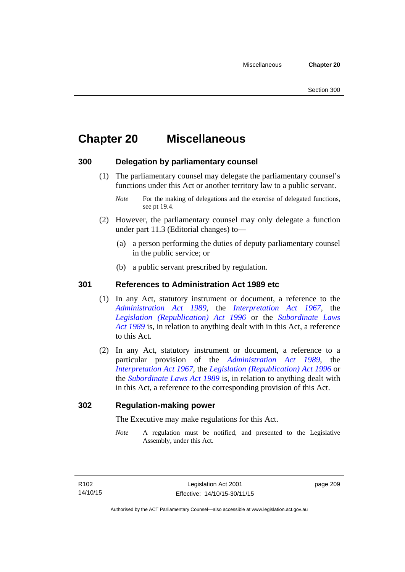# **Chapter 20 Miscellaneous**

### **300 Delegation by parliamentary counsel**

 (1) The parliamentary counsel may delegate the parliamentary counsel's functions under this Act or another territory law to a public servant.

- (2) However, the parliamentary counsel may only delegate a function under part 11.3 (Editorial changes) to—
	- (a) a person performing the duties of deputy parliamentary counsel in the public service; or
	- (b) a public servant prescribed by regulation.

### **301 References to Administration Act 1989 etc**

- (1) In any Act, statutory instrument or document, a reference to the *[Administration Act 1989](http://www.legislation.act.gov.au/a/alt_a1989-41co)*, the *[Interpretation Act 1967](http://www.legislation.act.gov.au/a/1967-48)*, the *[Legislation \(Republication\) Act 1996](http://www.legislation.act.gov.au/a/1996-51)* or the *[Subordinate Laws](http://www.legislation.act.gov.au/a/alt_a1989-24co)  [Act 1989](http://www.legislation.act.gov.au/a/alt_a1989-24co)* is, in relation to anything dealt with in this Act, a reference to this Act.
- (2) In any Act, statutory instrument or document, a reference to a particular provision of the *[Administration Act 1989](http://www.legislation.act.gov.au/a/alt_a1989-41co)*, the *[Interpretation Act 1967](http://www.legislation.act.gov.au/a/1967-48)*, the *[Legislation \(Republication\) Act 1996](http://www.legislation.act.gov.au/a/1996-51)* or the *[Subordinate Laws Act 1989](http://www.legislation.act.gov.au/a/alt_a1989-24co)* is, in relation to anything dealt with in this Act, a reference to the corresponding provision of this Act.

### **302 Regulation-making power**

The Executive may make regulations for this Act.

*Note* A regulation must be notified, and presented to the Legislative Assembly, under this Act.

page 209

*Note* For the making of delegations and the exercise of delegated functions, see pt 19.4.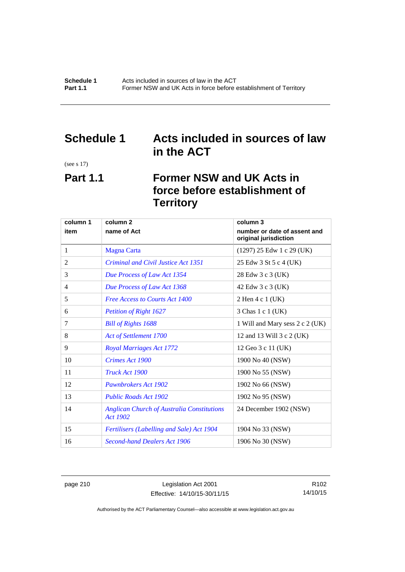### **Schedule 1 Acts included in sources of law in the ACT**

(see s 17)

# **Part 1.1 Former NSW and UK Acts in force before establishment of Territory**

| column 1 | column <sub>2</sub>                                                  | column 3                                              |
|----------|----------------------------------------------------------------------|-------------------------------------------------------|
| item     | name of Act                                                          | number or date of assent and<br>original jurisdiction |
| 1        | <b>Magna Carta</b>                                                   | $(1297)$ 25 Edw 1 c 29 (UK)                           |
| 2        | Criminal and Civil Justice Act 1351                                  | 25 Edw 3 St 5 c 4 (UK)                                |
| 3        | Due Process of Law Act 1354                                          | 28 Edw 3 c 3 (UK)                                     |
| 4        | Due Process of Law Act 1368                                          | 42 Edw 3 c 3 (UK)                                     |
| 5        | <b>Free Access to Courts Act 1400</b>                                | 2 Hen 4 c 1 (UK)                                      |
| 6        | <b>Petition of Right 1627</b>                                        | 3 Chas 1 c 1 (UK)                                     |
| 7        | <b>Bill of Rights 1688</b>                                           | 1 Will and Mary sess 2 c 2 (UK)                       |
| 8        | Act of Settlement 1700                                               | 12 and 13 Will 3 c 2 (UK)                             |
| 9        | <b>Royal Marriages Act 1772</b>                                      | 12 Geo 3 c 11 (UK)                                    |
| 10       | Crimes Act 1900                                                      | 1900 No 40 (NSW)                                      |
| 11       | Truck Act 1900                                                       | 1900 No 55 (NSW)                                      |
| 12       | Pawnbrokers Act 1902                                                 | 1902 No 66 (NSW)                                      |
| 13       | <b>Public Roads Act 1902</b>                                         | 1902 No 95 (NSW)                                      |
| 14       | <b>Anglican Church of Australia Constitutions</b><br><b>Act 1902</b> | 24 December 1902 (NSW)                                |
| 15       | Fertilisers (Labelling and Sale) Act 1904                            | 1904 No 33 (NSW)                                      |
| 16       | <b>Second-hand Dealers Act 1906</b>                                  | 1906 No 30 (NSW)                                      |

page 210 Legislation Act 2001 Effective: 14/10/15-30/11/15

R102 14/10/15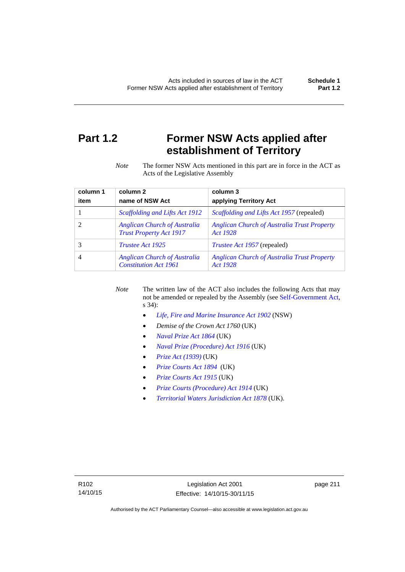# **Part 1.2 Former NSW Acts applied after establishment of Territory**

*Note* The former NSW Acts mentioned in this part are in force in the ACT as Acts of the Legislative Assembly

| column 1 | column <sub>2</sub>                                                   | column 3                                                       |
|----------|-----------------------------------------------------------------------|----------------------------------------------------------------|
| item     | name of NSW Act                                                       | applying Territory Act                                         |
|          | Scaffolding and Lifts Act 1912                                        | <i>Scaffolding and Lifts Act 1957</i> (repealed)               |
|          | <b>Anglican Church of Australia</b><br><b>Trust Property Act 1917</b> | <b>Anglican Church of Australia Trust Property</b><br>Act 1928 |
|          | <i>Trustee Act 1925</i>                                               | <i>Trustee Act 1957</i> (repealed)                             |
| 4        | <b>Anglican Church of Australia</b><br><b>Constitution Act 1961</b>   | <b>Anglican Church of Australia Trust Property</b><br>Act 1928 |

*Note* The written law of the ACT also includes the following Acts that may not be amended or repealed by the Assembly (see [Self-Government Act,](http://www.comlaw.gov.au/Series/C2004A03699) s 34):

- *[Life, Fire and Marine Insurance Act 1902](http://www.legislation.nsw.gov.au/maintop/scanact/sessional/NONE/0)* (NSW)
- *Demise of the Crown Act 1760* (UK)
- *[Naval Prize Act 1864](http://www.legislation.gov.uk/ukpga/Vict/27-28/25/contents)* (UK)
- *[Naval Prize \(Procedure\) Act 1916](http://www.legislation.gov.uk/ukpga/Geo5/6-7/2/contents)* (UK)
- *[Prize Act \(1939\)](http://www.legislation.gov.uk/ukpga/Geo6/2-3/65/contents)* (UK)
- *[Prize Courts Act 1894](http://www.legislation.gov.uk/ukpga/Vict/57-58/39/contents)* (UK)
- *[Prize Courts Act 1915](http://www.legislation.gov.uk/ukpga/Geo5/5-6/57/contents)* (UK)
- *[Prize Courts \(Procedure\) Act 1914](http://www.legislation.gov.uk/ukpga/Geo5/4-5/13/contents)* (UK)
- *[Territorial Waters Jurisdiction Act 1878](http://www.legislation.gov.uk/ukpga/Vict/41-42/73/contents)* (UK).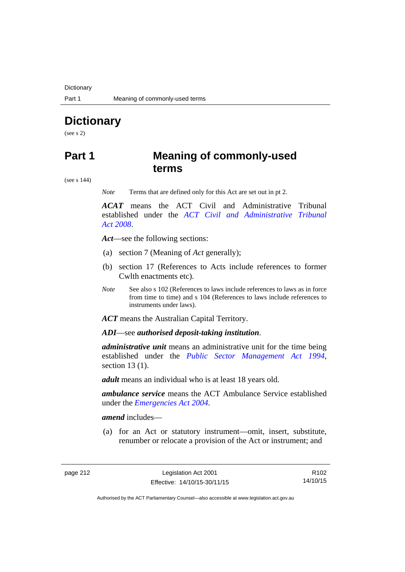**Dictionary** 

# **Dictionary**

(see s 2)

### **Part 1 Meaning of commonly-used terms**

(see s 144)

*Note* Terms that are defined only for this Act are set out in pt 2.

*ACAT* means the ACT Civil and Administrative Tribunal established under the *[ACT Civil and Administrative Tribunal](http://www.legislation.act.gov.au/a/2008-35)  [Act 2008](http://www.legislation.act.gov.au/a/2008-35)*.

*Act*—see the following sections:

- (a) section 7 (Meaning of *Act* generally);
- (b) section 17 (References to Acts include references to former Cwlth enactments etc).
- *Note* See also s 102 (References to laws include references to laws as in force from time to time) and s 104 (References to laws include references to instruments under laws).

*ACT* means the Australian Capital Territory.

*ADI*—see *authorised deposit-taking institution*.

*administrative unit* means an administrative unit for the time being established under the *[Public Sector Management Act 1994](http://www.legislation.act.gov.au/a/1994-37)*, section 13 (1).

*adult* means an individual who is at least 18 years old.

*ambulance service* means the ACT Ambulance Service established under the *[Emergencies Act 2004](http://www.legislation.act.gov.au/a/2004-28)*.

*amend* includes—

(a) for an Act or statutory instrument—omit, insert, substitute, renumber or relocate a provision of the Act or instrument; and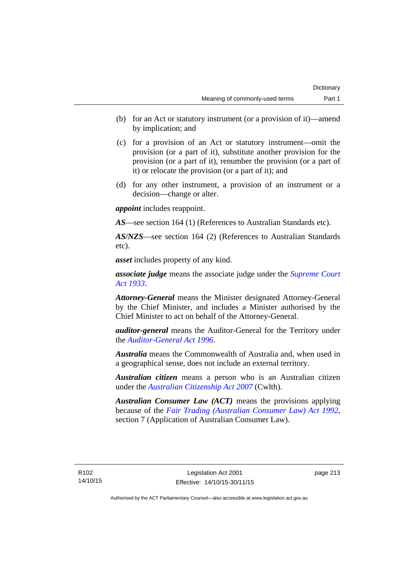- (b) for an Act or statutory instrument (or a provision of it)—amend by implication; and
- (c) for a provision of an Act or statutory instrument—omit the provision (or a part of it), substitute another provision for the provision (or a part of it), renumber the provision (or a part of it) or relocate the provision (or a part of it); and
- (d) for any other instrument, a provision of an instrument or a decision—change or alter.

*appoint* includes reappoint.

*AS*—see section 164 (1) (References to Australian Standards etc).

*AS/NZS*—see section 164 (2) (References to Australian Standards etc).

*asset* includes property of any kind.

*associate judge* means the associate judge under the *[Supreme Court](http://www.legislation.act.gov.au/a/1933-34)  [Act 1933](http://www.legislation.act.gov.au/a/1933-34)*.

*Attorney-General* means the Minister designated Attorney-General by the Chief Minister, and includes a Minister authorised by the Chief Minister to act on behalf of the Attorney-General.

*auditor-general* means the Auditor-General for the Territory under the *[Auditor-General Act 1996](http://www.legislation.act.gov.au/a/1996-23)*.

*Australia* means the Commonwealth of Australia and, when used in a geographical sense, does not include an external territory.

*Australian citizen* means a person who is an Australian citizen under the *[Australian Citizenship Act 2007](http://www.comlaw.gov.au/Series/C2007A00020)* (Cwlth).

*Australian Consumer Law (ACT)* means the provisions applying because of the *[Fair Trading \(Australian Consumer Law\) Act 1992](http://www.legislation.act.gov.au/a/1992-72)*, section 7 (Application of Australian Consumer Law).

R102 14/10/15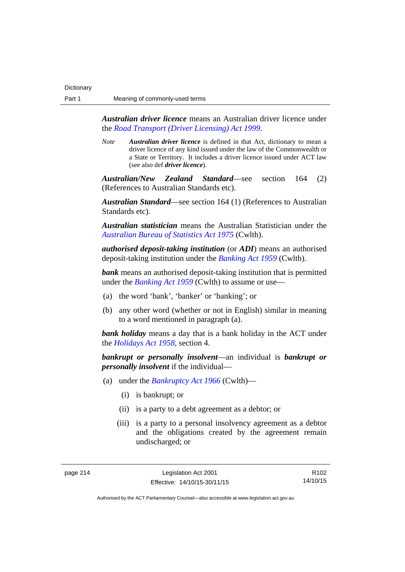*Australian driver licence* means an Australian driver licence under the *[Road Transport \(Driver Licensing\) Act 1999](http://www.legislation.act.gov.au/a/1999-78)*.

*Note Australian driver licence* is defined in that Act, dictionary to mean a driver licence of any kind issued under the law of the Commonwealth or a State or Territory. It includes a driver licence issued under ACT law (see also def *driver licence*).

*Australian/New Zealand Standard*—see section 164 (2) (References to Australian Standards etc).

*Australian Standard*—see section 164 (1) (References to Australian Standards etc).

*Australian statistician* means the Australian Statistician under the *[Australian Bureau of Statistics Act 1975](http://www.comlaw.gov.au/Series/C2004A00282)* (Cwlth).

*authorised deposit-taking institution* (or *ADI*) means an authorised deposit-taking institution under the *[Banking Act 1959](http://www.comlaw.gov.au/Series/C2004A07357)* (Cwlth).

**bank** means an authorised deposit-taking institution that is permitted under the *[Banking Act 1959](http://www.comlaw.gov.au/Series/C2004A07357)* (Cwlth) to assume or use—

- (a) the word 'bank', 'banker' or 'banking'; or
- (b) any other word (whether or not in English) similar in meaning to a word mentioned in paragraph (a).

*bank holiday* means a day that is a bank holiday in the ACT under the *[Holidays Act 1958](http://www.legislation.act.gov.au/a/1958-19)*, section 4.

*bankrupt or personally insolvent*—an individual is *bankrupt or personally insolvent* if the individual—

- (a) under the *[Bankruptcy Act 1966](http://www.comlaw.gov.au/Series/C2004A07422)* (Cwlth)—
	- (i) is bankrupt; or
	- (ii) is a party to a debt agreement as a debtor; or
	- (iii) is a party to a personal insolvency agreement as a debtor and the obligations created by the agreement remain undischarged; or

R102 14/10/15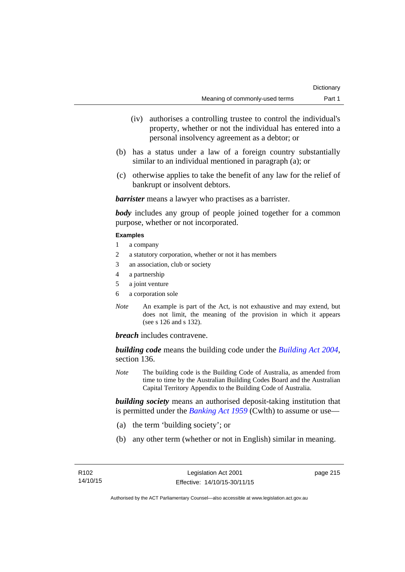- (iv) authorises a controlling trustee to control the individual's property, whether or not the individual has entered into a personal insolvency agreement as a debtor; or
- (b) has a status under a law of a foreign country substantially similar to an individual mentioned in paragraph (a); or
- (c) otherwise applies to take the benefit of any law for the relief of bankrupt or insolvent debtors.

*barrister* means a lawyer who practises as a barrister.

*body* includes any group of people joined together for a common purpose, whether or not incorporated.

#### **Examples**

- 1 a company
- 2 a statutory corporation, whether or not it has members
- 3 an association, club or society
- 4 a partnership
- 5 a joint venture
- 6 a corporation sole
- *Note* An example is part of the Act, is not exhaustive and may extend, but does not limit, the meaning of the provision in which it appears (see s 126 and s 132).

*breach* includes contravene.

*building code* means the building code under the *[Building Act 2004](http://www.legislation.act.gov.au/a/2004-11)*, section 136.

*Note* The building code is the Building Code of Australia, as amended from time to time by the Australian Building Codes Board and the Australian Capital Territory Appendix to the Building Code of Australia.

*building society* means an authorised deposit-taking institution that is permitted under the *[Banking Act 1959](http://www.comlaw.gov.au/Series/C2004A07357)* (Cwlth) to assume or use—

- (a) the term 'building society'; or
- (b) any other term (whether or not in English) similar in meaning.

page 215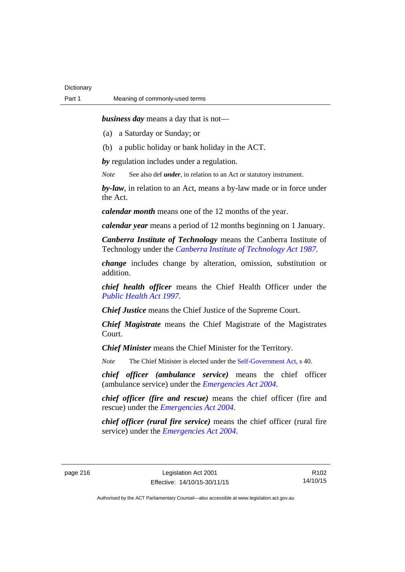*business day* means a day that is not—

(a) a Saturday or Sunday; or

(b) a public holiday or bank holiday in the ACT.

*by* regulation includes under a regulation.

*Note* See also def *under*, in relation to an Act or statutory instrument.

*by-law*, in relation to an Act, means a by-law made or in force under the Act.

*calendar month* means one of the 12 months of the year.

*calendar year* means a period of 12 months beginning on 1 January.

*Canberra Institute of Technology* means the Canberra Institute of Technology under the *[Canberra Institute of Technology Act 1987](http://www.legislation.act.gov.au/a/1987-71)*.

*change* includes change by alteration, omission, substitution or addition.

*chief health officer* means the Chief Health Officer under the *[Public Health Act 1997](http://www.legislation.act.gov.au/a/1997-69)*.

*Chief Justice* means the Chief Justice of the Supreme Court.

*Chief Magistrate* means the Chief Magistrate of the Magistrates Court.

*Chief Minister* means the Chief Minister for the Territory.

*Note* The Chief Minister is elected under the [Self-Government Act](http://www.comlaw.gov.au/Series/C2004A03699), s 40.

*chief officer (ambulance service)* means the chief officer (ambulance service) under the *[Emergencies Act 2004](http://www.legislation.act.gov.au/a/2004-28)*.

*chief officer (fire and rescue)* means the chief officer (fire and rescue) under the *[Emergencies Act 2004](http://www.legislation.act.gov.au/a/2004-28)*.

*chief officer (rural fire service)* means the chief officer (rural fire service) under the *[Emergencies Act 2004](http://www.legislation.act.gov.au/a/2004-28)*.

page 216 Legislation Act 2001 Effective: 14/10/15-30/11/15

R102 14/10/15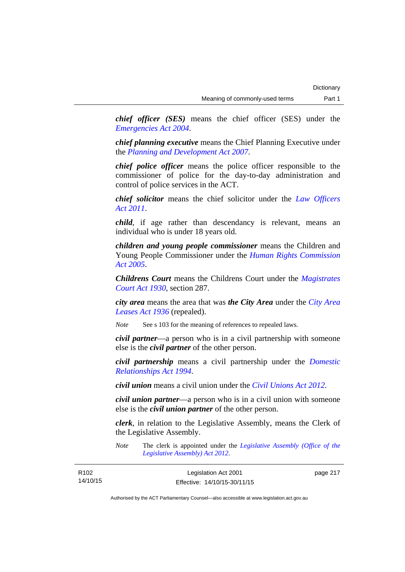*chief officer (SES)* means the chief officer (SES) under the *[Emergencies Act 2004](http://www.legislation.act.gov.au/a/2004-28)*.

*chief planning executive* means the Chief Planning Executive under the *[Planning and Development Act 2007](http://www.legislation.act.gov.au/a/2007-24)*.

*chief police officer* means the police officer responsible to the commissioner of police for the day-to-day administration and control of police services in the ACT.

*chief solicitor* means the chief solicitor under the *[Law Officers](http://www.legislation.act.gov.au/a/2011-30)  [Act 2011](http://www.legislation.act.gov.au/a/2011-30)*.

*child*, if age rather than descendancy is relevant, means an individual who is under 18 years old.

*children and young people commissioner* means the Children and Young People Commissioner under the *[Human Rights Commission](http://www.legislation.act.gov.au/a/2005-40)  [Act 2005](http://www.legislation.act.gov.au/a/2005-40)*.

*Childrens Court* means the Childrens Court under the *[Magistrates](http://www.legislation.act.gov.au/a/1930-21)  [Court Act 1930](http://www.legislation.act.gov.au/a/1930-21)*, section 287.

*city area* means the area that was *the City Area* under the *[City Area](http://www.legislation.act.gov.au/a/1936-31)  [Leases Act 1936](http://www.legislation.act.gov.au/a/1936-31)* (repealed).

*Note* See s 103 for the meaning of references to repealed laws.

*civil partner*—a person who is in a civil partnership with someone else is the *civil partner* of the other person.

*civil partnership* means a civil partnership under the *[Domestic](http://www.legislation.act.gov.au/a/1994-28)  [Relationships Act 1994](http://www.legislation.act.gov.au/a/1994-28)*.

*civil union* means a civil union under the *[Civil Unions Act 2012](http://www.legislation.act.gov.au/a/2012-40)*.

*civil union partner*—a person who is in a civil union with someone else is the *civil union partner* of the other person.

*clerk*, in relation to the Legislative Assembly, means the Clerk of the Legislative Assembly.

*Note* The clerk is appointed under the *[Legislative Assembly \(Office of the](http://www.legislation.act.gov.au/a/2012-26)  [Legislative Assembly\) Act 2012](http://www.legislation.act.gov.au/a/2012-26)*.

| R <sub>102</sub> | Legislation Act 2001         | page 217 |
|------------------|------------------------------|----------|
| 14/10/15         | Effective: 14/10/15-30/11/15 |          |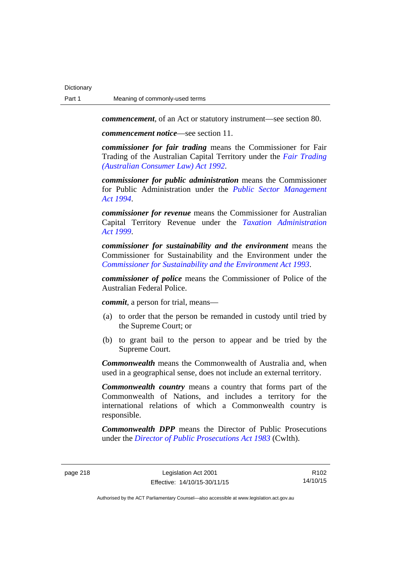*commencement*, of an Act or statutory instrument—see section 80.

*commencement notice*—see section 11.

*commissioner for fair trading* means the Commissioner for Fair Trading of the Australian Capital Territory under the *[Fair Trading](http://www.legislation.act.gov.au/a/1992-72)  [\(Australian Consumer Law\) Act 1992](http://www.legislation.act.gov.au/a/1992-72)*.

*commissioner for public administration* means the Commissioner for Public Administration under the *[Public Sector Management](http://www.legislation.act.gov.au/a/1994-37)  [Act 1994](http://www.legislation.act.gov.au/a/1994-37)*.

*commissioner for revenue* means the Commissioner for Australian Capital Territory Revenue under the *[Taxation Administration](http://www.legislation.act.gov.au/a/1999-4)  [Act 1999](http://www.legislation.act.gov.au/a/1999-4)*.

*commissioner for sustainability and the environment* means the Commissioner for Sustainability and the Environment under the *[Commissioner for Sustainability and the Environment Act 1993](http://www.legislation.act.gov.au/a/1993-37)*.

*commissioner of police* means the Commissioner of Police of the Australian Federal Police.

*commit*, a person for trial, means—

- (a) to order that the person be remanded in custody until tried by the Supreme Court; or
- (b) to grant bail to the person to appear and be tried by the Supreme Court.

*Commonwealth* means the Commonwealth of Australia and, when used in a geographical sense, does not include an external territory.

*Commonwealth country* means a country that forms part of the Commonwealth of Nations, and includes a territory for the international relations of which a Commonwealth country is responsible.

*Commonwealth DPP* means the Director of Public Prosecutions under the *[Director of Public Prosecutions Act 1983](http://www.comlaw.gov.au/Series/C2004A02830)* (Cwlth).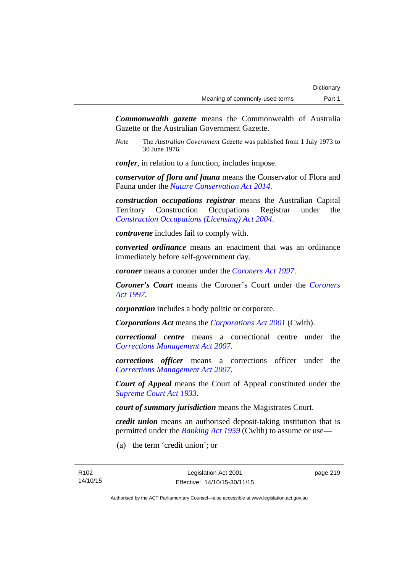*Commonwealth gazette* means the Commonwealth of Australia Gazette or the Australian Government Gazette.

*Note* The *Australian Government Gazette* was published from 1 July 1973 to 30 June 1976.

*confer*, in relation to a function, includes impose.

*conservator of flora and fauna* means the Conservator of Flora and Fauna under the *[Nature Conservation Act 2014](http://www.legislation.act.gov.au/a/2014-59)*.

*construction occupations registrar* means the Australian Capital Territory Construction Occupations Registrar under the *[Construction Occupations \(Licensing\) Act 2004](http://www.legislation.act.gov.au/a/2004-12)*.

*contravene* includes fail to comply with.

*converted ordinance* means an enactment that was an ordinance immediately before self-government day.

*coroner* means a coroner under the *[Coroners Act 1997](http://www.legislation.act.gov.au/a/1997-57)*.

*Coroner's Court* means the Coroner's Court under the *[Coroners](http://www.legislation.act.gov.au/a/1997-57)  [Act 1997](http://www.legislation.act.gov.au/a/1997-57)*.

*corporation* includes a body politic or corporate.

*Corporations Act* means the *[Corporations Act 2001](http://www.comlaw.gov.au/Series/C2004A00818)* (Cwlth).

*correctional centre* means a correctional centre under the *[Corrections Management Act 2007](http://www.legislation.act.gov.au/a/2007-15)*.

*corrections officer* means a corrections officer under the *[Corrections Management Act 2007](http://www.legislation.act.gov.au/a/2007-15)*.

*Court of Appeal* means the Court of Appeal constituted under the *[Supreme Court Act 1933](http://www.legislation.act.gov.au/a/1933-34)*.

*court of summary jurisdiction* means the Magistrates Court.

*credit union* means an authorised deposit-taking institution that is permitted under the *[Banking Act 1959](http://www.comlaw.gov.au/Series/C2004A07357)* (Cwlth) to assume or use—

(a) the term 'credit union'; or

page 219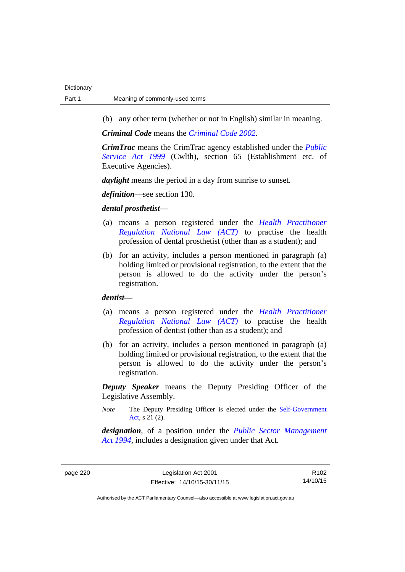(b) any other term (whether or not in English) similar in meaning.

*Criminal Code* means the *[Criminal Code 2002](http://www.legislation.act.gov.au/a/2002-51)*.

*CrimTrac* means the CrimTrac agency established under the *[Public](http://www.comlaw.gov.au/Series/C2004A00538)  [Service Act 1999](http://www.comlaw.gov.au/Series/C2004A00538)* (Cwlth), section 65 (Establishment etc. of Executive Agencies).

*daylight* means the period in a day from sunrise to sunset.

*definition*—see section 130.

### *dental prosthetist*—

- (a) means a person registered under the *[Health Practitioner](http://www.legislation.act.gov.au/a/db_39269/default.asp)  [Regulation National Law \(ACT\)](http://www.legislation.act.gov.au/a/db_39269/default.asp)* to practise the health profession of dental prosthetist (other than as a student); and
- (b) for an activity, includes a person mentioned in paragraph (a) holding limited or provisional registration, to the extent that the person is allowed to do the activity under the person's registration.

### *dentist*—

- (a) means a person registered under the *[Health Practitioner](http://www.legislation.act.gov.au/a/db_39269/default.asp)  [Regulation National Law \(ACT\)](http://www.legislation.act.gov.au/a/db_39269/default.asp)* to practise the health profession of dentist (other than as a student); and
- (b) for an activity, includes a person mentioned in paragraph (a) holding limited or provisional registration, to the extent that the person is allowed to do the activity under the person's registration.

*Deputy Speaker* means the Deputy Presiding Officer of the Legislative Assembly.

*Note* The Deputy Presiding Officer is elected under the [Self-Government](http://www.comlaw.gov.au/Series/C2004A03699)  [Act](http://www.comlaw.gov.au/Series/C2004A03699), s 21 (2).

*designation*, of a position under the *[Public Sector Management](http://www.legislation.act.gov.au/a/1994-37)  [Act 1994](http://www.legislation.act.gov.au/a/1994-37)*, includes a designation given under that Act.

page 220 Legislation Act 2001 Effective: 14/10/15-30/11/15

R102 14/10/15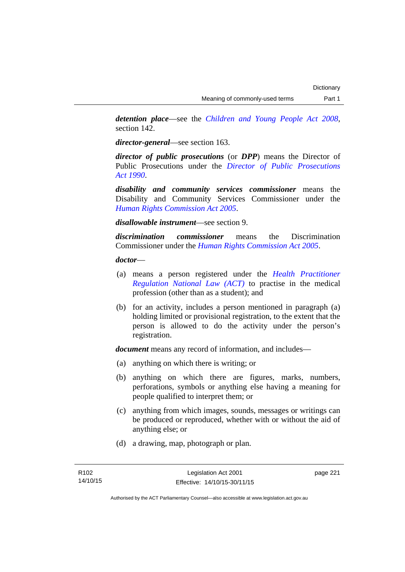*detention place*—see the *[Children and Young People Act 2008](http://www.legislation.act.gov.au/a/2008-19)*, section 142.

*director-general*—see section 163.

*director of public prosecutions* (or *DPP*) means the Director of Public Prosecutions under the *[Director of Public Prosecutions](http://www.legislation.act.gov.au/a/1990-22)  [Act 1990](http://www.legislation.act.gov.au/a/1990-22)*.

*disability and community services commissioner* means the Disability and Community Services Commissioner under the *[Human Rights Commission Act 2005](http://www.legislation.act.gov.au/a/2005-40)*.

*disallowable instrument*—see section 9.

*discrimination commissioner* means the Discrimination Commissioner under the *[Human Rights Commission Act 2005](http://www.legislation.act.gov.au/a/2005-40)*.

*doctor*—

- (a) means a person registered under the *[Health Practitioner](http://www.legislation.act.gov.au/a/db_39269/default.asp)  [Regulation National Law \(ACT\)](http://www.legislation.act.gov.au/a/db_39269/default.asp)* to practise in the medical profession (other than as a student); and
- (b) for an activity, includes a person mentioned in paragraph (a) holding limited or provisional registration, to the extent that the person is allowed to do the activity under the person's registration.

*document* means any record of information, and includes—

- (a) anything on which there is writing; or
- (b) anything on which there are figures, marks, numbers, perforations, symbols or anything else having a meaning for people qualified to interpret them; or
- (c) anything from which images, sounds, messages or writings can be produced or reproduced, whether with or without the aid of anything else; or
- (d) a drawing, map, photograph or plan.

page 221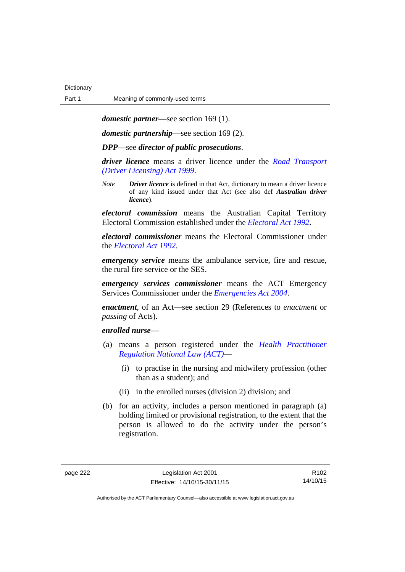*domestic partner*—see section 169 (1).

*domestic partnership*—see section 169 (2).

*DPP*—see *director of public prosecutions*.

*driver licence* means a driver licence under the *[Road Transport](http://www.legislation.act.gov.au/a/1999-78)  [\(Driver Licensing\) Act 1999](http://www.legislation.act.gov.au/a/1999-78)*.

*Note Driver licence* is defined in that Act, dictionary to mean a driver licence of any kind issued under that Act (see also def *Australian driver licence*).

*electoral commission* means the Australian Capital Territory Electoral Commission established under the *[Electoral Act 1992](http://www.legislation.act.gov.au/a/1992-71)*.

*electoral commissioner* means the Electoral Commissioner under the *[Electoral Act 1992](http://www.legislation.act.gov.au/a/1992-71)*.

*emergency service* means the ambulance service, fire and rescue, the rural fire service or the SES.

*emergency services commissioner* means the ACT Emergency Services Commissioner under the *[Emergencies Act 2004](http://www.legislation.act.gov.au/a/2004-28)*.

*enactment*, of an Act—see section 29 (References to *enactment* or *passing* of Acts).

### *enrolled nurse*—

- (a) means a person registered under the *[Health Practitioner](http://www.legislation.act.gov.au/a/db_39269/default.asp)  [Regulation National Law \(ACT\)](http://www.legislation.act.gov.au/a/db_39269/default.asp)*—
	- (i) to practise in the nursing and midwifery profession (other than as a student); and
	- (ii) in the enrolled nurses (division 2) division; and
- (b) for an activity, includes a person mentioned in paragraph (a) holding limited or provisional registration, to the extent that the person is allowed to do the activity under the person's registration.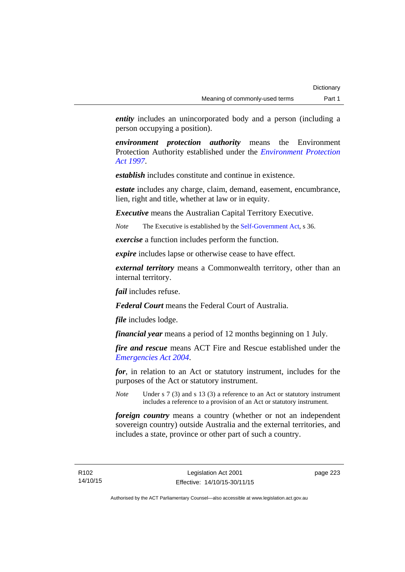*entity* includes an unincorporated body and a person (including a person occupying a position).

*environment protection authority* means the Environment Protection Authority established under the *[Environment Protection](http://www.legislation.act.gov.au/a/1997-92)  [Act 1997](http://www.legislation.act.gov.au/a/1997-92)*.

*establish* includes constitute and continue in existence.

*estate* includes any charge, claim, demand, easement, encumbrance, lien, right and title, whether at law or in equity.

*Executive* means the Australian Capital Territory Executive.

*Note* The Executive is established by the [Self-Government Act](http://www.comlaw.gov.au/Series/C2004A03699), s 36.

*exercise* a function includes perform the function.

*expire* includes lapse or otherwise cease to have effect.

*external territory* means a Commonwealth territory, other than an internal territory.

*fail* includes refuse.

*Federal Court* means the Federal Court of Australia.

*file* includes lodge.

*financial year* means a period of 12 months beginning on 1 July.

*fire and rescue* means ACT Fire and Rescue established under the *[Emergencies Act 2004](http://www.legislation.act.gov.au/a/2004-28)*.

*for*, in relation to an Act or statutory instrument, includes for the purposes of the Act or statutory instrument.

*Note* Under s 7 (3) and s 13 (3) a reference to an Act or statutory instrument includes a reference to a provision of an Act or statutory instrument.

*foreign country* means a country (whether or not an independent sovereign country) outside Australia and the external territories, and includes a state, province or other part of such a country.

page 223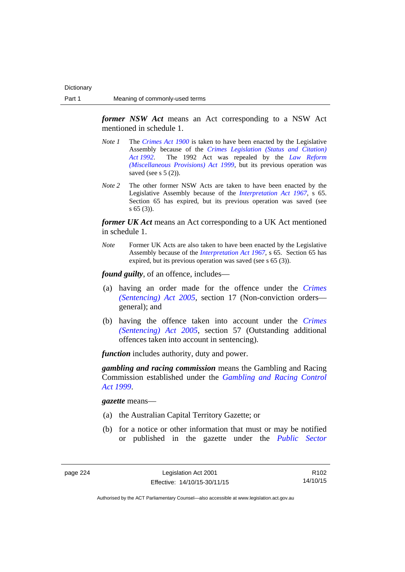*former NSW Act* means an Act corresponding to a NSW Act mentioned in schedule 1.

- *Note 1* The *[Crimes Act 1900](http://www.legislation.act.gov.au/a/1900-40)* is taken to have been enacted by the Legislative Assembly because of the *[Crimes Legislation \(Status and Citation\)](http://www.legislation.act.gov.au/a/1992-6)  [Act 1992](http://www.legislation.act.gov.au/a/1992-6)*. The 1992 Act was repealed by the *[Law Reform](http://www.legislation.act.gov.au/a/1999-66)  [\(Miscellaneous Provisions\) Act 1999](http://www.legislation.act.gov.au/a/1999-66)*, but its previous operation was saved (see s  $5(2)$ ).
- *Note 2* The other former NSW Acts are taken to have been enacted by the Legislative Assembly because of the *[Interpretation Act 1967](http://www.legislation.act.gov.au/a/1967-48)*, s 65. Section 65 has expired, but its previous operation was saved (see s 65 (3)).

*former UK Act* means an Act corresponding to a UK Act mentioned in schedule 1.

*Note* Former UK Acts are also taken to have been enacted by the Legislative Assembly because of the *[Interpretation Act 1967](http://www.legislation.act.gov.au/a/1967-48)*, s 65. Section 65 has expired, but its previous operation was saved (see s 65 (3)).

*found guilty*, of an offence, includes—

- (a) having an order made for the offence under the *[Crimes](http://www.legislation.act.gov.au/a/2005-58)  [\(Sentencing\) Act 2005](http://www.legislation.act.gov.au/a/2005-58)*, section 17 (Non-conviction orders general); and
- (b) having the offence taken into account under the *[Crimes](http://www.legislation.act.gov.au/a/2005-58)  [\(Sentencing\) Act 2005](http://www.legislation.act.gov.au/a/2005-58)*, section 57 (Outstanding additional offences taken into account in sentencing).

*function* includes authority, duty and power.

*gambling and racing commission* means the Gambling and Racing Commission established under the *[Gambling and Racing Control](http://www.legislation.act.gov.au/a/1999-46)  [Act 1999](http://www.legislation.act.gov.au/a/1999-46)*.

*gazette* means—

- (a) the Australian Capital Territory Gazette; or
- (b) for a notice or other information that must or may be notified or published in the gazette under the *[Public Sector](http://www.legislation.act.gov.au/a/1994-37)*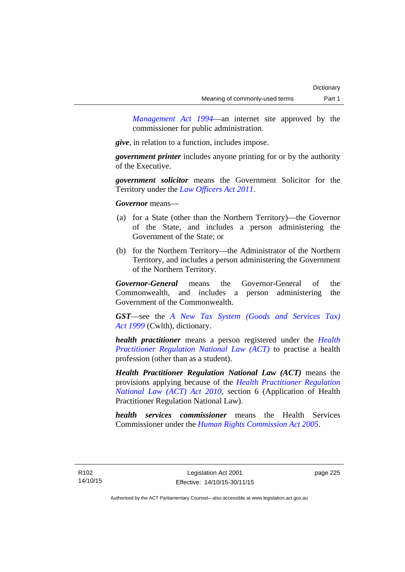*Management Act 1994*—an internet site approved by the commissioner for public administration.

*give*, in relation to a function, includes impose.

*government printer* includes anyone printing for or by the authority of the Executive.

*government solicitor* means the Government Solicitor for the Territory under the *[Law Officers Act 2011](http://www.legislation.act.gov.au/a/2011-30)*.

*Governor* means—

- (a) for a State (other than the Northern Territory)—the Governor of the State, and includes a person administering the Government of the State; or
- (b) for the Northern Territory—the Administrator of the Northern Territory, and includes a person administering the Government of the Northern Territory.

*Governor-General* means the Governor-General of the Commonwealth, and includes a person administering the Government of the Commonwealth.

*GST*—see the *[A New Tax System \(Goods and Services Tax\)](http://www.comlaw.gov.au/Series/C2004A00446)  [Act 1999](http://www.comlaw.gov.au/Series/C2004A00446)* (Cwlth), dictionary.

*health practitioner* means a person registered under the *[Health](http://www.legislation.act.gov.au/a/db_39269/default.asp)  [Practitioner Regulation National Law \(ACT\)](http://www.legislation.act.gov.au/a/db_39269/default.asp)* to practise a health profession (other than as a student).

*Health Practitioner Regulation National Law (ACT)* means the provisions applying because of the *[Health Practitioner Regulation](http://www.legislation.act.gov.au/a/2010-10)  [National Law \(ACT\) Act 2010](http://www.legislation.act.gov.au/a/2010-10)*, section 6 (Application of Health Practitioner Regulation National Law).

*health services commissioner* means the Health Services Commissioner under the *[Human Rights Commission Act 2005](http://www.legislation.act.gov.au/a/2005-40)*.

page 225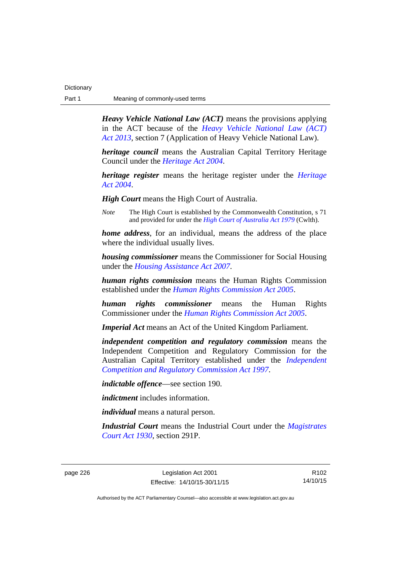| Dictionary |                                |
|------------|--------------------------------|
| Part 1     | Meaning of commonly-used terms |

*Heavy Vehicle National Law (ACT)* means the provisions applying in the ACT because of the *[Heavy Vehicle National Law \(ACT\)](http://www.legislation.act.gov.au/a/2013-51/default.asp)  [Act 2013](http://www.legislation.act.gov.au/a/2013-51/default.asp)*, section 7 (Application of Heavy Vehicle National Law).

*heritage council* means the Australian Capital Territory Heritage Council under the *[Heritage Act 2004](http://www.legislation.act.gov.au/a/2004-57)*.

*heritage register* means the heritage register under the *[Heritage](http://www.legislation.act.gov.au/a/2004-57)  [Act 2004](http://www.legislation.act.gov.au/a/2004-57)*.

*High Court* means the High Court of Australia.

*Note* The High Court is established by the Commonwealth Constitution, s 71 and provided for under the *[High Court of Australia Act 1979](http://www.comlaw.gov.au/Series/C2004A02147)* (Cwlth).

*home address*, for an individual, means the address of the place where the individual usually lives.

*housing commissioner* means the Commissioner for Social Housing under the *[Housing Assistance Act 2007](http://www.legislation.act.gov.au/a/2007-8)*.

*human rights commission* means the Human Rights Commission established under the *[Human Rights Commission Act 2005](http://www.legislation.act.gov.au/a/2005-40)*.

*human rights commissioner* means the Human Rights Commissioner under the *[Human Rights Commission Act 2005](http://www.legislation.act.gov.au/a/2005-40)*.

*Imperial Act* means an Act of the United Kingdom Parliament.

*independent competition and regulatory commission* means the Independent Competition and Regulatory Commission for the Australian Capital Territory established under the *[Independent](http://www.legislation.act.gov.au/a/1997-77)  [Competition and Regulatory Commission Act 1997](http://www.legislation.act.gov.au/a/1997-77)*.

*indictable offence*—see section 190.

*indictment* includes information.

*individual* means a natural person.

*Industrial Court* means the Industrial Court under the *[Magistrates](http://www.legislation.act.gov.au/a/1930-21)  [Court Act 1930](http://www.legislation.act.gov.au/a/1930-21)*, section 291P.

page 226 Legislation Act 2001 Effective: 14/10/15-30/11/15

R102 14/10/15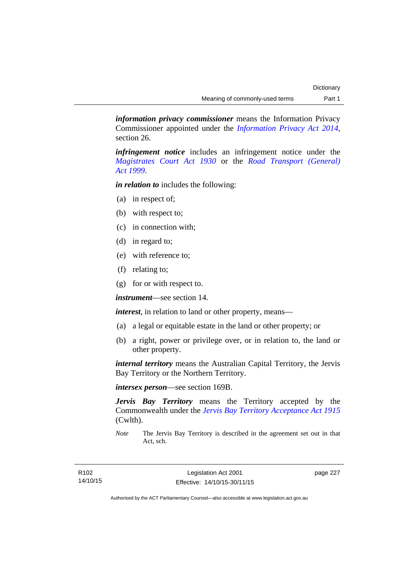*information privacy commissioner* means the Information Privacy Commissioner appointed under the *[Information Privacy Act 2014](http://www.legislation.act.gov.au/a/2014-24/default.asp)*, section 26.

*infringement notice* includes an infringement notice under the *[Magistrates Court Act 1930](http://www.legislation.act.gov.au/a/1930-21)* or the *[Road Transport \(General\)](http://www.legislation.act.gov.au/a/1999-77)  [Act 1999](http://www.legislation.act.gov.au/a/1999-77)*.

*in relation to* includes the following:

- (a) in respect of;
- (b) with respect to;
- (c) in connection with;
- (d) in regard to;
- (e) with reference to;
- (f) relating to;
- (g) for or with respect to.

*instrument*—see section 14.

*interest*, in relation to land or other property, means—

- (a) a legal or equitable estate in the land or other property; or
- (b) a right, power or privilege over, or in relation to, the land or other property.

*internal territory* means the Australian Capital Territory, the Jervis Bay Territory or the Northern Territory.

*intersex person*—see section 169B.

*Jervis Bay Territory* means the Territory accepted by the Commonwealth under the *[Jervis Bay Territory Acceptance Act 1915](http://www.comlaw.gov.au/Series/C2004A07489)* (Cwlth).

*Note* The Jervis Bay Territory is described in the agreement set out in that Act, sch.

page 227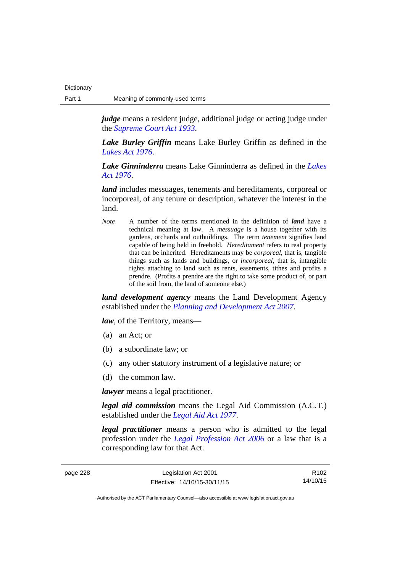*judge* means a resident judge, additional judge or acting judge under the *[Supreme Court Act 1933](http://www.legislation.act.gov.au/a/1933-34)*.

*Lake Burley Griffin* means Lake Burley Griffin as defined in the *[Lakes Act 1976](http://www.legislation.act.gov.au/a/1976-65)*.

*Lake Ginninderra* means Lake Ginninderra as defined in the *[Lakes](http://www.legislation.act.gov.au/a/1976-65)  [Act 1976](http://www.legislation.act.gov.au/a/1976-65)*.

*land* includes messuages, tenements and hereditaments, corporeal or incorporeal, of any tenure or description, whatever the interest in the land.

*Note* A number of the terms mentioned in the definition of *land* have a technical meaning at law. A *messuage* is a house together with its gardens, orchards and outbuildings. The term *tenement* signifies land capable of being held in freehold. *Hereditament* refers to real property that can be inherited. Hereditaments may be *corporeal*, that is, tangible things such as lands and buildings, or *incorporeal*, that is, intangible rights attaching to land such as rents, easements, tithes and profits a prendre. (Profits a prendre are the right to take some product of, or part of the soil from, the land of someone else.)

*land development agency* means the Land Development Agency established under the *[Planning and Development Act 2007](http://www.legislation.act.gov.au/a/2007-24)*.

*law*, of the Territory, means—

- (a) an Act; or
- (b) a subordinate law; or
- (c) any other statutory instrument of a legislative nature; or
- (d) the common law.

*lawyer* means a legal practitioner.

*legal aid commission* means the Legal Aid Commission (A.C.T.) established under the *[Legal Aid Act 1977](http://www.legislation.act.gov.au/a/1977-31)*.

*legal practitioner* means a person who is admitted to the legal profession under the *[Legal Profession Act 2006](http://www.legislation.act.gov.au/a/2006-25)* or a law that is a corresponding law for that Act.

page 228 Legislation Act 2001 Effective: 14/10/15-30/11/15

R102 14/10/15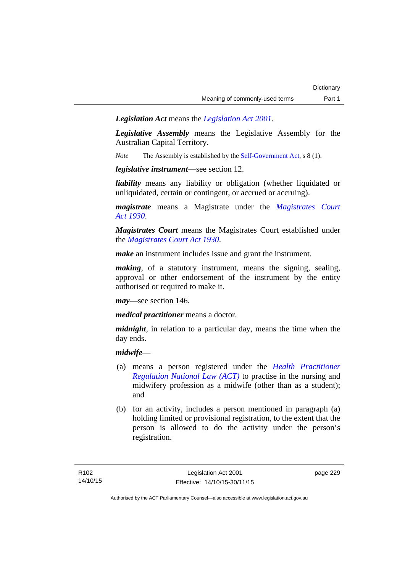*Legislation Act* means the *[Legislation Act 2001](http://www.legislation.act.gov.au/a/2001-14)*.

*Legislative Assembly* means the Legislative Assembly for the Australian Capital Territory.

*Note* The Assembly is established by the [Self-Government Act](http://www.comlaw.gov.au/Series/C2004A03699), s 8 (1).

*legislative instrument*—see section 12.

*liability* means any liability or obligation (whether liquidated or unliquidated, certain or contingent, or accrued or accruing).

*magistrate* means a Magistrate under the *[Magistrates Court](http://www.legislation.act.gov.au/a/1930-21)  [Act 1930](http://www.legislation.act.gov.au/a/1930-21)*.

*Magistrates Court* means the Magistrates Court established under the *[Magistrates Court Act 1930](http://www.legislation.act.gov.au/a/1930-21)*.

*make* an instrument includes issue and grant the instrument.

*making*, of a statutory instrument, means the signing, sealing, approval or other endorsement of the instrument by the entity authorised or required to make it.

*may*—see section 146.

*medical practitioner* means a doctor.

*midnight*, in relation to a particular day, means the time when the day ends.

### *midwife*—

- (a) means a person registered under the *[Health Practitioner](http://www.legislation.act.gov.au/a/db_39269/default.asp)  [Regulation National Law \(ACT\)](http://www.legislation.act.gov.au/a/db_39269/default.asp)* to practise in the nursing and midwifery profession as a midwife (other than as a student); and
- (b) for an activity, includes a person mentioned in paragraph (a) holding limited or provisional registration, to the extent that the person is allowed to do the activity under the person's registration.

page 229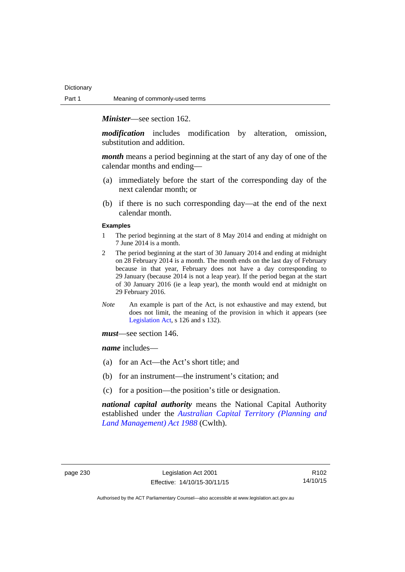*Minister*—see section 162.

*modification* includes modification by alteration, omission, substitution and addition.

*month* means a period beginning at the start of any day of one of the calendar months and ending—

- (a) immediately before the start of the corresponding day of the next calendar month; or
- (b) if there is no such corresponding day—at the end of the next calendar month.

#### **Examples**

- 1 The period beginning at the start of 8 May 2014 and ending at midnight on 7 June 2014 is a month.
- 2 The period beginning at the start of 30 January 2014 and ending at midnight on 28 February 2014 is a month. The month ends on the last day of February because in that year, February does not have a day corresponding to 29 January (because 2014 is not a leap year). If the period began at the start of 30 January 2016 (ie a leap year), the month would end at midnight on 29 February 2016.
- *Note* An example is part of the Act, is not exhaustive and may extend, but does not limit, the meaning of the provision in which it appears (see [Legislation Act,](http://www.legislation.act.gov.au/a/2001-14) s 126 and s 132).

*must*—see section 146.

*name* includes—

- (a) for an Act—the Act's short title; and
- (b) for an instrument—the instrument's citation; and
- (c) for a position—the position's title or designation.

*national capital authority* means the National Capital Authority established under the *[Australian Capital Territory \(Planning and](http://www.comlaw.gov.au/Series/C2004A03701)  [Land Management\) Act 1988](http://www.comlaw.gov.au/Series/C2004A03701)* (Cwlth).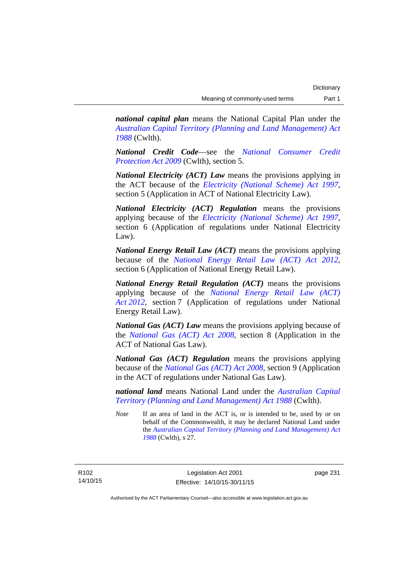*national capital plan* means the National Capital Plan under the *[Australian Capital Territory \(Planning and Land Management\) Act](http://www.comlaw.gov.au/Series/C2004A03701)  [1988](http://www.comlaw.gov.au/Series/C2004A03701)* (Cwlth).

*National Credit Code*—see the *[National Consumer Credit](http://www.comlaw.gov.au/Series/C2009A00134)  [Protection Act 2009](http://www.comlaw.gov.au/Series/C2009A00134)* (Cwlth), section 5.

*National Electricity (ACT) Law* means the provisions applying in the ACT because of the *[Electricity \(National Scheme\) Act 1997](http://www.legislation.act.gov.au/a/1997-79)*, section 5 (Application in ACT of National Electricity Law).

*National Electricity (ACT) Regulation* means the provisions applying because of the *[Electricity \(National Scheme\) Act 1997](http://www.legislation.act.gov.au/a/1997-79)*, section 6 (Application of regulations under National Electricity Law).

*National Energy Retail Law (ACT)* means the provisions applying because of the *[National Energy Retail Law \(ACT\) Act 2012](http://www.legislation.act.gov.au/a/2012-31)*, section 6 (Application of National Energy Retail Law).

*National Energy Retail Regulation (ACT)* means the provisions applying because of the *[National Energy Retail Law \(ACT\)](http://www.legislation.act.gov.au/a/2012-31)  [Act 2012](http://www.legislation.act.gov.au/a/2012-31)*, section 7 (Application of regulations under National Energy Retail Law).

*National Gas (ACT) Law* means the provisions applying because of the *[National Gas \(ACT\) Act 2008](http://www.legislation.act.gov.au/a/2008-15)*, section 8 (Application in the ACT of National Gas Law).

*National Gas (ACT) Regulation* means the provisions applying because of the *[National Gas \(ACT\) Act 2008](http://www.legislation.act.gov.au/a/2008-15)*, section 9 (Application in the ACT of regulations under National Gas Law).

*national land* means National Land under the *[Australian Capital](http://www.comlaw.gov.au/Series/C2004A03701)  [Territory \(Planning and Land Management\) Act 1988](http://www.comlaw.gov.au/Series/C2004A03701)* (Cwlth).

*Note* If an area of land in the ACT is, or is intended to be, used by or on behalf of the Commonwealth, it may be declared National Land under the *[Australian Capital Territory \(Planning and Land Management\) Act](http://www.comlaw.gov.au/Series/C2004A03701)  [1988](http://www.comlaw.gov.au/Series/C2004A03701)* (Cwlth), s 27.

R102 14/10/15 page 231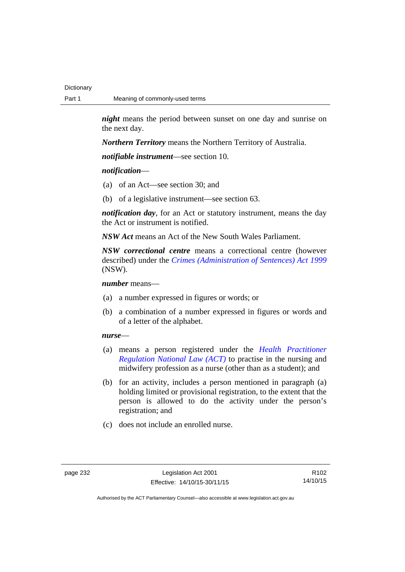*night* means the period between sunset on one day and sunrise on the next day.

*Northern Territory* means the Northern Territory of Australia.

*notifiable instrument*—see section 10.

### *notification*—

- (a) of an Act—see section 30; and
- (b) of a legislative instrument—see section 63.

*notification day*, for an Act or statutory instrument, means the day the Act or instrument is notified.

*NSW Act* means an Act of the New South Wales Parliament.

*NSW correctional centre* means a correctional centre (however described) under the *[Crimes \(Administration of Sentences\) Act 1999](http://www.legislation.nsw.gov.au/maintop/view/inforce/act+93+1999+cd+0+N)* (NSW).

*number* means—

- (a) a number expressed in figures or words; or
- (b) a combination of a number expressed in figures or words and of a letter of the alphabet.

### *nurse*—

- (a) means a person registered under the *[Health Practitioner](http://www.legislation.act.gov.au/a/db_39269/default.asp)  [Regulation National Law \(ACT\)](http://www.legislation.act.gov.au/a/db_39269/default.asp)* to practise in the nursing and midwifery profession as a nurse (other than as a student); and
- (b) for an activity, includes a person mentioned in paragraph (a) holding limited or provisional registration, to the extent that the person is allowed to do the activity under the person's registration; and
- (c) does not include an enrolled nurse.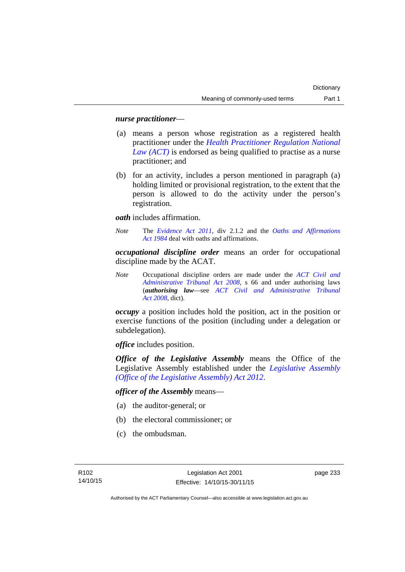### *nurse practitioner*—

- (a) means a person whose registration as a registered health practitioner under the *[Health Practitioner Regulation National](http://www.legislation.act.gov.au/a/db_39269/default.asp)  [Law \(ACT\)](http://www.legislation.act.gov.au/a/db_39269/default.asp)* is endorsed as being qualified to practise as a nurse practitioner; and
- (b) for an activity, includes a person mentioned in paragraph (a) holding limited or provisional registration, to the extent that the person is allowed to do the activity under the person's registration.

*oath* includes affirmation.

*Note* The *[Evidence Act 2011](http://www.legislation.act.gov.au/a/2011-12)*, div 2.1.2 and the *[Oaths and Affirmations](http://www.legislation.act.gov.au/a/1984-79)  [Act 1984](http://www.legislation.act.gov.au/a/1984-79)* deal with oaths and affirmations.

*occupational discipline order* means an order for occupational discipline made by the ACAT.

*Note* Occupational discipline orders are made under the *[ACT Civil and](http://www.legislation.act.gov.au/a/2008-35)  [Administrative Tribunal Act 2008](http://www.legislation.act.gov.au/a/2008-35)*, s 66 and under authorising laws (*authorising law*—see *[ACT Civil and Administrative Tribunal](http://www.legislation.act.gov.au/a/2008-35)  [Act 2008](http://www.legislation.act.gov.au/a/2008-35)*, dict).

*occupy* a position includes hold the position, act in the position or exercise functions of the position (including under a delegation or subdelegation).

*office* includes position.

*Office of the Legislative Assembly* means the Office of the Legislative Assembly established under the *[Legislative Assembly](http://www.legislation.act.gov.au/a/2012-26)  [\(Office of the Legislative Assembly\) Act 2012](http://www.legislation.act.gov.au/a/2012-26)*.

*officer of the Assembly* means—

- (a) the auditor-general; or
- (b) the electoral commissioner; or
- (c) the ombudsman.

page 233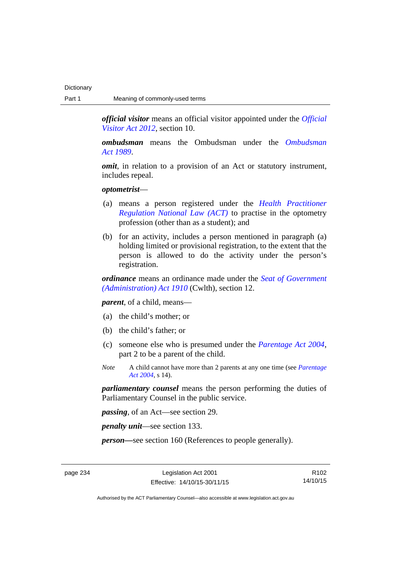*official visitor* means an official visitor appointed under the *[Official](http://www.legislation.act.gov.au/a/2012-33)  [Visitor Act 2012](http://www.legislation.act.gov.au/a/2012-33)*, section 10.

*ombudsman* means the Ombudsman under the *[Ombudsman](http://www.legislation.act.gov.au/a/alt_a1989-45co)  [Act 1989](http://www.legislation.act.gov.au/a/alt_a1989-45co)*.

*omit*, in relation to a provision of an Act or statutory instrument, includes repeal.

#### *optometrist*—

- (a) means a person registered under the *[Health Practitioner](http://www.legislation.act.gov.au/a/db_39269/default.asp)  [Regulation National Law \(ACT\)](http://www.legislation.act.gov.au/a/db_39269/default.asp)* to practise in the optometry profession (other than as a student); and
- (b) for an activity, includes a person mentioned in paragraph (a) holding limited or provisional registration, to the extent that the person is allowed to do the activity under the person's registration.

*ordinance* means an ordinance made under the *[Seat of Government](http://www.comlaw.gov.au/Series/C2004A07446)  [\(Administration\) Act 1910](http://www.comlaw.gov.au/Series/C2004A07446)* (Cwlth), section 12.

*parent*, of a child, means—

- (a) the child's mother; or
- (b) the child's father; or
- (c) someone else who is presumed under the *[Parentage Act 2004](http://www.legislation.act.gov.au/a/2004-1)*, part 2 to be a parent of the child.
- *Note* A child cannot have more than 2 parents at any one time (see *[Parentage](http://www.legislation.act.gov.au/a/2004-1)  [Act 2004](http://www.legislation.act.gov.au/a/2004-1)*, s 14).

*parliamentary counsel* means the person performing the duties of Parliamentary Counsel in the public service.

*passing*, of an Act—see section 29.

*penalty unit*—see section 133.

*person—*see section 160 (References to people generally).

page 234 Legislation Act 2001 Effective: 14/10/15-30/11/15

R102 14/10/15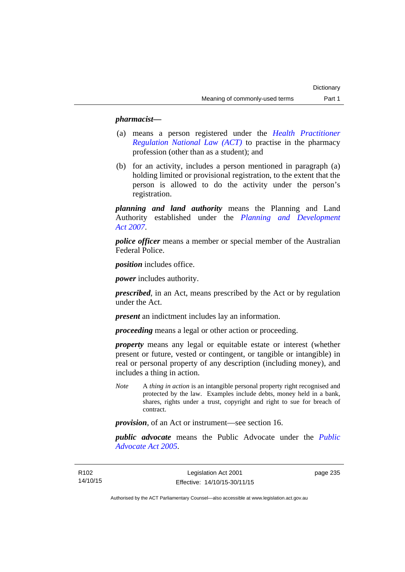### *pharmacist***—**

- (a) means a person registered under the *[Health Practitioner](http://www.legislation.act.gov.au/a/db_39269/default.asp)  [Regulation National Law \(ACT\)](http://www.legislation.act.gov.au/a/db_39269/default.asp)* to practise in the pharmacy profession (other than as a student); and
- (b) for an activity, includes a person mentioned in paragraph (a) holding limited or provisional registration, to the extent that the person is allowed to do the activity under the person's registration.

*planning and land authority* means the Planning and Land Authority established under the *[Planning and Development](http://www.legislation.act.gov.au/a/2007-24)  [Act 2007](http://www.legislation.act.gov.au/a/2007-24)*.

*police officer* means a member or special member of the Australian Federal Police.

*position* includes office.

*power* includes authority.

*prescribed*, in an Act, means prescribed by the Act or by regulation under the Act.

*present* an indictment includes lay an information.

*proceeding* means a legal or other action or proceeding.

*property* means any legal or equitable estate or interest (whether present or future, vested or contingent, or tangible or intangible) in real or personal property of any description (including money), and includes a thing in action.

*Note* A *thing in action* is an intangible personal property right recognised and protected by the law. Examples include debts, money held in a bank, shares, rights under a trust, copyright and right to sue for breach of contract.

*provision*, of an Act or instrument—see section 16.

*public advocate* means the Public Advocate under the *[Public](http://www.legislation.act.gov.au/a/2005-47)  [Advocate Act 2005](http://www.legislation.act.gov.au/a/2005-47)*.

page 235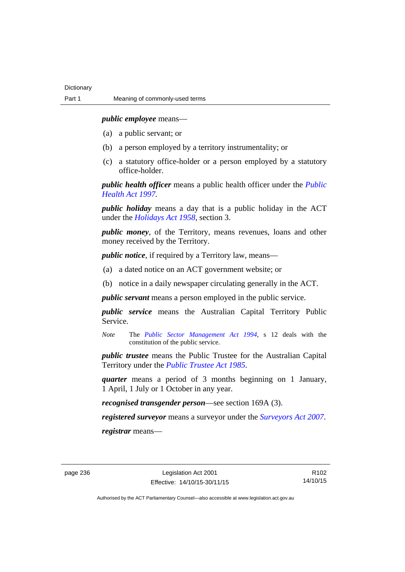*public employee* means—

- (a) a public servant; or
- (b) a person employed by a territory instrumentality; or
- (c) a statutory office-holder or a person employed by a statutory office-holder.

*public health officer* means a public health officer under the *[Public](http://www.legislation.act.gov.au/a/1997-69)  [Health Act 1997.](http://www.legislation.act.gov.au/a/1997-69)*

*public holiday* means a day that is a public holiday in the ACT under the *[Holidays Act 1958](http://www.legislation.act.gov.au/a/1958-19)*, section 3.

*public money*, of the Territory, means revenues, loans and other money received by the Territory.

*public notice*, if required by a Territory law, means—

- (a) a dated notice on an ACT government website; or
- (b) notice in a daily newspaper circulating generally in the ACT.

*public servant* means a person employed in the public service.

*public service* means the Australian Capital Territory Public Service.

*Note* The *[Public Sector Management Act 1994](http://www.legislation.act.gov.au/a/1994-37)*, s 12 deals with the constitution of the public service.

*public trustee* means the Public Trustee for the Australian Capital Territory under the *[Public Trustee Act 1985](http://www.legislation.act.gov.au/a/1985-8)*.

*quarter* means a period of 3 months beginning on 1 January, 1 April, 1 July or 1 October in any year.

*recognised transgender person*—see section 169A (3).

*registered surveyor* means a surveyor under the *[Surveyors Act 2007](http://www.legislation.act.gov.au/a/2007-33)*.

*registrar* means—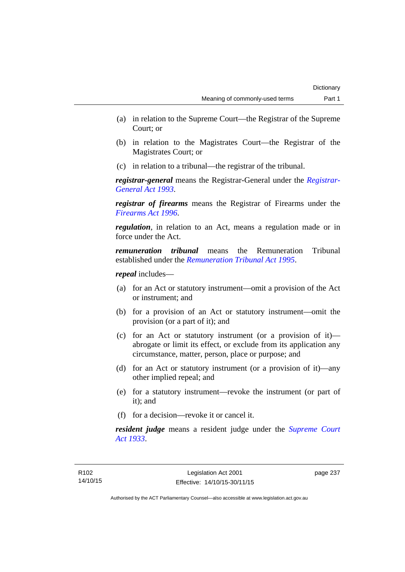- (a) in relation to the Supreme Court—the Registrar of the Supreme Court; or
- (b) in relation to the Magistrates Court—the Registrar of the Magistrates Court; or
- (c) in relation to a tribunal—the registrar of the tribunal.

*registrar-general* means the Registrar-General under the *[Registrar-](http://www.legislation.act.gov.au/a/1993-63)[General Act 1993](http://www.legislation.act.gov.au/a/1993-63)*.

*registrar of firearms* means the Registrar of Firearms under the *[Firearms Act 1996](http://www.legislation.act.gov.au/a/1996-74)*.

*regulation*, in relation to an Act, means a regulation made or in force under the Act.

*remuneration tribunal* means the Remuneration Tribunal established under the *[Remuneration Tribunal Act 1995](http://www.legislation.act.gov.au/a/1995-55)*.

*repeal* includes—

- (a) for an Act or statutory instrument—omit a provision of the Act or instrument; and
- (b) for a provision of an Act or statutory instrument—omit the provision (or a part of it); and
- (c) for an Act or statutory instrument (or a provision of it) abrogate or limit its effect, or exclude from its application any circumstance, matter, person, place or purpose; and
- (d) for an Act or statutory instrument (or a provision of it)—any other implied repeal; and
- (e) for a statutory instrument—revoke the instrument (or part of it); and
- (f) for a decision—revoke it or cancel it.

*resident judge* means a resident judge under the *[Supreme Court](http://www.legislation.act.gov.au/a/1933-34)  [Act 1933](http://www.legislation.act.gov.au/a/1933-34)*.

page 237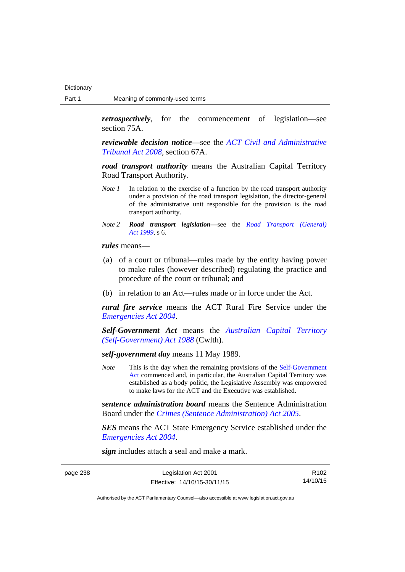*retrospectively*, for the commencement of legislation—see section 75A.

*reviewable decision notice*—see the *[ACT Civil and Administrative](http://www.legislation.act.gov.au/a/2008-35)  [Tribunal Act 2008](http://www.legislation.act.gov.au/a/2008-35)*, section 67A.

*road transport authority* means the Australian Capital Territory Road Transport Authority.

- *Note 1* In relation to the exercise of a function by the road transport authority under a provision of the road transport legislation, the director-general of the administrative unit responsible for the provision is the road transport authority.
- *Note 2 Road transport legislation––*see the *[Road Transport \(General\)](http://www.legislation.act.gov.au/a/1999-77)  [Act 1999](http://www.legislation.act.gov.au/a/1999-77)*, s 6.

*rules* means—

- (a) of a court or tribunal—rules made by the entity having power to make rules (however described) regulating the practice and procedure of the court or tribunal; and
- (b) in relation to an Act—rules made or in force under the Act.

*rural fire service* means the ACT Rural Fire Service under the *[Emergencies Act 2004](http://www.legislation.act.gov.au/a/2004-28)*.

*Self-Government Act* means the *[Australian Capital Territory](http://www.comlaw.gov.au/Series/C2004A03699)  [\(Self-Government\) Act 1988](http://www.comlaw.gov.au/Series/C2004A03699)* (Cwlth).

*self-government day* means 11 May 1989.

*Note* This is the day when the remaining provisions of the Self-Government [Act](http://www.comlaw.gov.au/Series/C2004A03699) commenced and, in particular, the Australian Capital Territory was established as a body politic, the Legislative Assembly was empowered to make laws for the ACT and the Executive was established.

*sentence administration board* means the Sentence Administration Board under the *[Crimes \(Sentence Administration\) Act 2005](http://www.legislation.act.gov.au/a/2005-59)*.

*SES* means the ACT State Emergency Service established under the *[Emergencies Act 2004](http://www.legislation.act.gov.au/a/2004-28)*.

*sign* includes attach a seal and make a mark.

| page 238 |  |
|----------|--|
|----------|--|

| page 238 | Legislation Act 2001         | R <sub>102</sub> |
|----------|------------------------------|------------------|
|          | Effective: 14/10/15-30/11/15 | 14/10/15         |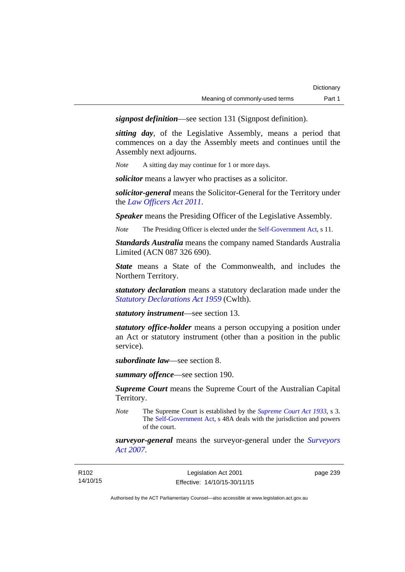*signpost definition*—see section 131 (Signpost definition).

*sitting day*, of the Legislative Assembly, means a period that commences on a day the Assembly meets and continues until the Assembly next adjourns.

*Note* A sitting day may continue for 1 or more days.

*solicitor* means a lawyer who practises as a solicitor.

*solicitor-general* means the Solicitor-General for the Territory under the *[Law Officers Act 2011](http://www.legislation.act.gov.au/a/2011-30)*.

*Speaker* means the Presiding Officer of the Legislative Assembly.

*Note* The Presiding Officer is elected under the [Self-Government Act](http://www.comlaw.gov.au/Series/C2004A03699), s 11.

*Standards Australia* means the company named Standards Australia Limited (ACN 087 326 690).

*State* means a State of the Commonwealth, and includes the Northern Territory.

*statutory declaration* means a statutory declaration made under the *[Statutory Declarations Act 1959](http://www.comlaw.gov.au/Series/C2004A07365)* (Cwlth).

*statutory instrument*—see section 13.

*statutory office-holder* means a person occupying a position under an Act or statutory instrument (other than a position in the public service).

*subordinate law*—see section 8.

*summary offence*—see section 190.

*Supreme Court* means the Supreme Court of the Australian Capital Territory.

*Note* The Supreme Court is established by the *[Supreme Court Act 1933](http://www.legislation.act.gov.au/a/1933-34)*, s 3. The [Self-Government Act](http://www.comlaw.gov.au/Series/C2004A03699), s 48A deals with the jurisdiction and powers of the court.

*surveyor-general* means the surveyor-general under the *[Surveyors](http://www.legislation.act.gov.au/a/2007-33)  [Act 2007](http://www.legislation.act.gov.au/a/2007-33)*.

page 239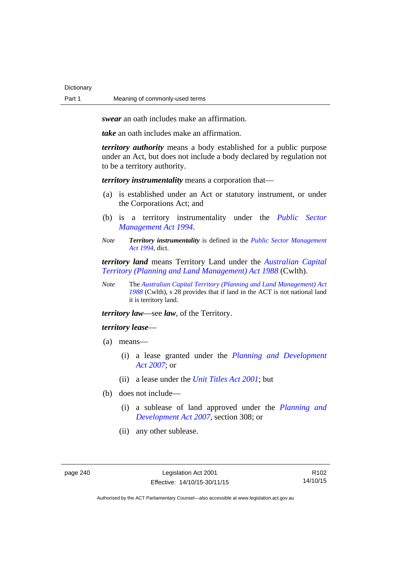**Dictionary** 

*swear* an oath includes make an affirmation.

*take* an oath includes make an affirmation.

*territory authority* means a body established for a public purpose under an Act, but does not include a body declared by regulation not to be a territory authority.

*territory instrumentality* means a corporation that—

- (a) is established under an Act or statutory instrument, or under the Corporations Act; and
- (b) is a territory instrumentality under the *[Public Sector](http://www.legislation.act.gov.au/a/1994-37)  [Management Act 1994](http://www.legislation.act.gov.au/a/1994-37)*.
- *Note Territory instrumentality* is defined in the *[Public Sector Management](http://www.legislation.act.gov.au/a/1994-37)  [Act 1994](http://www.legislation.act.gov.au/a/1994-37)*, dict.

*territory land* means Territory Land under the *[Australian Capital](http://www.comlaw.gov.au/Series/C2004A03701)  [Territory \(Planning and Land Management\) Act 1988](http://www.comlaw.gov.au/Series/C2004A03701)* (Cwlth).

*Note* The *[Australian Capital Territory \(Planning and Land Management\) Act](http://www.comlaw.gov.au/Series/C2004A03701)  [1988](http://www.comlaw.gov.au/Series/C2004A03701)* (Cwlth), s 28 provides that if land in the ACT is not national land it is territory land.

*territory law*—see *law*, of the Territory.

# *territory lease*—

- (a) means—
	- (i) a lease granted under the *[Planning and Development](http://www.legislation.act.gov.au/a/2007-24)  [Act 2007](http://www.legislation.act.gov.au/a/2007-24)*; or
	- (ii) a lease under the *[Unit Titles Act 2001](http://www.legislation.act.gov.au/a/2001-16)*; but
- (b) does not include—
	- (i) a sublease of land approved under the *[Planning and](http://www.legislation.act.gov.au/a/2007-24)  [Development Act 2007](http://www.legislation.act.gov.au/a/2007-24)*, section 308; or
	- (ii) any other sublease.

R102 14/10/15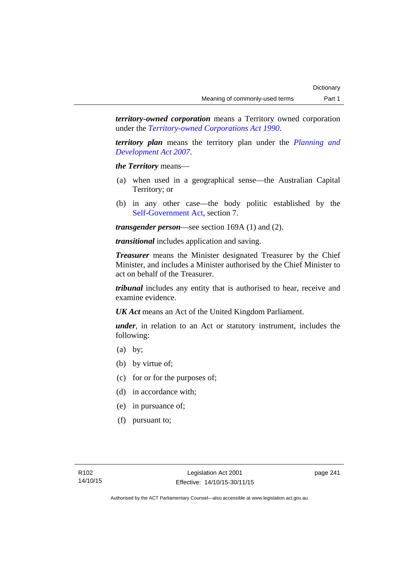*territory-owned corporation* means a Territory owned corporation under the *[Territory-owned Corporations Act 1990](http://www.legislation.act.gov.au/a/1990-53)*.

*territory plan* means the territory plan under the *[Planning and](http://www.legislation.act.gov.au/a/2007-24)  [Development Act 2007](http://www.legislation.act.gov.au/a/2007-24)*.

*the Territory* means—

- (a) when used in a geographical sense—the Australian Capital Territory; or
- (b) in any other case—the body politic established by the [Self-Government Act,](http://www.comlaw.gov.au/Series/C2004A03699) section 7.

*transgender person*—see section 169A (1) and (2).

*transitional* includes application and saving.

*Treasurer* means the Minister designated Treasurer by the Chief Minister, and includes a Minister authorised by the Chief Minister to act on behalf of the Treasurer.

*tribunal* includes any entity that is authorised to hear, receive and examine evidence.

*UK Act* means an Act of the United Kingdom Parliament.

*under*, in relation to an Act or statutory instrument, includes the following:

- (a) by;
- (b) by virtue of;
- (c) for or for the purposes of;
- (d) in accordance with;
- (e) in pursuance of;
- (f) pursuant to;

page 241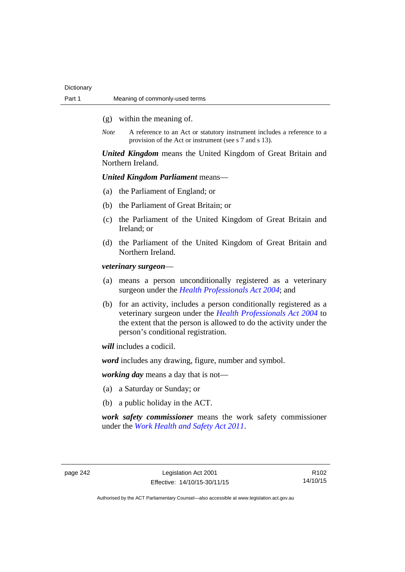- (g) within the meaning of.
- *Note* A reference to an Act or statutory instrument includes a reference to a provision of the Act or instrument (see s 7 and s 13).

*United Kingdom* means the United Kingdom of Great Britain and Northern Ireland.

# *United Kingdom Parliament* means—

- (a) the Parliament of England; or
- (b) the Parliament of Great Britain; or
- (c) the Parliament of the United Kingdom of Great Britain and Ireland; or
- (d) the Parliament of the United Kingdom of Great Britain and Northern Ireland.

*veterinary surgeon*—

- (a) means a person unconditionally registered as a veterinary surgeon under the *[Health Professionals Act 2004](http://www.legislation.act.gov.au/a/2004-38)*; and
- (b) for an activity, includes a person conditionally registered as a veterinary surgeon under the *[Health Professionals Act 2004](http://www.legislation.act.gov.au/a/2004-38)* to the extent that the person is allowed to do the activity under the person's conditional registration.

*will* includes a codicil.

*word* includes any drawing, figure, number and symbol.

*working day* means a day that is not—

- (a) a Saturday or Sunday; or
- (b) a public holiday in the ACT.

*work safety commissioner* means the work safety commissioner under the *[Work Health and Safety Act 2011](http://www.legislation.act.gov.au/a/2011-35)*.

page 242 Legislation Act 2001 Effective: 14/10/15-30/11/15

R102 14/10/15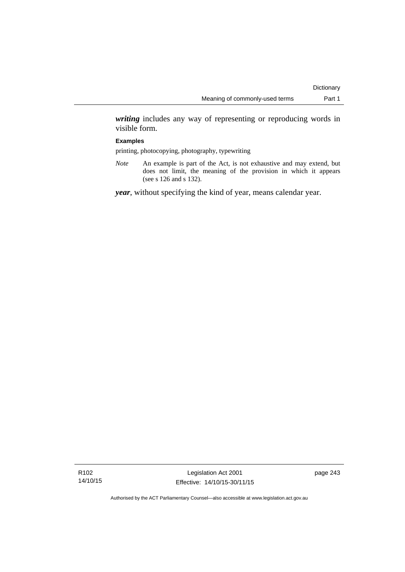*writing* includes any way of representing or reproducing words in visible form.

## **Examples**

printing, photocopying, photography, typewriting

*Note* An example is part of the Act, is not exhaustive and may extend, but does not limit, the meaning of the provision in which it appears (see s 126 and s 132).

*year*, without specifying the kind of year, means calendar year.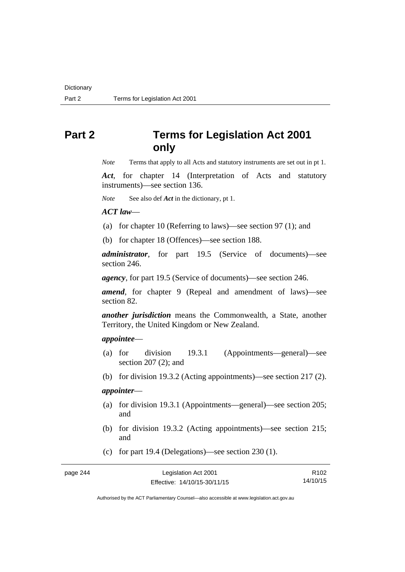# **Part 2 Terms for Legislation Act 2001 only**

*Note* Terms that apply to all Acts and statutory instruments are set out in pt 1.

*Act*, for chapter 14 (Interpretation of Acts and statutory instruments)—see section 136.

*Note* See also def *Act* in the dictionary, pt 1.

*ACT law*—

(a) for chapter 10 (Referring to laws)—see section 97 (1); and

(b) for chapter 18 (Offences)—see section 188.

*administrator*, for part 19.5 (Service of documents)—see section 246.

*agency*, for part 19.5 (Service of documents)—see section 246.

*amend*, for chapter 9 (Repeal and amendment of laws)—see section 82.

*another jurisdiction* means the Commonwealth, a State, another Territory, the United Kingdom or New Zealand.

# *appointee*—

- (a) for division 19.3.1 (Appointments—general)—see section 207 (2); and
- (b) for division 19.3.2 (Acting appointments)—see section 217 (2).

# *appointer*—

- (a) for division 19.3.1 (Appointments—general)—see section 205; and
- (b) for division 19.3.2 (Acting appointments)—see section 215; and
- (c) for part 19.4 (Delegations)—see section 230 (1).

page 244

| Legislation Act 2001         | R <sub>102</sub> |
|------------------------------|------------------|
| Effective: 14/10/15-30/11/15 | 14/10/15         |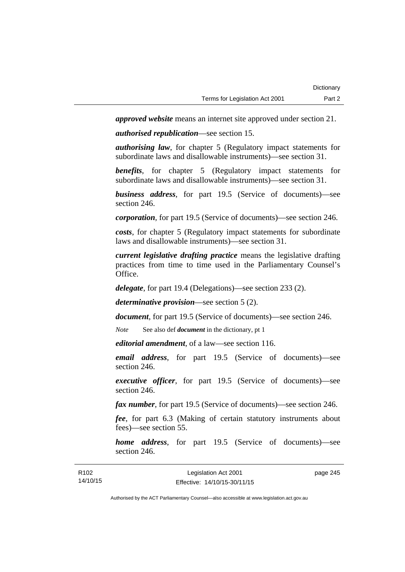*approved website* means an internet site approved under section 21.

*authorised republication*—see section 15.

*authorising law*, for chapter 5 (Regulatory impact statements for subordinate laws and disallowable instruments)—see section 31.

*benefits*, for chapter 5 (Regulatory impact statements for subordinate laws and disallowable instruments)—see section 31.

*business address*, for part 19.5 (Service of documents)—see section 246.

*corporation*, for part 19.5 (Service of documents)—see section 246.

*costs*, for chapter 5 (Regulatory impact statements for subordinate laws and disallowable instruments)—see section 31.

*current legislative drafting practice* means the legislative drafting practices from time to time used in the Parliamentary Counsel's Office.

*delegate*, for part 19.4 (Delegations)—see section 233 (2).

*determinative provision*—see section 5 (2).

*document*, for part 19.5 (Service of documents)—see section 246.

*Note* See also def *document* in the dictionary, pt 1

*editorial amendment*, of a law—see section 116.

*email address*, for part 19.5 (Service of documents)—see section 246.

*executive officer*, for part 19.5 (Service of documents)—see section 246.

*fax number*, for part 19.5 (Service of documents)—see section 246.

*fee*, for part 6.3 (Making of certain statutory instruments about fees)—see section 55.

*home address*, for part 19.5 (Service of documents)—see section 246.

| R <sub>102</sub> | Legislation Act 2001         | page 245 |
|------------------|------------------------------|----------|
| 14/10/15         | Effective: 14/10/15-30/11/15 |          |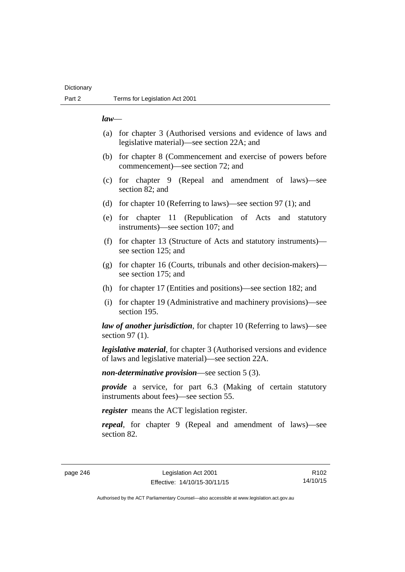# **Dictionary**

# *law*—

- (a) for chapter 3 (Authorised versions and evidence of laws and legislative material)—see section 22A; and
- (b) for chapter 8 (Commencement and exercise of powers before commencement)—see section 72; and
- (c) for chapter 9 (Repeal and amendment of laws)—see section 82; and
- (d) for chapter 10 (Referring to laws)—see section 97 (1); and
- (e) for chapter 11 (Republication of Acts and statutory instruments)—see section 107; and
- (f) for chapter 13 (Structure of Acts and statutory instruments) see section 125; and
- (g) for chapter 16 (Courts, tribunals and other decision-makers) see section 175; and
- (h) for chapter 17 (Entities and positions)—see section 182; and
- (i) for chapter 19 (Administrative and machinery provisions)—see section 195.

*law of another jurisdiction*, for chapter 10 (Referring to laws)—see section 97 (1).

*legislative material*, for chapter 3 (Authorised versions and evidence of laws and legislative material)—see section 22A.

*non-determinative provision*—see section 5 (3).

*provide* a service, for part 6.3 (Making of certain statutory instruments about fees)—see section 55.

*register* means the ACT legislation register.

*repeal*, for chapter 9 (Repeal and amendment of laws)—see section 82.

page 246 Legislation Act 2001 Effective: 14/10/15-30/11/15

R102 14/10/15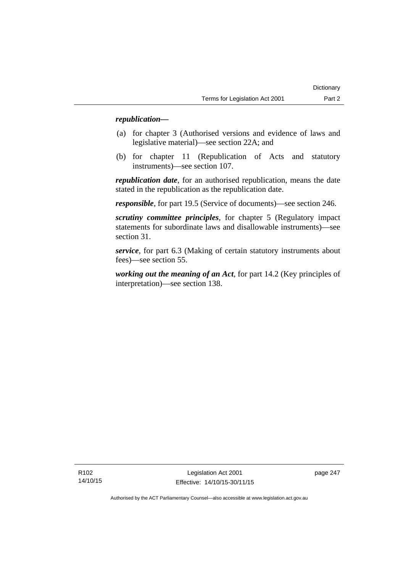# *republication—*

- (a) for chapter 3 (Authorised versions and evidence of laws and legislative material)—see section 22A; and
- (b) for chapter 11 (Republication of Acts and statutory instruments)—see section 107.

*republication date*, for an authorised republication, means the date stated in the republication as the republication date.

*responsible*, for part 19.5 (Service of documents)—see section 246.

*scrutiny committee principles*, for chapter 5 (Regulatory impact statements for subordinate laws and disallowable instruments)—see section 31.

*service*, for part 6.3 (Making of certain statutory instruments about fees)—see section 55.

*working out the meaning of an Act*, for part 14.2 (Key principles of interpretation)—see section 138.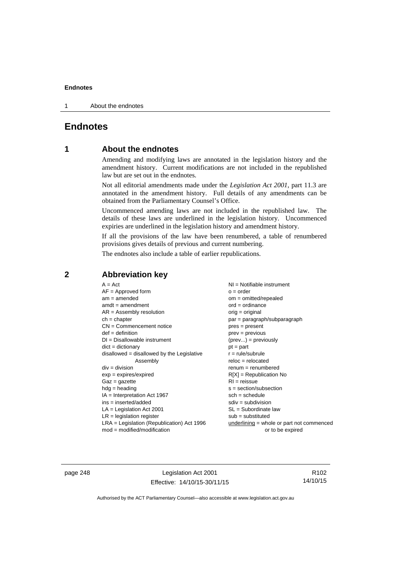1 About the endnotes

# **Endnotes**

# **1 About the endnotes**

Amending and modifying laws are annotated in the legislation history and the amendment history. Current modifications are not included in the republished law but are set out in the endnotes.

Not all editorial amendments made under the *Legislation Act 2001*, part 11.3 are annotated in the amendment history. Full details of any amendments can be obtained from the Parliamentary Counsel's Office.

Uncommenced amending laws are not included in the republished law. The details of these laws are underlined in the legislation history. Uncommenced expiries are underlined in the legislation history and amendment history.

If all the provisions of the law have been renumbered, a table of renumbered provisions gives details of previous and current numbering.

The endnotes also include a table of earlier republications.

| $A = Act$                                    | NI = Notifiable instrument                  |
|----------------------------------------------|---------------------------------------------|
| $AF =$ Approved form                         | $o = order$                                 |
| $am = amended$                               | $om = omitted/repealed$                     |
| $amdt = amendment$                           | $ord = ordinance$                           |
| $AR = Assembly resolution$                   | orig = original                             |
| $ch = chapter$                               | $par = paragraph/subparagraph$              |
| $CN =$ Commencement notice                   | $pres = present$                            |
| $def = definition$                           | $prev = previous$                           |
| $DI = Disallowable instrument$               | $(\text{prev}) = \text{previously}$         |
| $dict = dictionary$                          | $pt = part$                                 |
| $disallowed = disallowed by the Legislative$ | $r = rule/subrule$                          |
| Assembly                                     | $reloc = relocated$                         |
| $div = division$                             | $renum = renumbered$                        |
| $exp = expires/expired$                      | $R[X]$ = Republication No                   |
| $Gaz = gazette$                              | $RI = reissue$                              |
| $hdg = heading$                              | $s = section/subsection$                    |
| $IA = Interpretation Act 1967$               | $sch = schedule$                            |
| $ins = inserted/added$                       | $sdiv = subdivision$                        |
| $LA =$ Legislation Act 2001                  | SL = Subordinate law                        |
| $LR =$ legislation register                  | $sub =$ substituted                         |
| $LRA =$ Legislation (Republication) Act 1996 | $underlining = whole or part not commenced$ |
| $mod = modified/modification$                | or to be expired                            |

**2 Abbreviation key** 

page 248 Legislation Act 2001 Effective: 14/10/15-30/11/15

R102 14/10/15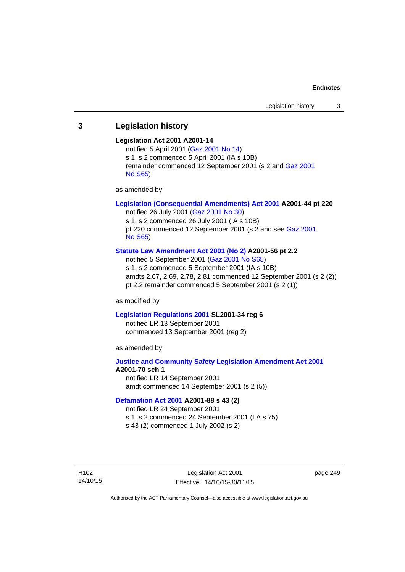# **3 Legislation history**

## **Legislation Act 2001 A2001-14**

notified 5 April 2001 ([Gaz 2001 No 14](http://www.legislation.act.gov.au/gaz/2001-14/default.asp)) s 1, s 2 commenced 5 April 2001 (IA s 10B) remainder commenced 12 September 2001 (s 2 and [Gaz 2001](http://www.legislation.act.gov.au/gaz/2001-S65/default.asp)  [No S65](http://www.legislation.act.gov.au/gaz/2001-S65/default.asp))

as amended by

# **[Legislation \(Consequential Amendments\) Act 2001](http://www.legislation.act.gov.au/a/2001-44) A2001-44 pt 220**

notified 26 July 2001 ([Gaz 2001 No 30\)](http://www.legislation.act.gov.au/gaz/2001-30/default.asp) s 1, s 2 commenced 26 July 2001 (IA s 10B) pt 220 commenced 12 September 2001 (s 2 and see [Gaz 2001](http://www.legislation.act.gov.au/gaz/2001-S65/default.asp)  [No S65](http://www.legislation.act.gov.au/gaz/2001-S65/default.asp))

## **[Statute Law Amendment Act 2001 \(No 2\)](http://www.legislation.act.gov.au/a/2001-56) A2001-56 pt 2.2**

notified 5 September 2001 [\(Gaz 2001 No S65\)](http://www.legislation.act.gov.au/gaz/2001-S65/default.asp) s 1, s 2 commenced 5 September 2001 (IA s 10B) amdts 2.67, 2.69, 2.78, 2.81 commenced 12 September 2001 (s 2 (2)) pt 2.2 remainder commenced 5 September 2001 (s 2 (1))

as modified by

## **[Legislation Regulations 2001](http://www.legislation.act.gov.au/sl/2001-34) SL2001-34 reg 6**

notified LR 13 September 2001 commenced 13 September 2001 (reg 2)

as amended by

# **[Justice and Community Safety Legislation Amendment Act 2001](http://www.legislation.act.gov.au/a/2001-70) A2001-70 sch 1**  notified LR 14 September 2001

amdt commenced 14 September 2001 (s 2 (5))

## **[Defamation Act 2001](http://www.legislation.act.gov.au/a/2001-88) A2001-88 s 43 (2)**

notified LR 24 September 2001

s 1, s 2 commenced 24 September 2001 (LA s 75)

s 43 (2) commenced 1 July 2002 (s 2)

R102 14/10/15 page 249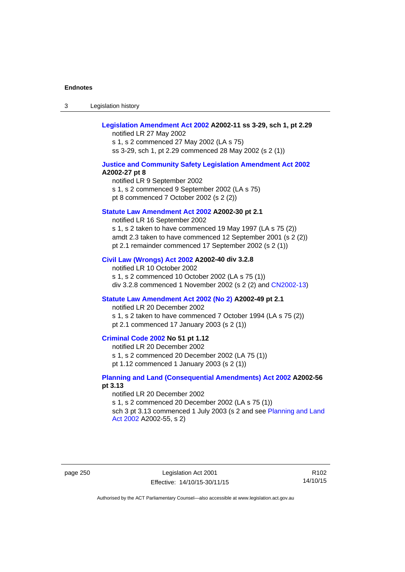3 Legislation history

# **[Legislation Amendment Act 2002](http://www.legislation.act.gov.au/a/2002-11) A2002-11 ss 3-29, sch 1, pt 2.29**

notified LR 27 May 2002 s 1, s 2 commenced 27 May 2002 (LA s 75) ss 3-29, sch 1, pt 2.29 commenced 28 May 2002 (s 2 (1))

## **[Justice and Community Safety Legislation Amendment Act 2002](http://www.legislation.act.gov.au/a/2002-27) A2002-27 pt 8**

notified LR 9 September 2002 s 1, s 2 commenced 9 September 2002 (LA s 75) pt 8 commenced 7 October 2002 (s 2 (2))

## **[Statute Law Amendment Act 2002](http://www.legislation.act.gov.au/a/2002-30) A2002-30 pt 2.1**

notified LR 16 September 2002 s 1, s 2 taken to have commenced 19 May 1997 (LA s 75 (2)) amdt 2.3 taken to have commenced 12 September 2001 (s 2 (2)) pt 2.1 remainder commenced 17 September 2002 (s 2 (1))

#### **[Civil Law \(Wrongs\) Act 2002](http://www.legislation.act.gov.au/a/2002-40) A2002-40 div 3.2.8**

notified LR 10 October 2002 s 1, s 2 commenced 10 October 2002 (LA s 75 (1)) div 3.2.8 commenced 1 November 2002 (s 2 (2) and [CN2002-13](http://www.legislation.act.gov.au/cn/2002-13/default.asp))

# **[Statute Law Amendment Act 2002 \(No 2\)](http://www.legislation.act.gov.au/a/2002-49) A2002-49 pt 2.1**

notified LR 20 December 2002 s 1, s 2 taken to have commenced 7 October 1994 (LA s 75 (2)) pt 2.1 commenced 17 January 2003 (s 2 (1))

## **[Criminal Code 2002](http://www.legislation.act.gov.au/a/2002-51) No 51 pt 1.12**

notified LR 20 December 2002 s 1, s 2 commenced 20 December 2002 (LA 75 (1)) pt 1.12 commenced 1 January 2003 (s 2 (1))

# **[Planning and Land \(Consequential Amendments\) Act 2002](http://www.legislation.act.gov.au/a/2002-56) A2002-56 pt 3.13**

notified LR 20 December 2002 s 1, s 2 commenced 20 December 2002 (LA s 75 (1)) sch 3 pt 3.13 commenced 1 July 2003 (s 2 and see Planning and Land [Act 2002](http://www.legislation.act.gov.au/a/2002-55) A2002-55, s 2)

page 250 Legislation Act 2001 Effective: 14/10/15-30/11/15

R102 14/10/15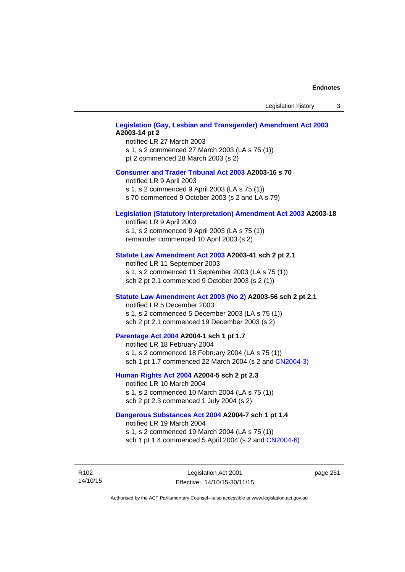Legislation history 3

# **[Legislation \(Gay, Lesbian and Transgender\) Amendment Act 2003](http://www.legislation.act.gov.au/a/2003-14) A2003-14 pt 2**

notified LR 27 March 2003 s 1, s 2 commenced 27 March 2003 (LA s 75 (1)) pt 2 commenced 28 March 2003 (s 2)

## **[Consumer and Trader Tribunal Act 2003](http://www.legislation.act.gov.au/a/2003-16) A2003-16 s 70**

notified LR 9 April 2003

s 1, s 2 commenced 9 April 2003 (LA s 75 (1))

s 70 commenced 9 October 2003 (s 2 and LA s 79)

# **[Legislation \(Statutory Interpretation\) Amendment Act 2003](http://www.legislation.act.gov.au/a/2003-18) A2003-18**

notified LR 9 April 2003 s 1, s 2 commenced 9 April 2003 (LA s 75 (1)) remainder commenced 10 April 2003 (s 2)

### **[Statute Law Amendment Act 2003](http://www.legislation.act.gov.au/a/2003-41) A2003-41 sch 2 pt 2.1**

notified LR 11 September 2003 s 1, s 2 commenced 11 September 2003 (LA s 75 (1)) sch 2 pt 2.1 commenced 9 October 2003 (s 2 (1))

## **[Statute Law Amendment Act 2003 \(No 2\)](http://www.legislation.act.gov.au/a/2003-56) A2003-56 sch 2 pt 2.1**

notified LR 5 December 2003 s 1, s 2 commenced 5 December 2003 (LA s 75 (1)) sch 2 pt 2.1 commenced 19 December 2003 (s 2)

# **[Parentage Act 2004](http://www.legislation.act.gov.au/a/2004-1) A2004-1 sch 1 pt 1.7**

notified LR 18 February 2004 s 1, s 2 commenced 18 February 2004 (LA s 75 (1)) sch 1 pt 1.7 commenced 22 March 2004 (s 2 and [CN2004-3\)](http://www.legislation.act.gov.au/cn/2004-3/default.asp)

## **[Human Rights Act 2004](http://www.legislation.act.gov.au/a/2004-5) A2004-5 sch 2 pt 2.3**

notified LR 10 March 2004 s 1, s 2 commenced 10 March 2004 (LA s 75 (1)) sch 2 pt 2.3 commenced 1 July 2004 (s 2)

## **[Dangerous Substances Act 2004](http://www.legislation.act.gov.au/a/2004-7) A2004-7 sch 1 pt 1.4**

notified LR 19 March 2004 s 1, s 2 commenced 19 March 2004 (LA s 75 (1)) sch 1 pt 1.4 commenced 5 April 2004 (s 2 and [CN2004-6](http://www.legislation.act.gov.au/cn/2004-6/default.asp))

R102 14/10/15 page 251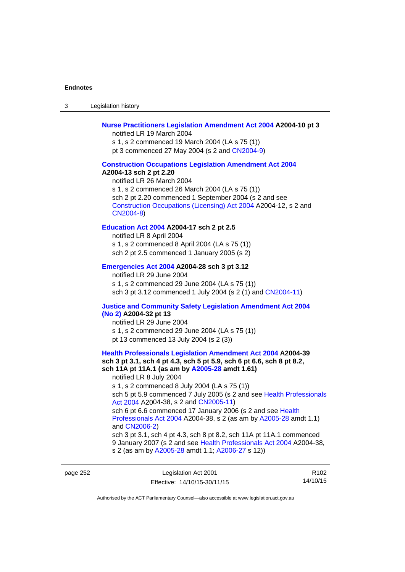3 Legislation history

# **[Nurse Practitioners Legislation Amendment Act 2004](http://www.legislation.act.gov.au/a/2004-10) A2004-10 pt 3**

notified LR 19 March 2004 s 1, s 2 commenced 19 March 2004 (LA s 75 (1)) pt 3 commenced 27 May 2004 (s 2 and [CN2004-9\)](http://www.legislation.act.gov.au/cn/2004-9/default.asp)

### **[Construction Occupations Legislation Amendment Act 2004](http://www.legislation.act.gov.au/a/2004-13)**

#### **A2004-13 sch 2 pt 2.20**

notified LR 26 March 2004 s 1, s 2 commenced 26 March 2004 (LA s 75 (1)) sch 2 pt 2.20 commenced 1 September 2004 (s 2 and see [Construction Occupations \(Licensing\) Act 2004](http://www.legislation.act.gov.au/a/2004-12) A2004-12, s 2 and [CN2004-8\)](http://www.legislation.act.gov.au/cn/2004-8/default.asp)

# **[Education Act 2004](http://www.legislation.act.gov.au/a/2004-17) A2004-17 sch 2 pt 2.5**

notified LR 8 April 2004 s 1, s 2 commenced 8 April 2004 (LA s 75 (1)) sch 2 pt 2.5 commenced 1 January 2005 (s 2)

## **[Emergencies Act 2004](http://www.legislation.act.gov.au/a/2004-28) A2004-28 sch 3 pt 3.12**

notified LR 29 June 2004 s 1, s 2 commenced 29 June 2004 (LA s 75 (1)) sch 3 pt 3.12 commenced 1 July 2004 (s 2 (1) and [CN2004-11](http://www.legislation.act.gov.au/cn/2004-11/default.asp))

# **[Justice and Community Safety Legislation Amendment Act 2004](http://www.legislation.act.gov.au/a/2004-32)**

# **[\(No 2\)](http://www.legislation.act.gov.au/a/2004-32) A2004-32 pt 13**

notified LR 29 June 2004 s 1, s 2 commenced 29 June 2004 (LA s 75 (1)) pt 13 commenced 13 July 2004 (s 2 (3))

# **[Health Professionals Legislation Amendment Act 2004](http://www.legislation.act.gov.au/a/2004-39) A2004-39 sch 3 pt 3.1, sch 4 pt 4.3, sch 5 pt 5.9, sch 6 pt 6.6, sch 8 pt 8.2, sch 11A pt 11A.1 (as am by [A2005-28](http://www.legislation.act.gov.au/a/2005-28) amdt 1.61)**  notified LR 8 July 2004 s 1, s 2 commenced 8 July 2004 (LA s 75 (1))

sch 5 pt 5.9 commenced 7 July 2005 (s 2 and see Health Professionals [Act 2004](http://www.legislation.act.gov.au/a/2004-38) A2004-38, s 2 and [CN2005-11\)](http://www.legislation.act.gov.au/cn/2005-11/default.asp)

sch 6 pt 6.6 commenced 17 January 2006 (s 2 and see Health [Professionals Act 2004](http://www.legislation.act.gov.au/a/2004-38) A2004-38, s 2 (as am by [A2005-28](http://www.legislation.act.gov.au/a/2005-28) amdt 1.1) and [CN2006-2](http://www.legislation.act.gov.au/cn/2006-2/default.asp))

sch 3 pt 3.1, sch 4 pt 4.3, sch 8 pt 8.2, sch 11A pt 11A.1 commenced 9 January 2007 (s 2 and see [Health Professionals Act 2004](http://www.legislation.act.gov.au/a/2004-38) A2004-38, s 2 (as am by [A2005-28](http://www.legislation.act.gov.au/a/2005-28) amdt 1.1; [A2006-27](http://www.legislation.act.gov.au/a/2006-27) s 12))

page 252 Legislation Act 2001 Effective: 14/10/15-30/11/15

R102 14/10/15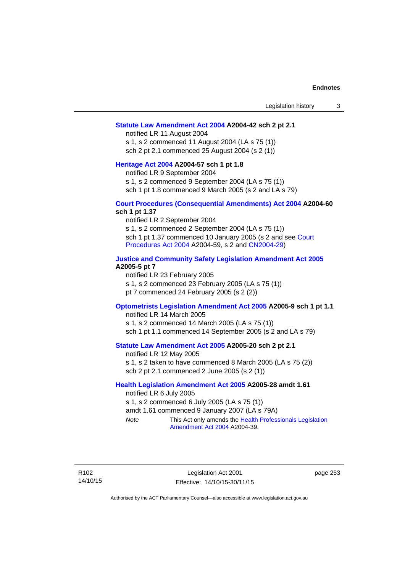## **[Statute Law Amendment Act 2004](http://www.legislation.act.gov.au/a/2004-42) A2004-42 sch 2 pt 2.1**

notified LR 11 August 2004 s 1, s 2 commenced 11 August 2004 (LA s 75 (1)) sch 2 pt 2.1 commenced 25 August 2004 (s 2 (1))

## **[Heritage Act 2004](http://www.legislation.act.gov.au/a/2004-57) A2004-57 sch 1 pt 1.8**

notified LR 9 September 2004

s 1, s 2 commenced 9 September 2004 (LA s 75 (1))

sch 1 pt 1.8 commenced 9 March 2005 (s 2 and LA s 79)

## **[Court Procedures \(Consequential Amendments\) Act 2004](http://www.legislation.act.gov.au/a/2004-60) A2004-60 sch 1 pt 1.37**

notified LR 2 September 2004 s 1, s 2 commenced 2 September 2004 (LA s 75 (1)) sch 1 pt 1.37 commenced 10 January 2005 (s 2 and see [Court](http://www.legislation.act.gov.au/a/2004-59)  [Procedures Act 2004](http://www.legislation.act.gov.au/a/2004-59) A2004-59, s 2 and [CN2004-29\)](http://www.legislation.act.gov.au/cn/2004-29/default.asp)

# **[Justice and Community Safety Legislation Amendment Act 2005](http://www.legislation.act.gov.au/a/2005-5) A2005-5 pt 7**

notified LR 23 February 2005 s 1, s 2 commenced 23 February 2005 (LA s 75 (1)) pt 7 commenced 24 February 2005 (s 2 (2))

## **[Optometrists Legislation Amendment Act 2005](http://www.legislation.act.gov.au/a/2005-9) A2005-9 sch 1 pt 1.1**

notified LR 14 March 2005 s 1, s 2 commenced 14 March 2005 (LA s 75 (1)) sch 1 pt 1.1 commenced 14 September 2005 (s 2 and LA s 79)

# **[Statute Law Amendment Act 2005](http://www.legislation.act.gov.au/a/2005-20) A2005-20 sch 2 pt 2.1**

notified LR 12 May 2005 s 1, s 2 taken to have commenced 8 March 2005 (LA s 75 (2)) sch 2 pt 2.1 commenced 2 June 2005 (s 2 (1))

# **[Health Legislation Amendment Act 2005](http://www.legislation.act.gov.au/a/2005-28) A2005-28 amdt 1.61**

notified LR 6 July 2005 s 1, s 2 commenced 6 July 2005 (LA s 75 (1)) amdt 1.61 commenced 9 January 2007 (LA s 79A) *Note* This Act only amends the [Health Professionals Legislation](http://www.legislation.act.gov.au/a/2004-39)  [Amendment Act 2004](http://www.legislation.act.gov.au/a/2004-39) A2004-39.

R102 14/10/15

Legislation Act 2001 Effective: 14/10/15-30/11/15 page 253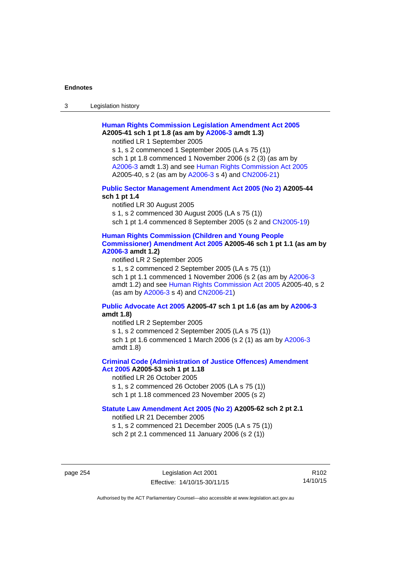3 Legislation history

# **[Human Rights Commission Legislation Amendment Act 2005](http://www.legislation.act.gov.au/a/2005-41) A2005-41 sch 1 pt 1.8 (as am by [A2006-3](http://www.legislation.act.gov.au/a/2006-3) amdt 1.3)**

notified LR 1 September 2005

s 1, s 2 commenced 1 September 2005 (LA s 75 (1)) sch 1 pt 1.8 commenced 1 November 2006 (s 2 (3) (as am by [A2006-3](http://www.legislation.act.gov.au/a/2006-3) amdt 1.3) and see [Human Rights Commission Act 2005](http://www.legislation.act.gov.au/a/2005-40) A2005-40, s 2 (as am by [A2006-3](http://www.legislation.act.gov.au/a/2006-3) s 4) and [CN2006-21](http://www.legislation.act.gov.au/cn/2006-21/default.asp))

# **[Public Sector Management Amendment Act 2005 \(No 2\)](http://www.legislation.act.gov.au/a/2005-44) A2005-44 sch 1 pt 1.4**

notified LR 30 August 2005 s 1, s 2 commenced 30 August 2005 (LA s 75 (1)) sch 1 pt 1.4 commenced 8 September 2005 (s 2 and [CN2005-19\)](http://www.legislation.act.gov.au/cn/2005-19/default.asp)

# **[Human Rights Commission \(Children and Young People](http://www.legislation.act.gov.au/a/2005-46)  [Commissioner\) Amendment Act 2005](http://www.legislation.act.gov.au/a/2005-46) A2005-46 sch 1 pt 1.1 (as am by [A2006-3](http://www.legislation.act.gov.au/a/2006-3) amdt 1.2)**

notified LR 2 September 2005

s 1, s 2 commenced 2 September 2005 (LA s 75 (1)) sch 1 pt 1.1 commenced 1 November 2006 (s 2 (as am by [A2006-3](http://www.legislation.act.gov.au/a/2006-3) amdt 1.2) and see [Human Rights Commission Act 2005](http://www.legislation.act.gov.au/a/2005-40) A2005-40, s 2 (as am by [A2006-3](http://www.legislation.act.gov.au/a/2006-3) s 4) and [CN2006-21](http://www.legislation.act.gov.au/cn/2006-21/default.asp))

# **[Public Advocate Act 2005](http://www.legislation.act.gov.au/a/2005-47) A2005-47 sch 1 pt 1.6 (as am by [A2006-3](http://www.legislation.act.gov.au/a/2006-3) amdt 1.8)**

notified LR 2 September 2005

s 1, s 2 commenced 2 September 2005 (LA s 75 (1)) sch 1 pt 1.6 commenced 1 March 2006 (s 2 (1) as am by [A2006-3](http://www.legislation.act.gov.au/a/2006-3) amdt 1.8)

# **[Criminal Code \(Administration of Justice Offences\) Amendment](http://www.legislation.act.gov.au/a/2005-53)**

**[Act 2005](http://www.legislation.act.gov.au/a/2005-53) A2005-53 sch 1 pt 1.18** 

notified LR 26 October 2005

s 1, s 2 commenced 26 October 2005 (LA s 75 (1))

sch 1 pt 1.18 commenced 23 November 2005 (s 2)

# **[Statute Law Amendment Act 2005 \(No 2\)](http://www.legislation.act.gov.au/a/2005-62) A2005-62 sch 2 pt 2.1**

notified LR 21 December 2005

s 1, s 2 commenced 21 December 2005 (LA s 75 (1)) sch 2 pt 2.1 commenced 11 January 2006 (s 2 (1))

page 254 Legislation Act 2001 Effective: 14/10/15-30/11/15

R102 14/10/15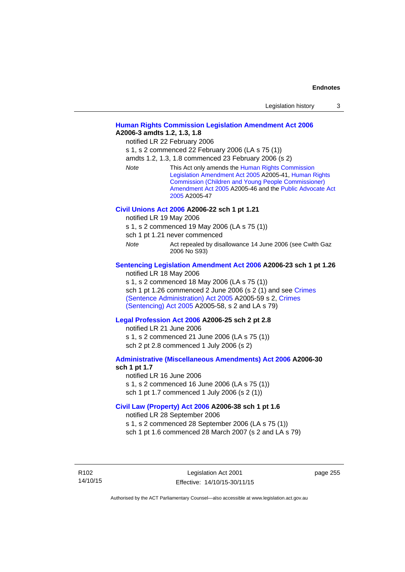| Legislation history |  |
|---------------------|--|
|---------------------|--|

# **[Human Rights Commission Legislation Amendment Act 2006](http://www.legislation.act.gov.au/a/2006-3) A2006-3 amdts 1.2, 1.3, 1.8**

notified LR 22 February 2006

s 1, s 2 commenced 22 February 2006 (LA s 75 (1))

amdts 1.2, 1.3, 1.8 commenced 23 February 2006 (s 2)

*Note* This Act only amends the [Human Rights Commission](http://www.legislation.act.gov.au/a/2005-41)  [Legislation Amendment Act 2005](http://www.legislation.act.gov.au/a/2005-41) A2005-41, [Human Rights](http://www.legislation.act.gov.au/a/2005-46)  [Commission \(Children and Young People Commissioner\)](http://www.legislation.act.gov.au/a/2005-46)  [Amendment Act 2005](http://www.legislation.act.gov.au/a/2005-46) A2005-46 and the [Public Advocate Act](http://www.legislation.act.gov.au/a/2005-47)  [2005](http://www.legislation.act.gov.au/a/2005-47) A2005-47

### **[Civil Unions Act 2006](http://www.legislation.act.gov.au/a/2006-22) A2006-22 sch 1 pt 1.21**

notified LR 19 May 2006

s 1, s 2 commenced 19 May 2006 (LA s 75 (1))

sch 1 pt 1.21 never commenced

*Note* **Act repealed by disallowance 14 June 2006 (see Cwlth Gaz** 2006 No S93)

# **[Sentencing Legislation Amendment Act 2006](http://www.legislation.act.gov.au/a/2006-23) A2006-23 sch 1 pt 1.26**

notified LR 18 May 2006

s 1, s 2 commenced 18 May 2006 (LA s 75 (1)) sch 1 pt 1.26 commenced 2 June 2006 (s 2 (1) and see [Crimes](http://www.legislation.act.gov.au/a/2005-59)  [\(Sentence Administration\) Act 2005](http://www.legislation.act.gov.au/a/2005-59) A2005-59 s 2, [Crimes](http://www.legislation.act.gov.au/a/2005-58)  [\(Sentencing\) Act 2005](http://www.legislation.act.gov.au/a/2005-58) A2005-58, s 2 and LA s 79)

## **[Legal Profession Act 2006](http://www.legislation.act.gov.au/a/2006-25) A2006-25 sch 2 pt 2.8**

notified LR 21 June 2006 s 1, s 2 commenced 21 June 2006 (LA s 75 (1)) sch 2 pt 2.8 commenced 1 July 2006 (s 2)

## **[Administrative \(Miscellaneous Amendments\) Act 2006](http://www.legislation.act.gov.au/a/2006-30) A2006-30 sch 1 pt 1.7**

notified LR 16 June 2006 s 1, s 2 commenced 16 June 2006 (LA s 75 (1)) sch 1 pt 1.7 commenced 1 July 2006 (s 2 (1))

# **[Civil Law \(Property\) Act 2006](http://www.legislation.act.gov.au/a/2006-38) A2006-38 sch 1 pt 1.6**

notified LR 28 September 2006

s 1, s 2 commenced 28 September 2006 (LA s 75 (1))

sch 1 pt 1.6 commenced 28 March 2007 (s 2 and LA s 79)

R102 14/10/15 page 255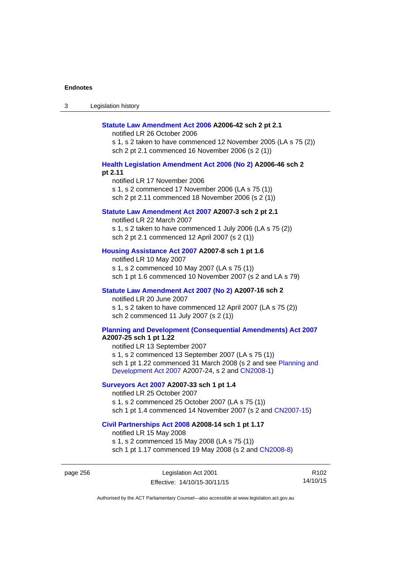| Legislation history<br>ు |
|--------------------------|
|--------------------------|

### **[Statute Law Amendment Act 2006](http://www.legislation.act.gov.au/a/2006-42) A2006-42 sch 2 pt 2.1**

notified LR 26 October 2006

s 1, s 2 taken to have commenced 12 November 2005 (LA s 75 (2)) sch 2 pt 2.1 commenced 16 November 2006 (s 2 (1))

# **[Health Legislation Amendment Act 2006 \(No 2\)](http://www.legislation.act.gov.au/a/2006-46) A2006-46 sch 2 pt 2.11**

notified LR 17 November 2006 s 1, s 2 commenced 17 November 2006 (LA s 75 (1)) sch 2 pt 2.11 commenced 18 November 2006 (s 2 (1))

## **[Statute Law Amendment Act 2007](http://www.legislation.act.gov.au/a/2007-3) A2007-3 sch 2 pt 2.1**

notified LR 22 March 2007 s 1, s 2 taken to have commenced 1 July 2006 (LA s 75 (2)) sch 2 pt 2.1 commenced 12 April 2007 (s 2 (1))

# **[Housing Assistance Act 2007](http://www.legislation.act.gov.au/a/2007-8) A2007-8 sch 1 pt 1.6**

notified LR 10 May 2007 s 1, s 2 commenced 10 May 2007 (LA s 75 (1)) sch 1 pt 1.6 commenced 10 November 2007 (s 2 and LA s 79)

## **[Statute Law Amendment Act 2007 \(No 2\)](http://www.legislation.act.gov.au/a/2007-16) A2007-16 sch 2**

notified LR 20 June 2007 s 1, s 2 taken to have commenced 12 April 2007 (LA s 75 (2)) sch 2 commenced 11 July 2007 (s 2 (1))

# **[Planning and Development \(Consequential Amendments\) Act 2007](http://www.legislation.act.gov.au/a/2007-25)**

**A2007-25 sch 1 pt 1.22** 

notified LR 13 September 2007 s 1, s 2 commenced 13 September 2007 (LA s 75 (1)) sch 1 pt 1.22 commenced 31 March 2008 (s 2 and see [Planning and](http://www.legislation.act.gov.au/a/2007-24)  [Development Act 2007](http://www.legislation.act.gov.au/a/2007-24) A2007-24, s 2 and [CN2008-1](http://www.legislation.act.gov.au/cn/2008-1/default.asp))

# **[Surveyors Act 2007](http://www.legislation.act.gov.au/a/2007-33) A2007-33 sch 1 pt 1.4**

notified LR 25 October 2007 s 1, s 2 commenced 25 October 2007 (LA s 75 (1)) sch 1 pt 1.4 commenced 14 November 2007 (s 2 and [CN2007-15\)](http://www.legislation.act.gov.au/cn/2007-15/default.asp)

### **[Civil Partnerships Act 2008](http://www.legislation.act.gov.au/a/2008-14) A2008-14 sch 1 pt 1.17**

notified LR 15 May 2008

s 1, s 2 commenced 15 May 2008 (LA s 75 (1)) sch 1 pt 1.17 commenced 19 May 2008 (s 2 and [CN2008-8](http://www.legislation.act.gov.au/cn/2008-8/default.asp))

page 256 Legislation Act 2001 Effective: 14/10/15-30/11/15

R102 14/10/15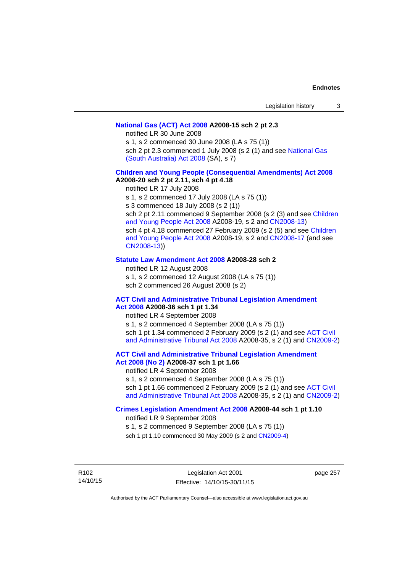## **[National Gas \(ACT\) Act 2008](http://www.legislation.act.gov.au/a/2008-15) A2008-15 sch 2 pt 2.3**

notified LR 30 June 2008

s 1, s 2 commenced 30 June 2008 (LA s 75 (1))

sch 2 pt 2.3 commenced 1 July 2008 (s 2 (1) and see [National Gas](http://www.legislation.sa.gov.au/LZ/C/A/NATIONAL GAS (SOUTH AUSTRALIA) ACT 2008.aspx)  [\(South Australia\) Act 2008](http://www.legislation.sa.gov.au/LZ/C/A/NATIONAL GAS (SOUTH AUSTRALIA) ACT 2008.aspx) (SA), s 7)

# **[Children and Young People \(Consequential Amendments\) Act 2008](http://www.legislation.act.gov.au/a/2008-20) A2008-20 sch 2 pt 2.11, sch 4 pt 4.18**

notified LR 17 July 2008

s 1, s 2 commenced 17 July 2008 (LA s 75 (1))

s 3 commenced 18 July 2008 (s 2 (1))

sch 2 pt 2.11 commenced 9 September 2008 (s 2 (3) and see [Children](http://www.legislation.act.gov.au/a/2008-19)  [and Young People Act 2008](http://www.legislation.act.gov.au/a/2008-19) A2008-19, s 2 and [CN2008-13](http://www.legislation.act.gov.au/cn/2008-13/default.asp)) sch 4 pt 4.18 commenced 27 February 2009 (s 2 (5) and see [Children](http://www.legislation.act.gov.au/a/2008-19)  [and Young People Act 2008](http://www.legislation.act.gov.au/a/2008-19) A2008-19, s 2 and [CN2008-17 \(](http://www.legislation.act.gov.au/cn/2008-17/default.asp)and see [CN2008-13](http://www.legislation.act.gov.au/cn/2008-13/default.asp)))

## **[Statute Law Amendment Act 2008](http://www.legislation.act.gov.au/a/2008-28) A2008-28 sch 2**

notified LR 12 August 2008 s 1, s 2 commenced 12 August 2008 (LA s 75 (1)) sch 2 commenced 26 August 2008 (s 2)

# **[ACT Civil and Administrative Tribunal Legislation Amendment](http://www.legislation.act.gov.au/a/2008-36)**

**[Act 2008](http://www.legislation.act.gov.au/a/2008-36) A2008-36 sch 1 pt 1.34**  notified LR 4 September 2008 s 1, s 2 commenced 4 September 2008 (LA s 75 (1)) sch 1 pt 1.34 commenced 2 February 2009 (s 2 (1) and see [ACT Civil](http://www.legislation.act.gov.au/a/2008-35)  [and Administrative Tribunal Act 2008](http://www.legislation.act.gov.au/a/2008-35) A2008-35, s 2 (1) and [CN2009-2](http://www.legislation.act.gov.au/cn/2009-2/default.asp))

# **[ACT Civil and Administrative Tribunal Legislation Amendment](http://www.legislation.act.gov.au/a/2008-37)**

**[Act 2008 \(No 2\)](http://www.legislation.act.gov.au/a/2008-37) A2008-37 sch 1 pt 1.66**  notified LR 4 September 2008

s 1, s 2 commenced 4 September 2008 (LA s 75 (1))

sch 1 pt 1.66 commenced 2 February 2009 (s 2 (1) and see [ACT Civil](http://www.legislation.act.gov.au/a/2008-35) 

[and Administrative Tribunal Act 2008](http://www.legislation.act.gov.au/a/2008-35) A2008-35, s 2 (1) and [CN2009-2](http://www.legislation.act.gov.au/cn/2009-2/default.asp))

# **[Crimes Legislation Amendment Act 2008](http://www.legislation.act.gov.au/a/2008-44) A2008-44 sch 1 pt 1.10**

notified LR 9 September 2008

s 1, s 2 commenced 9 September 2008 (LA s 75 (1))

sch 1 pt 1.10 commenced 30 May 2009 (s 2 and [CN2009-4](http://www.legislation.act.gov.au/cn/2009-4/default.asp))

R102 14/10/15

Legislation Act 2001 Effective: 14/10/15-30/11/15 page 257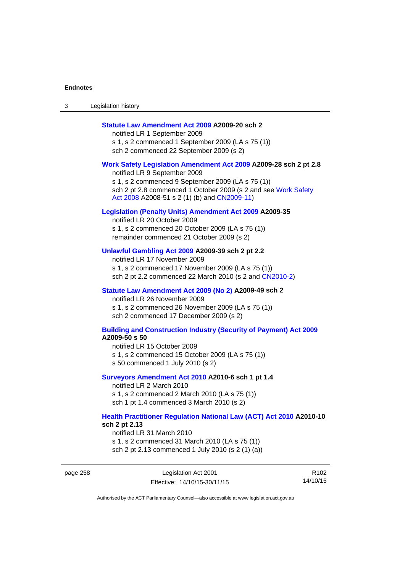| Legislation history<br>ు |
|--------------------------|
|--------------------------|

# **[Statute Law Amendment Act 2009](http://www.legislation.act.gov.au/a/2009-20) A2009-20 sch 2**

notified LR 1 September 2009 s 1, s 2 commenced 1 September 2009 (LA s 75 (1)) sch 2 commenced 22 September 2009 (s 2)

#### **[Work Safety Legislation Amendment Act 2009](http://www.legislation.act.gov.au/a/2009-28) A2009-28 sch 2 pt 2.8**

notified LR 9 September 2009 s 1, s 2 commenced 9 September 2009 (LA s 75 (1)) sch 2 pt 2.8 commenced 1 October 2009 (s 2 and see Work Safety [Act 2008](http://www.legislation.act.gov.au/a/2008-51) A2008-51 s 2 (1) (b) and [CN2009-11](http://www.legislation.act.gov.au/cn/2009-11/default.asp))

## **[Legislation \(Penalty Units\) Amendment Act 2009](http://www.legislation.act.gov.au/a/2009-35) A2009-35**

notified LR 20 October 2009 s 1, s 2 commenced 20 October 2009 (LA s 75 (1)) remainder commenced 21 October 2009 (s 2)

# **[Unlawful Gambling Act 2009](http://www.legislation.act.gov.au/a/2009-39) A2009-39 sch 2 pt 2.2**

notified LR 17 November 2009 s 1, s 2 commenced 17 November 2009 (LA s 75 (1)) sch 2 pt 2.2 commenced 22 March 2010 (s 2 and [CN2010-2\)](http://www.legislation.act.gov.au/cn/2010-2/default.asp)

#### **[Statute Law Amendment Act 2009 \(No 2\)](http://www.legislation.act.gov.au/a/2009-49) A2009-49 sch 2**

notified LR 26 November 2009 s 1, s 2 commenced 26 November 2009 (LA s 75 (1)) sch 2 commenced 17 December 2009 (s 2)

#### **[Building and Construction Industry \(Security of Payment\) Act 2009](http://www.legislation.act.gov.au/a/2009-50) A2009-50 s 50**

notified LR 15 October 2009 s 1, s 2 commenced 15 October 2009 (LA s 75 (1)) s 50 commenced 1 July 2010 (s 2)

#### **[Surveyors Amendment Act 2010](http://www.legislation.act.gov.au/a/2010-6) A2010-6 sch 1 pt 1.4**

notified LR 2 March 2010 s 1, s 2 commenced 2 March 2010 (LA s 75 (1)) sch 1 pt 1.4 commenced 3 March 2010 (s 2)

## **[Health Practitioner Regulation National Law \(ACT\) Act 2010](http://www.legislation.act.gov.au/a/2010-10) A2010-10 sch 2 pt 2.13**

notified LR 31 March 2010 s 1, s 2 commenced 31 March 2010 (LA s 75 (1)) sch 2 pt 2.13 commenced 1 July 2010 (s 2 (1) (a))

page 258 Legislation Act 2001 Effective: 14/10/15-30/11/15

R102 14/10/15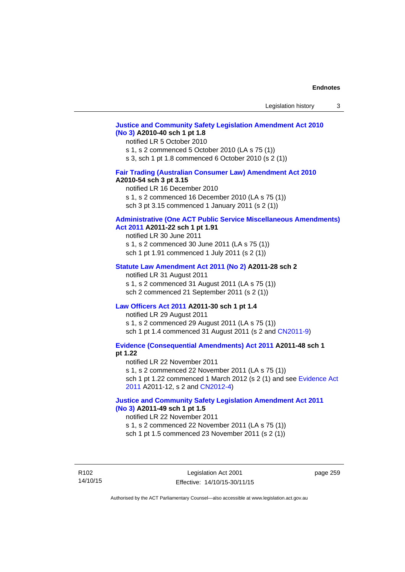# **[Justice and Community Safety Legislation Amendment Act 2010](http://www.legislation.act.gov.au/a/2010-40)  [\(No 3\)](http://www.legislation.act.gov.au/a/2010-40) A2010-40 sch 1 pt 1.8**

#### notified LR 5 October 2010

s 1, s 2 commenced 5 October 2010 (LA s 75 (1))

s 3, sch 1 pt 1.8 commenced 6 October 2010 (s 2 (1))

# **[Fair Trading \(Australian Consumer Law\) Amendment Act 2010](http://www.legislation.act.gov.au/a/2010-54)**

## **A2010-54 sch 3 pt 3.15**

notified LR 16 December 2010 s 1, s 2 commenced 16 December 2010 (LA s 75 (1)) sch 3 pt 3.15 commenced 1 January 2011 (s 2 (1))

# **[Administrative \(One ACT Public Service Miscellaneous Amendments\)](http://www.legislation.act.gov.au/a/2011-22)**

# **[Act 2011](http://www.legislation.act.gov.au/a/2011-22) A2011-22 sch 1 pt 1.91**

notified LR 30 June 2011 s 1, s 2 commenced 30 June 2011 (LA s 75 (1)) sch 1 pt 1.91 commenced 1 July 2011 (s 2 (1))

#### **[Statute Law Amendment Act 2011 \(No 2\)](http://www.legislation.act.gov.au/a/2011-28) A2011-28 sch 2**

notified LR 31 August 2011 s 1, s 2 commenced 31 August 2011 (LA s 75 (1)) sch 2 commenced 21 September 2011 (s 2 (1))

# **[Law Officers Act 2011](http://www.legislation.act.gov.au/a/2011-30) A2011-30 sch 1 pt 1.4**

notified LR 29 August 2011 s 1, s 2 commenced 29 August 2011 (LA s 75 (1)) sch 1 pt 1.4 commenced 31 August 2011 (s 2 and [CN2011-9](http://www.legislation.act.gov.au/cn/2011-9/default.asp))

**[Evidence \(Consequential Amendments\) Act 2011](http://www.legislation.act.gov.au/a/2011-48) A2011-48 sch 1 pt 1.22** 

notified LR 22 November 2011 s 1, s 2 commenced 22 November 2011 (LA s 75 (1)) sch 1 pt 1.22 commenced 1 March 2012 (s 2 (1) and see [Evidence Act](http://www.legislation.act.gov.au/a/2011-12) 

[2011](http://www.legislation.act.gov.au/a/2011-12) A2011-12, s 2 and [CN2012-4](http://www.legislation.act.gov.au/cn/2012-4/default.asp))

# **[Justice and Community Safety Legislation Amendment Act 2011](http://www.legislation.act.gov.au/a/2011-49)  [\(No 3\)](http://www.legislation.act.gov.au/a/2011-49) A2011-49 sch 1 pt 1.5**

## notified LR 22 November 2011

s 1, s 2 commenced 22 November 2011 (LA s 75 (1))

sch 1 pt 1.5 commenced 23 November 2011 (s 2 (1))

R102 14/10/15 page 259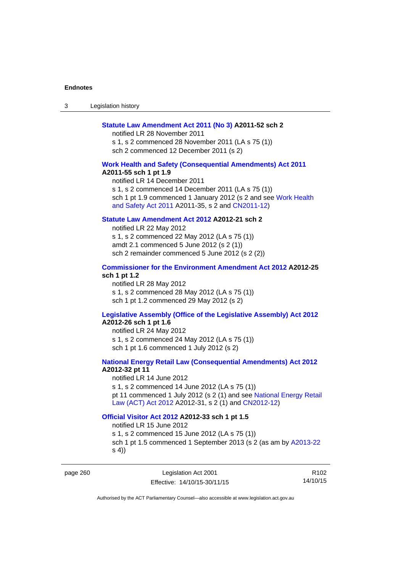3 Legislation history

## **[Statute Law Amendment Act 2011 \(No 3\)](http://www.legislation.act.gov.au/a/2011-52) A2011-52 sch 2**

notified LR 28 November 2011 s 1, s 2 commenced 28 November 2011 (LA s 75 (1)) sch 2 commenced 12 December 2011 (s 2)

## **[Work Health and Safety \(Consequential Amendments\) Act 2011](http://www.legislation.act.gov.au/a/2011-55)**

**A2011-55 sch 1 pt 1.9** 

notified LR 14 December 2011 s 1, s 2 commenced 14 December 2011 (LA s 75 (1)) sch 1 pt 1.9 commenced 1 January 2012 (s 2 and see Work Health [and Safety Act 2011](http://www.legislation.act.gov.au/a/2011-35) A2011-35, s 2 and [CN2011-12](http://www.legislation.act.gov.au/cn/2011-12/default.asp))

# **[Statute Law Amendment Act 2012](http://www.legislation.act.gov.au/a/2012-21) A2012-21 sch 2**

notified LR 22 May 2012 s 1, s 2 commenced 22 May 2012 (LA s 75 (1)) amdt 2.1 commenced 5 June 2012 (s 2 (1)) sch 2 remainder commenced 5 June 2012 (s 2 (2))

# **[Commissioner for the Environment Amendment Act 2012](http://www.legislation.act.gov.au/a/2012-25) A2012-25 sch 1 pt 1.2**

notified LR 28 May 2012 s 1, s 2 commenced 28 May 2012 (LA s 75 (1)) sch 1 pt 1.2 commenced 29 May 2012 (s 2)

# **[Legislative Assembly \(Office of the Legislative Assembly\) Act 2012](http://www.legislation.act.gov.au/a/2012-26)**

# **A2012-26 sch 1 pt 1.6**

notified LR 24 May 2012 s 1, s 2 commenced 24 May 2012 (LA s 75 (1)) sch 1 pt 1.6 commenced 1 July 2012 (s 2)

## **[National Energy Retail Law \(Consequential Amendments\) Act 2012](http://www.legislation.act.gov.au/a/2012-32) A2012-32 pt 11**

notified LR 14 June 2012 s 1, s 2 commenced 14 June 2012 (LA s 75 (1)) pt 11 commenced 1 July 2012 (s 2 (1) and see [National Energy Retail](http://www.legislation.act.gov.au/a/2012-31)  [Law \(ACT\) Act 2012](http://www.legislation.act.gov.au/a/2012-31) A2012-31, s 2 (1) and [CN2012-12](http://www.legislation.act.gov.au/cn/2012-12/default.asp))

# **[Official Visitor Act 2012](http://www.legislation.act.gov.au/a/2012-33) A2012-33 sch 1 pt 1.5**

notified LR 15 June 2012 s 1, s 2 commenced 15 June 2012 (LA s 75 (1)) sch 1 pt 1.5 commenced 1 September 2013 (s 2 (as am by [A2013-22](http://www.legislation.act.gov.au/a/2013-22) s 4))

page 260 Legislation Act 2001 Effective: 14/10/15-30/11/15

R102 14/10/15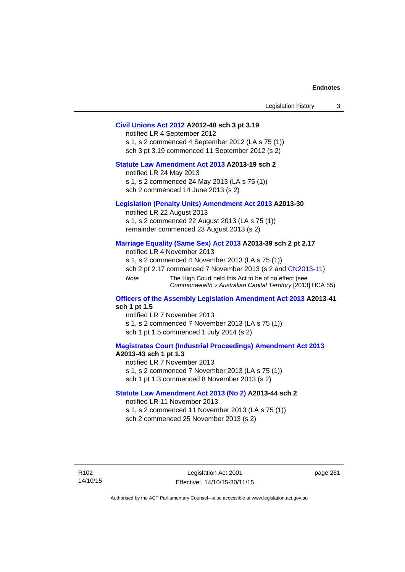| Legislation history |  |
|---------------------|--|
|---------------------|--|

## **[Civil Unions Act 2012](http://www.legislation.act.gov.au/a/2012-40) A2012-40 sch 3 pt 3.19**

notified LR 4 September 2012 s 1, s 2 commenced 4 September 2012 (LA s 75 (1)) sch 3 pt 3.19 commenced 11 September 2012 (s 2)

# **[Statute Law Amendment Act 2013](http://www.legislation.act.gov.au/a/2013-19) A2013-19 sch 2**

notified LR 24 May 2013 s 1, s 2 commenced 24 May 2013 (LA s 75 (1)) sch 2 commenced 14 June 2013 (s 2)

## **[Legislation \(Penalty Units\) Amendment Act 2013](http://www.legislation.act.gov.au/a/2013-30) A2013-30**

notified LR 22 August 2013 s 1, s 2 commenced 22 August 2013 (LA s 75 (1)) remainder commenced 23 August 2013 (s 2)

## **[Marriage Equality \(Same Sex\) Act 2013](http://www.legislation.act.gov.au/a/2013-39) A2013-39 sch 2 pt 2.17**

notified LR 4 November 2013 s 1, s 2 commenced 4 November 2013 (LA s 75 (1)) sch 2 pt 2.17 commenced 7 November 2013 (s 2 and [CN2013-11\)](http://www.legislation.act.gov.au/cn/2013-11) *Note* The High Court held this Act to be of no effect (see *Commonwealth v Australian Capital Territory* [2013] HCA 55)

## **[Officers of the Assembly Legislation Amendment Act 2013](http://www.legislation.act.gov.au/a/2013-41) A2013-41 sch 1 pt 1.5**

notified LR 7 November 2013 s 1, s 2 commenced 7 November 2013 (LA s 75 (1)) sch 1 pt 1.5 commenced 1 July 2014 (s 2)

# **[Magistrates Court \(Industrial Proceedings\) Amendment Act 2013](http://www.legislation.act.gov.au/a/2013-43) A2013-43 sch 1 pt 1.3**

notified LR 7 November 2013 s 1, s 2 commenced 7 November 2013 (LA s 75 (1)) sch 1 pt 1.3 commenced 8 November 2013 (s 2)

## **[Statute Law Amendment Act 2013 \(No 2\)](http://www.legislation.act.gov.au/a/2013-44) A2013-44 sch 2**  notified LR 11 November 2013

s 1, s 2 commenced 11 November 2013 (LA s 75 (1))

sch 2 commenced 25 November 2013 (s 2)

page 261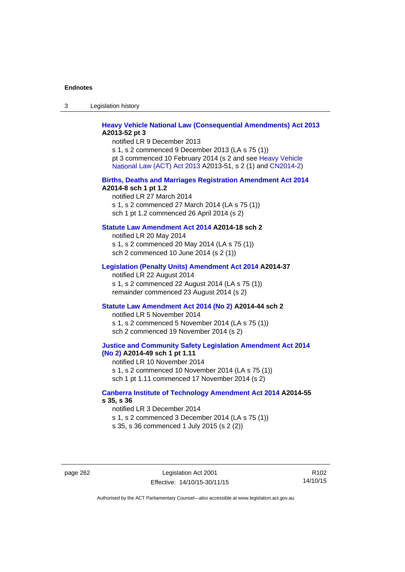3 Legislation history

# **[Heavy Vehicle National Law \(Consequential Amendments\) Act 2013](http://www.legislation.act.gov.au/a/2013-52) A2013-52 pt 3**

notified LR 9 December 2013 s 1, s 2 commenced 9 December 2013 (LA s 75 (1)) pt 3 commenced 10 February 2014 (s 2 and see [Heavy Vehicle](http://www.legislation.act.gov.au/a/2013-51/default.asp)  [National Law \(ACT\) Act 2013](http://www.legislation.act.gov.au/a/2013-51/default.asp) A2013-51, s 2 (1) and [CN2014-2](http://www.legislation.act.gov.au/cn/2014-2/default.asp))

## **[Births, Deaths and Marriages Registration Amendment Act 2014](http://www.legislation.act.gov.au/a/2014-8) A2014-8 sch 1 pt 1.2**

notified LR 27 March 2014 s 1, s 2 commenced 27 March 2014 (LA s 75 (1)) sch 1 pt 1.2 commenced 26 April 2014 (s 2)

# **[Statute Law Amendment Act 2014](http://www.legislation.act.gov.au/a/2014-18) A2014-18 sch 2**

notified LR 20 May 2014 s 1, s 2 commenced 20 May 2014 (LA s 75 (1)) sch 2 commenced 10 June 2014 (s 2 (1))

# **[Legislation \(Penalty Units\) Amendment Act 2014](http://www.legislation.act.gov.au/a/2014-37) A2014-37**

notified LR 22 August 2014 s 1, s 2 commenced 22 August 2014 (LA s 75 (1)) remainder commenced 23 August 2014 (s 2)

### **[Statute Law Amendment Act 2014 \(No 2\)](http://www.legislation.act.gov.au/a/2014-44) A2014-44 sch 2**

notified LR 5 November 2014 s 1, s 2 commenced 5 November 2014 (LA s 75 (1)) sch 2 commenced 19 November 2014 (s 2)

## **[Justice and Community Safety Legislation Amendment Act 2014](http://www.legislation.act.gov.au/a/2014-49)  [\(No 2\)](http://www.legislation.act.gov.au/a/2014-49) A2014-49 sch 1 pt 1.11**

notified LR 10 November 2014 s 1, s 2 commenced 10 November 2014 (LA s 75 (1)) sch 1 pt 1.11 commenced 17 November 2014 (s 2)

# **[Canberra Institute of Technology Amendment Act 2014](http://www.legislation.act.gov.au/a/2014-55/default.asp) A2014-55 s 35, s 36**

notified LR 3 December 2014 s 1, s 2 commenced 3 December 2014 (LA s 75 (1)) s 35, s 36 commenced 1 July 2015 (s 2 (2))

page 262 Legislation Act 2001 Effective: 14/10/15-30/11/15

R102 14/10/15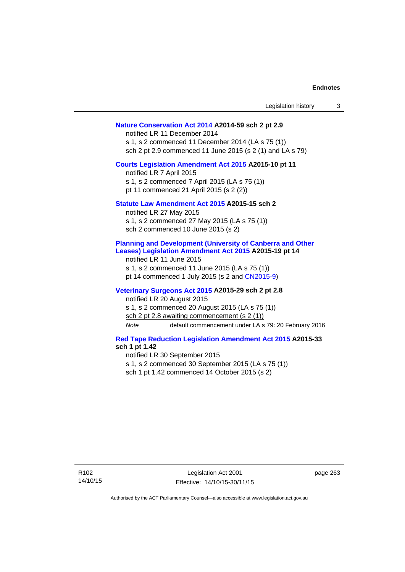| Legislation history                                                                                                                                                                                                                                       | 3 |
|-----------------------------------------------------------------------------------------------------------------------------------------------------------------------------------------------------------------------------------------------------------|---|
| Nature Conservation Act 2014 A2014-59 sch 2 pt 2.9<br>notified LR 11 December 2014<br>s 1, s 2 commenced 11 December 2014 (LA s 75 (1))<br>sch 2 pt 2.9 commenced 11 June 2015 (s 2 (1) and LA s 79)                                                      |   |
| Courts Legislation Amendment Act 2015 A2015-10 pt 11<br>notified LR 7 April 2015<br>s 1, s 2 commenced 7 April 2015 (LA s 75 (1))<br>pt 11 commenced 21 April 2015 (s 2 (2))                                                                              |   |
| Statute Law Amendment Act 2015 A2015-15 sch 2<br>notified LR 27 May 2015<br>s 1, s 2 commenced 27 May 2015 (LA s 75 (1))<br>sch 2 commenced 10 June 2015 (s 2)                                                                                            |   |
| <b>Planning and Development (University of Canberra and Other</b><br>Leases) Legislation Amendment Act 2015 A2015-19 pt 14<br>notified LR 11 June 2015<br>s 1, s 2 commenced 11 June 2015 (LA s 75 (1))<br>pt 14 commenced 1 July 2015 (s 2 and CN2015-9) |   |
| Veterinary Surgeons Act 2015 A2015-29 sch 2 pt 2.8<br>notified LR 20 August 2015<br>s 1, s 2 commenced 20 August 2015 (LA s 75 (1))<br>sch 2 pt 2.8 awaiting commencement (s 2 (1))<br>default commencement under LA s 79: 20 February 2016<br>Note       |   |
| <b>Red Tape Reduction Legislation Amendment Act 2015 A2015-33</b><br>sch 1 pt 1.42<br>notified LR 30 September 2015<br>s 1, s 2 commenced 30 September 2015 (LA s 75 (1))<br>sch 1 pt 1.42 commenced 14 October 2015 (s 2)                                |   |

R102 14/10/15 page 263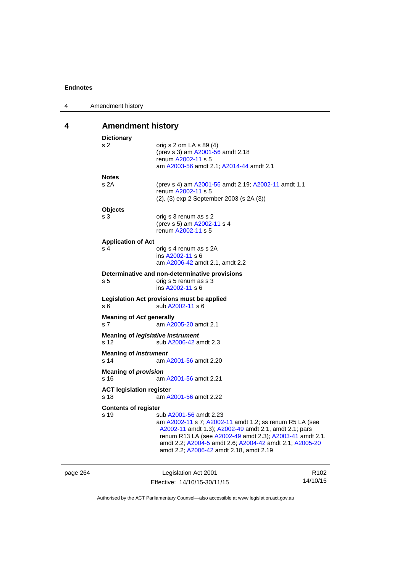| 4 | Amendment history                           |                                                                                                                                                                                                                                                                                                              |
|---|---------------------------------------------|--------------------------------------------------------------------------------------------------------------------------------------------------------------------------------------------------------------------------------------------------------------------------------------------------------------|
| 4 | <b>Amendment history</b>                    |                                                                                                                                                                                                                                                                                                              |
|   | <b>Dictionary</b><br>s <sub>2</sub>         | orig s 2 om LA s 89 (4)<br>(prev s 3) am A2001-56 amdt 2.18<br>renum A2002-11 s 5<br>am A2003-56 amdt 2.1; A2014-44 amdt 2.1                                                                                                                                                                                 |
|   | <b>Notes</b><br>s 2A                        | (prev s 4) am A2001-56 amdt 2.19; A2002-11 amdt 1.1<br>renum A2002-11 s 5<br>(2), (3) exp 2 September 2003 (s 2A (3))                                                                                                                                                                                        |
|   | <b>Objects</b><br>s 3                       | orig s 3 renum as s 2<br>(prev s 5) am A2002-11 s 4<br>renum A2002-11 s 5                                                                                                                                                                                                                                    |
|   | <b>Application of Act</b><br>s <sub>4</sub> | orig s 4 renum as s 2A<br>ins A2002-11 s 6<br>am A2006-42 amdt 2.1, amdt 2.2                                                                                                                                                                                                                                 |
|   | s 5                                         | Determinative and non-determinative provisions<br>orig s 5 renum as s 3<br>ins A2002-11 s 6                                                                                                                                                                                                                  |
|   | s 6                                         | Legislation Act provisions must be applied<br>sub A2002-11 s 6                                                                                                                                                                                                                                               |
|   | <b>Meaning of Act generally</b><br>s 7      | am A2005-20 amdt 2.1                                                                                                                                                                                                                                                                                         |
|   | s 12                                        | Meaning of legislative instrument<br>sub A2006-42 amdt 2.3                                                                                                                                                                                                                                                   |
|   | <b>Meaning of instrument</b><br>s 14        | am A2001-56 amdt 2.20                                                                                                                                                                                                                                                                                        |
|   | <b>Meaning of provision</b><br>s 16         | am A2001-56 amdt 2.21                                                                                                                                                                                                                                                                                        |
|   | <b>ACT legislation register</b><br>s 18     | am A2001-56 amdt 2.22                                                                                                                                                                                                                                                                                        |
|   | <b>Contents of register</b><br>s 19         | sub A2001-56 amdt 2.23<br>am A2002-11 s 7; A2002-11 amdt 1.2; ss renum R5 LA (see<br>A2002-11 amdt 1.3); A2002-49 amdt 2.1, amdt 2.1; pars<br>renum R13 LA (see A2002-49 amdt 2.3); A2003-41 amdt 2.1,<br>amdt 2.2; A2004-5 amdt 2.6; A2004-42 amdt 2.1; A2005-20<br>amdt 2.2; A2006-42 amdt 2.18, amdt 2.19 |

| page 264 | Legislation Act 2001         | R <sub>102</sub> |
|----------|------------------------------|------------------|
|          | Effective: 14/10/15-30/11/15 | 14/10/15         |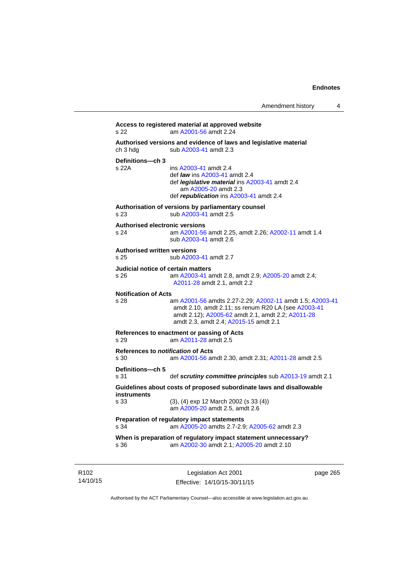```
Access to registered material at approved website 
s 22 am A2001-56 amdt 2.24
Authorised versions and evidence of laws and legislative material 
A2003-41 amdt 2.3
Definitions—ch 3 
                 A2003-41 amdt 2.4
                  def law ins A2003-41 amdt 2.4 
                  def legislative material ins A2003-41 amdt 2.4 
                     am A2005-20 amdt 2.3
                  def republication ins A2003-41 amdt 2.4
Authorisation of versions by parliamentary counsel 
s 23 sub A2003-41 amdt 2.5 
Authorised electronic versions 
s 24 am A2001-56 amdt 2.25, amdt 2.26; A2002-11 amdt 1.4
                 sub A2003-41 amdt 2.6 
Authorised written versions 
s 25 sub A2003-41 amdt 2.7 
Judicial notice of certain matters 
s 26 am A2003-41 amdt 2.8, amdt 2.9; A2005-20 amdt 2.4; 
                 A2011-28 amdt 2.1, amdt 2.2 
Notification of Acts 
s 28 am A2001-56 amdts 2.27-2.29; A2002-11 amdt 1.5; A2003-41
                 amdt 2.10, amdt 2.11; ss renum R20 LA (see A2003-41
                 amdt 2.12); A2005-62 amdt 2.1, amdt 2.2; A2011-28
                 amdt 2.3, amdt 2.4; A2015-15 amdt 2.1 
References to enactment or passing of Acts 
s 29 am A2011-28 amdt 2.5
References to notification of Acts 
s 30 am A2001-56 amdt 2.30, amdt 2.31; A2011-28 amdt 2.5
Definitions—ch 5 
s 31 def scrutiny committee principles sub A2013-19 amdt 2.1
Guidelines about costs of proposed subordinate laws and disallowable 
instruments 
s 33 (3), (4) exp 12 March 2002 (s 33 (4)) 
                  am A2005-20 amdt 2.5, amdt 2.6 
Preparation of regulatory impact statements 
s 34 am A2005-20 amdts 2.7-2.9; A2005-62 amdt 2.3 
When is preparation of regulatory impact statement unnecessary? 
s 36 am A2002-30 amdt 2.1; A2005-20 amdt 2.10
```
R102 14/10/15

Legislation Act 2001 Effective: 14/10/15-30/11/15 page 265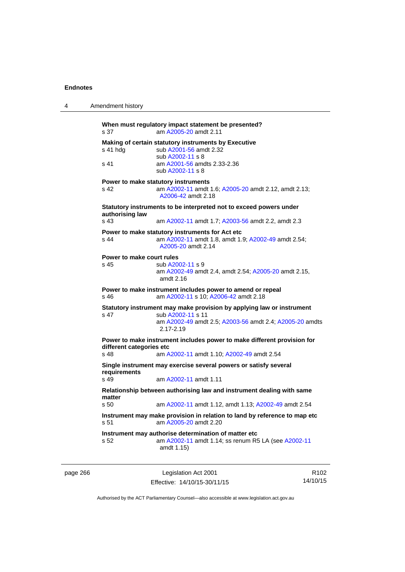| 4        | Amendment history                                                                                                                                        |                                                                                                                                                                        |                  |  |
|----------|----------------------------------------------------------------------------------------------------------------------------------------------------------|------------------------------------------------------------------------------------------------------------------------------------------------------------------------|------------------|--|
|          | s 37                                                                                                                                                     | When must regulatory impact statement be presented?<br>am A2005-20 amdt 2.11                                                                                           |                  |  |
|          | s 41 hda<br>s 41                                                                                                                                         | Making of certain statutory instruments by Executive<br>sub A2001-56 amdt 2.32<br>sub A2002-11 s 8<br>am A2001-56 amdts 2.33-2.36<br>sub A2002-11 s 8                  |                  |  |
|          | s 42                                                                                                                                                     | Power to make statutory instruments<br>am A2002-11 amdt 1.6; A2005-20 amdt 2.12, amdt 2.13;<br>A2006-42 amdt 2.18                                                      |                  |  |
|          | Statutory instruments to be interpreted not to exceed powers under                                                                                       |                                                                                                                                                                        |                  |  |
|          | authorising law<br>s 43                                                                                                                                  | am A2002-11 amdt 1.7; A2003-56 amdt 2.2, amdt 2.3                                                                                                                      |                  |  |
|          | s 44                                                                                                                                                     | Power to make statutory instruments for Act etc<br>am A2002-11 amdt 1.8, amdt 1.9; A2002-49 amdt 2.54;<br>A2005-20 amdt 2.14                                           |                  |  |
|          | Power to make court rules<br>s 45                                                                                                                        | sub A2002-11 s 9<br>am A2002-49 amdt 2.4, amdt 2.54; A2005-20 amdt 2.15,<br>amdt $2.16$                                                                                |                  |  |
|          | Power to make instrument includes power to amend or repeal<br>am A2002-11 s 10; A2006-42 amdt 2.18<br>s 46                                               |                                                                                                                                                                        |                  |  |
|          | s 47                                                                                                                                                     | Statutory instrument may make provision by applying law or instrument<br>sub A2002-11 s 11<br>am A2002-49 amdt 2.5; A2003-56 amdt 2.4; A2005-20 amdts<br>$2.17 - 2.19$ |                  |  |
|          | Power to make instrument includes power to make different provision for<br>different categories etc<br>s 48<br>am A2002-11 amdt 1.10; A2002-49 amdt 2.54 |                                                                                                                                                                        |                  |  |
|          |                                                                                                                                                          | Single instrument may exercise several powers or satisfy several                                                                                                       |                  |  |
|          | requirements<br>s 49                                                                                                                                     | am A2002-11 amdt 1.11                                                                                                                                                  |                  |  |
|          | Relationship between authorising law and instrument dealing with same<br>matter                                                                          |                                                                                                                                                                        |                  |  |
|          | s 50                                                                                                                                                     | am A2002-11 amdt 1.12, amdt 1.13; A2002-49 amdt 2.54                                                                                                                   |                  |  |
|          | Instrument may make provision in relation to land by reference to map etc<br>s 51<br>am A2005-20 amdt 2.20                                               |                                                                                                                                                                        |                  |  |
|          | s 52                                                                                                                                                     | Instrument may authorise determination of matter etc<br>am A2002-11 amdt 1.14; ss renum R5 LA (see A2002-11<br>amdt 1.15)                                              |                  |  |
| page 266 |                                                                                                                                                          | Legislation Act 2001                                                                                                                                                   | R <sub>102</sub> |  |

Effective: 14/10/15-30/11/15 14/10/15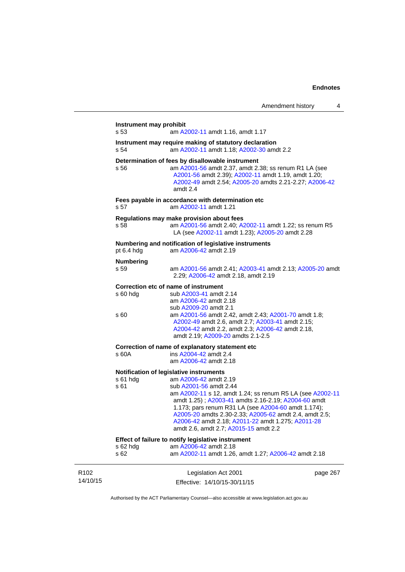|                              | Instrument may prohibit<br>s 53 | am A2002-11 amdt 1.16, amdt 1.17                                                                                                                                                                                                                                                                                                                                                                                              |  |
|------------------------------|---------------------------------|-------------------------------------------------------------------------------------------------------------------------------------------------------------------------------------------------------------------------------------------------------------------------------------------------------------------------------------------------------------------------------------------------------------------------------|--|
|                              | s 54                            | Instrument may require making of statutory declaration<br>am A2002-11 amdt 1.18; A2002-30 amdt 2.2                                                                                                                                                                                                                                                                                                                            |  |
|                              | s 56                            | Determination of fees by disallowable instrument<br>am A2001-56 amdt 2.37, amdt 2.38; ss renum R1 LA (see<br>A2001-56 amdt 2.39); A2002-11 amdt 1.19, amdt 1.20;<br>A2002-49 amdt 2.54; A2005-20 amdts 2.21-2.27; A2006-42<br>amdt 2.4                                                                                                                                                                                        |  |
|                              | s 57                            | Fees payable in accordance with determination etc<br>am A2002-11 amdt 1.21                                                                                                                                                                                                                                                                                                                                                    |  |
|                              | s 58                            | Regulations may make provision about fees<br>am A2001-56 amdt 2.40; A2002-11 amdt 1.22; ss renum R5<br>LA (see A2002-11 amdt 1.23); A2005-20 amdt 2.28                                                                                                                                                                                                                                                                        |  |
|                              | pt 6.4 hda                      | Numbering and notification of legislative instruments<br>am A2006-42 amdt 2.19                                                                                                                                                                                                                                                                                                                                                |  |
|                              | <b>Numbering</b><br>s 59        | am A2001-56 amdt 2.41; A2003-41 amdt 2.13; A2005-20 amdt<br>2.29; A2006-42 amdt 2.18, amdt 2.19                                                                                                                                                                                                                                                                                                                               |  |
|                              | $s$ 60 hdg<br>s 60              | Correction etc of name of instrument<br>sub A2003-41 amdt 2.14<br>am A2006-42 amdt 2.18<br>sub A2009-20 amdt 2.1<br>am A2001-56 amdt 2.42, amdt 2.43; A2001-70 amdt 1.8;<br>A2002-49 amdt 2.6, amdt 2.7; A2003-41 amdt 2.15;<br>A2004-42 amdt 2.2, amdt 2.3; A2006-42 amdt 2.18,<br>amdt 2.19; A2009-20 amdts 2.1-2.5                                                                                                         |  |
|                              | s 60A                           | Correction of name of explanatory statement etc<br>ins A2004-42 amdt 2.4<br>am A2006-42 amdt 2.18                                                                                                                                                                                                                                                                                                                             |  |
|                              | s 61 hdg<br>s 61                | Notification of legislative instruments<br>am A2006-42 amdt 2.19<br>sub A2001-56 amdt 2.44<br>am A2002-11 s 12, amdt 1.24; ss renum R5 LA (see A2002-11<br>amdt 1.25); A2003-41 amdts 2.16-2.19; A2004-60 amdt<br>1.173; pars renum R31 LA (see A2004-60 amdt 1.174);<br>A2005-20 amdts 2.30-2.33; A2005-62 amdt 2.4, amdt 2.5;<br>A2006-42 amdt 2.18; A2011-22 amdt 1.275; A2011-28<br>amdt 2.6, amdt 2.7; A2015-15 amdt 2.2 |  |
|                              | s 62 hdg<br>s 62                | Effect of failure to notify legislative instrument<br>am A2006-42 amdt 2.18<br>am A2002-11 amdt 1.26, amdt 1.27; A2006-42 amdt 2.18                                                                                                                                                                                                                                                                                           |  |
| R <sub>102</sub><br>14/10/15 |                                 | Legislation Act 2001<br>page 267<br>Effective: 14/10/15-30/11/15                                                                                                                                                                                                                                                                                                                                                              |  |

Authorised by the ACT Parliamentary Counsel—also accessible at www.legislation.act.gov.au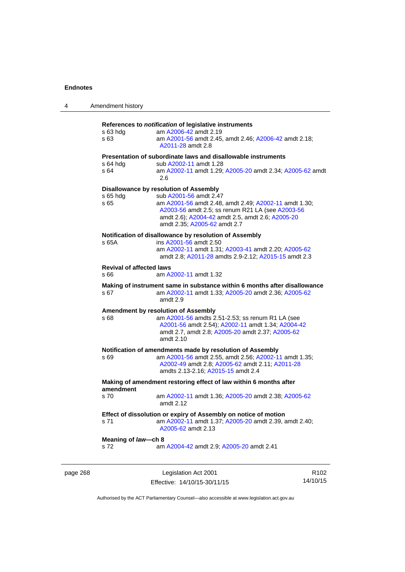| 4        | Amendment history                                                              |                                                                                                                                                                                                                                                                   |                  |
|----------|--------------------------------------------------------------------------------|-------------------------------------------------------------------------------------------------------------------------------------------------------------------------------------------------------------------------------------------------------------------|------------------|
|          | s 63 hdg<br>s 63                                                               | References to notification of legislative instruments<br>am A2006-42 amdt 2.19<br>am A2001-56 amdt 2.45, amdt 2.46; A2006-42 amdt 2.18;<br>A2011-28 amdt 2.8                                                                                                      |                  |
|          | s 64 hdg<br>s 64                                                               | Presentation of subordinate laws and disallowable instruments<br>sub A2002-11 amdt 1.28<br>am A2002-11 amdt 1.29; A2005-20 amdt 2.34; A2005-62 amdt<br>2.6                                                                                                        |                  |
|          | s 65 hdg<br>s 65                                                               | Disallowance by resolution of Assembly<br>sub A2001-56 amdt 2.47<br>am A2001-56 amdt 2.48, amdt 2.49; A2002-11 amdt 1.30;<br>A2003-56 amdt 2.5; ss renum R21 LA (see A2003-56<br>amdt 2.6), A2004-42 amdt 2.5, amdt 2.6; A2005-20<br>amdt 2.35; A2005-62 amdt 2.7 |                  |
|          | s 65A                                                                          | Notification of disallowance by resolution of Assembly<br>ins A2001-56 amdt 2.50<br>am A2002-11 amdt 1.31; A2003-41 amdt 2.20; A2005-62<br>amdt 2.8; A2011-28 amdts 2.9-2.12; A2015-15 amdt 2.3                                                                   |                  |
|          | <b>Revival of affected laws</b><br>s 66                                        | am A2002-11 amdt 1.32                                                                                                                                                                                                                                             |                  |
|          | s 67                                                                           | Making of instrument same in substance within 6 months after disallowance<br>am A2002-11 amdt 1.33; A2005-20 amdt 2.36; A2005-62<br>amdt 2.9                                                                                                                      |                  |
|          | s 68                                                                           | <b>Amendment by resolution of Assembly</b><br>am A2001-56 amdts 2.51-2.53; ss renum R1 LA (see<br>A2001-56 amdt 2.54); A2002-11 amdt 1.34; A2004-42<br>amdt 2.7, amdt 2.8; A2005-20 amdt 2.37; A2005-62<br>amdt 2.10                                              |                  |
|          | s 69                                                                           | Notification of amendments made by resolution of Assembly<br>am A2001-56 amdt 2.55, amdt 2.56; A2002-11 amdt 1.35;<br>A2002-49 amdt 2.8; A2005-62 amdt 2.11; A2011-28<br>amdts 2.13-2.16; A2015-15 amdt 2.4                                                       |                  |
|          | Making of amendment restoring effect of law within 6 months after<br>amendment |                                                                                                                                                                                                                                                                   |                  |
|          | s 70                                                                           | am A2002-11 amdt 1.36; A2005-20 amdt 2.38; A2005-62<br>amdt 2.12                                                                                                                                                                                                  |                  |
|          | s 71                                                                           | Effect of dissolution or expiry of Assembly on notice of motion<br>am A2002-11 amdt 1.37; A2005-20 amdt 2.39, amdt 2.40;<br>A2005-62 amdt 2.13                                                                                                                    |                  |
|          | Meaning of law-ch 8<br>s 72                                                    | am A2004-42 amdt 2.9; A2005-20 amdt 2.41                                                                                                                                                                                                                          |                  |
| page 268 |                                                                                | Legislation Act 2001                                                                                                                                                                                                                                              | R <sub>102</sub> |

Authorised by the ACT Parliamentary Counsel—also accessible at www.legislation.act.gov.au

14/10/15

Effective: 14/10/15-30/11/15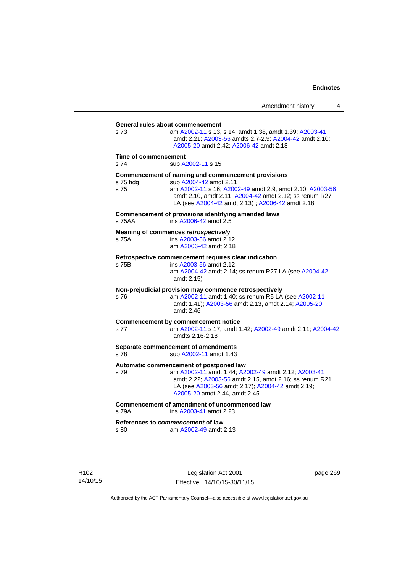**General rules about commencement**  s 73 am [A2002-11](http://www.legislation.act.gov.au/a/2002-11) s 13, s 14, amdt 1.38, amdt 1.39; [A2003-41](http://www.legislation.act.gov.au/a/2003-41) amdt 2.21; [A2003-56](http://www.legislation.act.gov.au/a/2003-56) amdts 2.7-2.9; [A2004-42](http://www.legislation.act.gov.au/a/2004-42) amdt 2.10; [A2005-20](http://www.legislation.act.gov.au/a/2005-20) amdt 2.42; [A2006-42](http://www.legislation.act.gov.au/a/2006-42) amdt 2.18 **Time of commencement**  s 74 sub [A2002-11](http://www.legislation.act.gov.au/a/2002-11) s 15 **Commencement of naming and commencement provisions**  s 75 hdg sub [A2004-42](http://www.legislation.act.gov.au/a/2004-42) amdt 2.11<br>s 75 straam A2002-11 s 16: A200 s 75 am [A2002-11](http://www.legislation.act.gov.au/a/2002-11) s 16; [A2002-49](http://www.legislation.act.gov.au/a/2002-49) amdt 2.9, amdt 2.10; [A2003-56](http://www.legislation.act.gov.au/a/2003-56) amdt 2.10, amdt 2.11; [A2004-42](http://www.legislation.act.gov.au/a/2004-42) amdt 2.12; ss renum R27 LA (see [A2004-42](http://www.legislation.act.gov.au/a/2004-42) amdt 2.13) ; [A2006-42](http://www.legislation.act.gov.au/a/2006-42) amdt 2.18 **Commencement of provisions identifying amended laws**  s 75AA ins [A2006-42](http://www.legislation.act.gov.au/a/2006-42) amdt 2.5 **Meaning of commences** *retrospectively*  s 75A ins [A2003-56](http://www.legislation.act.gov.au/a/2003-56) amdt 2.12 am [A2006-42](http://www.legislation.act.gov.au/a/2006-42) amdt 2.18 **Retrospective commencement requires clear indication**  s 75B ins [A2003-56](http://www.legislation.act.gov.au/a/2003-56) amdt 2.12 am [A2004-42](http://www.legislation.act.gov.au/a/2004-42) amdt 2.14; ss renum R27 LA (see [A2004-42](http://www.legislation.act.gov.au/a/2004-42) amdt 2.15) **Non-prejudicial provision may commence retrospectively**  s 76 am [A2002-11](http://www.legislation.act.gov.au/a/2002-11) amdt 1.40; ss renum R5 LA (see [A2002-11](http://www.legislation.act.gov.au/a/2002-11) amdt 1.41); [A2003-56](http://www.legislation.act.gov.au/a/2003-56) amdt 2.13, amdt 2.14; [A2005-20](http://www.legislation.act.gov.au/a/2005-20) amdt 2.46 **Commencement by commencement notice**  s 77 am [A2002-11](http://www.legislation.act.gov.au/a/2002-11) s 17, amdt 1.42; [A2002-49](http://www.legislation.act.gov.au/a/2002-49) amdt 2.11; [A2004-42](http://www.legislation.act.gov.au/a/2004-42) amdts 2.16-2.18 **Separate commencement of amendments**  s 78 sub [A2002-11](http://www.legislation.act.gov.au/a/2002-11) amdt 1.43 **Automatic commencement of postponed law**  s 79 am [A2002-11](http://www.legislation.act.gov.au/a/2002-11) amdt 1.44; [A2002-49](http://www.legislation.act.gov.au/a/2002-49) amdt 2.12; [A2003-41](http://www.legislation.act.gov.au/a/2003-41) amdt 2.22; [A2003-56](http://www.legislation.act.gov.au/a/2003-56) amdt 2.15, amdt 2.16; ss renum R21 LA (see [A2003-56](http://www.legislation.act.gov.au/a/2003-56) amdt 2.17); [A2004-42](http://www.legislation.act.gov.au/a/2004-42) amdt 2.19; [A2005-20](http://www.legislation.act.gov.au/a/2005-20) amdt 2.44, amdt 2.45 **Commencement of amendment of uncommenced law**  s 79A ins [A2003-41](http://www.legislation.act.gov.au/a/2003-41) amdt 2.23 **References to** *commencement* **of law**  s 80 am [A2002-49](http://www.legislation.act.gov.au/a/2002-49) amdt 2.13

R102 14/10/15

Legislation Act 2001 Effective: 14/10/15-30/11/15 page 269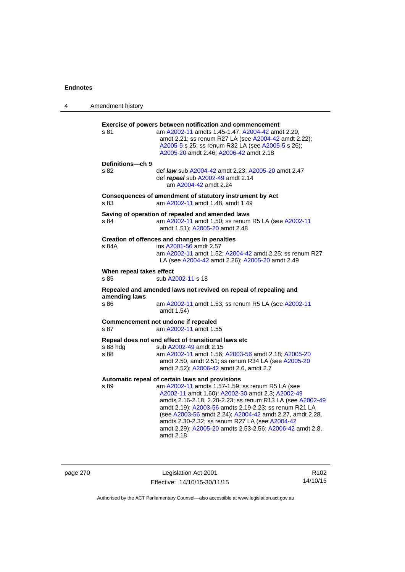| 4 | Amendment history                |                                                                                                                                                                                                                                                                                                                                                                                                                                                                      |
|---|----------------------------------|----------------------------------------------------------------------------------------------------------------------------------------------------------------------------------------------------------------------------------------------------------------------------------------------------------------------------------------------------------------------------------------------------------------------------------------------------------------------|
|   | s 81                             | <b>Exercise of powers between notification and commencement</b><br>am A2002-11 amdts 1.45-1.47; A2004-42 amdt 2.20,<br>amdt 2.21; ss renum R27 LA (see A2004-42 amdt 2.22);<br>A2005-5 s 25; ss renum R32 LA (see A2005-5 s 26);<br>A2005-20 amdt 2.46; A2006-42 amdt 2.18                                                                                                                                                                                           |
|   | Definitions-ch 9<br>s 82         | def law sub A2004-42 amdt 2.23; A2005-20 amdt 2.47<br>def repeal sub A2002-49 amdt 2.14<br>am A2004-42 amdt 2.24                                                                                                                                                                                                                                                                                                                                                     |
|   | s 83                             | Consequences of amendment of statutory instrument by Act<br>am A2002-11 amdt 1.48, amdt 1.49                                                                                                                                                                                                                                                                                                                                                                         |
|   | s 84                             | Saving of operation of repealed and amended laws<br>am A2002-11 amdt 1.50; ss renum R5 LA (see A2002-11<br>amdt 1.51); A2005-20 amdt 2.48                                                                                                                                                                                                                                                                                                                            |
|   | s 84A                            | Creation of offences and changes in penalties<br>ins A2001-56 amdt 2.57<br>am A2002-11 amdt 1.52; A2004-42 amdt 2.25; ss renum R27<br>LA (see A2004-42 amdt 2.26); A2005-20 amdt 2.49                                                                                                                                                                                                                                                                                |
|   | When repeal takes effect<br>s 85 | sub A2002-11 s 18                                                                                                                                                                                                                                                                                                                                                                                                                                                    |
|   | amending laws<br>s 86            | Repealed and amended laws not revived on repeal of repealing and                                                                                                                                                                                                                                                                                                                                                                                                     |
|   |                                  | am A2002-11 amdt 1.53; ss renum R5 LA (see A2002-11<br>amdt 1.54)                                                                                                                                                                                                                                                                                                                                                                                                    |
|   | s 87                             | Commencement not undone if repealed<br>am A2002-11 amdt 1.55                                                                                                                                                                                                                                                                                                                                                                                                         |
|   | s 88 hdg<br>s 88                 | Repeal does not end effect of transitional laws etc<br>sub A2002-49 amdt 2.15<br>am A2002-11 amdt 1.56; A2003-56 amdt 2.18; A2005-20<br>amdt 2.50, amdt 2.51; ss renum R34 LA (see A2005-20<br>amdt 2.52); A2006-42 amdt 2.6, amdt 2.7                                                                                                                                                                                                                               |
|   | s 89                             | Automatic repeal of certain laws and provisions<br>am A2002-11 amdts 1.57-1.59; ss renum R5 LA (see<br>A2002-11 amdt 1.60); A2002-30 amdt 2.3; A2002-49<br>amdts 2.16-2.18, 2.20-2.23; ss renum R13 LA (see A2002-49<br>amdt 2.19); A2003-56 amdts 2.19-2.23; ss renum R21 LA<br>(see A2003-56 amdt 2.24); A2004-42 amdt 2.27, amdt 2.28,<br>amdts 2.30-2.32; ss renum R27 LA (see A2004-42<br>amdt 2.29); A2005-20 amdts 2.53-2.56; A2006-42 amdt 2.8,<br>amdt 2.18 |

| page 270 |  |
|----------|--|
|          |  |

page 270 Legislation Act 2001 Effective: 14/10/15-30/11/15

R102 14/10/15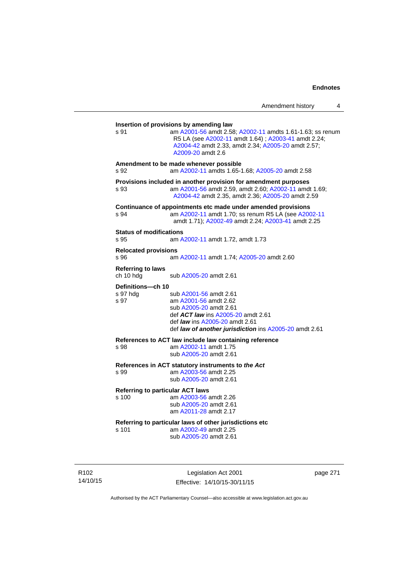| s 91                                   | am A2001-56 amdt 2.58; A2002-11 amdts 1.61-1.63; ss renum<br>R5 LA (see A2002-11 amdt 1.64); A2003-41 amdt 2.24;<br>A2004-42 amdt 2.33, amdt 2.34; A2005-20 amdt 2.57;<br>A2009-20 amdt 2.6                        |
|----------------------------------------|--------------------------------------------------------------------------------------------------------------------------------------------------------------------------------------------------------------------|
| s 92                                   | Amendment to be made whenever possible<br>am A2002-11 amdts 1.65-1.68; A2005-20 amdt 2.58                                                                                                                          |
| s 93                                   | Provisions included in another provision for amendment purposes<br>am A2001-56 amdt 2.59, amdt 2.60; A2002-11 amdt 1.69;<br>A2004-42 amdt 2.35, amdt 2.36; A2005-20 amdt 2.59                                      |
| S.94                                   | Continuance of appointments etc made under amended provisions<br>am A2002-11 amdt 1.70; ss renum R5 LA (see A2002-11<br>amdt 1.71); A2002-49 amdt 2.24; A2003-41 amdt 2.25                                         |
| <b>Status of modifications</b><br>s 95 | am A2002-11 amdt 1.72, amdt 1.73                                                                                                                                                                                   |
| <b>Relocated provisions</b><br>s 96    | am A2002-11 amdt 1.74; A2005-20 amdt 2.60                                                                                                                                                                          |
| <b>Referring to laws</b><br>ch 10 hdg  | sub A2005-20 amdt 2.61                                                                                                                                                                                             |
| Definitions-ch 10<br>s 97 hdg<br>s 97  | sub A2001-56 amdt 2.61<br>am A2001-56 amdt 2.62<br>sub A2005-20 amdt 2.61<br>def ACT law ins A2005-20 amdt 2.61<br>def <i>law</i> ins A2005-20 amdt 2.61<br>def law of another jurisdiction ins A2005-20 amdt 2.61 |
| s 98                                   | References to ACT law include law containing reference<br>am A2002-11 amdt 1.75<br>sub A2005-20 amdt 2.61                                                                                                          |
| s 99                                   | References in ACT statutory instruments to the Act<br>am A2003-56 amdt 2.25<br>sub A2005-20 amdt 2.61                                                                                                              |
| s 100                                  | <b>Referring to particular ACT laws</b><br>am A2003-56 amdt 2.26<br>sub A2005-20 amdt 2.61<br>am A2011-28 amdt 2.17                                                                                                |
| s 101                                  | Referring to particular laws of other jurisdictions etc<br>am A2002-49 amdt 2.25<br>sub A2005-20 amdt 2.61                                                                                                         |

R102 14/10/15

Legislation Act 2001 Effective: 14/10/15-30/11/15 page 271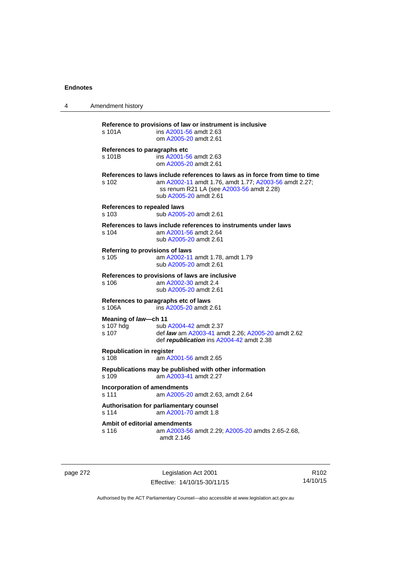| Amendment history                                |                                                                                                                                                                                                            |
|--------------------------------------------------|------------------------------------------------------------------------------------------------------------------------------------------------------------------------------------------------------------|
| s 101A                                           | Reference to provisions of law or instrument is inclusive<br>ins A2001-56 amdt 2.63<br>om A2005-20 amdt 2.61                                                                                               |
| References to paragraphs etc.<br>s 101B          | ins A2001-56 amdt 2.63<br>om A2005-20 amdt 2.61                                                                                                                                                            |
| s 102                                            | References to laws include references to laws as in force from time to time<br>am A2002-11 amdt 1.76, amdt 1.77; A2003-56 amdt 2.27;<br>ss renum R21 LA (see A2003-56 amdt 2.28)<br>sub A2005-20 amdt 2.61 |
| <b>References to repealed laws</b><br>s 103      | sub A2005-20 amdt 2.61                                                                                                                                                                                     |
| s 104                                            | References to laws include references to instruments under laws<br>am A2001-56 amdt 2.64<br>sub A2005-20 amdt 2.61                                                                                         |
| Referring to provisions of laws<br>$s$ 105       | am A2002-11 amdt 1.78, amdt 1.79<br>sub A2005-20 amdt 2.61                                                                                                                                                 |
| s 106                                            | References to provisions of laws are inclusive<br>am A2002-30 amdt 2.4<br>sub A2005-20 amdt 2.61                                                                                                           |
| References to paragraphs etc of laws<br>s 106A   | ins A2005-20 amdt 2.61                                                                                                                                                                                     |
| Meaning of law-ch 11<br>s 107 hdg<br>s 107       | sub A2004-42 amdt 2.37<br>def law am A2003-41 amdt 2.26; A2005-20 amdt 2.62<br>def republication ins A2004-42 amdt 2.38                                                                                    |
| <b>Republication in register</b><br>s 108        | am A2001-56 amdt 2.65                                                                                                                                                                                      |
| s 109                                            | Republications may be published with other information<br>am A2003-41 amdt 2.27                                                                                                                            |
| <b>Incorporation of amendments</b><br>s 111      | am A2005-20 amdt 2.63, amdt 2.64                                                                                                                                                                           |
| Authorisation for parliamentary counsel<br>s 114 | am A2001-70 amdt 1.8                                                                                                                                                                                       |
| Ambit of editorial amendments<br>s 116           | am A2003-56 amdt 2.29; A2005-20 amdts 2.65-2.68,<br>amdt 2.146                                                                                                                                             |
|                                                  |                                                                                                                                                                                                            |

page 272 Legislation Act 2001 Effective: 14/10/15-30/11/15

R102 14/10/15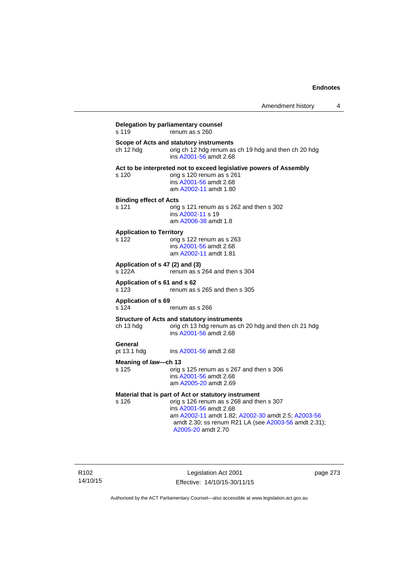| s 119                                    | renum as s 260                                                                                                                                                                                                                                                 |
|------------------------------------------|----------------------------------------------------------------------------------------------------------------------------------------------------------------------------------------------------------------------------------------------------------------|
| ch 12 hdg                                | Scope of Acts and statutory instruments<br>orig ch 12 hdg renum as ch 19 hdg and then ch 20 hdg<br>ins A2001-56 amdt 2.68                                                                                                                                      |
| s 120                                    | Act to be interpreted not to exceed legislative powers of Assembly<br>orig s 120 renum as s 261<br>ins A2001-56 amdt 2.68<br>am A2002-11 amdt 1.80                                                                                                             |
| <b>Binding effect of Acts</b><br>s 121   | orig s 121 renum as s 262 and then s 302<br>ins A2002-11 s 19<br>am A2006-38 amdt 1.8                                                                                                                                                                          |
| <b>Application to Territory</b><br>s 122 | orig s 122 renum as s 263<br>ins A2001-56 amdt 2.68<br>am A2002-11 amdt 1.81                                                                                                                                                                                   |
| s 122A                                   | Application of s 47 (2) and (3)<br>renum as s 264 and then s 304                                                                                                                                                                                               |
| Application of s 61 and s 62<br>s 123    | renum as s 265 and then s 305                                                                                                                                                                                                                                  |
| <b>Application of s 69</b><br>s 124      | renum as s 266                                                                                                                                                                                                                                                 |
| ch 13 hdg                                | <b>Structure of Acts and statutory instruments</b><br>orig ch 13 hdg renum as ch 20 hdg and then ch 21 hdg<br>ins A2001-56 amdt 2.68                                                                                                                           |
| General<br>pt 13.1 hdg                   | ins A2001-56 amdt 2.68                                                                                                                                                                                                                                         |
| Meaning of law-ch 13                     |                                                                                                                                                                                                                                                                |
| s 125                                    | orig s 125 renum as s 267 and then s 306<br>ins A2001-56 amdt 2.68<br>am A2005-20 amdt 2.69                                                                                                                                                                    |
| s 126                                    | Material that is part of Act or statutory instrument<br>orig s 126 renum as s 268 and then s 307<br>ins A2001-56 amdt 2.68<br>am A2002-11 amdt 1.82; A2002-30 amdt 2.5; A2003-56<br>amdt 2.30; ss renum R21 LA (see A2003-56 amdt 2.31);<br>A2005-20 amdt 2.70 |

Legislation Act 2001 Effective: 14/10/15-30/11/15 page 273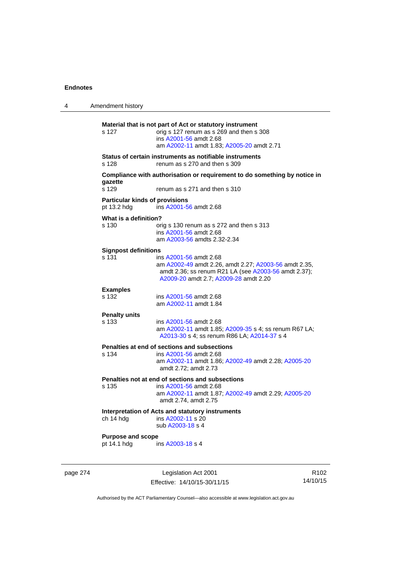| 4 | Amendment history                                    |                                                                                                                                                                                  |  |
|---|------------------------------------------------------|----------------------------------------------------------------------------------------------------------------------------------------------------------------------------------|--|
|   | s 127                                                | Material that is not part of Act or statutory instrument<br>orig s 127 renum as s 269 and then s 308<br>ins A2001-56 amdt 2.68<br>am A2002-11 amdt 1.83; A2005-20 amdt 2.71      |  |
|   | s 128                                                | Status of certain instruments as notifiable instruments<br>renum as s 270 and then s 309                                                                                         |  |
|   | gazette<br>s 129                                     | Compliance with authorisation or requirement to do something by notice in<br>renum as s 271 and then s 310                                                                       |  |
|   | <b>Particular kinds of provisions</b><br>pt 13.2 hdg | ins A2001-56 amdt 2.68                                                                                                                                                           |  |
|   | What is a definition?<br>s 130                       | orig s 130 renum as s 272 and then s 313<br>ins A2001-56 amdt 2.68<br>am A2003-56 amdts 2.32-2.34                                                                                |  |
|   | <b>Signpost definitions</b><br>s 131                 | ins A2001-56 amdt 2.68<br>am A2002-49 amdt 2.26, amdt 2.27; A2003-56 amdt 2.35,<br>amdt 2.36; ss renum R21 LA (see A2003-56 amdt 2.37);<br>A2009-20 amdt 2.7; A2009-28 amdt 2.20 |  |
|   | <b>Examples</b><br>s 132                             | ins A2001-56 amdt 2.68<br>am A2002-11 amdt 1.84                                                                                                                                  |  |
|   | <b>Penalty units</b><br>s 133                        | ins A2001-56 amdt 2.68<br>am A2002-11 amdt 1.85; A2009-35 s 4; ss renum R67 LA;<br>A2013-30 s 4; ss renum R86 LA; A2014-37 s 4                                                   |  |
|   | s 134                                                | Penalties at end of sections and subsections<br>ins A2001-56 amdt 2.68<br>am A2002-11 amdt 1.86; A2002-49 amdt 2.28; A2005-20<br>amdt 2.72; amdt 2.73                            |  |
|   | s 135                                                | Penalties not at end of sections and subsections<br>ins A2001-56 amdt 2.68<br>am A2002-11 amdt 1.87; A2002-49 amdt 2.29; A2005-20<br>amdt 2.74, amdt 2.75                        |  |
|   | ch 14 hdg                                            | Interpretation of Acts and statutory instruments<br>ins A2002-11 s 20<br>sub A2003-18 s 4                                                                                        |  |
|   | <b>Purpose and scope</b><br>pt 14.1 hdg              | ins A2003-18 s 4                                                                                                                                                                 |  |

page 274 Legislation Act 2001 Effective: 14/10/15-30/11/15

R102 14/10/15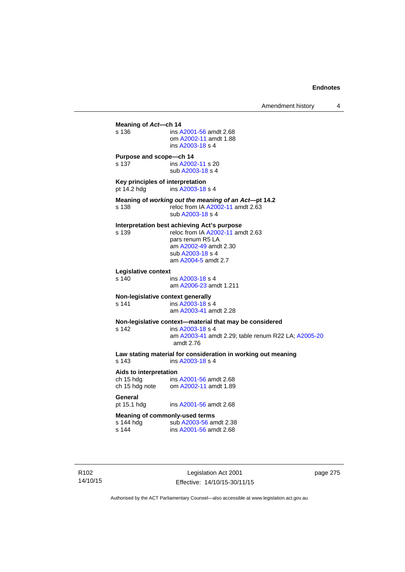**Meaning of** *Act***—ch 14**  s 136 ins [A2001-56](http://www.legislation.act.gov.au/a/2001-56) amdt 2.68 om [A2002-11](http://www.legislation.act.gov.au/a/2002-11) amdt 1.88 ins [A2003-18](http://www.legislation.act.gov.au/a/2003-18) s 4 **Purpose and scope—ch 14**  s 137 ins [A2002-11](http://www.legislation.act.gov.au/a/2002-11) s 20 sub [A2003-18](http://www.legislation.act.gov.au/a/2003-18) s 4 **Key principles of interpretation**<br>pt 14.2 hdg ins A2003-18 ins [A2003-18](http://www.legislation.act.gov.au/a/2003-18) s 4 **Meaning of** *working out the meaning of an Act***—pt 14.2**  s 138 reloc from IA [A2002-11](http://www.legislation.act.gov.au/a/2002-11) amdt 2.63 sub [A2003-18](http://www.legislation.act.gov.au/a/2003-18) s 4 **Interpretation best achieving Act's purpose**  s 139 reloc from IA [A2002-11](http://www.legislation.act.gov.au/a/2002-11) amdt 2.63 pars renum R5 LA am [A2002-49](http://www.legislation.act.gov.au/a/2002-49) amdt 2.30 sub [A2003-18](http://www.legislation.act.gov.au/a/2003-18) s 4 am [A2004-5](http://www.legislation.act.gov.au/a/2004-5) amdt 2.7 **Legislative context**  ins [A2003-18](http://www.legislation.act.gov.au/a/2003-18) s 4 am [A2006-23](http://www.legislation.act.gov.au/a/2006-23) amdt 1.211 **Non-legislative context generally**<br>s 141 **ins A2003-18 s** s 141 **ins [A2003-18](http://www.legislation.act.gov.au/a/2003-18) s** 4 am [A2003-41](http://www.legislation.act.gov.au/a/2003-41) amdt 2.28 **Non-legislative context—material that may be considered**  s 142 ins [A2003-18](http://www.legislation.act.gov.au/a/2003-18) s 4 am [A2003-41](http://www.legislation.act.gov.au/a/2003-41) amdt 2.29; table renum R22 LA; [A2005-20](http://www.legislation.act.gov.au/a/2005-20) amdt 2.76 **Law stating material for consideration in working out meaning**  ins [A2003-18](http://www.legislation.act.gov.au/a/2003-18) s 4 **Aids to interpretation**  ch 15 hdg ins [A2001-56](http://www.legislation.act.gov.au/a/2001-56) amdt 2.68 ch 15 hdg note om [A2002-11](http://www.legislation.act.gov.au/a/2002-11) amdt 1.89 General<br>pt 15.1 hdg ins [A2001-56](http://www.legislation.act.gov.au/a/2001-56) amdt 2.68 **Meaning of commonly-used terms**  s 144 hdg sub [A2003-56](http://www.legislation.act.gov.au/a/2003-56) amdt 2.38<br>s 144 ins A2001-56 amdt 2.68 ins [A2001-56](http://www.legislation.act.gov.au/a/2001-56) amdt 2.68

R102 14/10/15

Legislation Act 2001 Effective: 14/10/15-30/11/15 page 275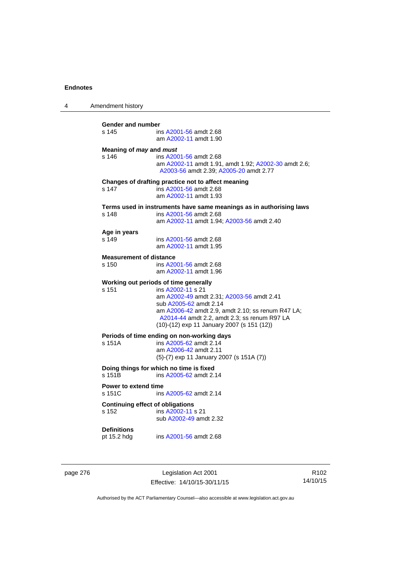| 4 | Amendment history                                |                                                                                                                                                                                                                                                                                      |
|---|--------------------------------------------------|--------------------------------------------------------------------------------------------------------------------------------------------------------------------------------------------------------------------------------------------------------------------------------------|
|   | Gender and number<br>s 145                       | ins A2001-56 amdt 2.68<br>am A2002-11 amdt 1.90                                                                                                                                                                                                                                      |
|   | Meaning of may and must<br>s 146                 | ins A2001-56 amdt 2.68<br>am A2002-11 amdt 1.91, amdt 1.92, A2002-30 amdt 2.6;<br>A2003-56 amdt 2.39; A2005-20 amdt 2.77                                                                                                                                                             |
|   | s 147                                            | Changes of drafting practice not to affect meaning<br>ins A2001-56 amdt 2.68<br>am A2002-11 amdt 1.93                                                                                                                                                                                |
|   | s 148                                            | Terms used in instruments have same meanings as in authorising laws<br>ins A2001-56 amdt 2.68<br>am A2002-11 amdt 1.94; A2003-56 amdt 2.40                                                                                                                                           |
|   | Age in years<br>s 149                            | ins A2001-56 amdt 2.68<br>am A2002-11 amdt 1.95                                                                                                                                                                                                                                      |
|   | <b>Measurement of distance</b><br>s 150          | ins A2001-56 amdt 2.68<br>am A2002-11 amdt 1.96                                                                                                                                                                                                                                      |
|   | s 151                                            | Working out periods of time generally<br>ins A2002-11 s 21<br>am A2002-49 amdt 2.31; A2003-56 amdt 2.41<br>sub A2005-62 amdt 2.14<br>am A2006-42 amdt 2.9, amdt 2.10; ss renum R47 LA;<br>A2014-44 amdt 2.2, amdt 2.3; ss renum R97 LA<br>(10)-(12) exp 11 January 2007 (s 151 (12)) |
|   | s 151A                                           | Periods of time ending on non-working days<br>ins A2005-62 amdt 2.14<br>am A2006-42 amdt 2.11<br>$(5)-(7)$ exp 11 January 2007 (s 151A $(7)$ )                                                                                                                                       |
|   | s 151B                                           | Doing things for which no time is fixed<br>ins A2005-62 amdt 2.14                                                                                                                                                                                                                    |
|   | <b>Power to extend time</b><br>s 151C            | ins A2005-62 amdt 2.14                                                                                                                                                                                                                                                               |
|   | <b>Continuing effect of obligations</b><br>s 152 | ins A2002-11 s 21<br>sub A2002-49 amdt 2.32                                                                                                                                                                                                                                          |
|   | <b>Definitions</b><br>pt 15.2 hdg                | ins A2001-56 amdt 2.68                                                                                                                                                                                                                                                               |
|   |                                                  |                                                                                                                                                                                                                                                                                      |

page 276 **Legislation Act 2001** Effective: 14/10/15-30/11/15

R102 14/10/15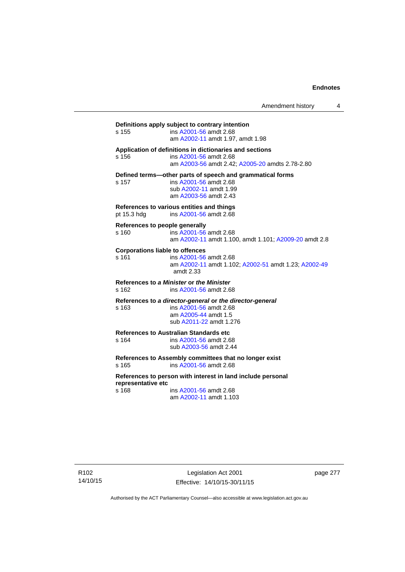Amendment history 4

**Definitions apply subject to contrary intention**  s 155 ins [A2001-56](http://www.legislation.act.gov.au/a/2001-56) amdt 2.68 am [A2002-11](http://www.legislation.act.gov.au/a/2002-11) amdt 1.97, amdt 1.98 **Application of definitions in dictionaries and sections**  s 156 ins [A2001-56](http://www.legislation.act.gov.au/a/2001-56) amdt 2.68 am [A2003-56](http://www.legislation.act.gov.au/a/2003-56) amdt 2.42; [A2005-20](http://www.legislation.act.gov.au/a/2005-20) amdts 2.78-2.80 **Defined terms—other parts of speech and grammatical forms**  s 157 ins [A2001-56](http://www.legislation.act.gov.au/a/2001-56) amdt 2.68 sub [A2002-11](http://www.legislation.act.gov.au/a/2002-11) amdt 1.99 am [A2003-56](http://www.legislation.act.gov.au/a/2003-56) amdt 2.43 **References to various entities and things**  pt 15.3 hdg ins [A2001-56](http://www.legislation.act.gov.au/a/2001-56) amdt 2.68 **References to people generally**  s 160 ins [A2001-56](http://www.legislation.act.gov.au/a/2001-56) amdt 2.68 am [A2002-11](http://www.legislation.act.gov.au/a/2002-11) amdt 1.100, amdt 1.101; [A2009-20](http://www.legislation.act.gov.au/a/2009-20) amdt 2.8 **Corporations liable to offences**  s 161 ins [A2001-56](http://www.legislation.act.gov.au/a/2001-56) amdt 2.68 am [A2002-11](http://www.legislation.act.gov.au/a/2002-11) amdt 1.102; [A2002-51](http://www.legislation.act.gov.au/a/2002-51) amdt 1.23; [A2002-49](http://www.legislation.act.gov.au/a/2002-49) amdt 2.33 **References to** *a Minister* **or** *the Minister* s 162 ins [A2001-56](http://www.legislation.act.gov.au/a/2001-56) amdt 2.68 **References to** *a director-general* **or** *the director-general* s 163 ins [A2001-56](http://www.legislation.act.gov.au/a/2001-56) amdt 2.68 am [A2005-44](http://www.legislation.act.gov.au/a/2005-44) amdt 1.5 sub [A2011-22](http://www.legislation.act.gov.au/a/2011-22) amdt 1.276 **References to Australian Standards etc**  ins [A2001-56](http://www.legislation.act.gov.au/a/2001-56) amdt 2.68 sub [A2003-56](http://www.legislation.act.gov.au/a/2003-56) amdt 2.44 **References to Assembly committees that no longer exist**  s 165 ins [A2001-56](http://www.legislation.act.gov.au/a/2001-56) amdt 2.68 **References to person with interest in land include personal representative etc**  s 168 ins [A2001-56](http://www.legislation.act.gov.au/a/2001-56) amdt 2.68 am [A2002-11](http://www.legislation.act.gov.au/a/2002-11) amdt 1.103

page 277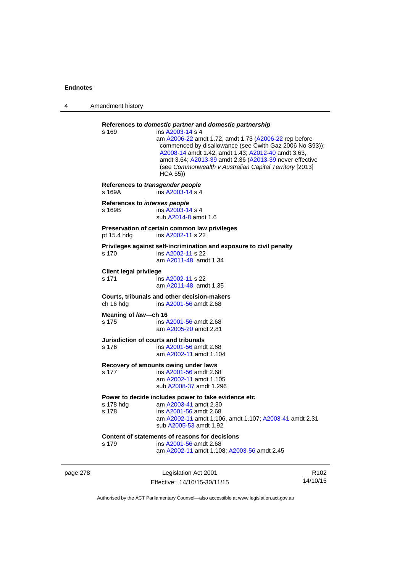| 4        | Amendment history                          |                                                                                                                                                                                                                                                                                                                                                                                        |                  |
|----------|--------------------------------------------|----------------------------------------------------------------------------------------------------------------------------------------------------------------------------------------------------------------------------------------------------------------------------------------------------------------------------------------------------------------------------------------|------------------|
|          | s 169                                      | References to domestic partner and domestic partnership<br>ins A2003-14 s 4<br>am A2006-22 amdt 1.72, amdt 1.73 (A2006-22 rep before<br>commenced by disallowance (see Cwlth Gaz 2006 No S93));<br>A2008-14 amdt 1.42, amdt 1.43; A2012-40 amdt 3.63,<br>amdt 3.64; A2013-39 amdt 2.36 (A2013-39 never effective<br>(see Commonwealth v Australian Capital Territory [2013]<br>HCA 55) |                  |
|          | References to transgender people<br>s 169A | ins A2003-14 s 4                                                                                                                                                                                                                                                                                                                                                                       |                  |
|          | References to intersex people<br>s 169B    | ins A2003-14 s 4<br>sub A2014-8 amdt 1.6                                                                                                                                                                                                                                                                                                                                               |                  |
|          | pt 15.4 hdg                                | Preservation of certain common law privileges<br>ins A2002-11 s 22                                                                                                                                                                                                                                                                                                                     |                  |
|          | s 170                                      | Privileges against self-incrimination and exposure to civil penalty<br>ins A2002-11 s 22<br>am A2011-48 amdt 1.34                                                                                                                                                                                                                                                                      |                  |
|          | <b>Client legal privilege</b><br>s 171     | ins A2002-11 s 22<br>am A2011-48 amdt 1.35                                                                                                                                                                                                                                                                                                                                             |                  |
|          | ch 16 hdg                                  | Courts, tribunals and other decision-makers<br>ins A2001-56 amdt 2.68                                                                                                                                                                                                                                                                                                                  |                  |
|          | Meaning of law-ch 16<br>s 175              | ins A2001-56 amdt 2.68<br>am A2005-20 amdt 2.81                                                                                                                                                                                                                                                                                                                                        |                  |
|          | s 176                                      | Jurisdiction of courts and tribunals<br>ins A2001-56 amdt 2.68<br>am A2002-11 amdt 1.104                                                                                                                                                                                                                                                                                               |                  |
|          | s 177                                      | Recovery of amounts owing under laws<br>ins A2001-56 amdt 2.68<br>am A2002-11 amdt 1.105<br>sub A2008-37 amdt 1.296                                                                                                                                                                                                                                                                    |                  |
|          | s 178 hdg<br>s 178                         | Power to decide includes power to take evidence etc<br>am A2003-41 amdt 2.30<br>ins A2001-56 amdt 2.68<br>am A2002-11 amdt 1.106, amdt 1.107; A2003-41 amdt 2.31<br>sub A2005-53 amdt 1.92                                                                                                                                                                                             |                  |
|          | s 179                                      | Content of statements of reasons for decisions<br>ins A2001-56 amdt 2.68<br>am A2002-11 amdt 1.108; A2003-56 amdt 2.45                                                                                                                                                                                                                                                                 |                  |
| page 278 |                                            | Legislation Act 2001                                                                                                                                                                                                                                                                                                                                                                   | R <sub>102</sub> |

Effective: 14/10/15-30/11/15

R102 14/10/15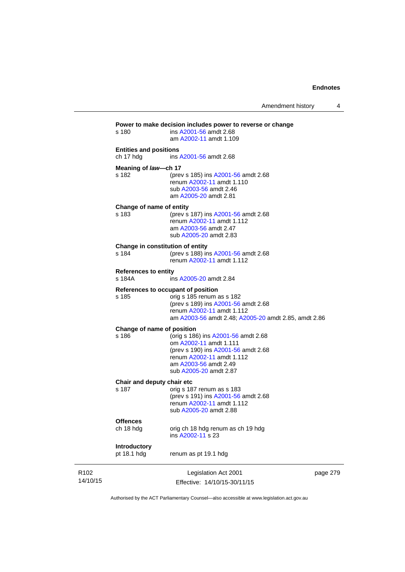| am A2002-11 amdt 1.109<br><b>Entities and positions</b><br>ch 17 hdg<br>ins A2001-56 amdt 2.68<br>Meaning of law-ch 17<br>s 182<br>(prev s 185) ins A2001-56 amdt 2.68<br>renum A2002-11 amdt 1.110<br>sub A2003-56 amdt 2.46<br>am A2005-20 amdt 2.81<br>Change of name of entity<br>s 183<br>(prev s 187) ins A2001-56 amdt 2.68<br>renum A2002-11 amdt 1.112<br>am A2003-56 amdt 2.47<br>sub A2005-20 amdt 2.83<br>Change in constitution of entity<br>(prev s 188) ins A2001-56 amdt 2.68<br>s 184<br>renum A2002-11 amdt 1.112<br><b>References to entity</b><br>s 184A<br>ins A2005-20 amdt 2.84<br>References to occupant of position<br>s 185<br>orig s 185 renum as s 182<br>(prev s 189) ins A2001-56 amdt 2.68<br>renum A2002-11 amdt 1.112<br>am A2003-56 amdt 2.48; A2005-20 amdt 2.85, amdt 2.86<br>Change of name of position<br>(orig s 186) ins A2001-56 amdt 2.68<br>s 186<br>om A2002-11 amdt 1.111<br>(prev s 190) ins A2001-56 amdt 2.68<br>renum A2002-11 amdt 1.112<br>am A2003-56 amdt 2.49<br>sub A2005-20 amdt 2.87<br>Chair and deputy chair etc<br>s 187<br>orig s 187 renum as s 183<br>(prev s 191) ins A2001-56 amdt 2.68<br>renum A2002-11 amdt 1.112<br>sub A2005-20 amdt 2.88<br><b>Offences</b><br>ch 18 hdg<br>orig ch 18 hdg renum as ch 19 hdg<br>ins A2002-11 s 23<br>Introductory<br>pt 18.1 hdg<br>renum as pt 19.1 hdg | Legislation Act 2001<br>Effective: 14/10/15-30/11/15 | page 279 |
|------------------------------------------------------------------------------------------------------------------------------------------------------------------------------------------------------------------------------------------------------------------------------------------------------------------------------------------------------------------------------------------------------------------------------------------------------------------------------------------------------------------------------------------------------------------------------------------------------------------------------------------------------------------------------------------------------------------------------------------------------------------------------------------------------------------------------------------------------------------------------------------------------------------------------------------------------------------------------------------------------------------------------------------------------------------------------------------------------------------------------------------------------------------------------------------------------------------------------------------------------------------------------------------------------------------------------------------------------------------|------------------------------------------------------|----------|
|                                                                                                                                                                                                                                                                                                                                                                                                                                                                                                                                                                                                                                                                                                                                                                                                                                                                                                                                                                                                                                                                                                                                                                                                                                                                                                                                                                  |                                                      |          |
|                                                                                                                                                                                                                                                                                                                                                                                                                                                                                                                                                                                                                                                                                                                                                                                                                                                                                                                                                                                                                                                                                                                                                                                                                                                                                                                                                                  |                                                      |          |
|                                                                                                                                                                                                                                                                                                                                                                                                                                                                                                                                                                                                                                                                                                                                                                                                                                                                                                                                                                                                                                                                                                                                                                                                                                                                                                                                                                  |                                                      |          |
|                                                                                                                                                                                                                                                                                                                                                                                                                                                                                                                                                                                                                                                                                                                                                                                                                                                                                                                                                                                                                                                                                                                                                                                                                                                                                                                                                                  |                                                      |          |
|                                                                                                                                                                                                                                                                                                                                                                                                                                                                                                                                                                                                                                                                                                                                                                                                                                                                                                                                                                                                                                                                                                                                                                                                                                                                                                                                                                  |                                                      |          |
|                                                                                                                                                                                                                                                                                                                                                                                                                                                                                                                                                                                                                                                                                                                                                                                                                                                                                                                                                                                                                                                                                                                                                                                                                                                                                                                                                                  |                                                      |          |
|                                                                                                                                                                                                                                                                                                                                                                                                                                                                                                                                                                                                                                                                                                                                                                                                                                                                                                                                                                                                                                                                                                                                                                                                                                                                                                                                                                  |                                                      |          |
|                                                                                                                                                                                                                                                                                                                                                                                                                                                                                                                                                                                                                                                                                                                                                                                                                                                                                                                                                                                                                                                                                                                                                                                                                                                                                                                                                                  |                                                      |          |
|                                                                                                                                                                                                                                                                                                                                                                                                                                                                                                                                                                                                                                                                                                                                                                                                                                                                                                                                                                                                                                                                                                                                                                                                                                                                                                                                                                  |                                                      |          |
|                                                                                                                                                                                                                                                                                                                                                                                                                                                                                                                                                                                                                                                                                                                                                                                                                                                                                                                                                                                                                                                                                                                                                                                                                                                                                                                                                                  |                                                      |          |
|                                                                                                                                                                                                                                                                                                                                                                                                                                                                                                                                                                                                                                                                                                                                                                                                                                                                                                                                                                                                                                                                                                                                                                                                                                                                                                                                                                  |                                                      |          |

Authorised by the ACT Parliamentary Counsel—also accessible at www.legislation.act.gov.au

R102 14/10/15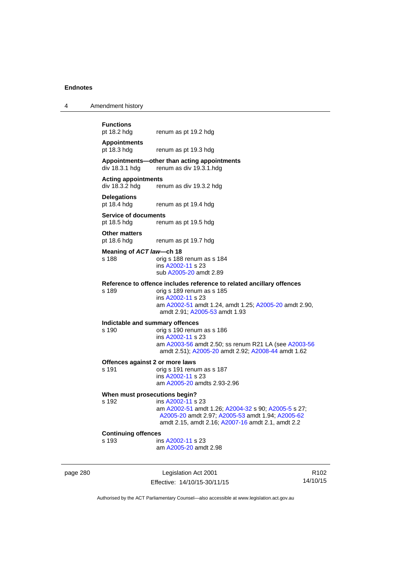| <b>Functions</b><br>pt 18.2 hdg<br>renum as pt 19.2 hdg |
|---------------------------------------------------------|
|                                                         |

4 Amendment history

pt 18.3 hdg renum as pt 19.3 hdg

### **Appointments—other than acting appointments**  renum as div 19.3.1 hdg

### **Acting appointments**

div 18.3.2 hdg renum as div 19.3.2 hdg

# **Delegations**

renum as pt 19.4 hdg

### **Service of documents**  pt 18.5 hdg renum as pt 19.5 hdg

**Other matters** 

pt 18.6 hdg renum as pt 19.7 hdg

### **Meaning of** *ACT law***—ch 18**

s 188 orig s 188 renum as s 184 ins [A2002-11](http://www.legislation.act.gov.au/a/2002-11) s 23 sub [A2005-20](http://www.legislation.act.gov.au/a/2005-20) amdt 2.89

### **Reference to offence includes reference to related ancillary offences**

s 189 orig s 189 renum as s 185 ins [A2002-11](http://www.legislation.act.gov.au/a/2002-11) s 23 am [A2002-51](http://www.legislation.act.gov.au/a/2002-51) amdt 1.24, amdt 1.25; [A2005-20](http://www.legislation.act.gov.au/a/2005-20) amdt 2.90, amdt 2.91; [A2005-53](http://www.legislation.act.gov.au/a/2005-53) amdt 1.93

# **Indictable and summary offences**

### orig s 190 renum as s 186 ins [A2002-11](http://www.legislation.act.gov.au/a/2002-11) s 23 am [A2003-56](http://www.legislation.act.gov.au/a/2003-56) amdt 2.50; ss renum R21 LA (see [A2003-56](http://www.legislation.act.gov.au/a/2003-56) amdt 2.51); [A2005-20](http://www.legislation.act.gov.au/a/2005-20) amdt 2.92; [A2008-44](http://www.legislation.act.gov.au/a/2008-44) amdt 1.62

### **Offences against 2 or more laws**

s 191 orig s 191 renum as s 187 ins [A2002-11](http://www.legislation.act.gov.au/a/2002-11) s 23 am [A2005-20](http://www.legislation.act.gov.au/a/2005-20) amdts 2.93-2.96

### **When must prosecutions begin?**

s 192 ins [A2002-11](http://www.legislation.act.gov.au/a/2002-11) s 23 am [A2002-51](http://www.legislation.act.gov.au/a/2002-51) amdt 1.26; [A2004-32](http://www.legislation.act.gov.au/a/2004-32) s 90; [A2005-5](http://www.legislation.act.gov.au/a/2005-5) s 27; [A2005-20](http://www.legislation.act.gov.au/a/2005-20) amdt 2.97; [A2005-53](http://www.legislation.act.gov.au/a/2005-53) amdt 1.94; [A2005-62](http://www.legislation.act.gov.au/a/2005-62) amdt 2.15, amdt 2.16; [A2007-16](http://www.legislation.act.gov.au/a/2007-16) amdt 2.1, amdt 2.2

### **Continuing offences**

s 193 ins [A2002-11](http://www.legislation.act.gov.au/a/2002-11) s 23 am [A2005-20](http://www.legislation.act.gov.au/a/2005-20) amdt 2.98

page 280 Legislation Act 2001 Effective: 14/10/15-30/11/15

R102 14/10/15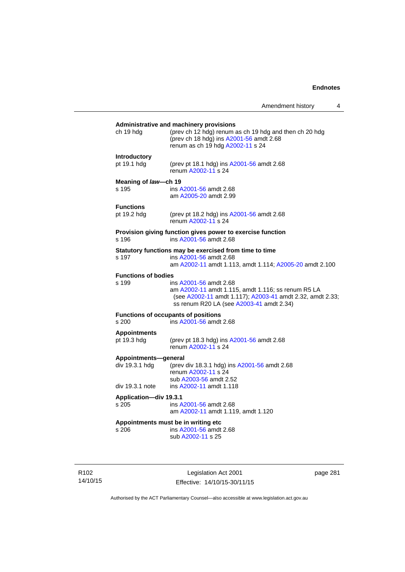# **Administrative and machinery provisions**  ch 19 hdg (prev ch 12 hdg) renum as ch 19 hdg and then ch 20 hdg (prev ch 18 hdg) ins [A2001-56](http://www.legislation.act.gov.au/a/2001-56) amdt 2.68 renum as ch 19 hdg [A2002-11](http://www.legislation.act.gov.au/a/2002-11) s 24 **Introductory**  pt 19.1 hdg (prev pt 18.1 hdg) ins [A2001-56](http://www.legislation.act.gov.au/a/2001-56) amdt 2.68 renum [A2002-11](http://www.legislation.act.gov.au/a/2002-11) s 24 **Meaning of** *law***—ch 19**  s 195 ins [A2001-56](http://www.legislation.act.gov.au/a/2001-56) amdt 2.68 am [A2005-20](http://www.legislation.act.gov.au/a/2005-20) amdt 2.99 **Functions**<br>pt 19.2 hdg (prev pt 18.2 hdg) ins  $A2001-56$  amdt 2.68 renum [A2002-11](http://www.legislation.act.gov.au/a/2002-11) s 24 **Provision giving function gives power to exercise function**  s 196 ins [A2001-56](http://www.legislation.act.gov.au/a/2001-56) amdt 2.68 **Statutory functions may be exercised from time to time**<br>s 197 ins A2001-56 amdt 2.68 ins [A2001-56](http://www.legislation.act.gov.au/a/2001-56) amdt 2.68 am [A2002-11](http://www.legislation.act.gov.au/a/2002-11) amdt 1.113, amdt 1.114; [A2005-20](http://www.legislation.act.gov.au/a/2005-20) amdt 2.100 **Functions of bodies**  s 199 ins [A2001-56](http://www.legislation.act.gov.au/a/2001-56) amdt 2.68 am [A2002-11](http://www.legislation.act.gov.au/a/2002-11) amdt 1.115, amdt 1.116; ss renum R5 LA (see [A2002-11](http://www.legislation.act.gov.au/a/2002-11) amdt 1.117); [A2003-41](http://www.legislation.act.gov.au/a/2003-41) amdt 2.32, amdt 2.33; ss renum R20 LA (see [A2003-41](http://www.legislation.act.gov.au/a/2003-41) amdt 2.34) **Functions of occupants of positions**  s 200 ins [A2001-56](http://www.legislation.act.gov.au/a/2001-56) amdt 2.68 **Appointments**  (prev pt 18.3 hdg) ins [A2001-56](http://www.legislation.act.gov.au/a/2001-56) amdt 2.68 renum [A2002-11](http://www.legislation.act.gov.au/a/2002-11) s 24 **Appointments—general**  div 19.3.1 hdg (prev div 18.3.1 hdg) ins [A2001-56](http://www.legislation.act.gov.au/a/2001-56) amdt 2.68 renum [A2002-11](http://www.legislation.act.gov.au/a/2002-11) s 24 sub [A2003-56](http://www.legislation.act.gov.au/a/2003-56) amdt 2.52 div 19.3.1 note ins [A2002-11](http://www.legislation.act.gov.au/a/2002-11) amdt 1.118 **Application—div 19.3.1**  s 205 ins [A2001-56](http://www.legislation.act.gov.au/a/2001-56) amdt 2.68 am [A2002-11](http://www.legislation.act.gov.au/a/2002-11) amdt 1.119, amdt 1.120 **Appointments must be in writing etc**  s 206 ins [A2001-56](http://www.legislation.act.gov.au/a/2001-56) amdt 2.68 sub [A2002-11](http://www.legislation.act.gov.au/a/2002-11) s 25

R102 14/10/15

Legislation Act 2001 Effective: 14/10/15-30/11/15 page 281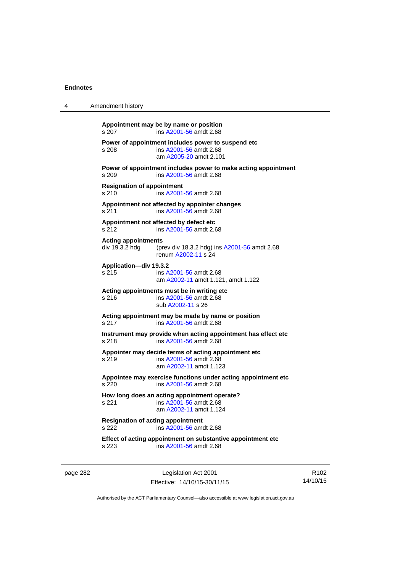| 4 | Amendment history                                 |                                                                                                          |  |
|---|---------------------------------------------------|----------------------------------------------------------------------------------------------------------|--|
|   | s 207                                             | Appointment may be by name or position<br>ins A2001-56 amdt 2.68                                         |  |
|   | s 208                                             | Power of appointment includes power to suspend etc<br>ins A2001-56 amdt 2.68<br>am A2005-20 amdt 2.101   |  |
|   | s.209                                             | Power of appointment includes power to make acting appointment<br>ins A2001-56 amdt 2.68                 |  |
|   | <b>Resignation of appointment</b><br>s 210        | ins A2001-56 amdt 2.68                                                                                   |  |
|   | s 211                                             | Appointment not affected by appointer changes<br>ins A2001-56 amdt 2.68                                  |  |
|   | s 212                                             | Appointment not affected by defect etc<br>ins A2001-56 amdt 2.68                                         |  |
|   | <b>Acting appointments</b><br>div 19.3.2 hdg      | (prev div 18.3.2 hdg) ins A2001-56 amdt 2.68<br>renum A2002-11 s 24                                      |  |
|   | Application-div 19.3.2<br>s 215                   | ins A2001-56 amdt 2.68<br>am A2002-11 amdt 1.121, amdt 1.122                                             |  |
|   | s 216                                             | Acting appointments must be in writing etc<br>ins A2001-56 amdt 2.68<br>sub A2002-11 s 26                |  |
|   | s 217                                             | Acting appointment may be made by name or position<br>ins A2001-56 amdt 2.68                             |  |
|   | s 218                                             | Instrument may provide when acting appointment has effect etc<br>ins A2001-56 amdt 2.68                  |  |
|   | s 219                                             | Appointer may decide terms of acting appointment etc<br>ins A2001-56 amdt 2.68<br>am A2002-11 amdt 1.123 |  |
|   | s 220                                             | Appointee may exercise functions under acting appointment etc<br>ins A2001-56 amdt 2.68                  |  |
|   | s 221                                             | How long does an acting appointment operate?<br>ins A2001-56 amdt 2.68<br>am A2002-11 amdt 1.124         |  |
|   | <b>Resignation of acting appointment</b><br>s 222 | ins A2001-56 amdt 2.68                                                                                   |  |
|   | s 223                                             | Effect of acting appointment on substantive appointment etc<br>ins A2001-56 amdt 2.68                    |  |

page 282 Legislation Act 2001 Effective: 14/10/15-30/11/15

R102 14/10/15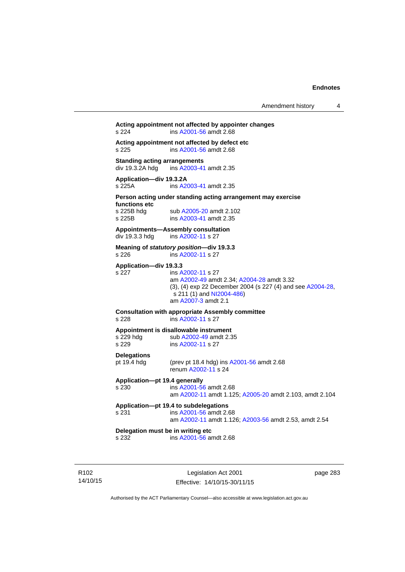# **Acting appointment not affected by appointer changes**  s 224 ins [A2001-56](http://www.legislation.act.gov.au/a/2001-56) amdt 2.68 **Acting appointment not affected by defect etc**  s 225 ins [A2001-56](http://www.legislation.act.gov.au/a/2001-56) amdt 2.68 **Standing acting arrangements**<br>div 19.3.2A hdg ins A2003-41 ins [A2003-41](http://www.legislation.act.gov.au/a/2003-41) amdt 2.35 **Application—div 19.3.2A**  s 225A ins [A2003-41](http://www.legislation.act.gov.au/a/2003-41) amdt 2.35 **Person acting under standing acting arrangement may exercise functions etc**  s 225B hdg sub [A2005-20](http://www.legislation.act.gov.au/a/2005-20) amdt 2.102<br>s 225B ins A2003-41 amdt 2.35 ins [A2003-41](http://www.legislation.act.gov.au/a/2003-41) amdt 2.35 **Appointments—Assembly consultation**  div 19.3.3 hdg ins [A2002-11](http://www.legislation.act.gov.au/a/2002-11) s 27 **Meaning of** *statutory position***—div 19.3.3**  s 226 ins [A2002-11](http://www.legislation.act.gov.au/a/2002-11) s 27 **Application—div 19.3.3**  s 227 ins [A2002-11](http://www.legislation.act.gov.au/a/2002-11) s 27 am [A2002-49](http://www.legislation.act.gov.au/a/2002-49) amdt 2.34; [A2004-28](http://www.legislation.act.gov.au/a/2004-28) amdt 3.32 (3), (4) exp 22 December 2004 (s 227 (4) and see [A2004-28](http://www.legislation.act.gov.au/a/2004-28),  $s$  211 (1) and [NI2004-486\)](http://www.legislation.act.gov.au/ni/2004-486/default.asp) am [A2007-3](http://www.legislation.act.gov.au/a/2007-3) amdt 2.1 **Consultation with appropriate Assembly committee**  s 228 ins [A2002-11](http://www.legislation.act.gov.au/a/2002-11) s 27 **Appointment is disallowable instrument**  s 229 hdg sub [A2002-49](http://www.legislation.act.gov.au/a/2002-49) amdt 2.35 s 229 ins [A2002-11](http://www.legislation.act.gov.au/a/2002-11) s 27 **Delegations**  pt 19.4 hdg (prev pt 18.4 hdg) ins [A2001-56](http://www.legislation.act.gov.au/a/2001-56) amdt 2.68 renum [A2002-11](http://www.legislation.act.gov.au/a/2002-11) s 24 **Application—pt 19.4 generally**  s 230 ins [A2001-56](http://www.legislation.act.gov.au/a/2001-56) amdt 2.68 am [A2002-11](http://www.legislation.act.gov.au/a/2002-11) amdt 1.125; [A2005-20](http://www.legislation.act.gov.au/a/2005-20) amdt 2.103, amdt 2.104 **Application—pt 19.4 to subdelegations**  s 231 ins [A2001-56](http://www.legislation.act.gov.au/a/2001-56) amdt 2.68 am [A2002-11](http://www.legislation.act.gov.au/a/2002-11) amdt 1.126; [A2003-56](http://www.legislation.act.gov.au/a/2003-56) amdt 2.53, amdt 2.54 **Delegation must be in writing etc**  s 232 ins [A2001-56](http://www.legislation.act.gov.au/a/2001-56) amdt 2.68

R102 14/10/15

Legislation Act 2001 Effective: 14/10/15-30/11/15 page 283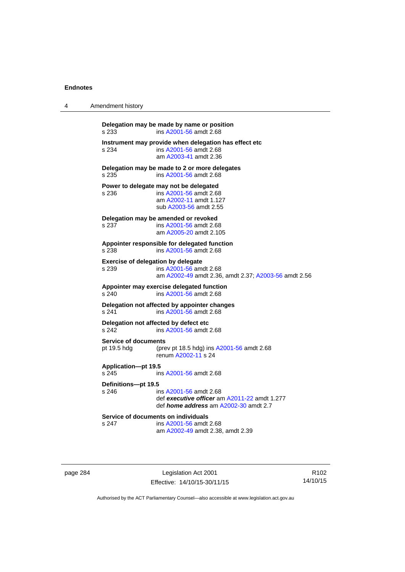| 4 | Amendment history                                      |                                                                                                                        |  |
|---|--------------------------------------------------------|------------------------------------------------------------------------------------------------------------------------|--|
|   | Delegation may be made by name or position<br>s 233    | ins A2001-56 amdt 2.68                                                                                                 |  |
|   | s 234                                                  | Instrument may provide when delegation has effect etc<br>ins A2001-56 amdt 2.68<br>am A2003-41 amdt 2.36               |  |
|   | Delegation may be made to 2 or more delegates<br>s 235 | ins A2001-56 amdt 2.68                                                                                                 |  |
|   | Power to delegate may not be delegated<br>s 236        | ins A2001-56 amdt 2.68<br>am A2002-11 amdt 1.127<br>sub A2003-56 amdt 2.55                                             |  |
|   | Delegation may be amended or revoked<br>s 237          | ins A2001-56 amdt 2.68<br>am A2005-20 amdt 2.105                                                                       |  |
|   | Appointer responsible for delegated function<br>s 238  | ins A2001-56 amdt 2.68                                                                                                 |  |
|   | <b>Exercise of delegation by delegate</b><br>s 239     | ins A2001-56 amdt 2.68<br>am A2002-49 amdt 2.36, amdt 2.37; A2003-56 amdt 2.56                                         |  |
|   | Appointer may exercise delegated function<br>s 240     | ins A2001-56 amdt 2.68                                                                                                 |  |
|   | Delegation not affected by appointer changes<br>s 241  | ins A2001-56 amdt 2.68                                                                                                 |  |
|   | Delegation not affected by defect etc<br>s 242         | ins A2001-56 amdt 2.68                                                                                                 |  |
|   | <b>Service of documents</b><br>pt 19.5 hdg             | (prev pt 18.5 hdg) ins A2001-56 amdt 2.68<br>renum A2002-11 s 24                                                       |  |
|   | <b>Application-pt 19.5</b><br>s 245                    | ins A2001-56 amdt 2.68                                                                                                 |  |
|   | Definitions-pt 19.5<br>s 246                           | ins A2001-56 amdt 2.68<br>def executive officer am A2011-22 amdt 1.277<br>def <i>home address</i> am A2002-30 amdt 2.7 |  |
|   | Service of documents on individuals<br>s 247           | ins A2001-56 amdt 2.68<br>am A2002-49 amdt 2.38, amdt 2.39                                                             |  |

page 284 Legislation Act 2001 Effective: 14/10/15-30/11/15

R102 14/10/15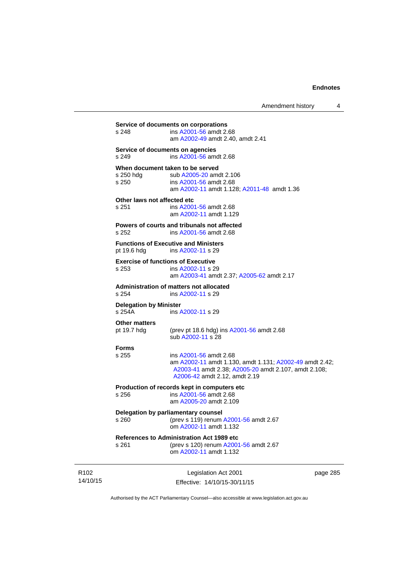| am A2002-11 amdt 1.129<br>Powers of courts and tribunals not affected<br>ins A2001-56 amdt 2.68<br><b>Functions of Executive and Ministers</b><br>ins A2002-11 s 29<br><b>Exercise of functions of Executive</b><br>ins A2002-11 s 29<br>am A2003-41 amdt 2.37; A2005-62 amdt 2.17<br>Administration of matters not allocated<br>ins A2002-11 s 29<br><b>Delegation by Minister</b><br>ins A2002-11 s 29<br>(prev pt 18.6 hdg) ins A2001-56 amdt 2.68<br>sub A2002-11 s 28<br>ins A2001-56 amdt 2.68<br>am A2002-11 amdt 1.130, amdt 1.131; A2002-49 amdt 2.42;<br>A2003-41 amdt 2.38; A2005-20 amdt 2.107, amdt 2.108;<br>A2006-42 amdt 2.12, amdt 2.19<br>Production of records kept in computers etc<br>ins A2001-56 amdt 2.68<br>am A2005-20 amdt 2.109<br>Delegation by parliamentary counsel<br>(prev s 119) renum A2001-56 amdt 2.67<br>om A2002-11 amdt 1.132<br><b>References to Administration Act 1989 etc</b><br>(prev s 120) renum A2001-56 amdt 2.67<br>om A2002-11 amdt 1.132 |                                      |
|----------------------------------------------------------------------------------------------------------------------------------------------------------------------------------------------------------------------------------------------------------------------------------------------------------------------------------------------------------------------------------------------------------------------------------------------------------------------------------------------------------------------------------------------------------------------------------------------------------------------------------------------------------------------------------------------------------------------------------------------------------------------------------------------------------------------------------------------------------------------------------------------------------------------------------------------------------------------------------------------|--------------------------------------|
|                                                                                                                                                                                                                                                                                                                                                                                                                                                                                                                                                                                                                                                                                                                                                                                                                                                                                                                                                                                              |                                      |
|                                                                                                                                                                                                                                                                                                                                                                                                                                                                                                                                                                                                                                                                                                                                                                                                                                                                                                                                                                                              |                                      |
|                                                                                                                                                                                                                                                                                                                                                                                                                                                                                                                                                                                                                                                                                                                                                                                                                                                                                                                                                                                              |                                      |
|                                                                                                                                                                                                                                                                                                                                                                                                                                                                                                                                                                                                                                                                                                                                                                                                                                                                                                                                                                                              |                                      |
|                                                                                                                                                                                                                                                                                                                                                                                                                                                                                                                                                                                                                                                                                                                                                                                                                                                                                                                                                                                              |                                      |
|                                                                                                                                                                                                                                                                                                                                                                                                                                                                                                                                                                                                                                                                                                                                                                                                                                                                                                                                                                                              |                                      |
|                                                                                                                                                                                                                                                                                                                                                                                                                                                                                                                                                                                                                                                                                                                                                                                                                                                                                                                                                                                              |                                      |
|                                                                                                                                                                                                                                                                                                                                                                                                                                                                                                                                                                                                                                                                                                                                                                                                                                                                                                                                                                                              |                                      |
|                                                                                                                                                                                                                                                                                                                                                                                                                                                                                                                                                                                                                                                                                                                                                                                                                                                                                                                                                                                              |                                      |
|                                                                                                                                                                                                                                                                                                                                                                                                                                                                                                                                                                                                                                                                                                                                                                                                                                                                                                                                                                                              |                                      |
| Other laws not affected etc<br>ins A2001-56 amdt 2.68                                                                                                                                                                                                                                                                                                                                                                                                                                                                                                                                                                                                                                                                                                                                                                                                                                                                                                                                        |                                      |
| When document taken to be served<br>sub A2005-20 amdt 2.106<br>ins A2001-56 amdt 2.68<br>am A2002-11 amdt 1.128; A2011-48 amdt 1.36                                                                                                                                                                                                                                                                                                                                                                                                                                                                                                                                                                                                                                                                                                                                                                                                                                                          |                                      |
| Service of documents on agencies<br>ins A2001-56 amdt 2.68                                                                                                                                                                                                                                                                                                                                                                                                                                                                                                                                                                                                                                                                                                                                                                                                                                                                                                                                   |                                      |
| ins A2001-56 amdt 2.68<br>am A2002-49 amdt 2.40, amdt 2.41                                                                                                                                                                                                                                                                                                                                                                                                                                                                                                                                                                                                                                                                                                                                                                                                                                                                                                                                   |                                      |
|                                                                                                                                                                                                                                                                                                                                                                                                                                                                                                                                                                                                                                                                                                                                                                                                                                                                                                                                                                                              | Service of documents on corporations |

R102 14/10/15

Effective: 14/10/15-30/11/15

page 285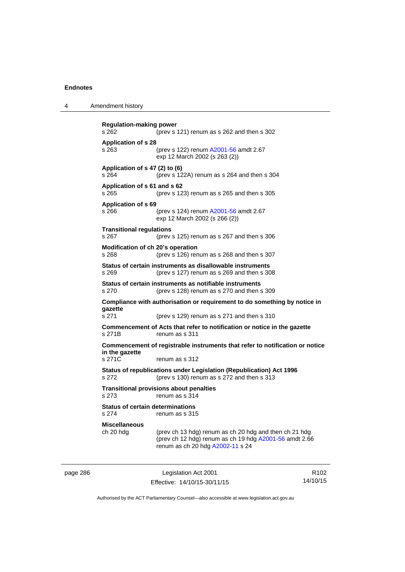4 Amendment history

**Regulation-making power**  s 262 (prev s 121) renum as s 262 and then s 302 **Application of s 28**  s 263 (prev s 122) renum [A2001-56](http://www.legislation.act.gov.au/a/2001-56) amdt 2.67 exp 12 March 2002 (s 263 (2)) **Application of s 47 (2) to (6)**  s 264 (prev s 122A) renum as s 264 and then s 304 **Application of s 61 and s 62**  s 265 (prev s 123) renum as s 265 and then s 305 **Application of s 69**  s 266 (prev s 124) renum [A2001-56](http://www.legislation.act.gov.au/a/2001-56) amdt 2.67 exp 12 March 2002 (s 266 (2)) **Transitional regulations**  s 267 (prev s 125) renum as s 267 and then s 306 **Modification of ch 20's operation**  s 268 (prev s 126) renum as s 268 and then s 307 **Status of certain instruments as disallowable instruments**  s 269 (prev s 127) renum as s 269 and then s 308 **Status of certain instruments as notifiable instruments**  s 270 (prev s 128) renum as s 270 and then s 309 **Compliance with authorisation or requirement to do something by notice in gazette**  s 271 (prev s 129) renum as s 271 and then s 310 **Commencement of Acts that refer to notification or notice in the gazette**  s 271B renum as s 311 **Commencement of registrable instruments that refer to notification or notice in the gazette**  s 271C renum as s 312 **Status of republications under Legislation (Republication) Act 1996**  s 272 (prev s 130) renum as s 272 and then s 313 **Transitional provisions about penalties** s 273 renum as s 314 **Status of certain determinations**  s 274 renum as s 315 **Miscellaneous**  ch 20 hdg (prev ch 13 hdg) renum as ch 20 hdg and then ch 21 hdg (prev ch 12 hdg) renum as ch 19 hdg [A2001-56](http://www.legislation.act.gov.au/a/2001-56) amdt 2.66 renum as ch 20 hdg [A2002-11](http://www.legislation.act.gov.au/a/2002-11) s 24

page 286 Legislation Act 2001 Effective: 14/10/15-30/11/15

R102 14/10/15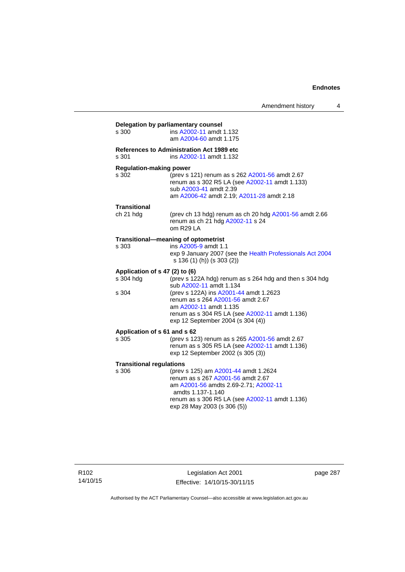| s 300                           | ins A2002-11 amdt 1.132                                                                                 |
|---------------------------------|---------------------------------------------------------------------------------------------------------|
|                                 | am A2004-60 amdt 1.175                                                                                  |
|                                 | <b>References to Administration Act 1989 etc</b>                                                        |
| s 301                           | ins A2002-11 amdt 1.132                                                                                 |
| <b>Regulation-making power</b>  |                                                                                                         |
| s 302                           | (prev s 121) renum as s 262 A2001-56 amdt 2.67                                                          |
|                                 | renum as s 302 R5 LA (see A2002-11 amdt 1.133)<br>sub A2003-41 amdt 2.39                                |
|                                 | am A2006-42 amdt 2.19; A2011-28 amdt 2.18                                                               |
| Transitional                    |                                                                                                         |
| ch 21 hdg                       | (prev ch 13 hdg) renum as ch 20 hdg A2001-56 amdt 2.66<br>renum as ch 21 hdg A2002-11 s 24<br>om R29 LA |
|                                 | Transitional-meaning of optometrist                                                                     |
| s 303                           | ins A2005-9 amdt 1.1                                                                                    |
|                                 | exp 9 January 2007 (see the Health Professionals Act 2004<br>s 136 (1) (h)) (s 303 (2))                 |
| Application of s 47 (2) to (6)  |                                                                                                         |
| s 304 hdg                       | (prev s 122A hdg) renum as s 264 hdg and then s 304 hdg<br>sub A2002-11 amdt 1.134                      |
| s 304                           | (prev s 122A) ins A2001-44 amdt 1.2623                                                                  |
|                                 | renum as s 264 A2001-56 amdt 2.67                                                                       |
|                                 | am A2002-11 amdt 1.135                                                                                  |
|                                 | renum as s 304 R5 LA (see A2002-11 amdt 1.136)<br>exp 12 September 2004 (s 304 (4))                     |
|                                 | Application of s 61 and s 62                                                                            |
| s 305                           | (prev s 123) renum as s 265 A2001-56 amdt 2.67                                                          |
|                                 | renum as s 305 R5 LA (see A2002-11 amdt 1.136)<br>exp 12 September 2002 (s 305 (3))                     |
| <b>Transitional regulations</b> |                                                                                                         |
| s 306                           | (prev s 125) am A2001-44 amdt 1.2624                                                                    |
|                                 | renum as s 267 A2001-56 amdt 2.67                                                                       |
|                                 | am A2001-56 amdts 2.69-2.71; A2002-11<br>amdts 1.137-1.140                                              |
|                                 | renum as s 306 R5 LA (see A2002-11 amdt 1.136)                                                          |
|                                 | exp 28 May 2003 (s 306 (5))                                                                             |

Legislation Act 2001 Effective: 14/10/15-30/11/15 page 287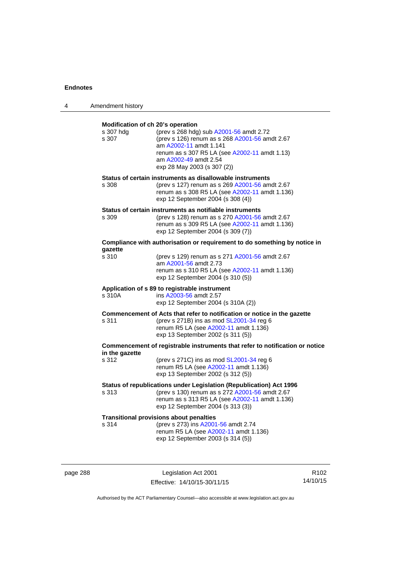| 4 | Amendment history                                       |                                                                                                                                                                                                                              |
|---|---------------------------------------------------------|------------------------------------------------------------------------------------------------------------------------------------------------------------------------------------------------------------------------------|
|   | Modification of ch 20's operation<br>s 307 hdg<br>s 307 | (prev s 268 hdg) sub A2001-56 amdt 2.72<br>(prev s 126) renum as s 268 A2001-56 amdt 2.67<br>am A2002-11 amdt 1.141<br>renum as s 307 R5 LA (see A2002-11 amdt 1.13)<br>am A2002-49 amdt 2.54<br>exp 28 May 2003 (s 307 (2)) |
|   | s 308                                                   | Status of certain instruments as disallowable instruments<br>(prev s 127) renum as s 269 A2001-56 amdt 2.67<br>renum as s 308 R5 LA (see A2002-11 amdt 1.136)<br>exp 12 September 2004 (s 308 (4))                           |
|   | s 309                                                   | Status of certain instruments as notifiable instruments<br>(prev s 128) renum as s 270 A2001-56 amdt 2.67<br>renum as s 309 R5 LA (see A2002-11 amdt 1.136)<br>exp 12 September 2004 (s 309 (7))                             |
|   |                                                         | Compliance with authorisation or requirement to do something by notice in                                                                                                                                                    |
|   | qazette<br>s 310                                        | (prev s 129) renum as s 271 A2001-56 amdt 2.67<br>am A2001-56 amdt 2.73<br>renum as s 310 R5 LA (see A2002-11 amdt 1.136)<br>exp 12 September 2004 (s 310 (5))                                                               |
|   | s 310A                                                  | Application of s 89 to registrable instrument<br>ins A2003-56 amdt 2.57<br>exp 12 September 2004 (s 310A (2))                                                                                                                |
|   | s 311                                                   | Commencement of Acts that refer to notification or notice in the gazette<br>(prev s 271B) ins as mod SL2001-34 reg 6<br>renum R5 LA (see A2002-11 amdt 1.136)<br>exp 13 September 2002 (s 311 (5))                           |
|   | in the gazette                                          | Commencement of registrable instruments that refer to notification or notice                                                                                                                                                 |
|   | s 312                                                   | (prev s $271C$ ) ins as mod $SL2001-34$ reg 6<br>renum R5 LA (see A2002-11 amdt 1.136)<br>exp 13 September 2002 (s 312 (5))                                                                                                  |
|   | s 313                                                   | Status of republications under Legislation (Republication) Act 1996<br>(prev s 130) renum as s 272 A2001-56 amdt 2.67<br>renum as s 313 R5 LA (see A2002-11 amdt 1.136)<br>exp 12 September 2004 (s 313 (3))                 |
|   | s 314                                                   | <b>Transitional provisions about penalties</b><br>(prev s 273) ins A2001-56 amdt 2.74<br>renum R5 LA (see A2002-11 amdt 1.136)<br>exp 12 September 2003 (s 314 (5))                                                          |

page 288 Legislation Act 2001 Effective: 14/10/15-30/11/15

R102 14/10/15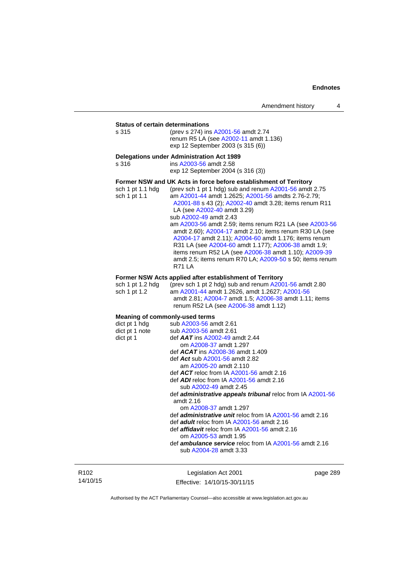**Status of certain determinations**<br>s 315 (prev s 274) ins (prev s 274) ins [A2001-56](http://www.legislation.act.gov.au/a/2001-56) amdt 2.74 renum R5 LA (see [A2002-11](http://www.legislation.act.gov.au/a/2002-11) amdt 1.136) exp 12 September 2003 (s 315 (6))

### **Delegations under Administration Act 1989**

s 316 ins [A2003-56](http://www.legislation.act.gov.au/a/2003-56) amdt 2.58 exp 12 September 2004 (s 316 (3)) **Former NSW and UK Acts in force before establishment of Territory** 

| (prev sch 1 pt 1 hdg) sub and renum A2001-56 amdt 2.75   |
|----------------------------------------------------------|
| am A2001-44 amdt 1.2625; A2001-56 amdts 2.76-2.79;       |
| A2001-88 s 43 (2); A2002-40 amdt 3.28; items renum R11   |
| LA (see A2002-40 amdt 3.29)                              |
| sub A2002-49 amdt 2.43                                   |
| am A2003-56 amdt 2.59; items renum R21 LA (see A2003-56  |
| amdt 2.60); A2004-17 amdt 2.10; items renum R30 LA (see  |
| A2004-17 amdt 2.11); A2004-60 amdt 1.176; items renum    |
| R31 LA (see A2004-60 amdt 1.177); A2006-38 amdt 1.9;     |
| items renum R52 LA (see A2006-38 amdt 1.10); A2009-39    |
| amdt 2.5; items renum R70 LA; A2009-50 s 50; items renum |
| <b>R71 LA</b>                                            |
|                                                          |

### **Former NSW Acts applied after establishment of Territory**

| sch 1 pt 1.2 hda | (prev sch 1 pt 2 hdg) sub and renum $A2001-56$ amdt 2.80 |
|------------------|----------------------------------------------------------|
| sch 1 pt 1.2     | am A2001-44 amdt 1.2626. amdt 1.2627: A2001-56           |
|                  | amdt 2.81; A2004-7 amdt 1.5; A2006-38 amdt 1.11; items   |
|                  | renum R52 LA (see A2006-38 amdt 1.12)                    |

| <b>Meaning of commonly-used terms</b> |                                                                   |
|---------------------------------------|-------------------------------------------------------------------|
|                                       | $dict$ pt 1 hdg sub $A2003-56$ amdt 2.61                          |
|                                       | $dict$ pt 1 note sub $A2003-56$ amdt 2.61                         |
| dict pt 1                             | def $AAT$ ins $A2002-49$ amdt 2.44                                |
|                                       | om A2008-37 amdt 1.297                                            |
|                                       | def $ACAT$ ins $A2008-36$ amdt 1.409                              |
|                                       | def Act sub A2001-56 amdt 2.82                                    |
|                                       | am A2005-20 amdt 2.110                                            |
|                                       | def $ACT$ reloc from IA $A2001-56$ amdt 2.16                      |
|                                       | def <b>ADI</b> reloc from IA A2001-56 amdt 2.16                   |
|                                       | sub A2002-49 amdt 2.45                                            |
|                                       | def <b>administrative appeals tribunal</b> reloc from IA A2001-56 |
|                                       | amdt $2.16$                                                       |
|                                       | om A2008-37 amdt 1.297                                            |
|                                       | def <i>administrative unit</i> reloc from IA A2001-56 amdt 2.16   |
|                                       | def <b>adult</b> reloc from IA A2001-56 amdt 2.16                 |
|                                       | def <i>affidavit</i> reloc from IA A2001-56 amdt 2.16             |
|                                       | om A2005-53 amdt 1.95                                             |
|                                       | def <b>ambulance service</b> reloc from IA A2001-56 amdt 2.16     |
|                                       | sub A2004-28 amdt 3.33                                            |
|                                       |                                                                   |

R102 14/10/15

Legislation Act 2001 Effective: 14/10/15-30/11/15 page 289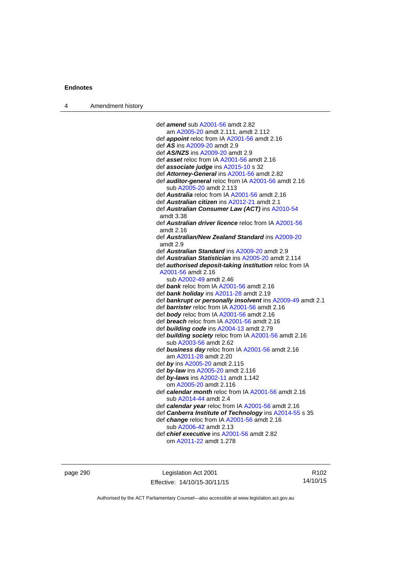| Amendment history<br>$\overline{4}$ |  |
|-------------------------------------|--|
|-------------------------------------|--|

| def amend sub A2001-56 amdt 2.82                               |
|----------------------------------------------------------------|
| am A2005-20 amdt 2.111, amdt 2.112                             |
| def <i>appoint</i> reloc from IA A2001-56 amdt 2.16            |
| def AS ins A2009-20 amdt 2.9                                   |
| def AS/NZS ins A2009-20 amdt 2.9                               |
| def asset reloc from IA A2001-56 amdt 2.16                     |
| def associate judge ins A2015-10 s 32                          |
| def Attorney-General ins A2001-56 amdt 2.82                    |
| def <b>auditor-general</b> reloc from IA A2001-56 amdt 2.16    |
| sub A2005-20 amdt 2.113                                        |
| def Australia reloc from IA A2001-56 amdt 2.16                 |
| def <b><i>Australian citizen</i></b> ins A2012-21 amdt 2.1     |
| def Australian Consumer Law (ACT) ins A2010-54                 |
| amdt 3.38                                                      |
| def <b>Australian driver licence</b> reloc from IA A2001-56    |
| amdt 2.16                                                      |
| def Australian/New Zealand Standard ins A2009-20               |
| amdt 2.9                                                       |
| def Australian Standard ins A2009-20 amdt 2.9                  |
| def Australian Statistician ins A2005-20 amdt 2.114            |
| def <b>authorised deposit-taking institution</b> reloc from IA |
| A2001-56 amdt 2.16                                             |
| sub A2002-49 amdt 2.46                                         |
| def bank reloc from IA A2001-56 amdt 2.16                      |
| def bank holiday ins A2011-28 amdt 2.19                        |
| def bankrupt or personally insolvent ins A2009-49 amdt 2.1     |
| def barrister reloc from IA A2001-56 amdt 2.16                 |
| def body reloc from IA A2001-56 amdt 2.16                      |
| def breach reloc from IA A2001-56 amdt 2.16                    |
| def building code ins A2004-13 amdt 2.79                       |
| def <b>building society</b> reloc from IA A2001-56 amdt 2.16   |
| sub A2003-56 amdt 2.62                                         |
| def business day reloc from IA A2001-56 amdt 2.16              |
| am A2011-28 amdt 2.20                                          |
| def by ins A2005-20 amdt 2.115                                 |
| def by-law ins A2005-20 amdt 2.116                             |
| def by-laws ins A2002-11 amdt 1.142                            |
| om A2005-20 amdt 2.116                                         |
| def calendar month reloc from IA A2001-56 amdt 2.16            |
| sub A2014-44 amdt 2.4                                          |
| def calendar year reloc from IA A2001-56 amdt 2.16             |
| def Canberra Institute of Technology ins A2014-55 s 35         |
| def <i>change</i> reloc from IA A2001-56 amdt 2.16             |
| sub A2006-42 amdt 2.13                                         |
| def <i>chief executive</i> ins A2001-56 amdt 2.82              |
| om A2011-22 amdt 1.278                                         |

page 290 **Legislation Act 2001** Effective: 14/10/15-30/11/15

R102 14/10/15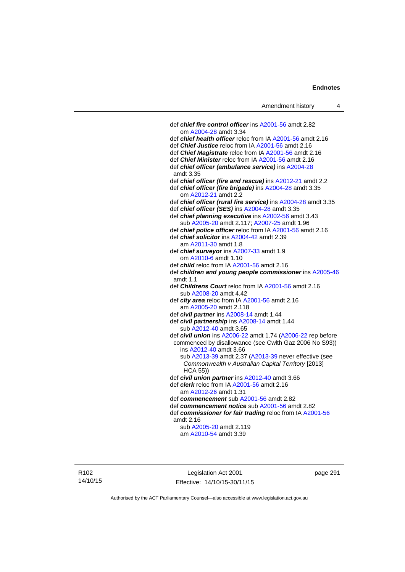def *chief fire control officer* ins [A2001-56](http://www.legislation.act.gov.au/a/2001-56) amdt 2.82 om [A2004-28](http://www.legislation.act.gov.au/a/2004-28) amdt 3.34 def *chief health officer* reloc from IA [A2001-56](http://www.legislation.act.gov.au/a/2001-56) amdt 2.16 def *Chief Justice* reloc from IA [A2001-56](http://www.legislation.act.gov.au/a/2001-56) amdt 2.16 def *Chief Magistrate* reloc from IA [A2001-56](http://www.legislation.act.gov.au/a/2001-56) amdt 2.16 def *Chief Minister* reloc from IA [A2001-56](http://www.legislation.act.gov.au/a/2001-56) amdt 2.16 def *chief officer (ambulance service)* ins [A2004-28](http://www.legislation.act.gov.au/a/2004-28) amdt 3.35 def *chief officer (fire and rescue)* ins [A2012-21](http://www.legislation.act.gov.au/a/2012-21) amdt 2.2 def *chief officer (fire brigade)* ins [A2004-28](http://www.legislation.act.gov.au/a/2004-28) amdt 3.35 om [A2012-21](http://www.legislation.act.gov.au/a/2012-21) amdt 2.2 def *chief officer (rural fire service)* ins [A2004-28](http://www.legislation.act.gov.au/a/2004-28) amdt 3.35 def *chief officer (SES)* ins [A2004-28](http://www.legislation.act.gov.au/a/2004-28) amdt 3.35 def *chief planning executive* ins [A2002-56](http://www.legislation.act.gov.au/a/2002-56) amdt 3.43 sub [A2005-20](http://www.legislation.act.gov.au/a/2005-20) amdt 2.117; [A2007-25](http://www.legislation.act.gov.au/a/2007-25) amdt 1.96 def *chief police officer* reloc from IA [A2001-56](http://www.legislation.act.gov.au/a/2001-56) amdt 2.16 def *chief solicitor* ins [A2004-42](http://www.legislation.act.gov.au/a/2004-42) amdt 2.39 am [A2011-30](http://www.legislation.act.gov.au/a/2011-30) amdt 1.8 def *chief surveyor* ins [A2007-33](http://www.legislation.act.gov.au/a/2007-33) amdt 1.9 om [A2010-6](http://www.legislation.act.gov.au/a/2010-6) amdt 1.10 def *child* reloc from IA [A2001-56](http://www.legislation.act.gov.au/a/2001-56) amdt 2.16 def *children and young people commissioner* ins [A2005-46](http://www.legislation.act.gov.au/a/2005-46) amdt 1.1 def *Childrens Court* reloc from IA [A2001-56](http://www.legislation.act.gov.au/a/2001-56) amdt 2.16 sub [A2008-20](http://www.legislation.act.gov.au/a/2008-20) amdt 4.42 def *city area* reloc from IA [A2001-56](http://www.legislation.act.gov.au/a/2001-56) amdt 2.16 am [A2005-20](http://www.legislation.act.gov.au/a/2005-20) amdt 2.118 def *civil partner* ins [A2008-14](http://www.legislation.act.gov.au/a/2008-14) amdt 1.44 def *civil partnership* ins [A2008-14](http://www.legislation.act.gov.au/a/2008-14) amdt 1.44 sub [A2012-40](http://www.legislation.act.gov.au/a/2012-40) amdt 3.65 def *civil union* ins [A2006-22](http://www.legislation.act.gov.au/a/2006-22) amdt 1.74 [\(A2006-22](http://www.legislation.act.gov.au/a/2006-22) rep before commenced by disallowance (see Cwlth Gaz 2006 No S93)) ins [A2012-40](http://www.legislation.act.gov.au/a/2012-40) amdt 3.66 sub [A2013-39](http://www.legislation.act.gov.au/a/2013-39) amdt 2.37 [\(A2013-39](http://www.legislation.act.gov.au/a/2013-39) never effective (see *Commonwealth v Australian Capital Territory* [2013] HCA 55)) def *civil union partner* ins [A2012-40](http://www.legislation.act.gov.au/a/2012-40) amdt 3.66 def *clerk* reloc from IA [A2001-56](http://www.legislation.act.gov.au/a/2001-56) amdt 2.16 am [A2012-26](http://www.legislation.act.gov.au/a/2012-26) amdt 1.31 def *commencement* sub [A2001-56](http://www.legislation.act.gov.au/a/2001-56) amdt 2.82 def *commencement notice* sub [A2001-56](http://www.legislation.act.gov.au/a/2001-56) amdt 2.82 def *commissioner for fair trading* reloc from IA [A2001-56](http://www.legislation.act.gov.au/a/2001-56) amdt 2.16 sub [A2005-20](http://www.legislation.act.gov.au/a/2005-20) amdt 2.119 am [A2010-54](http://www.legislation.act.gov.au/a/2010-54) amdt 3.39

R102 14/10/15

Legislation Act 2001 Effective: 14/10/15-30/11/15 page 291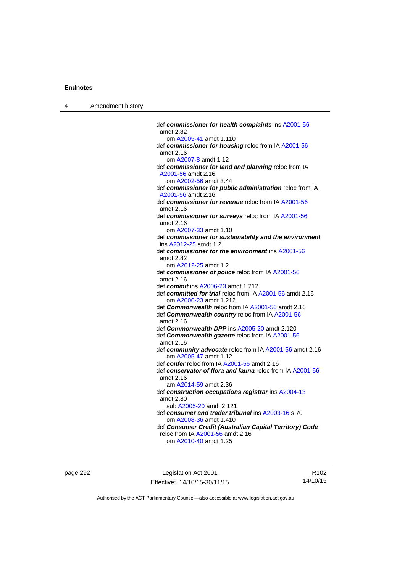| Amendment history |
|-------------------|
|                   |

| def commissioner for health complaints ins A2001-56<br>amdt 2.82                   |
|------------------------------------------------------------------------------------|
| om A2005-41 amdt 1.110                                                             |
| def commissioner for housing reloc from IA A2001-56<br>amdt 2.16                   |
| om A2007-8 amdt 1.12                                                               |
| def commissioner for land and planning reloc from IA                               |
| A2001-56 amdt 2.16                                                                 |
| om A2002-56 amdt 3.44                                                              |
| def commissioner for public administration reloc from IA                           |
| A2001-56 amdt 2.16                                                                 |
| def commissioner for revenue reloc from IA A2001-56<br>amdt 2.16                   |
| def commissioner for surveys reloc from IA A2001-56<br>amdt 2.16                   |
| om A2007-33 amdt 1.10                                                              |
| def commissioner for sustainability and the environment<br>ins A2012-25 amdt 1.2   |
| def commissioner for the environment ins A2001-56                                  |
| amdt 2.82                                                                          |
| om A2012-25 amdt 1.2                                                               |
| def commissioner of police reloc from IA A2001-56                                  |
| amdt 2.16                                                                          |
| def commit ins A2006-23 amdt 1.212                                                 |
| def committed for trial reloc from IA A2001-56 amdt 2.16<br>om A2006-23 amdt 1.212 |
| def Commonwealth reloc from IA A2001-56 amdt 2.16                                  |
| def Commonwealth country reloc from IA A2001-56<br>amdt 2.16                       |
| def Commonwealth DPP ins A2005-20 amdt 2.120                                       |
| def Commonwealth gazette reloc from IA A2001-56<br>amdt 2.16                       |
| def community advocate reloc from IA A2001-56 amdt 2.16<br>om A2005-47 amdt 1.12   |
| def confer reloc from IA A2001-56 amdt 2.16                                        |
| def conservator of flora and fauna reloc from IA A2001-56<br>amdt 2.16             |
| am A2014-59 amdt 2.36                                                              |
| def construction occupations registrar ins A2004-13<br>amdt 2.80                   |
| sub A2005-20 amdt 2.121                                                            |
| def consumer and trader tribunal ins A2003-16 s 70                                 |
| om A2008-36 amdt 1.410                                                             |
| def Consumer Credit (Australian Capital Territory) Code                            |
| reloc from IA A2001-56 amdt 2.16                                                   |
| om A2010-40 amdt 1.25                                                              |

page 292 **Legislation Act 2001** Effective: 14/10/15-30/11/15

R102 14/10/15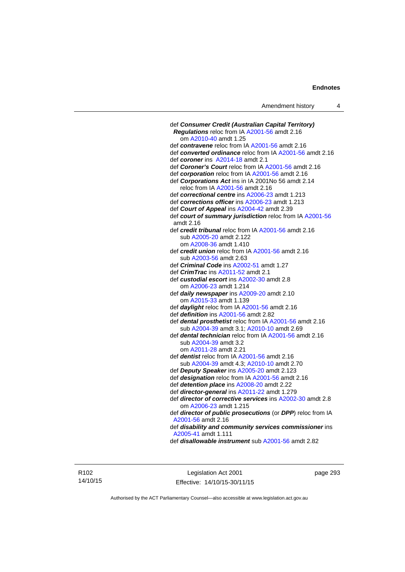| def Consumer Credit (Australian Capital Territory)                                             |
|------------------------------------------------------------------------------------------------|
| Regulations reloc from IA A2001-56 amdt 2.16                                                   |
| om A2010-40 amdt 1.25                                                                          |
| def contravene reloc from IA A2001-56 amdt 2.16                                                |
| def converted ordinance reloc from IA A2001-56 amdt 2.16                                       |
| def coroner ins A2014-18 amdt 2.1                                                              |
| def Coroner's Court reloc from IA A2001-56 amdt 2.16                                           |
| def corporation reloc from IA A2001-56 amdt 2.16                                               |
| def Corporations Act ins in IA 2001No 56 amdt 2.14<br>reloc from IA A2001-56 amdt 2.16         |
| def correctional centre ins A2006-23 amdt 1.213                                                |
| def corrections officer ins A2006-23 amdt 1.213                                                |
| def Court of Appeal ins A2004-42 amdt 2.39                                                     |
| def court of summary jurisdiction reloc from IA A2001-56                                       |
| amdt 2.16                                                                                      |
| def <i>credit tribunal</i> reloc from IA A2001-56 amdt 2.16                                    |
| sub A2005-20 amdt 2.122                                                                        |
| om A2008-36 amdt 1.410                                                                         |
| def <i>credit union</i> reloc from IA A2001-56 amdt 2.16                                       |
| sub A2003-56 amdt 2.63                                                                         |
| def Criminal Code ins A2002-51 amdt 1.27                                                       |
| def CrimTrac ins A2011-52 amdt 2.1                                                             |
| def custodial escort ins A2002-30 amdt 2.8                                                     |
| om A2006-23 amdt 1.214                                                                         |
| def daily newspaper ins A2009-20 amdt 2.10                                                     |
| om A2015-33 amdt 1.139                                                                         |
| def daylight reloc from IA A2001-56 amdt 2.16                                                  |
| def definition ins A2001-56 amdt 2.82                                                          |
| def dental prosthetist reloc from IA A2001-56 amdt 2.16                                        |
| sub A2004-39 amdt 3.1; A2010-10 amdt 2.69                                                      |
| def dental technician reloc from IA A2001-56 amdt 2.16                                         |
| sub A2004-39 amdt 3.2                                                                          |
| om A2011-28 amdt 2.21                                                                          |
| def <i>dentist</i> reloc from IA A2001-56 amdt 2.16                                            |
| sub A2004-39 amdt 4.3; A2010-10 amdt 2.70                                                      |
| def Deputy Speaker ins A2005-20 amdt 2.123<br>def designation reloc from IA A2001-56 amdt 2.16 |
| def detention place ins A2008-20 amdt 2.22                                                     |
| def director-general ins A2011-22 amdt 1.279                                                   |
| def director of corrective services ins A2002-30 amdt 2.8                                      |
| om A2006-23 amdt 1.215                                                                         |
| def director of public prosecutions (or DPP) reloc from IA                                     |
| A2001-56 amdt 2.16                                                                             |
| def disability and community services commissioner ins                                         |
| A2005-41 amdt 1.111                                                                            |
| def <b>disallowable instrument</b> sub A2001-56 amdt 2.82                                      |
|                                                                                                |

R102 14/10/15

Legislation Act 2001 Effective: 14/10/15-30/11/15 page 293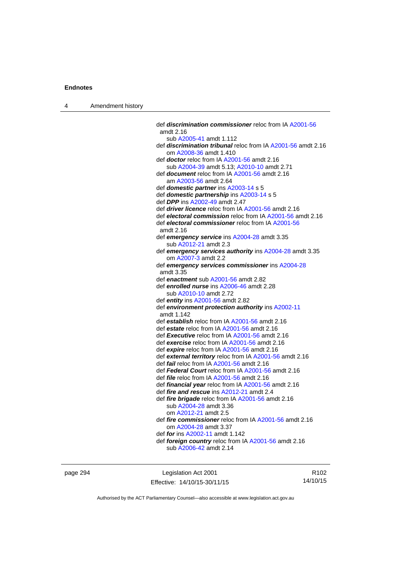| Amendment history<br>$\overline{4}$ |  |
|-------------------------------------|--|
|-------------------------------------|--|

| def <b>discrimination commissioner</b> reloc from IA A2001-56<br>def discrimination tribunal reloc from IA A2001-56 amdt 2.16 |
|-------------------------------------------------------------------------------------------------------------------------------|
|                                                                                                                               |
|                                                                                                                               |
|                                                                                                                               |
|                                                                                                                               |
|                                                                                                                               |
|                                                                                                                               |
|                                                                                                                               |
|                                                                                                                               |
|                                                                                                                               |
|                                                                                                                               |
|                                                                                                                               |
|                                                                                                                               |
|                                                                                                                               |
| def electoral commission reloc from IA A2001-56 amdt 2.16                                                                     |
|                                                                                                                               |
|                                                                                                                               |
|                                                                                                                               |
|                                                                                                                               |
| def emergency services authority ins A2004-28 amdt 3.35                                                                       |
|                                                                                                                               |
|                                                                                                                               |
|                                                                                                                               |
|                                                                                                                               |
|                                                                                                                               |
|                                                                                                                               |
|                                                                                                                               |
|                                                                                                                               |
|                                                                                                                               |
|                                                                                                                               |
|                                                                                                                               |
|                                                                                                                               |
|                                                                                                                               |
|                                                                                                                               |
|                                                                                                                               |
| def external territory reloc from IA A2001-56 amdt 2.16                                                                       |
|                                                                                                                               |
|                                                                                                                               |
|                                                                                                                               |
|                                                                                                                               |
|                                                                                                                               |
|                                                                                                                               |
|                                                                                                                               |
|                                                                                                                               |
| def fire commissioner reloc from IA A2001-56 amdt 2.16                                                                        |
|                                                                                                                               |
|                                                                                                                               |
|                                                                                                                               |
|                                                                                                                               |
| def emergency services commissioner ins A2004-28                                                                              |

page 294 **Legislation Act 2001** Effective: 14/10/15-30/11/15

R102 14/10/15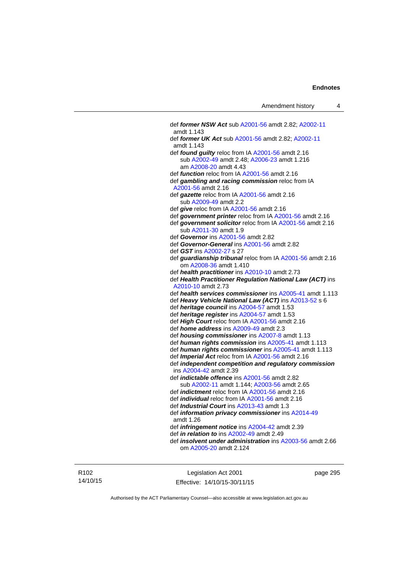def *former NSW Act* sub [A2001-56](http://www.legislation.act.gov.au/a/2001-56) amdt 2.82; [A2002-11](http://www.legislation.act.gov.au/a/2002-11) amdt 1.143 def *former UK Act* sub [A2001-56](http://www.legislation.act.gov.au/a/2001-56) amdt 2.82; [A2002-11](http://www.legislation.act.gov.au/a/2002-11) amdt 1.143 def *found guilty* reloc from IA [A2001-56](http://www.legislation.act.gov.au/a/2001-56) amdt 2.16 sub [A2002-49](http://www.legislation.act.gov.au/a/2002-49) amdt 2.48; [A2006-23](http://www.legislation.act.gov.au/a/2006-23) amdt 1.216 am [A2008-20](http://www.legislation.act.gov.au/a/2008-20) amdt 4.43 def *function* reloc from IA [A2001-56](http://www.legislation.act.gov.au/a/2001-56) amdt 2.16 def *gambling and racing commission* reloc from IA [A2001-56](http://www.legislation.act.gov.au/a/2001-56) amdt 2.16 def *gazette* reloc from IA [A2001-56](http://www.legislation.act.gov.au/a/2001-56) amdt 2.16 sub [A2009-49](http://www.legislation.act.gov.au/a/2009-49) amdt 2.2 def *give* reloc from IA [A2001-56](http://www.legislation.act.gov.au/a/2001-56) amdt 2.16 def *government printer* reloc from IA [A2001-56](http://www.legislation.act.gov.au/a/2001-56) amdt 2.16 def *government solicitor* reloc from IA [A2001-56](http://www.legislation.act.gov.au/a/2001-56) amdt 2.16 sub [A2011-30](http://www.legislation.act.gov.au/a/2011-30) amdt 1.9 def *Governor* ins [A2001-56](http://www.legislation.act.gov.au/a/2001-56) amdt 2.82 def *Governor-General* ins [A2001-56](http://www.legislation.act.gov.au/a/2001-56) amdt 2.82 def *GST* ins [A2002-27](http://www.legislation.act.gov.au/a/2002-27) s 27 def *guardianship tribunal* reloc from IA [A2001-56](http://www.legislation.act.gov.au/a/2001-56) amdt 2.16 om [A2008-36](http://www.legislation.act.gov.au/a/2008-36) amdt 1.410 def *health practitioner* ins [A2010-10](http://www.legislation.act.gov.au/a/2010-10) amdt 2.73 def *Health Practitioner Regulation National Law (ACT)* ins [A2010-10](http://www.legislation.act.gov.au/a/2010-10) amdt 2.73 def *health services commissioner* ins [A2005-41](http://www.legislation.act.gov.au/a/2005-41) amdt 1.113 def *Heavy Vehicle National Law (ACT)* ins [A2013-52](http://www.legislation.act.gov.au/a/2013-52) s 6 def *heritage council* ins [A2004-57](http://www.legislation.act.gov.au/a/2004-57) amdt 1.53 def *heritage register* ins [A2004-57](http://www.legislation.act.gov.au/a/2004-57) amdt 1.53 def *High Court* reloc from IA [A2001-56](http://www.legislation.act.gov.au/a/2001-56) amdt 2.16 def *home address* ins [A2009-49](http://www.legislation.act.gov.au/a/2009-49) amdt 2.3 def *housing commissioner* ins [A2007-8](http://www.legislation.act.gov.au/a/2007-8) amdt 1.13 def *human rights commission* ins [A2005-41](http://www.legislation.act.gov.au/a/2005-41) amdt 1.113 def *human rights commissioner* ins [A2005-41](http://www.legislation.act.gov.au/a/2005-41) amdt 1.113 def *Imperial Act* reloc from IA [A2001-56](http://www.legislation.act.gov.au/a/2001-56) amdt 2.16 def *independent competition and regulatory commission* ins [A2004-42](http://www.legislation.act.gov.au/a/2004-42) amdt 2.39 def *indictable offence* ins [A2001-56](http://www.legislation.act.gov.au/a/2001-56) amdt 2.82 sub [A2002-11](http://www.legislation.act.gov.au/a/2002-11) amdt 1.144; [A2003-56](http://www.legislation.act.gov.au/a/2003-56) amdt 2.65 def *indictment* reloc from IA [A2001-56](http://www.legislation.act.gov.au/a/2001-56) amdt 2.16 def *individual* reloc from IA [A2001-56](http://www.legislation.act.gov.au/a/2001-56) amdt 2.16 def *Industrial Court* ins [A2013-43](http://www.legislation.act.gov.au/a/2013-43) amdt 1.3 def *information privacy commissioner* ins [A2014-49](http://www.legislation.act.gov.au/a/2014-49) amdt 1.26 def *infringement notice* ins [A2004-42](http://www.legislation.act.gov.au/a/2004-42) amdt 2.39 def *in relation to* ins [A2002-49](http://www.legislation.act.gov.au/a/2002-49) amdt 2.49 def *insolvent under administration* ins [A2003-56](http://www.legislation.act.gov.au/a/2003-56) amdt 2.66 om [A2005-20](http://www.legislation.act.gov.au/a/2005-20) amdt 2.124

R102 14/10/15

Legislation Act 2001 Effective: 14/10/15-30/11/15 page 295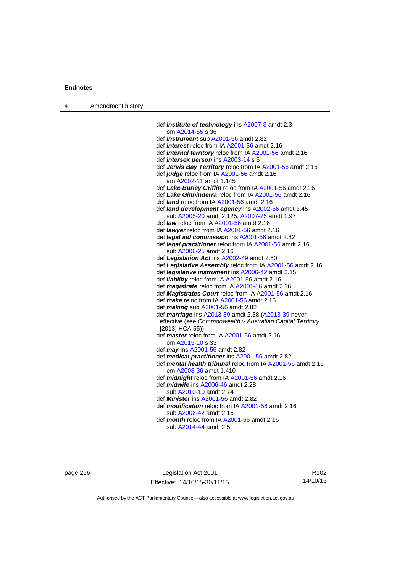| 4 | Amendment history |                                                                                                        |
|---|-------------------|--------------------------------------------------------------------------------------------------------|
|   |                   |                                                                                                        |
|   |                   | def <i>institute of technology</i> ins A2007-3 amdt 2.3                                                |
|   |                   | om A2014-55 s 36                                                                                       |
|   |                   | def <i>instrument</i> sub A2001-56 amdt 2.82                                                           |
|   |                   | def <i>interest</i> reloc from IA A2001-56 amdt 2.16                                                   |
|   |                   | def <i>internal territory</i> reloc from IA A2001-56 amdt 2.16                                         |
|   |                   | def <i>intersex person</i> ins A2003-14 s 5                                                            |
|   |                   | def Jervis Bay Territory reloc from IA A2001-56 amdt 2.16                                              |
|   |                   | def judge reloc from IA A2001-56 amdt 2.16                                                             |
|   |                   | am A2002-11 amdt 1.145                                                                                 |
|   |                   | def Lake Burley Griffin reloc from IA A2001-56 amdt 2.16                                               |
|   |                   | def Lake Ginninderra reloc from IA A2001-56 amdt 2.16                                                  |
|   |                   | def <i>land</i> reloc from IA A2001-56 amdt 2.16<br>def land development agency ins A2002-56 amdt 3.45 |
|   |                   | sub A2005-20 amdt 2.125; A2007-25 amdt 1.97                                                            |
|   |                   | def law reloc from IA A2001-56 amdt 2.16                                                               |
|   |                   | def <i>lawyer</i> reloc from IA A2001-56 amdt 2.16                                                     |
|   |                   | def <i>legal aid commission</i> ins A2001-56 amdt 2.82                                                 |
|   |                   | def legal practitioner reloc from IA A2001-56 amdt 2.16                                                |
|   |                   | sub A2006-25 amdt 2.16                                                                                 |
|   |                   | def Legislation Act ins A2002-49 amdt 2.50                                                             |
|   |                   | def Legislative Assembly reloc from IA A2001-56 amdt 2.16                                              |
|   |                   | def legislative instrument ins A2006-42 amdt 2.15                                                      |
|   |                   | def liability reloc from IA A2001-56 amdt 2.16                                                         |
|   |                   | def magistrate reloc from IA A2001-56 amdt 2.16                                                        |
|   |                   | def Magistrates Court reloc from IA A2001-56 amdt 2.16                                                 |
|   |                   | def <i>make</i> reloc from IA A2001-56 amdt 2.16                                                       |
|   |                   | def making sub A2001-56 amdt 2.82                                                                      |
|   |                   | def <i>marriage</i> ins A2013-39 amdt 2.38 (A2013-39 never                                             |
|   |                   | effective (see Commonwealth v Australian Capital Territory<br>$[2013]$ HCA 55)                         |
|   |                   | def master reloc from IA A2001-56 amdt 2.16                                                            |
|   |                   | om A2015-10 s 33                                                                                       |
|   |                   | def <i>may</i> ins A2001-56 amdt 2.82                                                                  |
|   |                   | def medical practitioner ins A2001-56 amdt 2.82                                                        |
|   |                   | def mental health tribunal reloc from IA A2001-56 amdt 2.16                                            |
|   |                   | om A2008-36 amdt 1.410                                                                                 |
|   |                   | def <i>midnight</i> reloc from IA A2001-56 amdt 2.16                                                   |
|   |                   | def <i>midwife</i> ins A2006-46 amdt 2.28                                                              |
|   |                   | sub A2010-10 amdt 2.74                                                                                 |
|   |                   | def <i>Minister</i> ins A2001-56 amdt 2.82                                                             |
|   |                   | def <b>modification</b> reloc from IA A2001-56 amdt 2.16                                               |
|   |                   | sub A2006-42 amdt 2.16                                                                                 |
|   |                   | def month reloc from IA A2001-56 amdt 2.16                                                             |
|   |                   | sub A2014-44 amdt 2.5                                                                                  |

page 296 Legislation Act 2001 Effective: 14/10/15-30/11/15

R102 14/10/15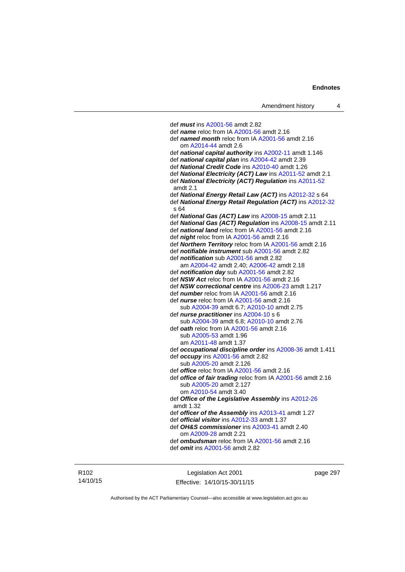def *must* ins [A2001-56](http://www.legislation.act.gov.au/a/2001-56) amdt 2.82 def *name* reloc from IA [A2001-56](http://www.legislation.act.gov.au/a/2001-56) amdt 2.16 def *named month* reloc from IA [A2001-56](http://www.legislation.act.gov.au/a/2001-56) amdt 2.16 om [A2014-44](http://www.legislation.act.gov.au/a/2014-44) amdt 2.6 def *national capital authority* ins [A2002-11](http://www.legislation.act.gov.au/a/2002-11) amdt 1.146 def *national capital plan* ins [A2004-42](http://www.legislation.act.gov.au/a/2004-42) amdt 2.39 def *National Credit Code* ins [A2010-40](http://www.legislation.act.gov.au/a/2010-40) amdt 1.26 def *National Electricity (ACT) Law* ins [A2011-52](http://www.legislation.act.gov.au/a/2011-52) amdt 2.1 def *National Electricity (ACT) Regulation* ins [A2011-52](http://www.legislation.act.gov.au/a/2011-52) amdt 2.1 def *National Energy Retail Law (ACT)* ins [A2012-32](http://www.legislation.act.gov.au/a/2012-32) s 64 def *National Energy Retail Regulation (ACT)* ins [A2012-32](http://www.legislation.act.gov.au/a/2012-32) s 64 def *National Gas (ACT) Law* ins [A2008-15](http://www.legislation.act.gov.au/a/2008-15) amdt 2.11 def *National Gas (ACT) Regulation* ins [A2008-15](http://www.legislation.act.gov.au/a/2008-15) amdt 2.11 def *national land* reloc from IA [A2001-56](http://www.legislation.act.gov.au/a/2001-56) amdt 2.16 def *night* reloc from IA [A2001-56](http://www.legislation.act.gov.au/a/2001-56) amdt 2.16 def *Northern Territory* reloc from IA [A2001-56](http://www.legislation.act.gov.au/a/2001-56) amdt 2.16 def *notifiable instrument* sub [A2001-56](http://www.legislation.act.gov.au/a/2001-56) amdt 2.82 def *notification* sub [A2001-56](http://www.legislation.act.gov.au/a/2001-56) amdt 2.82 am [A2004-42](http://www.legislation.act.gov.au/a/2004-42) amdt 2.40; [A2006-42](http://www.legislation.act.gov.au/a/2006-42) amdt 2.18 def *notification day* sub [A2001-56](http://www.legislation.act.gov.au/a/2001-56) amdt 2.82 def *NSW Act* reloc from IA [A2001-56](http://www.legislation.act.gov.au/a/2001-56) amdt 2.16 def *NSW correctional centre* ins [A2006-23](http://www.legislation.act.gov.au/a/2006-23) amdt 1.217 def *number* reloc from IA [A2001-56](http://www.legislation.act.gov.au/a/2001-56) amdt 2.16 def *nurse* reloc from IA [A2001-56](http://www.legislation.act.gov.au/a/2001-56) amdt 2.16 sub [A2004-39](http://www.legislation.act.gov.au/a/2004-39) amdt 6.7; [A2010-10](http://www.legislation.act.gov.au/a/2010-10) amdt 2.75 def *nurse practitioner* ins [A2004-10](http://www.legislation.act.gov.au/a/2004-10) s 6 sub [A2004-39](http://www.legislation.act.gov.au/a/2004-39) amdt 6.8; [A2010-10](http://www.legislation.act.gov.au/a/2010-10) amdt 2.76 def *oath* reloc from IA [A2001-56](http://www.legislation.act.gov.au/a/2001-56) amdt 2.16 sub [A2005-53](http://www.legislation.act.gov.au/a/2005-53) amdt 1.96 am [A2011-48](http://www.legislation.act.gov.au/a/2011-48) amdt 1.37 def *occupational discipline order* ins [A2008-36](http://www.legislation.act.gov.au/a/2008-36) amdt 1.411 def *occupy* ins [A2001-56](http://www.legislation.act.gov.au/a/2001-56) amdt 2.82 sub [A2005-20](http://www.legislation.act.gov.au/a/2005-20) amdt 2.126 def *office* reloc from IA [A2001-56](http://www.legislation.act.gov.au/a/2001-56) amdt 2.16 def *office of fair trading* reloc from IA [A2001-56](http://www.legislation.act.gov.au/a/2001-56) amdt 2.16 sub [A2005-20](http://www.legislation.act.gov.au/a/2005-20) amdt 2.127 om [A2010-54](http://www.legislation.act.gov.au/a/2010-54) amdt 3.40 def *Office of the Legislative Assembly* ins [A2012-26](http://www.legislation.act.gov.au/a/2012-26) amdt 1.32 def *officer of the Assembly* ins [A2013-41](http://www.legislation.act.gov.au/a/2013-41/default.asp) amdt 1.27 def *official visitor* ins [A2012-33](http://www.legislation.act.gov.au/a/2002-11) amdt 1.37 def *OH&S commissioner* ins [A2003-41](http://www.legislation.act.gov.au/a/2003-41) amdt 2.40 om [A2009-28](http://www.legislation.act.gov.au/a/2009-28) amdt 2.21 def *ombudsman* reloc from IA [A2001-56](http://www.legislation.act.gov.au/a/2001-56) amdt 2.16 def *omit* ins [A2001-56](http://www.legislation.act.gov.au/a/2001-56) amdt 2.82

R102 14/10/15

Legislation Act 2001 Effective: 14/10/15-30/11/15 page 297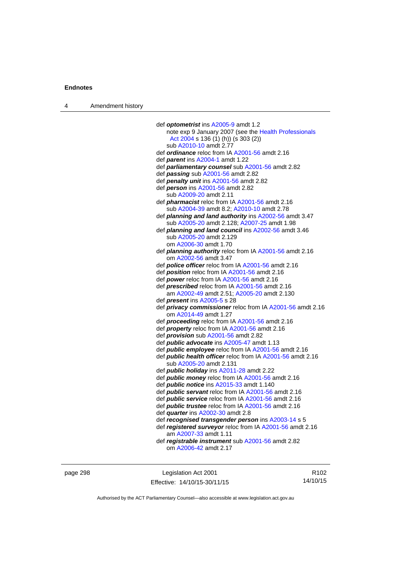| Amendment history<br>$\overline{4}$ |  |
|-------------------------------------|--|
|-------------------------------------|--|

| def optometrist ins A2005-9 amdt 1.2                              |
|-------------------------------------------------------------------|
| note exp 9 January 2007 (see the Health Professionals             |
| Act 2004 s 136 (1) (h)) (s 303 (2))                               |
| sub A2010-10 amdt 2.77                                            |
| def <i>ordinance</i> reloc from IA A2001-56 amdt 2.16             |
| def parent ins A2004-1 amdt 1.22                                  |
| def parliamentary counsel sub A2001-56 amdt 2.82                  |
| def passing sub A2001-56 amdt 2.82                                |
| def penalty unit ins A2001-56 amdt 2.82                           |
|                                                                   |
| def person ins A2001-56 amdt 2.82                                 |
| sub A2009-20 amdt 2.11                                            |
| def <i>pharmacist</i> reloc from IA A2001-56 amdt 2.16            |
| sub A2004-39 amdt 8.2; A2010-10 amdt 2.78                         |
| def <b>planning and land authority</b> ins A2002-56 amdt 3.47     |
| sub A2005-20 amdt 2.128; A2007-25 amdt 1.98                       |
| def planning and land council ins A2002-56 amdt 3.46              |
| sub A2005-20 amdt 2.129                                           |
| om A2006-30 amdt 1.70                                             |
| def <i>planning authority</i> reloc from IA A2001-56 amdt 2.16    |
| om A2002-56 amdt 3.47                                             |
| def <i>police officer</i> reloc from IA A2001-56 amdt 2.16        |
| def position reloc from IA A2001-56 amdt 2.16                     |
| def power reloc from IA A2001-56 amdt 2.16                        |
| def prescribed reloc from IA A2001-56 amdt 2.16                   |
| am A2002-49 amdt 2.51; A2005-20 amdt 2.130                        |
| def <i>present</i> ins A2005-5 s 28                               |
| def privacy commissioner reloc from IA A2001-56 amdt 2.16         |
| om A2014-49 amdt 1.27                                             |
| def proceeding reloc from IA A2001-56 amdt 2.16                   |
| def property reloc from IA A2001-56 amdt 2.16                     |
| def <i>provision</i> sub A2001-56 amdt 2.82                       |
| def <b>public advocate</b> ins A2005-47 amdt 1.13                 |
| def <i>public</i> employee reloc from IA A2001-56 amdt 2.16       |
| def <b>public health officer</b> reloc from IA A2001-56 amdt 2.16 |
| sub A2005-20 amdt 2.131                                           |
| def <i>public holiday</i> ins A2011-28 amdt 2.22                  |
| def <i>public money</i> reloc from IA A2001-56 amdt 2.16          |
| def <i>public notice</i> ins A2015-33 amdt 1.140                  |
| def <i>public</i> servant reloc from IA A2001-56 amdt 2.16        |
|                                                                   |
| def <i>public</i> service reloc from IA A2001-56 amdt 2.16        |
| def <i>public trustee</i> reloc from IA A2001-56 amdt 2.16        |
| def <i>quarter</i> ins A2002-30 amdt 2.8                          |
| def recognised transgender person ins A2003-14 s 5                |
| def registered surveyor reloc from IA A2001-56 amdt 2.16          |
| am A2007-33 amdt 1.11                                             |
| def registrable instrument sub A2001-56 amdt 2.82                 |
| om A2006-42 amdt 2.17                                             |
|                                                                   |

page 298 Legislation Act 2001 Effective: 14/10/15-30/11/15

R102 14/10/15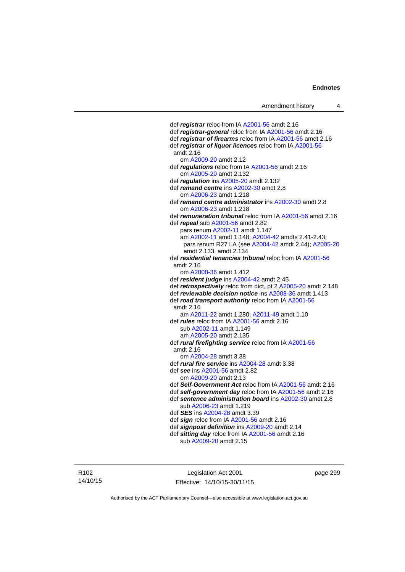def *registrar* reloc from IA [A2001-56](http://www.legislation.act.gov.au/a/2001-56) amdt 2.16 def *registrar-general* reloc from IA [A2001-56](http://www.legislation.act.gov.au/a/2001-56) amdt 2.16 def *registrar of firearms* reloc from IA [A2001-56](http://www.legislation.act.gov.au/a/2001-56) amdt 2.16 def *registrar of liquor licences* reloc from IA [A2001-56](http://www.legislation.act.gov.au/a/2001-56) amdt 2.16 om [A2009-20](http://www.legislation.act.gov.au/a/2009-20) amdt 2.12 def *regulations* reloc from IA [A2001-56](http://www.legislation.act.gov.au/a/2001-56) amdt 2.16 om [A2005-20](http://www.legislation.act.gov.au/a/2005-20) amdt 2.132 def *regulation* ins [A2005-20](http://www.legislation.act.gov.au/a/2005-20) amdt 2.132 def *remand centre* ins [A2002-30](http://www.legislation.act.gov.au/a/2002-30) amdt 2.8 om [A2006-23](http://www.legislation.act.gov.au/a/2006-23) amdt 1.218 def *remand centre administrator* ins [A2002-30](http://www.legislation.act.gov.au/a/2002-30) amdt 2.8 om [A2006-23](http://www.legislation.act.gov.au/a/2006-23) amdt 1.218 def *remuneration tribunal* reloc from IA [A2001-56](http://www.legislation.act.gov.au/a/2001-56) amdt 2.16 def *repeal* sub [A2001-56](http://www.legislation.act.gov.au/a/2001-56) amdt 2.82 pars renum [A2002-11](http://www.legislation.act.gov.au/a/2002-11) amdt 1.147 am [A2002-11](http://www.legislation.act.gov.au/a/2002-11) amdt 1.148; [A2004-42](http://www.legislation.act.gov.au/a/2004-42) amdts 2.41-2.43; pars renum R27 LA (see [A2004-42](http://www.legislation.act.gov.au/a/2004-42) amdt 2.44); [A2005-20](http://www.legislation.act.gov.au/a/2005-20) amdt 2.133, amdt 2.134 def *residential tenancies tribunal* reloc from IA [A2001-56](http://www.legislation.act.gov.au/a/2001-56) amdt 2.16 om [A2008-36](http://www.legislation.act.gov.au/a/2008-36) amdt 1.412 def *resident judge* ins [A2004-42](http://www.legislation.act.gov.au/a/2004-42) amdt 2.45 def *retrospectively* reloc from dict, pt 2 [A2005-20](http://www.legislation.act.gov.au/a/2005-20) amdt 2.148 def *reviewable decision notice* ins [A2008-36](http://www.legislation.act.gov.au/a/2008-36) amdt 1.413 def *road transport authority* reloc from IA [A2001-56](http://www.legislation.act.gov.au/a/2001-56) amdt 2.16 am [A2011-22](http://www.legislation.act.gov.au/a/2011-22) amdt 1.280; [A2011-49](http://www.legislation.act.gov.au/a/2011-49) amdt 1.10 def *rules* reloc from IA [A2001-56](http://www.legislation.act.gov.au/a/2001-56) amdt 2.16 sub [A2002-11](http://www.legislation.act.gov.au/a/2002-11) amdt 1.149 am [A2005-20](http://www.legislation.act.gov.au/a/2005-20) amdt 2.135 def *rural firefighting service* reloc from IA [A2001-56](http://www.legislation.act.gov.au/a/2001-56) amdt 2.16 om [A2004-28](http://www.legislation.act.gov.au/a/2004-28) amdt 3.38 def *rural fire service* ins [A2004-28](http://www.legislation.act.gov.au/a/2004-28) amdt 3.38 def *see* ins [A2001-56](http://www.legislation.act.gov.au/a/2001-56) amdt 2.82 om [A2009-20](http://www.legislation.act.gov.au/a/2009-20) amdt 2.13 def *Self-Government Act* reloc from IA [A2001-56](http://www.legislation.act.gov.au/a/2001-56) amdt 2.16 def *self-government day* reloc from IA [A2001-56](http://www.legislation.act.gov.au/a/2001-56) amdt 2.16 def *sentence administration board* ins [A2002-30](http://www.legislation.act.gov.au/a/2002-30) amdt 2.8 sub [A2006-23](http://www.legislation.act.gov.au/a/2006-23) amdt 1.219 def *SES* ins [A2004-28](http://www.legislation.act.gov.au/a/2004-28) amdt 3.39 def *sign* reloc from IA [A2001-56](http://www.legislation.act.gov.au/a/2001-56) amdt 2.16 def *signpost definition* ins [A2009-20](http://www.legislation.act.gov.au/a/2009-20) amdt 2.14 def *sitting day* reloc from IA [A2001-56](http://www.legislation.act.gov.au/a/2001-56) amdt 2.16

sub [A2009-20](http://www.legislation.act.gov.au/a/2009-20) amdt 2.15

R102 14/10/15

Legislation Act 2001 Effective: 14/10/15-30/11/15 page 299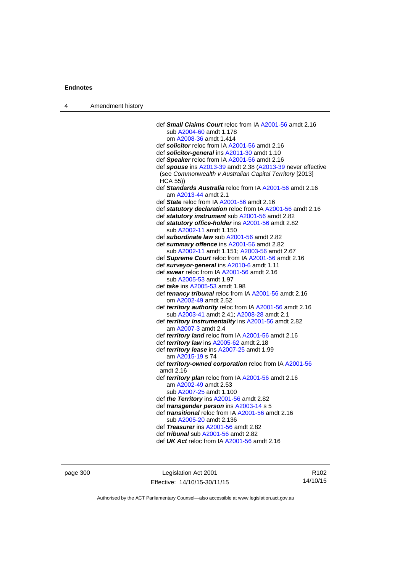| 4 | Amendment history |                                                                                                                        |
|---|-------------------|------------------------------------------------------------------------------------------------------------------------|
|   |                   |                                                                                                                        |
|   |                   | def Small Claims Court reloc from IA A2001-56 amdt 2.16                                                                |
|   |                   | sub A2004-60 amdt 1.178                                                                                                |
|   |                   | om A2008-36 amdt 1.414                                                                                                 |
|   |                   | def solicitor reloc from IA A2001-56 amdt 2.16                                                                         |
|   |                   | def solicitor-general ins A2011-30 amdt 1.10                                                                           |
|   |                   | def Speaker reloc from IA A2001-56 amdt 2.16                                                                           |
|   |                   | def spouse ins A2013-39 amdt 2.38 (A2013-39 never effective<br>(see Commonwealth v Australian Capital Territory [2013] |
|   |                   | $HCA$ 55))                                                                                                             |
|   |                   | def Standards Australia reloc from IA A2001-56 amdt 2.16                                                               |
|   |                   | am A2013-44 amdt 2.1                                                                                                   |
|   |                   | def State reloc from IA A2001-56 amdt 2.16                                                                             |
|   |                   | def statutory declaration reloc from IA A2001-56 amdt 2.16                                                             |
|   |                   | def statutory instrument sub A2001-56 amdt 2.82                                                                        |
|   |                   | def statutory office-holder ins A2001-56 amdt 2.82                                                                     |
|   |                   | sub A2002-11 amdt 1.150                                                                                                |
|   |                   | def subordinate law sub A2001-56 amdt 2.82                                                                             |
|   |                   | def summary offence ins A2001-56 amdt 2.82                                                                             |
|   |                   | sub A2002-11 amdt 1.151; A2003-56 amdt 2.67                                                                            |
|   |                   | def Supreme Court reloc from IA A2001-56 amdt 2.16                                                                     |
|   |                   | def surveyor-general ins A2010-6 amdt 1.11                                                                             |
|   |                   | def swear reloc from IA A2001-56 amdt 2.16<br>sub A2005-53 amdt 1.97                                                   |
|   |                   | def take ins A2005-53 amdt 1.98                                                                                        |
|   |                   | def tenancy tribunal reloc from IA A2001-56 amdt 2.16                                                                  |
|   |                   | om A2002-49 amdt 2.52                                                                                                  |
|   |                   | def territory authority reloc from IA A2001-56 amdt 2.16                                                               |
|   |                   | sub A2003-41 amdt 2.41; A2008-28 amdt 2.1                                                                              |
|   |                   | def territory instrumentality ins A2001-56 amdt 2.82                                                                   |
|   |                   | am A2007-3 amdt 2.4                                                                                                    |
|   |                   | def territory land reloc from IA A2001-56 amdt 2.16                                                                    |
|   |                   | def territory law ins A2005-62 amdt 2.18                                                                               |
|   |                   | def territory lease ins A2007-25 amdt 1.99<br>am A2015-19 s 74                                                         |
|   |                   | def territory-owned corporation reloc from IA A2001-56                                                                 |
|   |                   | amdt 2.16                                                                                                              |
|   |                   | def <i>territory plan</i> reloc from IA A2001-56 amdt 2.16<br>am A2002-49 amdt 2.53                                    |
|   |                   | sub A2007-25 amdt 1.100                                                                                                |
|   |                   | def the Territory ins $A2001-56$ amdt 2.82                                                                             |
|   |                   | def <i>transgender person</i> ins A2003-14 s 5                                                                         |
|   |                   | def <i>transitional</i> reloc from IA A2001-56 amdt 2.16                                                               |
|   |                   | sub A2005-20 amdt 2.136                                                                                                |
|   |                   | def Treasurer ins A2001-56 amdt 2.82                                                                                   |
|   |                   | def <i>tribunal</i> sub A2001-56 amdt 2.82                                                                             |
|   |                   | def UK Act reloc from IA A2001-56 amdt 2.16                                                                            |
|   |                   |                                                                                                                        |

page 300 Legislation Act 2001 Effective: 14/10/15-30/11/15

R102 14/10/15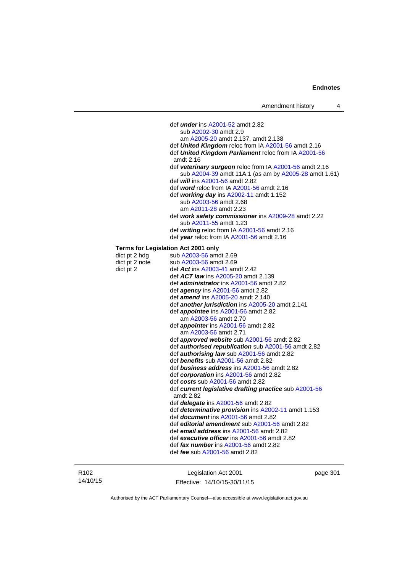def *under* ins [A2001-52](http://www.legislation.act.gov.au/a/2001-52) amdt 2.82 sub [A2002-30](http://www.legislation.act.gov.au/a/2002-30) amdt 2.9 am [A2005-20](http://www.legislation.act.gov.au/a/2005-20) amdt 2.137, amdt 2.138 def *United Kingdom* reloc from IA [A2001-56](http://www.legislation.act.gov.au/a/2001-56) amdt 2.16 def *United Kingdom Parliament* reloc from IA [A2001-56](http://www.legislation.act.gov.au/a/2001-56) amdt 2.16 def *veterinary surgeon* reloc from IA [A2001-56](http://www.legislation.act.gov.au/a/2001-56) amdt 2.16 sub [A2004-39](http://www.legislation.act.gov.au/a/2004-39) amdt 11A.1 (as am by [A2005-28](http://www.legislation.act.gov.au/a/2005-28) amdt 1.61) def *will* ins [A2001-56](http://www.legislation.act.gov.au/a/2001-56) amdt 2.82 def *word* reloc from IA [A2001-56](http://www.legislation.act.gov.au/a/2001-56) amdt 2.16 def *working day* ins [A2002-11](http://www.legislation.act.gov.au/a/2002-11) amdt 1.152 sub [A2003-56](http://www.legislation.act.gov.au/a/2003-56) amdt 2.68 am [A2011-28](http://www.legislation.act.gov.au/a/2011-28) amdt 2.23 def *work safety commissioner* ins [A2009-28](http://www.legislation.act.gov.au/a/2009-28) amdt 2.22 sub [A2011-55](http://www.legislation.act.gov.au/a/2011-55) amdt 1.23 def *writing* reloc from IA [A2001-56](http://www.legislation.act.gov.au/a/2001-56) amdt 2.16 def *year* reloc from IA [A2001-56](http://www.legislation.act.gov.au/a/2001-56) amdt 2.16 **Terms for Legislation Act 2001 only**  dict pt 2 hdg sub  $A2003-56$  amdt 2.69 dict pt 2 note sub  $A2003-56$  amdt 2.69 dict pt 2 def *Act* ins [A2003-41](http://www.legislation.act.gov.au/a/2003-41) amdt 2.42 def *ACT law* ins [A2005-20](http://www.legislation.act.gov.au/a/2005-20) amdt 2.139 def *administrator* ins [A2001-56](http://www.legislation.act.gov.au/a/2001-56) amdt 2.82 def *agency* ins [A2001-56](http://www.legislation.act.gov.au/a/2001-56) amdt 2.82 def *amend* ins [A2005-20](http://www.legislation.act.gov.au/a/2005-20) amdt 2.140 def *another jurisdiction* ins [A2005-20](http://www.legislation.act.gov.au/a/2005-20) amdt 2.141 def *appointee* ins [A2001-56](http://www.legislation.act.gov.au/a/2001-56) amdt 2.82 am [A2003-56](http://www.legislation.act.gov.au/a/2003-56) amdt 2.70 def *appointer* ins [A2001-56](http://www.legislation.act.gov.au/a/2001-56) amdt 2.82 am [A2003-56](http://www.legislation.act.gov.au/a/2003-56) amdt 2.71 def *approved website* sub [A2001-56](http://www.legislation.act.gov.au/a/2001-56) amdt 2.82 def *authorised republication* sub [A2001-56](http://www.legislation.act.gov.au/a/2001-56) amdt 2.82 def *authorising law* sub [A2001-56](http://www.legislation.act.gov.au/a/2001-56) amdt 2.82 def *benefits* sub [A2001-56](http://www.legislation.act.gov.au/a/2001-56) amdt 2.82 def *business address* ins [A2001-56](http://www.legislation.act.gov.au/a/2001-56) amdt 2.82 def *corporation* ins [A2001-56](http://www.legislation.act.gov.au/a/2001-56) amdt 2.82 def *costs* sub [A2001-56](http://www.legislation.act.gov.au/a/2001-56) amdt 2.82 def *current legislative drafting practice* sub [A2001-56](http://www.legislation.act.gov.au/a/2001-56) amdt 2.82 def *delegate* ins [A2001-56](http://www.legislation.act.gov.au/a/2001-56) amdt 2.82 def *determinative provision* ins [A2002-11](http://www.legislation.act.gov.au/a/2002-11) amdt 1.153 def *document* ins [A2001-56](http://www.legislation.act.gov.au/a/2001-56) amdt 2.82 def *editorial amendment* sub [A2001-56](http://www.legislation.act.gov.au/a/2001-56) amdt 2.82 def *email address* ins [A2001-56](http://www.legislation.act.gov.au/a/2001-56) amdt 2.82 def *executive officer* ins [A2001-56](http://www.legislation.act.gov.au/a/2001-56) amdt 2.82 def *fax number* ins [A2001-56](http://www.legislation.act.gov.au/a/2001-56) amdt 2.82 def *fee* sub [A2001-56](http://www.legislation.act.gov.au/a/2001-56) amdt 2.82

R102 14/10/15

Legislation Act 2001 Effective: 14/10/15-30/11/15 page 301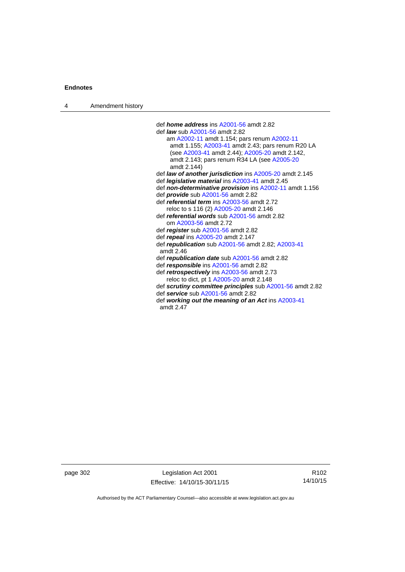4 Amendment history

 def *home address* ins [A2001-56](http://www.legislation.act.gov.au/a/2001-56) amdt 2.82 def *law* sub [A2001-56](http://www.legislation.act.gov.au/a/2001-56) amdt 2.82 am [A2002-11](http://www.legislation.act.gov.au/a/2002-11) amdt 1.154; pars renum [A2002-11](http://www.legislation.act.gov.au/a/2002-11) amdt 1.155; [A2003-41](http://www.legislation.act.gov.au/a/2003-41) amdt 2.43; pars renum R20 LA (see [A2003-41](http://www.legislation.act.gov.au/a/2003-41) amdt 2.44); [A2005-20](http://www.legislation.act.gov.au/a/2005-20) amdt 2.142, amdt 2.143; pars renum R34 LA (see [A2005-20](http://www.legislation.act.gov.au/a/2005-20) amdt 2.144) def *law of another jurisdiction* ins [A2005-20](http://www.legislation.act.gov.au/a/2005-20) amdt 2.145 def *legislative material* ins [A2003-41](http://www.legislation.act.gov.au/a/2003-41) amdt 2.45 def *non-determinative provision* ins [A2002-11](http://www.legislation.act.gov.au/a/2002-11) amdt 1.156 def *provide* sub [A2001-56](http://www.legislation.act.gov.au/a/2001-56) amdt 2.82 def *referential term* ins [A2003-56](http://www.legislation.act.gov.au/a/2003-56) amdt 2.72 reloc to s 116 (2) [A2005-20](http://www.legislation.act.gov.au/a/2005-20) amdt 2.146 def *referential words* sub [A2001-56](http://www.legislation.act.gov.au/a/2001-56) amdt 2.82 om [A2003-56](http://www.legislation.act.gov.au/a/2003-56) amdt 2.72 def *register* sub [A2001-56](http://www.legislation.act.gov.au/a/2001-56) amdt 2.82 def *repeal* ins [A2005-20](http://www.legislation.act.gov.au/a/2005-20) amdt 2.147 def *republication* sub [A2001-56](http://www.legislation.act.gov.au/a/2001-56) amdt 2.82; [A2003-41](http://www.legislation.act.gov.au/a/2003-41) amdt 2.46 def *republication date* sub [A2001-56](http://www.legislation.act.gov.au/a/2001-56) amdt 2.82 def *responsible* ins [A2001-56](http://www.legislation.act.gov.au/a/2001-56) amdt 2.82 def *retrospectively* ins [A2003-56](http://www.legislation.act.gov.au/a/2003-56) amdt 2.73 reloc to dict, pt 1 [A2005-20](http://www.legislation.act.gov.au/a/2005-20) amdt 2.148 def *scrutiny committee principles* sub [A2001-56](http://www.legislation.act.gov.au/a/2001-56) amdt 2.82 def *service* sub [A2001-56](http://www.legislation.act.gov.au/a/2001-56) amdt 2.82 def *working out the meaning of an Act* ins [A2003-41](http://www.legislation.act.gov.au/a/2003-41) amdt 2.47

page 302 Legislation Act 2001 Effective: 14/10/15-30/11/15

R102 14/10/15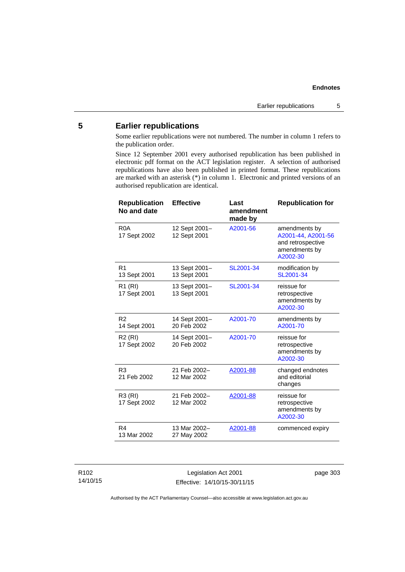# **5 Earlier republications**

Some earlier republications were not numbered. The number in column 1 refers to the publication order.

Since 12 September 2001 every authorised republication has been published in electronic pdf format on the ACT legislation register. A selection of authorised republications have also been published in printed format. These republications are marked with an asterisk (\*) in column 1. Electronic and printed versions of an authorised republication are identical.

| <b>Republication</b><br>No and date | <b>Effective</b>              | Last<br>amendment<br>made by | <b>Republication for</b>                                                              |
|-------------------------------------|-------------------------------|------------------------------|---------------------------------------------------------------------------------------|
| R <sub>0</sub> A<br>17 Sept 2002    | 12 Sept 2001-<br>12 Sept 2001 | A2001-56                     | amendments by<br>A2001-44, A2001-56<br>and retrospective<br>amendments by<br>A2002-30 |
| R <sub>1</sub><br>13 Sept 2001      | 13 Sept 2001-<br>13 Sept 2001 | SL2001-34                    | modification by<br>SL2001-34                                                          |
| R1 (RI)<br>17 Sept 2001             | 13 Sept 2001-<br>13 Sept 2001 | SL2001-34                    | reissue for<br>retrospective<br>amendments by<br>A2002-30                             |
| R <sub>2</sub><br>14 Sept 2001      | 14 Sept 2001-<br>20 Feb 2002  | A2001-70                     | amendments by<br>A2001-70                                                             |
| R <sub>2</sub> (RI)<br>17 Sept 2002 | 14 Sept 2001-<br>20 Feb 2002  | A2001-70                     | reissue for<br>retrospective<br>amendments by<br>A2002-30                             |
| R <sub>3</sub><br>21 Feb 2002       | 21 Feb 2002-<br>12 Mar 2002   | A2001-88                     | changed endnotes<br>and editorial<br>changes                                          |
| R3 (RI)<br>17 Sept 2002             | 21 Feb 2002-<br>12 Mar 2002   | A2001-88                     | reissue for<br>retrospective<br>amendments by<br>A2002-30                             |
| R <sub>4</sub><br>13 Mar 2002       | 13 Mar 2002-<br>27 May 2002   | A2001-88                     | commenced expiry                                                                      |

R102 14/10/15

Legislation Act 2001 Effective: 14/10/15-30/11/15 page 303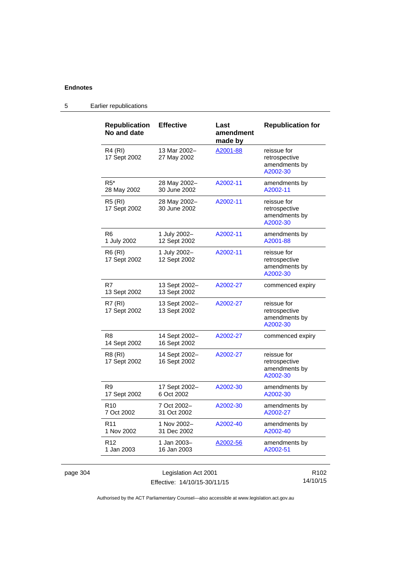| <b>Republication</b><br>No and date | <b>Effective</b>              | Last<br>amendment<br>made by | <b>Republication for</b>                                  |
|-------------------------------------|-------------------------------|------------------------------|-----------------------------------------------------------|
| <b>R4 (RI)</b><br>17 Sept 2002      | 13 Mar 2002-<br>27 May 2002   | A2001-88                     | reissue for<br>retrospective<br>amendments by<br>A2002-30 |
| $R5*$<br>28 May 2002                | 28 May 2002-<br>30 June 2002  | A2002-11                     | amendments by<br>A2002-11                                 |
| R5 (RI)<br>17 Sept 2002             | 28 May 2002-<br>30 June 2002  | A2002-11                     | reissue for<br>retrospective<br>amendments by<br>A2002-30 |
| R <sub>6</sub><br>1 July 2002       | 1 July 2002-<br>12 Sept 2002  | A2002-11                     | amendments by<br>A2001-88                                 |
| R6 (RI)<br>17 Sept 2002             | 1 July 2002-<br>12 Sept 2002  | A2002-11                     | reissue for<br>retrospective<br>amendments by<br>A2002-30 |
| R7<br>13 Sept 2002                  | 13 Sept 2002-<br>13 Sept 2002 | A2002-27                     | commenced expiry                                          |
| R7 (RI)<br>17 Sept 2002             | 13 Sept 2002-<br>13 Sept 2002 | A2002-27                     | reissue for<br>retrospective<br>amendments by<br>A2002-30 |
| R <sub>8</sub><br>14 Sept 2002      | 14 Sept 2002-<br>16 Sept 2002 | A2002-27                     | commenced expiry                                          |
| R8 (RI)<br>17 Sept 2002             | 14 Sept 2002-<br>16 Sept 2002 | A2002-27                     | reissue for<br>retrospective<br>amendments by<br>A2002-30 |
| R9<br>17 Sept 2002                  | 17 Sept 2002-<br>6 Oct 2002   | A2002-30                     | amendments by<br>A2002-30                                 |
| R <sub>10</sub><br>7 Oct 2002       | 7 Oct 2002-<br>31 Oct 2002    | A2002-30                     | amendments by<br>A2002-27                                 |
| R <sub>11</sub><br>1 Nov 2002       | 1 Nov 2002-<br>31 Dec 2002    | A2002-40                     | amendments by<br>A2002-40                                 |
| R <sub>12</sub><br>1 Jan 2003       | 1 Jan 2003-<br>16 Jan 2003    | A2002-56                     | amendments by<br>A2002-51                                 |

5 Earlier republications

Authorised by the ACT Parliamentary Counsel—also accessible at www.legislation.act.gov.au

14/10/15

Effective: 14/10/15-30/11/15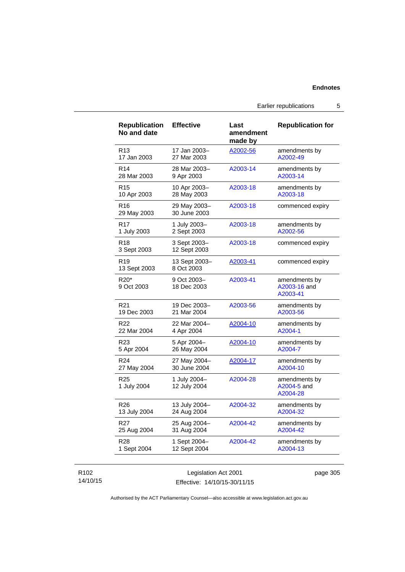Earlier republications 5

| <b>Republication</b><br>No and date | <b>Effective</b>             | Last<br>amendment<br>made by | <b>Republication for</b>                  |
|-------------------------------------|------------------------------|------------------------------|-------------------------------------------|
| R <sub>13</sub>                     | 17 Jan 2003-                 | A2002-56                     | amendments by                             |
| 17 Jan 2003                         | 27 Mar 2003                  |                              | A2002-49                                  |
| R <sub>14</sub>                     | 28 Mar 2003-                 | A2003-14                     | amendments by                             |
| 28 Mar 2003                         | 9 Apr 2003                   |                              | A2003-14                                  |
| R <sub>15</sub>                     | 10 Apr 2003-                 | A2003-18                     | amendments by                             |
| 10 Apr 2003                         | 28 May 2003                  |                              | A2003-18                                  |
| R16<br>29 May 2003                  | 29 May 2003-<br>30 June 2003 | A2003-18                     | commenced expiry                          |
| R17                                 | 1 July 2003-                 | A2003-18                     | amendments by                             |
| 1 July 2003                         | 2 Sept 2003                  |                              | A2002-56                                  |
| R <sub>18</sub><br>3 Sept 2003      | 3 Sept 2003-<br>12 Sept 2003 | A2003-18                     | commenced expiry                          |
| R <sub>19</sub><br>13 Sept 2003     | 13 Sept 2003-<br>8 Oct 2003  | A2003-41                     | commenced expiry                          |
| R20*<br>9 Oct 2003                  | 9 Oct 2003-<br>18 Dec 2003   | A2003-41                     | amendments by<br>A2003-16 and<br>A2003-41 |
| R21                                 | 19 Dec 2003-                 | A2003-56                     | amendments by                             |
| 19 Dec 2003                         | 21 Mar 2004                  |                              | A2003-56                                  |
| R <sub>22</sub>                     | 22 Mar 2004-                 | A2004-10                     | amendments by                             |
| 22 Mar 2004                         | 4 Apr 2004                   |                              | A2004-1                                   |
| R <sub>23</sub>                     | 5 Apr 2004-                  | A2004-10                     | amendments by                             |
| 5 Apr 2004                          | 26 May 2004                  |                              | A2004-7                                   |
| R <sub>24</sub>                     | 27 May 2004-                 | A2004-17                     | amendments by                             |
| 27 May 2004                         | 30 June 2004                 |                              | A2004-10                                  |
| R <sub>25</sub><br>1 July 2004      | 1 July 2004-<br>12 July 2004 | A2004-28                     | amendments by<br>A2004-5 and<br>A2004-28  |
| R26                                 | 13 July 2004-                | A2004-32                     | amendments by                             |
| 13 July 2004                        | 24 Aug 2004                  |                              | A2004-32                                  |
| R27                                 | 25 Aug 2004-                 | A2004-42                     | amendments by                             |
| 25 Aug 2004                         | 31 Aug 2004                  |                              | A2004-42                                  |
| R28                                 | 1 Sept 2004-                 | A2004-42                     | amendments by                             |
| 1 Sept 2004                         | 12 Sept 2004                 |                              | A2004-13                                  |

# R102 14/10/15

Legislation Act 2001 Effective: 14/10/15-30/11/15 page 305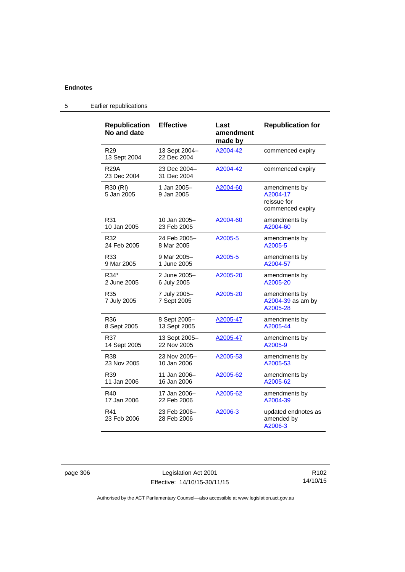| <b>Republication</b><br>No and date | <b>Effective</b>             | Last<br>amendment<br>made by | <b>Republication for</b>                                     |
|-------------------------------------|------------------------------|------------------------------|--------------------------------------------------------------|
| R <sub>29</sub><br>13 Sept 2004     | 13 Sept 2004-<br>22 Dec 2004 | A2004-42                     | commenced expiry                                             |
| <b>R29A</b><br>23 Dec 2004          | 23 Dec 2004-<br>31 Dec 2004  | A2004-42                     | commenced expiry                                             |
| R30 (RI)<br>5 Jan 2005              | 1 Jan 2005-<br>9 Jan 2005    | A2004-60                     | amendments by<br>A2004-17<br>reissue for<br>commenced expiry |
| R31                                 | 10 Jan 2005-                 | A2004-60                     | amendments by                                                |
| 10 Jan 2005                         | 23 Feb 2005                  |                              | A2004-60                                                     |
| R32                                 | 24 Feb 2005-                 | A2005-5                      | amendments by                                                |
| 24 Feb 2005                         | 8 Mar 2005                   |                              | A2005-5                                                      |
| R33                                 | 9 Mar 2005-                  | A2005-5                      | amendments by                                                |
| 9 Mar 2005                          | 1 June 2005                  |                              | A2004-57                                                     |
| R34*                                | 2 June 2005-                 | A2005-20                     | amendments by                                                |
| 2 June 2005                         | 6 July 2005                  |                              | A2005-20                                                     |
| R35<br>7 July 2005                  | 7 July 2005-<br>7 Sept 2005  | A2005-20                     | amendments by<br>A2004-39 as am by<br>A2005-28               |
| R36                                 | 8 Sept 2005-                 | A2005-47                     | amendments by                                                |
| 8 Sept 2005                         | 13 Sept 2005                 |                              | A2005-44                                                     |
| R37                                 | 13 Sept 2005-                | A2005-47                     | amendments by                                                |
| 14 Sept 2005                        | 22 Nov 2005                  |                              | A2005-9                                                      |
| R38                                 | 23 Nov 2005-                 | A2005-53                     | amendments by                                                |
| 23 Nov 2005                         | 10 Jan 2006                  |                              | A2005-53                                                     |
| R39                                 | 11 Jan 2006-                 | A2005-62                     | amendments by                                                |
| 11 Jan 2006                         | 16 Jan 2006                  |                              | A2005-62                                                     |
| R40                                 | 17 Jan 2006–                 | A2005-62                     | amendments by                                                |
| 17 Jan 2006                         | 22 Feb 2006                  |                              | A2004-39                                                     |
| R41<br>23 Feb 2006                  | 23 Feb 2006-<br>28 Feb 2006  | A2006-3                      | updated endnotes as<br>amended by<br>A2006-3                 |

5 Earlier republications

page 306 Legislation Act 2001 Effective: 14/10/15-30/11/15

R102 14/10/15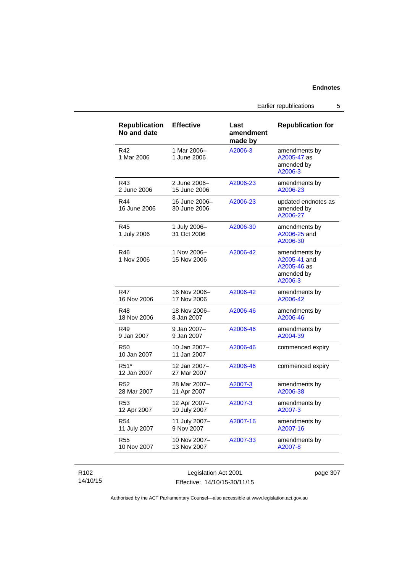Earlier republications 5

| Republication<br>No and date     | <b>Effective</b>              | Last<br>amendment<br>made by | <b>Republication for</b>                                              |
|----------------------------------|-------------------------------|------------------------------|-----------------------------------------------------------------------|
| R42<br>1 Mar 2006                | 1 Mar 2006-<br>1 June 2006    | A2006-3                      | amendments by<br>A2005-47 as<br>amended by<br>A2006-3                 |
| R43                              | 2 June 2006-                  | A2006-23                     | amendments by                                                         |
| 2 June 2006                      | 15 June 2006                  |                              | A2006-23                                                              |
| R44<br>16 June 2006              | 16 June 2006-<br>30 June 2006 | A2006-23                     | updated endnotes as<br>amended by<br>A2006-27                         |
| R45<br>1 July 2006               | 1 July 2006-<br>31 Oct 2006   | A2006-30                     | amendments by<br>A2006-25 and<br>A2006-30                             |
| R46<br>1 Nov 2006                | 1 Nov 2006-<br>15 Nov 2006    | A2006-42                     | amendments by<br>A2005-41 and<br>A2005-46 as<br>amended by<br>A2006-3 |
| <b>R47</b>                       | 16 Nov 2006-                  | A2006-42                     | amendments by                                                         |
| 16 Nov 2006                      | 17 Nov 2006                   |                              | A2006-42                                                              |
| R48                              | 18 Nov 2006-                  | A2006-46                     | amendments by                                                         |
| 18 Nov 2006                      | 8 Jan 2007                    |                              | A2006-46                                                              |
| R49                              | 9 Jan 2007-                   | A2006-46                     | amendments by                                                         |
| 9 Jan 2007                       | 9 Jan 2007                    |                              | A2004-39                                                              |
| <b>R50</b><br>10 Jan 2007        | 10 Jan 2007-<br>11 Jan 2007   | A2006-46                     | commenced expiry                                                      |
| R <sub>51</sub> *<br>12 Jan 2007 | 12 Jan 2007-<br>27 Mar 2007   | A2006-46                     | commenced expiry                                                      |
| R <sub>52</sub>                  | 28 Mar 2007-                  | A2007-3                      | amendments by                                                         |
| 28 Mar 2007                      | 11 Apr 2007                   |                              | A2006-38                                                              |
| R53                              | 12 Apr 2007-                  | A2007-3                      | amendments by                                                         |
| 12 Apr 2007                      | 10 July 2007                  |                              | A2007-3                                                               |
| R <sub>54</sub>                  | 11 July 2007-                 | A2007-16                     | amendments by                                                         |
| 11 July 2007                     | 9 Nov 2007                    |                              | A2007-16                                                              |
| <b>R55</b>                       | 10 Nov 2007-                  | A2007-33                     | amendments by                                                         |
| 10 Nov 2007                      | 13 Nov 2007                   |                              | A2007-8                                                               |

R102 14/10/15

Legislation Act 2001 Effective: 14/10/15-30/11/15 page 307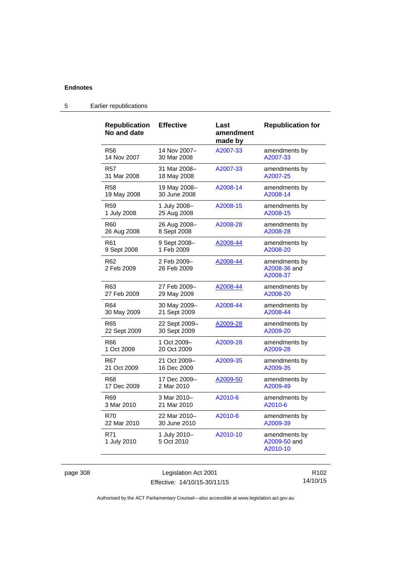| <b>Republication</b><br>No and date | <b>Effective</b>           | Last<br>amendment<br>made by | <b>Republication for</b>                  |
|-------------------------------------|----------------------------|------------------------------|-------------------------------------------|
| R <sub>56</sub>                     | 14 Nov 2007-               | A2007-33                     | amendments by                             |
| 14 Nov 2007                         | 30 Mar 2008                |                              | A2007-33                                  |
| R57                                 | 31 Mar 2008-               | A2007-33                     | amendments by                             |
| 31 Mar 2008                         | 18 May 2008                |                              | A2007-25                                  |
| <b>R58</b>                          | 19 May 2008-               | A2008-14                     | amendments by                             |
| 19 May 2008                         | 30 June 2008               |                              | A2008-14                                  |
| R59                                 | 1 July 2008-               | A2008-15                     | amendments by                             |
| 1 July 2008                         | 25 Aug 2008                |                              | A2008-15                                  |
| R60                                 | 26 Aug 2008-               | A2008-28                     | amendments by                             |
| 26 Aug 2008                         | 8 Sept 2008                |                              | A2008-28                                  |
| R61                                 | 9 Sept 2008-               | A2008-44                     | amendments by                             |
| 9 Sept 2008                         | 1 Feb 2009                 |                              | A2008-20                                  |
| R62<br>2 Feb 2009                   | 2 Feb 2009-<br>26 Feb 2009 | A2008-44                     | amendments by<br>A2008-36 and<br>A2008-37 |
| R63                                 | 27 Feb 2009-               | A2008-44                     | amendments by                             |
| 27 Feb 2009                         | 29 May 2009                |                              | A2008-20                                  |
| R64                                 | 30 May 2009-               | A2008-44                     | amendments by                             |
| 30 May 2009                         | 21 Sept 2009               |                              | A2008-44                                  |
| R65                                 | 22 Sept 2009-              | A2009-28                     | amendments by                             |
| 22 Sept 2009                        | 30 Sept 2009               |                              | A2009-20                                  |
| R66                                 | 1 Oct 2009-                | A2009-28                     | amendments by                             |
| 1 Oct 2009                          | 20 Oct 2009                |                              | A2009-28                                  |
| R67                                 | 21 Oct 2009-               | A2009-35                     | amendments by                             |
| 21 Oct 2009                         | 16 Dec 2009                |                              | A2009-35                                  |
| R68                                 | 17 Dec 2009-               | A2009-50                     | amendments by                             |
| 17 Dec 2009                         | 2 Mar 2010                 |                              | A2009-49                                  |
| R69                                 | 3 Mar 2010-                | A2010-6                      | amendments by                             |
| 3 Mar 2010                          | 21 Mar 2010                |                              | A2010-6                                   |
| <b>R70</b>                          | 22 Mar 2010-               | A2010-6                      | amendments by                             |
| 22 Mar 2010                         | 30 June 2010               |                              | A2009-39                                  |
| R71<br>1 July 2010                  | 1 July 2010-<br>5 Oct 2010 | A2010-10                     | amendments by<br>A2009-50 and<br>A2010-10 |

# 5 Earlier republications

page 308 Legislation Act 2001 Effective: 14/10/15-30/11/15

R102 14/10/15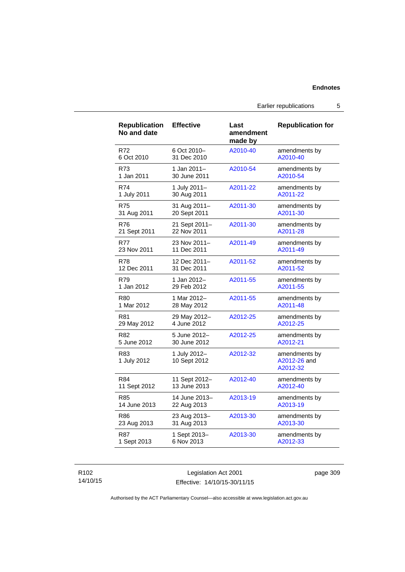#### **Endnotes**

Earlier republications 5

| <b>Republication</b><br>No and date | <b>Effective</b>             | Last<br>amendment<br>made by | <b>Republication for</b>                  |
|-------------------------------------|------------------------------|------------------------------|-------------------------------------------|
| R72                                 | 6 Oct 2010-                  | A2010-40                     | amendments by                             |
| 6 Oct 2010                          | 31 Dec 2010                  |                              | A2010-40                                  |
| R73                                 | 1 Jan 2011-                  | A2010-54                     | amendments by                             |
| 1 Jan 2011                          | 30 June 2011                 |                              | A2010-54                                  |
| R74                                 | 1 July 2011-                 | A2011-22                     | amendments by                             |
| 1 July 2011                         | 30 Aug 2011                  |                              | A2011-22                                  |
| <b>R75</b>                          | 31 Aug 2011-                 | A2011-30                     | amendments by                             |
| 31 Aug 2011                         | 20 Sept 2011                 |                              | A2011-30                                  |
| <b>R76</b>                          | 21 Sept 2011-                | A2011-30                     | amendments by                             |
| 21 Sept 2011                        | 22 Nov 2011                  |                              | A2011-28                                  |
| <b>R77</b>                          | 23 Nov 2011-                 | A2011-49                     | amendments by                             |
| 23 Nov 2011                         | 11 Dec 2011                  |                              | A2011-49                                  |
| <b>R78</b>                          | 12 Dec 2011-                 | A2011-52                     | amendments by                             |
| 12 Dec 2011                         | 31 Dec 2011                  |                              | A2011-52                                  |
| R79                                 | 1 Jan 2012-                  | A2011-55                     | amendments by                             |
| 1 Jan 2012                          | 29 Feb 2012                  |                              | A2011-55                                  |
| R80                                 | 1 Mar 2012-                  | A2011-55                     | amendments by                             |
| 1 Mar 2012                          | 28 May 2012                  |                              | A2011-48                                  |
| R81                                 | 29 May 2012-                 | A2012-25                     | amendments by                             |
| 29 May 2012                         | 4 June 2012                  |                              | A2012-25                                  |
| R <sub>82</sub>                     | 5 June 2012-                 | A2012-25                     | amendments by                             |
| 5 June 2012                         | 30 June 2012                 |                              | A2012-21                                  |
| R83<br>1 July 2012                  | 1 July 2012-<br>10 Sept 2012 | A2012-32                     | amendments by<br>A2012-26 and<br>A2012-32 |
| R84                                 | 11 Sept 2012-                | A2012-40                     | amendments by                             |
| 11 Sept 2012                        | 13 June 2013                 |                              | A2012-40                                  |
| R85                                 | 14 June 2013-                | A2013-19                     | amendments by                             |
| 14 June 2013                        | 22 Aug 2013                  |                              | A2013-19                                  |
| R86                                 | 23 Aug 2013-                 | A2013-30                     | amendments by                             |
| 23 Aug 2013                         | 31 Aug 2013                  |                              | A2013-30                                  |
| <b>R87</b>                          | 1 Sept 2013-                 | A2013-30                     | amendments by                             |
| 1 Sept 2013                         | 6 Nov 2013                   |                              | A2012-33                                  |

#### R102 14/10/15

Legislation Act 2001 Effective: 14/10/15-30/11/15 page 309

Authorised by the ACT Parliamentary Counsel—also accessible at www.legislation.act.gov.au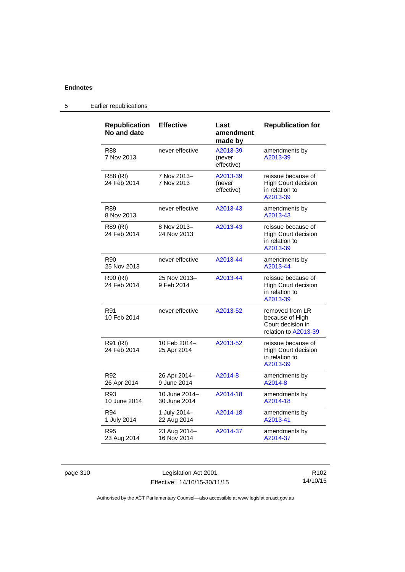## **Endnotes**

| <b>Republication</b><br>No and date | <b>Effective</b>              | Last<br>amendment<br>made by     | <b>Republication for</b>                                                        |
|-------------------------------------|-------------------------------|----------------------------------|---------------------------------------------------------------------------------|
| R88<br>7 Nov 2013                   | never effective               | A2013-39<br>(never<br>effective) | amendments by<br>A2013-39                                                       |
| R88 (RI)<br>24 Feb 2014             | 7 Nov 2013-<br>7 Nov 2013     | A2013-39<br>(never<br>effective) | reissue because of<br><b>High Court decision</b><br>in relation to<br>A2013-39  |
| <b>R89</b><br>8 Nov 2013            | never effective               | A2013-43                         | amendments by<br>A2013-43                                                       |
| R89 (RI)<br>24 Feb 2014             | 8 Nov 2013-<br>24 Nov 2013    | A2013-43                         | reissue because of<br><b>High Court decision</b><br>in relation to<br>A2013-39  |
| R90<br>25 Nov 2013                  | never effective               | A2013-44                         | amendments by<br>A2013-44                                                       |
| R90 (RI)<br>24 Feb 2014             | 25 Nov 2013-<br>9 Feb 2014    | A2013-44                         | reissue because of<br><b>High Court decision</b><br>in relation to<br>A2013-39  |
| R91<br>10 Feb 2014                  | never effective               | A2013-52                         | removed from LR<br>because of High<br>Court decision in<br>relation to A2013-39 |
| R91 (RI)<br>24 Feb 2014             | 10 Feb 2014–<br>25 Apr 2014   | A2013-52                         | reissue because of<br><b>High Court decision</b><br>in relation to<br>A2013-39  |
| R92<br>26 Apr 2014                  | 26 Apr 2014-<br>9 June 2014   | A2014-8                          | amendments by<br>A2014-8                                                        |
| R93<br>10 June 2014                 | 10 June 2014-<br>30 June 2014 | A2014-18                         | amendments by<br>A2014-18                                                       |
| R94<br>1 July 2014                  | 1 July 2014-<br>22 Aug 2014   | A2014-18                         | amendments by<br>A2013-41                                                       |
| R95<br>23 Aug 2014                  | 23 Aug 2014-<br>16 Nov 2014   | A2014-37                         | amendments by<br>A2014-37                                                       |

## 5 Earlier republications

page 310 Legislation Act 2001 Effective: 14/10/15-30/11/15

R102 14/10/15

Authorised by the ACT Parliamentary Counsel—also accessible at www.legislation.act.gov.au